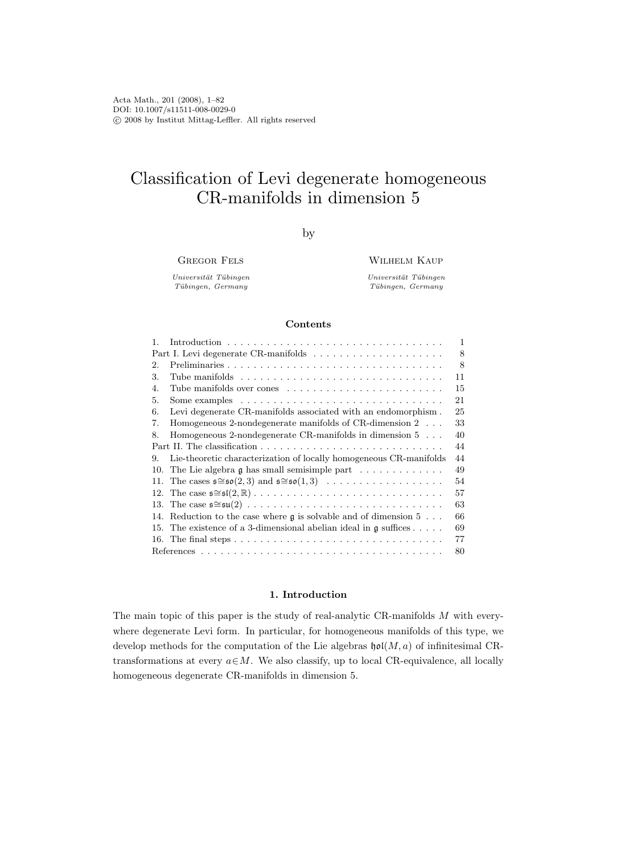# Classification of Levi degenerate homogeneous CR-manifolds in dimension 5

by

Gregor Fels

Wilhelm Kaup

Universität Tübingen Tübingen, Germany

Universität Tübingen Tübingen, Germany

## Contents

| 1.  |                                                                                                   | $\mathbf{1}$ |
|-----|---------------------------------------------------------------------------------------------------|--------------|
|     |                                                                                                   |              |
| 2.  |                                                                                                   | 8            |
| 3.  | Tube manifolds $\dots \dots \dots \dots \dots \dots \dots \dots \dots \dots \dots \dots$          | 11           |
| 4.  | Tube manifolds over cones                                                                         | 15           |
| 5.  | Some examples $\dots \dots \dots \dots \dots \dots \dots \dots \dots \dots \dots \dots$           | 21           |
| 6.  | Levi degenerate CR-manifolds associated with an endomorphism.                                     | 25           |
| 7.  | Homogeneous 2-nondegenerate manifolds of CR-dimension $2 \ldots$                                  | 33           |
| 8.  | Homogeneous 2-nondegenerate CR-manifolds in dimension $5 \ldots$                                  | 40           |
|     |                                                                                                   |              |
| 9.  | Lie-theoretic characterization of locally homogeneous CR-manifolds                                | 44           |
| 10. | The Lie algebra $\mathfrak g$ has small semisimple part                                           | 49           |
|     | 11. The cases $\mathfrak{s} \cong \mathfrak{so}(2,3)$ and $\mathfrak{s} \cong \mathfrak{so}(1,3)$ | 54           |
|     |                                                                                                   | 57           |
|     |                                                                                                   | 63           |
| 14. | Reduction to the case where $\mathfrak g$ is solvable and of dimension 5                          | 66           |
|     | 15. The existence of a 3-dimensional abelian ideal in $\mathfrak g$ suffices                      | 69           |
|     |                                                                                                   | 77           |
|     |                                                                                                   |              |

## 1. Introduction

The main topic of this paper is the study of real-analytic CR-manifolds M with everywhere degenerate Levi form. In particular, for homogeneous manifolds of this type, we develop methods for the computation of the Lie algebras  $\mathfrak{hol}(M, a)$  of infinitesimal CRtransformations at every  $a \in M$ . We also classify, up to local CR-equivalence, all locally homogeneous degenerate CR-manifolds in dimension 5.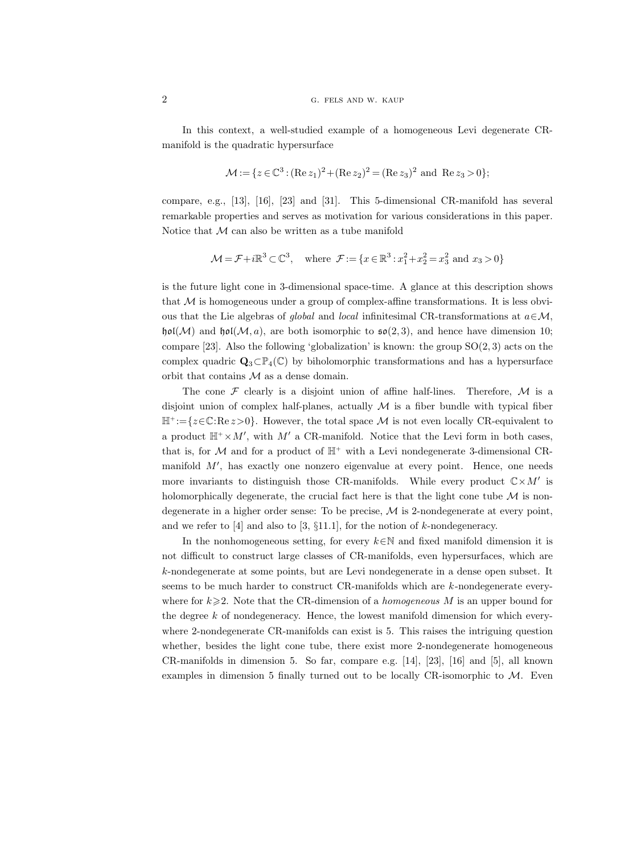In this context, a well-studied example of a homogeneous Levi degenerate CRmanifold is the quadratic hypersurface

$$
\mathcal{M} := \{ z \in \mathbb{C}^3 : (\text{Re } z_1)^2 + (\text{Re } z_2)^2 = (\text{Re } z_3)^2 \text{ and } \text{Re } z_3 > 0 \};
$$

compare, e.g., [13], [16], [23] and [31]. This 5-dimensional CR-manifold has several remarkable properties and serves as motivation for various considerations in this paper. Notice that  $M$  can also be written as a tube manifold

$$
\mathcal{M} = \mathcal{F} + i\mathbb{R}^3 \subset \mathbb{C}^3, \quad \text{where } \mathcal{F} := \{x \in \mathbb{R}^3 : x_1^2 + x_2^2 = x_3^2 \text{ and } x_3 > 0\}
$$

is the future light cone in 3-dimensional space-time. A glance at this description shows that  $M$  is homogeneous under a group of complex-affine transformations. It is less obvious that the Lie algebras of global and local infinitesimal CR-transformations at  $a \in \mathcal{M}$ ,  $\mathfrak{hol}(\mathcal{M})$  and  $\mathfrak{hol}(\mathcal{M}, a)$ , are both isomorphic to  $\mathfrak{so}(2, 3)$ , and hence have dimension 10; compare [23]. Also the following 'globalization' is known: the group  $SO(2,3)$  acts on the complex quadric  $\mathbf{Q}_3 \subset \mathbb{P}_4(\mathbb{C})$  by biholomorphic transformations and has a hypersurface orbit that contains  $\mathcal M$  as a dense domain.

The cone  $\mathcal F$  clearly is a disjoint union of affine half-lines. Therefore,  $\mathcal M$  is a disjoint union of complex half-planes, actually  $M$  is a fiber bundle with typical fiber  $\mathbb{H}^+:=\{z\in\mathbb{C}:\text{Re}\,z>0\}.$  However, the total space M is not even locally CR-equivalent to a product  $\mathbb{H}^+ \times M'$ , with  $M'$  a CR-manifold. Notice that the Levi form in both cases, that is, for  $M$  and for a product of  $\mathbb{H}^+$  with a Levi nondegenerate 3-dimensional CRmanifold  $M'$ , has exactly one nonzero eigenvalue at every point. Hence, one needs more invariants to distinguish those CR-manifolds. While every product  $\mathbb{C}\times M'$  is holomorphically degenerate, the crucial fact here is that the light cone tube  $\mathcal M$  is nondegenerate in a higher order sense: To be precise,  $M$  is 2-nondegenerate at every point, and we refer to  $[4]$  and also to  $[3, \S11.1]$ , for the notion of k-nondegeneracy.

In the nonhomogeneous setting, for every  $k \in \mathbb{N}$  and fixed manifold dimension it is not difficult to construct large classes of CR-manifolds, even hypersurfaces, which are k-nondegenerate at some points, but are Levi nondegenerate in a dense open subset. It seems to be much harder to construct CR-manifolds which are k-nondegenerate everywhere for  $k\geqslant 2$ . Note that the CR-dimension of a *homogeneous* M is an upper bound for the degree k of nondegeneracy. Hence, the lowest manifold dimension for which everywhere 2-nondegenerate CR-manifolds can exist is 5. This raises the intriguing question whether, besides the light cone tube, there exist more 2-nondegenerate homogeneous CR-manifolds in dimension 5. So far, compare e.g. [14], [23], [16] and [5], all known examples in dimension 5 finally turned out to be locally CR-isomorphic to  $M$ . Even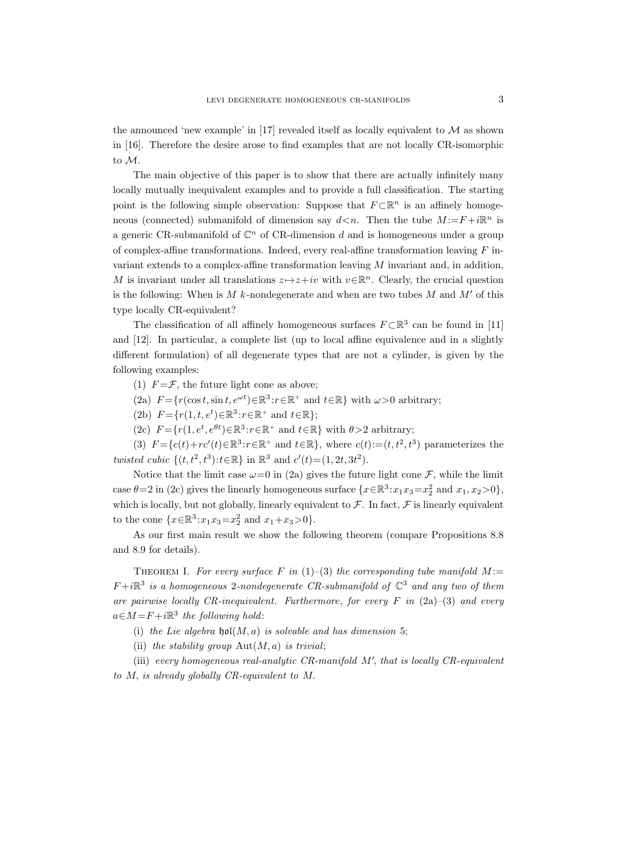the announced 'new example' in [17] revealed itself as locally equivalent to  $\mathcal M$  as shown in [16]. Therefore the desire arose to find examples that are not locally CR-isomorphic to M.

The main objective of this paper is to show that there are actually infinitely many locally mutually inequivalent examples and to provide a full classification. The starting point is the following simple observation: Suppose that  $F \subset \mathbb{R}^n$  is an affinely homogeneous (connected) submanifold of dimension say  $d \lt n$ . Then the tube  $M := F + i\mathbb{R}^n$  is a generic CR-submanifold of  $\mathbb{C}^n$  of CR-dimension d and is homogeneous under a group of complex-affine transformations. Indeed, every real-affine transformation leaving  $F$  invariant extends to a complex-affine transformation leaving M invariant and, in addition, M is invariant under all translations  $z \mapsto z+iv$  with  $v \in \mathbb{R}^n$ . Clearly, the crucial question is the following: When is M k-nondegenerate and when are two tubes M and  $M'$  of this type locally CR-equivalent?

The classification of all affinely homogeneous surfaces  $F \subset \mathbb{R}^3$  can be found in [11] and [12]. In particular, a complete list (up to local affine equivalence and in a slightly different formulation) of all degenerate types that are not a cylinder, is given by the following examples:

(1)  $F = \mathcal{F}$ , the future light cone as above;

(2a)  $F = \{r(\cos t, \sin t, e^{\omega t}) \in \mathbb{R}^3 : r \in \mathbb{R}^+ \text{ and } t \in \mathbb{R}\}\$  with  $\omega > 0$  arbitrary;

(2b)  $F = \{r(1, t, e^t) \in \mathbb{R}^3 : r \in \mathbb{R}^+ \text{ and } t \in \mathbb{R}\};$ 

(2c)  $F = \{r(1, e^t, e^{\theta t}) \in \mathbb{R}^3 : r \in \mathbb{R}^+ \text{ and } t \in \mathbb{R}\}\$  with  $\theta > 2$  arbitrary;

(3)  $F = \{c(t) + rc'(t) \in \mathbb{R}^3 : r \in \mathbb{R}^+ \text{ and } t \in \mathbb{R}\},\$  where  $c(t) := (t, t^2, t^3)$  parameterizes the twisted cubic  $\{(t, t^2, t^3): t \in \mathbb{R}\}\$ in  $\mathbb{R}^3$  and  $c'(t) = (1, 2t, 3t^2)$ .

Notice that the limit case  $\omega=0$  in (2a) gives the future light cone  $\mathcal{F}$ , while the limit case  $\theta = 2$  in (2c) gives the linearly homogeneous surface  $\{x \in \mathbb{R}^3 : x_1 x_3 = x_2^2 \text{ and } x_1, x_2 > 0\},\$ which is locally, but not globally, linearly equivalent to  $\mathcal F$ . In fact,  $\mathcal F$  is linearly equivalent to the cone  $\{x \in \mathbb{R}^3 : x_1 x_3 = x_2^2 \text{ and } x_1 + x_3 > 0\}.$ 

As our first main result we show the following theorem (compare Propositions 8.8 and 8.9 for details).

THEOREM I. For every surface F in  $(1)$ – $(3)$  the corresponding tube manifold M:=  $F+i\mathbb{R}^3$  is a homogeneous 2-nondegenerate CR-submanifold of  $\mathbb{C}^3$  and any two of them are pairwise locally CR-inequivalent. Furthermore, for every F in  $(2a)$ – $(3)$  and every  $a \in M = F + i \mathbb{R}^3$  the following hold:

(i) the Lie algebra  $\mathfrak{hol}(M, a)$  is solvable and has dimension 5;

(ii) the stability group  $\text{Aut}(M, a)$  is trivial;

(iii) every homogeneous real-analytic CR-manifold  $M'$ , that is locally CR-equivalent to M, is already globally CR-equivalent to M.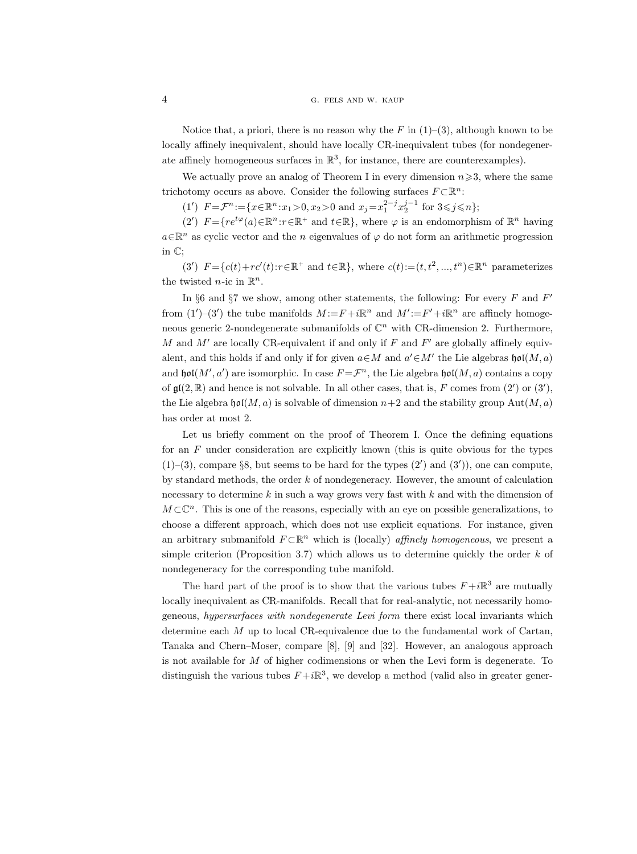## 4 G. FELS AND W. KAUP

Notice that, a priori, there is no reason why the F in  $(1)-(3)$ , although known to be locally affinely inequivalent, should have locally CR-inequivalent tubes (for nondegenerate affinely homogeneous surfaces in  $\mathbb{R}^3$ , for instance, there are counterexamples).

We actually prove an analog of Theorem I in every dimension  $n\geqslant 3$ , where the same trichotomy occurs as above. Consider the following surfaces  $F \subset \mathbb{R}^n$ :

(1')  $F = \mathcal{F}^n := \{x \in \mathbb{R}^n : x_1 > 0, x_2 > 0 \text{ and } x_j = x_1^{2-j} x_2^{j-1} \text{ for } 3 \leq j \leq n\};$ 

(2')  $F = \{re^{t\varphi}(a) \in \mathbb{R}^n : r \in \mathbb{R}^+ \text{ and } t \in \mathbb{R}\},\$  where  $\varphi$  is an endomorphism of  $\mathbb{R}^n$  having  $a \in \mathbb{R}^n$  as cyclic vector and the n eigenvalues of  $\varphi$  do not form an arithmetic progression in C;

(3')  $F = \{c(t) + rc'(t): r \in \mathbb{R}^+ \text{ and } t \in \mathbb{R}\}, \text{ where } c(t) := (t, t^2, ..., t^n) \in \mathbb{R}^n \text{ parameterizes } t \in \mathbb{R}$ the twisted *n*-ic in  $\mathbb{R}^n$ .

In §6 and §7 we show, among other statements, the following: For every  $F$  and  $F'$ from  $(1')-(3')$  the tube manifolds  $M:=F+i\mathbb{R}^n$  and  $M':=F'+i\mathbb{R}^n$  are affinely homogeneous generic 2-nondegenerate submanifolds of  $\mathbb{C}^n$  with CR-dimension 2. Furthermore, M and  $M'$  are locally CR-equivalent if and only if F and  $F'$  are globally affinely equivalent, and this holds if and only if for given  $a \in M$  and  $a' \in M'$  the Lie algebras  $\mathfrak{hol}(M, a)$ and  $\mathfrak{hol}(M',a')$  are isomorphic. In case  $F = \mathcal{F}^n$ , the Lie algebra  $\mathfrak{hol}(M,a)$  contains a copy of  $\mathfrak{gl}(2,\mathbb{R})$  and hence is not solvable. In all other cases, that is, F comes from  $(2')$  or  $(3')$ , the Lie algebra  $\mathfrak{hol}(M, a)$  is solvable of dimension  $n+2$  and the stability group Aut $(M, a)$ has order at most 2.

Let us briefly comment on the proof of Theorem I. Once the defining equations for an  $F$  under consideration are explicitly known (this is quite obvious for the types  $(1)$ –(3), compare §8, but seems to be hard for the types  $(2')$  and  $(3')$ ), one can compute, by standard methods, the order k of nondegeneracy. However, the amount of calculation necessary to determine k in such a way grows very fast with  $k$  and with the dimension of  $M\subset\mathbb{C}^n$ . This is one of the reasons, especially with an eye on possible generalizations, to choose a different approach, which does not use explicit equations. For instance, given an arbitrary submanifold  $F \subset \mathbb{R}^n$  which is (locally) *affinely homogeneous*, we present a simple criterion (Proposition 3.7) which allows us to determine quickly the order  $k$  of nondegeneracy for the corresponding tube manifold.

The hard part of the proof is to show that the various tubes  $F + i\mathbb{R}^3$  are mutually locally inequivalent as CR-manifolds. Recall that for real-analytic, not necessarily homogeneous, hypersurfaces with nondegenerate Levi form there exist local invariants which determine each M up to local CR-equivalence due to the fundamental work of Cartan, Tanaka and Chern–Moser, compare [8], [9] and [32]. However, an analogous approach is not available for  $M$  of higher codimensions or when the Levi form is degenerate. To distinguish the various tubes  $F + i\mathbb{R}^3$ , we develop a method (valid also in greater gener-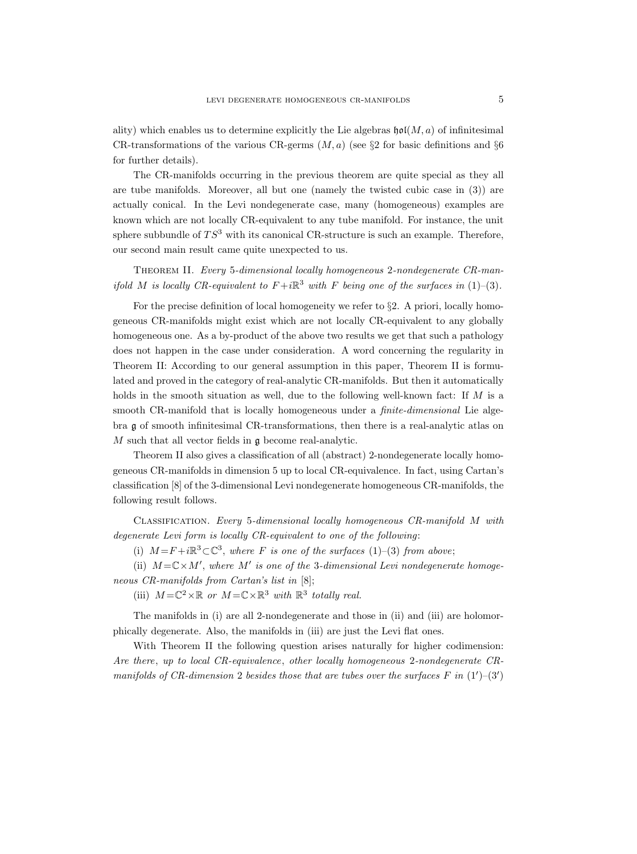ality) which enables us to determine explicitly the Lie algebras  $\mathfrak{hol}(M, a)$  of infinitesimal CR-transformations of the various CR-germs  $(M, a)$  (see §2 for basic definitions and §6 for further details).

The CR-manifolds occurring in the previous theorem are quite special as they all are tube manifolds. Moreover, all but one (namely the twisted cubic case in (3)) are actually conical. In the Levi nondegenerate case, many (homogeneous) examples are known which are not locally CR-equivalent to any tube manifold. For instance, the unit sphere subbundle of  $TS^3$  with its canonical CR-structure is such an example. Therefore, our second main result came quite unexpected to us.

Theorem II. Every 5-dimensional locally homogeneous 2-nondegenerate CR-manifold M is locally CR-equivalent to  $F+i\mathbb{R}^3$  with F being one of the surfaces in (1)–(3).

For the precise definition of local homogeneity we refer to §2. A priori, locally homogeneous CR-manifolds might exist which are not locally CR-equivalent to any globally homogeneous one. As a by-product of the above two results we get that such a pathology does not happen in the case under consideration. A word concerning the regularity in Theorem II: According to our general assumption in this paper, Theorem II is formulated and proved in the category of real-analytic CR-manifolds. But then it automatically holds in the smooth situation as well, due to the following well-known fact: If  $M$  is a smooth CR-manifold that is locally homogeneous under a *finite-dimensional* Lie algebra g of smooth infinitesimal CR-transformations, then there is a real-analytic atlas on  $M$  such that all vector fields in  $\mathfrak g$  become real-analytic.

Theorem II also gives a classification of all (abstract) 2-nondegenerate locally homogeneous CR-manifolds in dimension 5 up to local CR-equivalence. In fact, using Cartan's classification [8] of the 3-dimensional Levi nondegenerate homogeneous CR-manifolds, the following result follows.

Classification. Every 5-dimensional locally homogeneous CR-manifold M with degenerate Levi form is locally CR-equivalent to one of the following:

(i)  $M = F + i\mathbb{R}^3 \subset \mathbb{C}^3$ , where F is one of the surfaces (1)–(3) from above;

(ii)  $M = \mathbb{C} \times M'$ , where M' is one of the 3-dimensional Levi nondegenerate homogeneous CR-manifolds from Cartan's list in [8];

(iii)  $M = \mathbb{C}^2 \times \mathbb{R}$  or  $M = \mathbb{C} \times \mathbb{R}^3$  with  $\mathbb{R}^3$  totally real.

The manifolds in (i) are all 2-nondegenerate and those in (ii) and (iii) are holomorphically degenerate. Also, the manifolds in (iii) are just the Levi flat ones.

With Theorem II the following question arises naturally for higher codimension: Are there, up to local CR-equivalence, other locally homogeneous 2-nondegenerate CRmanifolds of CR-dimension 2 besides those that are tubes over the surfaces F in  $(1')$ - $(3')$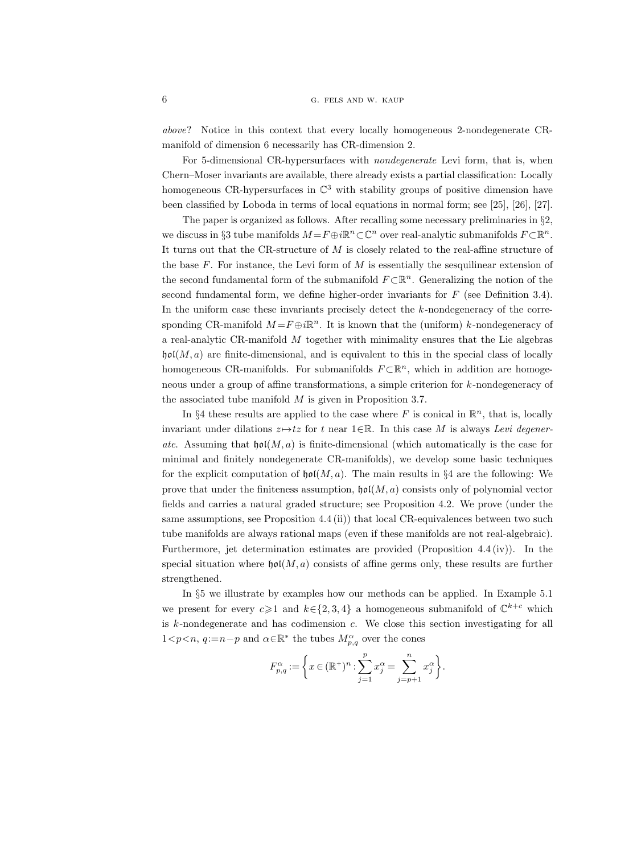above? Notice in this context that every locally homogeneous 2-nondegenerate CRmanifold of dimension 6 necessarily has CR-dimension 2.

For 5-dimensional CR-hypersurfaces with nondegenerate Levi form, that is, when Chern–Moser invariants are available, there already exists a partial classification: Locally homogeneous CR-hypersurfaces in  $\mathbb{C}^3$  with stability groups of positive dimension have been classified by Loboda in terms of local equations in normal form; see [25], [26], [27].

The paper is organized as follows. After recalling some necessary preliminaries in §2, we discuss in §3 tube manifolds  $M = F \oplus i \mathbb{R}^n \subset \mathbb{C}^n$  over real-analytic submanifolds  $F \subset \mathbb{R}^n$ . It turns out that the CR-structure of M is closely related to the real-affine structure of the base  $F$ . For instance, the Levi form of  $M$  is essentially the sesquilinear extension of the second fundamental form of the submanifold  $F \subset \mathbb{R}^n$ . Generalizing the notion of the second fundamental form, we define higher-order invariants for  $F$  (see Definition 3.4). In the uniform case these invariants precisely detect the k-nondegeneracy of the corresponding CR-manifold  $M = F \oplus i \mathbb{R}^n$ . It is known that the (uniform) k-nondegeneracy of a real-analytic CR-manifold M together with minimality ensures that the Lie algebras  $\mathfrak{hol}(M, a)$  are finite-dimensional, and is equivalent to this in the special class of locally homogeneous CR-manifolds. For submanifolds  $F \subset \mathbb{R}^n$ , which in addition are homogeneous under a group of affine transformations, a simple criterion for k-nondegeneracy of the associated tube manifold  $M$  is given in Proposition 3.7.

In §4 these results are applied to the case where F is conical in  $\mathbb{R}^n$ , that is, locally invariant under dilations  $z \mapsto tz$  for t near 1∈R. In this case M is always Levi degenerate. Assuming that  $\mathfrak{hol}(M, a)$  is finite-dimensional (which automatically is the case for minimal and finitely nondegenerate CR-manifolds), we develop some basic techniques for the explicit computation of  $\mathfrak{hol}(M, a)$ . The main results in §4 are the following: We prove that under the finiteness assumption,  $\mathfrak{hol}(M, a)$  consists only of polynomial vector fields and carries a natural graded structure; see Proposition 4.2. We prove (under the same assumptions, see Proposition 4.4 (ii)) that local CR-equivalences between two such tube manifolds are always rational maps (even if these manifolds are not real-algebraic). Furthermore, jet determination estimates are provided (Proposition 4.4 (iv)). In the special situation where  $\mathfrak{hol}(M, a)$  consists of affine germs only, these results are further strengthened.

In §5 we illustrate by examples how our methods can be applied. In Example 5.1 we present for every  $c \geq 1$  and  $k \in \{2, 3, 4\}$  a homogeneous submanifold of  $\mathbb{C}^{k+c}$  which is  $k$ -nondegenerate and has codimension  $c$ . We close this section investigating for all  $1 < p < n$ ,  $q := n-p$  and  $\alpha \in \mathbb{R}^*$  the tubes  $M_{p,q}^{\alpha}$  over the cones

$$
F^\alpha_{p,q}:=\bigg\{x\in(\mathbb{R}^+)^n:\sum_{j=1}^px^\alpha_j=\sum_{j=p+1}^nx^\alpha_j\bigg\}.
$$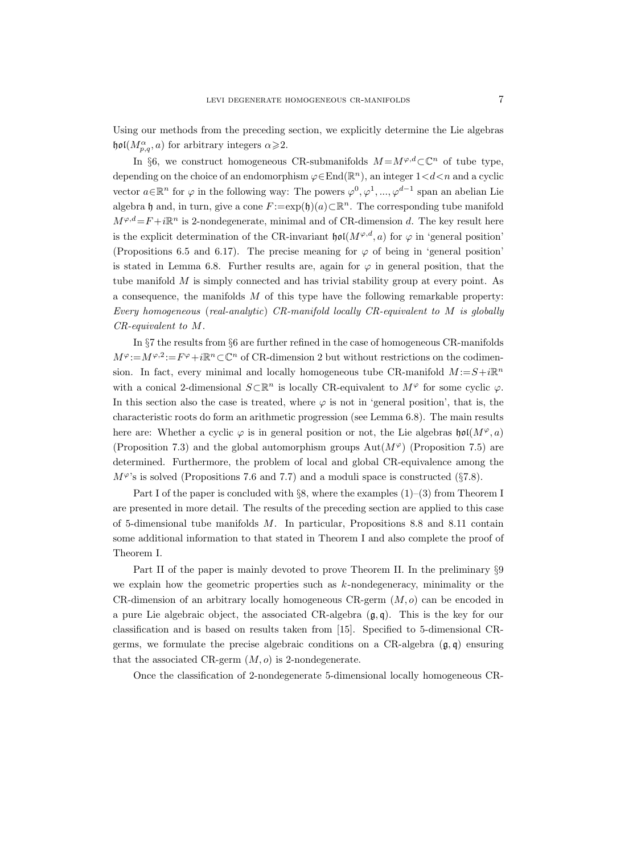Using our methods from the preceding section, we explicitly determine the Lie algebras  $\mathfrak{hol}(M_{p,q}^{\alpha},a)$  for arbitrary integers  $\alpha \geqslant 2$ .

In §6, we construct homogeneous CR-submanifolds  $M = M^{\varphi,d} \subset \mathbb{C}^n$  of tube type, depending on the choice of an endomorphism  $\varphi \in \text{End}(\mathbb{R}^n)$ , an integer  $1 \le d \le n$  and a cyclic vector  $a \in \mathbb{R}^n$  for  $\varphi$  in the following way: The powers  $\varphi^0, \varphi^1, ..., \varphi^{d-1}$  span an abelian Lie algebra h and, in turn, give a cone  $F := \exp(\mathfrak{h})(a) \subset \mathbb{R}^n$ . The corresponding tube manifold  $M^{\varphi,d} = F + i\mathbb{R}^n$  is 2-nondegenerate, minimal and of CR-dimension d. The key result here is the explicit determination of the CR-invariant  $\mathfrak{hol}(M^{\varphi,d},a)$  for  $\varphi$  in 'general position' (Propositions 6.5 and 6.17). The precise meaning for  $\varphi$  of being in 'general position' is stated in Lemma 6.8. Further results are, again for  $\varphi$  in general position, that the tube manifold  $M$  is simply connected and has trivial stability group at every point. As a consequence, the manifolds M of this type have the following remarkable property: Every homogeneous (real-analytic) CR-manifold locally CR-equivalent to M is globally CR-equivalent to M.

In §7 the results from §6 are further refined in the case of homogeneous CR-manifolds  $M^{\varphi} := M^{\varphi,2} := F^{\varphi} + i \mathbb{R}^n \subset \mathbb{C}^n$  of CR-dimension 2 but without restrictions on the codimension. In fact, every minimal and locally homogeneous tube CR-manifold  $M = S + i\mathbb{R}^n$ with a conical 2-dimensional  $S\subset \mathbb{R}^n$  is locally CR-equivalent to  $M^{\varphi}$  for some cyclic  $\varphi$ . In this section also the case is treated, where  $\varphi$  is not in 'general position', that is, the characteristic roots do form an arithmetic progression (see Lemma 6.8). The main results here are: Whether a cyclic  $\varphi$  is in general position or not, the Lie algebras  $\mathfrak{hol}(M^{\varphi},a)$ (Proposition 7.3) and the global automorphism groups  $\text{Aut}(M^{\varphi})$  (Proposition 7.5) are determined. Furthermore, the problem of local and global CR-equivalence among the  $M^{\varphi}$ 's is solved (Propositions 7.6 and 7.7) and a moduli space is constructed (§7.8).

Part I of the paper is concluded with §8, where the examples  $(1)-(3)$  from Theorem I are presented in more detail. The results of the preceding section are applied to this case of 5-dimensional tube manifolds M. In particular, Propositions 8.8 and 8.11 contain some additional information to that stated in Theorem I and also complete the proof of Theorem I.

Part II of the paper is mainly devoted to prove Theorem II. In the preliminary §9 we explain how the geometric properties such as  $k$ -nondegeneracy, minimality or the CR-dimension of an arbitrary locally homogeneous CR-germ  $(M, o)$  can be encoded in a pure Lie algebraic object, the associated CR-algebra  $(\mathfrak{g}, \mathfrak{q})$ . This is the key for our classification and is based on results taken from [15]. Specified to 5-dimensional CRgerms, we formulate the precise algebraic conditions on a CR-algebra  $(\mathfrak{g}, \mathfrak{q})$  ensuring that the associated CR-germ  $(M, o)$  is 2-nondegenerate.

Once the classification of 2-nondegenerate 5-dimensional locally homogeneous CR-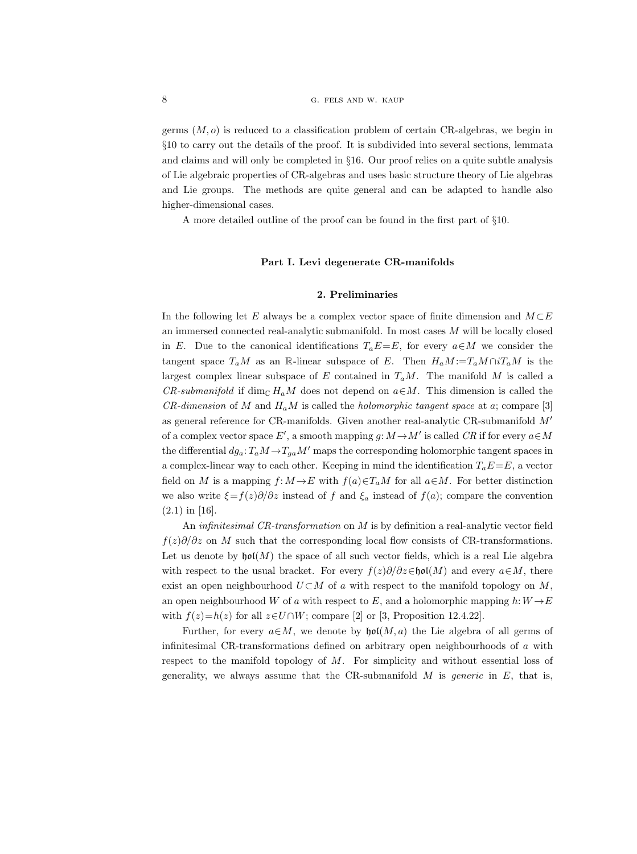germs  $(M, o)$  is reduced to a classification problem of certain CR-algebras, we begin in §10 to carry out the details of the proof. It is subdivided into several sections, lemmata and claims and will only be completed in §16. Our proof relies on a quite subtle analysis of Lie algebraic properties of CR-algebras and uses basic structure theory of Lie algebras and Lie groups. The methods are quite general and can be adapted to handle also higher-dimensional cases.

A more detailed outline of the proof can be found in the first part of §10.

## Part I. Levi degenerate CR-manifolds

## 2. Preliminaries

In the following let E always be a complex vector space of finite dimension and  $M\subset E$ an immersed connected real-analytic submanifold. In most cases  $M$  will be locally closed in E. Due to the canonical identifications  $T_aE=E$ , for every  $a\in M$  we consider the tangent space  $T_aM$  as an R-linear subspace of E. Then  $H_aM := T_aM \cap iT_aM$  is the largest complex linear subspace of E contained in  $T_aM$ . The manifold M is called a CR-submanifold if dim<sub>C</sub> H<sub>a</sub>M does not depend on  $a \in M$ . This dimension is called the  $CR$ -dimension of M and  $H_aM$  is called the *holomorphic tangent space* at a; compare [3] as general reference for CR-manifolds. Given another real-analytic CR-submanifold  $M'$ of a complex vector space  $E'$ , a smooth mapping  $g: M \to M'$  is called  $CR$  if for every  $a \in M$ the differential  $dg_a: T_a M \to T_{ga}M'$  maps the corresponding holomorphic tangent spaces in a complex-linear way to each other. Keeping in mind the identification  $T_aE=E$ , a vector field on M is a mapping  $f: M \to E$  with  $f(a) \in T_aM$  for all  $a \in M$ . For better distinction we also write  $\xi = f(z)\partial/\partial z$  instead of f and  $\xi_a$  instead of  $f(a)$ ; compare the convention (2.1) in [16].

An *infinitesimal CR-transformation* on M is by definition a real-analytic vector field  $f(z)\partial/\partial z$  on M such that the corresponding local flow consists of CR-transformations. Let us denote by  $\mathfrak{hol}(M)$  the space of all such vector fields, which is a real Lie algebra with respect to the usual bracket. For every  $f(z)\partial/\partial z \in \text{hol}(M)$  and every  $a \in M$ , there exist an open neighbourhood  $U \subset M$  of a with respect to the manifold topology on M, an open neighbourhood W of a with respect to E, and a holomorphic mapping  $h: W \rightarrow E$ with  $f(z)=h(z)$  for all  $z\in U\cap W$ ; compare [2] or [3, Proposition 12.4.22].

Further, for every  $a \in M$ , we denote by  $\mathfrak{hol}(M, a)$  the Lie algebra of all germs of infinitesimal CR-transformations defined on arbitrary open neighbourhoods of a with respect to the manifold topology of  $M$ . For simplicity and without essential loss of generality, we always assume that the CR-submanifold  $M$  is *generic* in  $E$ , that is,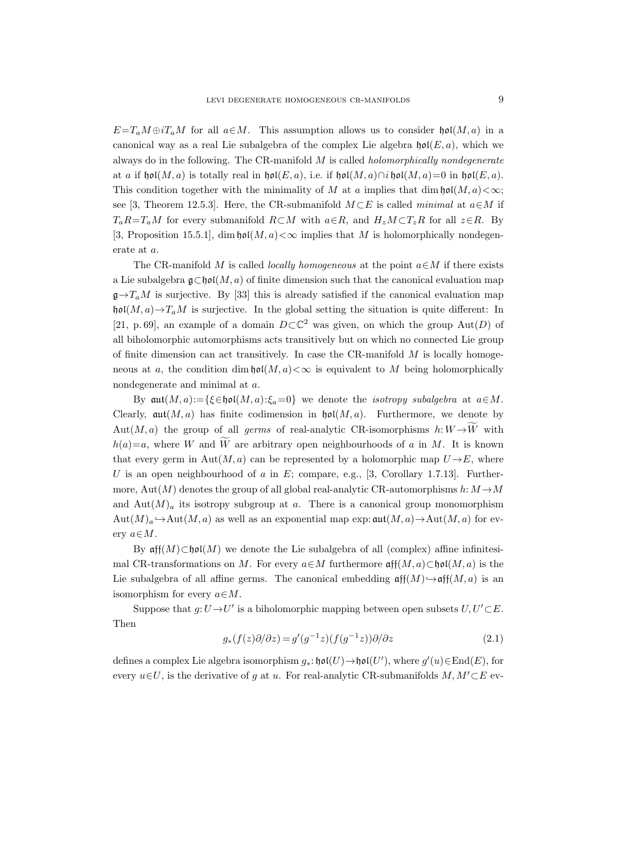$E=T_aM\oplus iT_aM$  for all  $a\in M$ . This assumption allows us to consider  $\mathfrak{hol}(M, a)$  in a canonical way as a real Lie subalgebra of the complex Lie algebra  $\mathfrak{hol}(E, a)$ , which we always do in the following. The CR-manifold  $M$  is called *holomorphically nondegenerate* at a if hol $(M, a)$  is totally real in hol $(E, a)$ , i.e. if hol $(M, a) \cap i$  hol $(M, a) = 0$  in hol $(E, a)$ . This condition together with the minimality of M at a implies that  $\dim \mathfrak{hol}(M, a) < \infty$ ; see [3, Theorem 12.5.3]. Here, the CR-submanifold  $M \subset E$  is called minimal at  $a \in M$  if  $T_aR=T_aM$  for every submanifold  $R\subset M$  with  $a\in R$ , and  $H_zM\subset T_zR$  for all  $z\in R$ . By [3, Proposition 15.5.1], dim  $\mathfrak{hol}(M, a) < \infty$  implies that M is holomorphically nondegenerate at a.

The CR-manifold M is called *locally homogeneous* at the point  $a \in M$  if there exists a Lie subalgebra  $\mathfrak{g}\subset\mathfrak{hol}(M,a)$  of finite dimension such that the canonical evaluation map  $\mathfrak{g}\rightarrow T_aM$  is surjective. By [33] this is already satisfied if the canonical evaluation map  $\mathfrak{hol}(M, a) \to T_aM$  is surjective. In the global setting the situation is quite different: In [21, p. 69], an example of a domain  $D\subset\mathbb{C}^2$  was given, on which the group  $Aut(D)$  of all biholomorphic automorphisms acts transitively but on which no connected Lie group of finite dimension can act transitively. In case the CR-manifold  $M$  is locally homogeneous at a, the condition dim  $\mathfrak{hol}(M, a) \leq \infty$  is equivalent to M being holomorphically nondegenerate and minimal at a.

By  $\mathfrak{aut}(M, a) := \{ \xi \in \mathfrak{hol}(M, a) : \xi_a = 0 \}$  we denote the *isotropy subalgebra* at  $a \in M$ . Clearly,  $\mathfrak{aut}(M, a)$  has finite codimension in  $\mathfrak{hol}(M, a)$ . Furthermore, we denote by Aut $(M, a)$  the group of all *germs* of real-analytic CR-isomorphisms  $h: W \rightarrow \widetilde{W}$  with  $h(a)=a$ , where W and W are arbitrary open neighbourhoods of a in M. It is known that every germ in Aut $(M, a)$  can be represented by a holomorphic map  $U \rightarrow E$ , where U is an open neighbourhood of a in E; compare, e.g., [3, Corollary 1.7.13]. Furthermore, Aut $(M)$  denotes the group of all global real-analytic CR-automorphisms h:  $M \rightarrow M$ and  $\text{Aut}(M)_a$  its isotropy subgroup at a. There is a canonical group monomorphism  $Aut(M)_a \hookrightarrow Aut(M, a)$  as well as an exponential map exp:  $aut(M, a) \rightarrow Aut(M, a)$  for every  $a \in M$ .

By  $\mathfrak{aff}(M) \subset \mathfrak{hol}(M)$  we denote the Lie subalgebra of all (complex) affine infinitesimal CR-transformations on M. For every  $a \in M$  furthermore  $\operatorname{\mathfrak{aff}}(M, a) \subset \operatorname{\mathfrak{hol}}(M, a)$  is the Lie subalgebra of all affine germs. The canonical embedding  $\operatorname{aff}(M) \hookrightarrow \operatorname{aff}(M, a)$  is an isomorphism for every  $a \in M$ .

Suppose that  $g: U \to U'$  is a biholomorphic mapping between open subsets  $U, U' \subset E$ . Then

$$
g_*(f(z)\partial/\partial z) = g'(g^{-1}z)(f(g^{-1}z))\partial/\partial z \tag{2.1}
$$

defines a complex Lie algebra isomorphism  $g_*: \mathfrak{hol}(U) \to \mathfrak{hol}(U')$ , where  $g'(u) \in \text{End}(E)$ , for every  $u\in U$ , is the derivative of g at u. For real-analytic CR-submanifolds  $M, M'\subset E$  ev-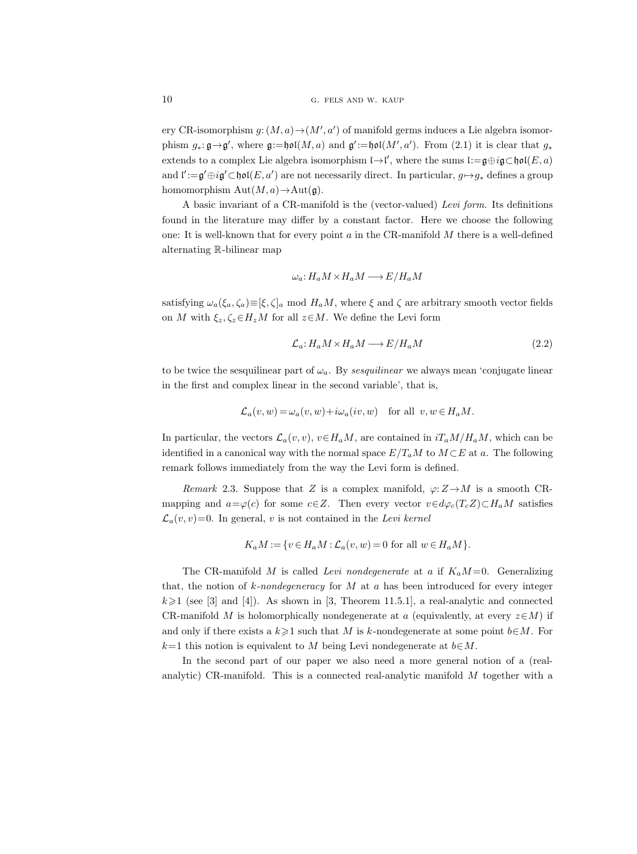ery CR-isomorphism  $g: (M, a) \rightarrow (M', a')$  of manifold germs induces a Lie algebra isomorphism  $g_*: \mathfrak{g} \to \mathfrak{g}'$ , where  $\mathfrak{g}:=\mathfrak{hol}(M,a)$  and  $\mathfrak{g}':=\mathfrak{hol}(M',a')$ . From  $(2.1)$  it is clear that  $g_*$ extends to a complex Lie algebra isomorphism  $\mathfrak{l} \rightarrow \mathfrak{l}'$ , where the sums  $\mathfrak{l} := \mathfrak{g} \oplus i\mathfrak{g} \subset \mathfrak{hol}(E, a)$ and  $\mathfrak{l}' := \mathfrak{g}' \oplus i\mathfrak{g}' \subset \mathfrak{hol}(E, a')$  are not necessarily direct. In particular,  $g \mapsto g_*$  defines a group homomorphism  $Aut(M, a) \to Aut(\mathfrak{g}).$ 

A basic invariant of a CR-manifold is the (vector-valued) Levi form. Its definitions found in the literature may differ by a constant factor. Here we choose the following one: It is well-known that for every point  $a$  in the CR-manifold  $M$  there is a well-defined alternating R-bilinear map

$$
\omega_a \colon H_a M \times H_a M \longrightarrow E/H_a M
$$

satisfying  $\omega_a(\xi_a, \zeta_a) \equiv [\xi, \zeta]_a \mod H_a M$ , where  $\xi$  and  $\zeta$  are arbitrary smooth vector fields on M with  $\xi_z, \zeta_z \in H_zM$  for all  $z \in M$ . We define the Levi form

$$
\mathcal{L}_a: H_a M \times H_a M \longrightarrow E/H_a M \tag{2.2}
$$

to be twice the sesquilinear part of  $\omega_a$ . By sesquilinear we always mean 'conjugate linear in the first and complex linear in the second variable', that is,

$$
\mathcal{L}_a(v, w) = \omega_a(v, w) + i\omega_a(iv, w) \quad \text{for all } v, w \in H_aM.
$$

In particular, the vectors  $\mathcal{L}_a(v, v)$ ,  $v \in H_aM$ , are contained in  $iT_aM/H_aM$ , which can be identified in a canonical way with the normal space  $E/T_aM$  to  $M\subset E$  at a. The following remark follows immediately from the way the Levi form is defined.

Remark 2.3. Suppose that Z is a complex manifold,  $\varphi: Z \to M$  is a smooth CRmapping and  $a=\varphi(c)$  for some  $c\in\mathbb{Z}$ . Then every vector  $v\in d\varphi_c(T_cZ)\subset H_aM$  satisfies  $\mathcal{L}_a(v, v) = 0$ . In general, v is not contained in the Levi kernel

$$
K_a M := \{ v \in H_a M : \mathcal{L}_a(v, w) = 0 \text{ for all } w \in H_a M \}.
$$

The CR-manifold M is called Levi nondegenerate at a if  $K_aM=0$ . Generalizing that, the notion of  $k$ -nondegeneracy for M at a has been introduced for every integer  $k\geqslant1$  (see [3] and [4]). As shown in [3, Theorem 11.5.1], a real-analytic and connected CR-manifold M is holomorphically nondegenerate at a (equivalently, at every  $z\in M$ ) if and only if there exists a  $k\geq 1$  such that M is k-nondegenerate at some point  $b\in M$ . For  $k=1$  this notion is equivalent to M being Levi nondegenerate at  $b \in M$ .

In the second part of our paper we also need a more general notion of a (realanalytic) CR-manifold. This is a connected real-analytic manifold M together with a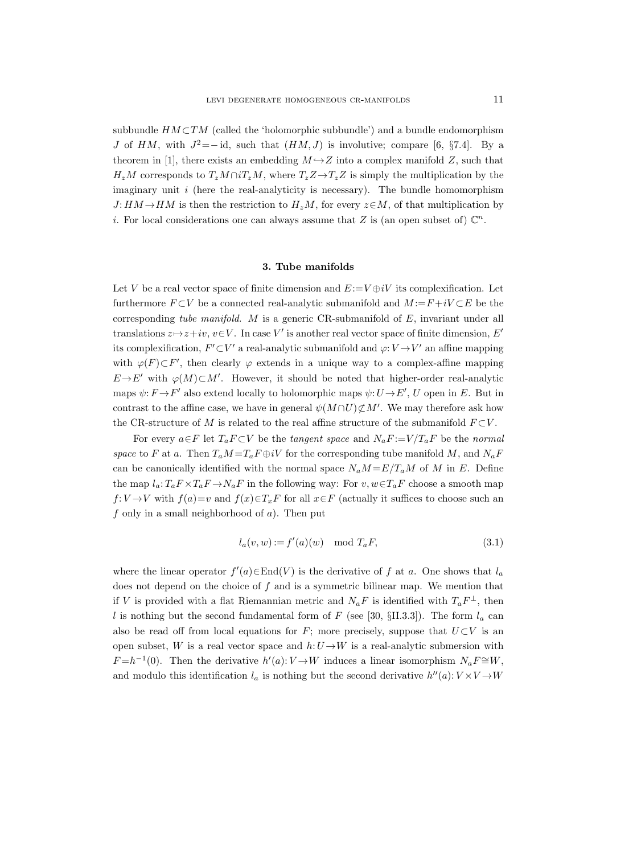subbundle  $HM\subset TM$  (called the 'holomorphic subbundle') and a bundle endomorphism J of HM, with  $J^2 = -id$ , such that  $(HM, J)$  is involutive; compare [6, §7.4]. By a theorem in [1], there exists an embedding  $M \rightarrow Z$  into a complex manifold Z, such that  $H_zM$  corresponds to  $T_zM \cap iT_zM$ , where  $T_zZ \rightarrow T_zZ$  is simply the multiplication by the imaginary unit  $i$  (here the real-analyticity is necessary). The bundle homomorphism  $J: HM \rightarrow HM$  is then the restriction to  $H_zM$ , for every  $z \in M$ , of that multiplication by *i*. For local considerations one can always assume that Z is (an open subset of)  $\mathbb{C}^n$ .

#### 3. Tube manifolds

Let V be a real vector space of finite dimension and  $E=V\oplus iV$  its complexification. Let furthermore  $F \subset V$  be a connected real-analytic submanifold and  $M = F + iV \subset E$  be the corresponding tube manifold. M is a generic CR-submanifold of E, invariant under all translations  $z \mapsto z + iv$ ,  $v \in V$ . In case V' is another real vector space of finite dimension, E' its complexification,  $F' \subset V'$  a real-analytic submanifold and  $\varphi: V \to V'$  an affine mapping with  $\varphi(F) \subset F'$ , then clearly  $\varphi$  extends in a unique way to a complex-affine mapping  $E \rightarrow E'$  with  $\varphi(M) \subset M'$ . However, it should be noted that higher-order real-analytic maps  $\psi: F \to F'$  also extend locally to holomorphic maps  $\psi: U \to E'$ , U open in E. But in contrast to the affine case, we have in general  $\psi(M \cap U) \not\subset M'$ . We may therefore ask how the CR-structure of M is related to the real affine structure of the submanifold  $F\subset V$ .

For every  $a \in F$  let  $T_a F \subset V$  be the tangent space and  $N_a F := V/T_a F$  be the normal space to F at a. Then  $T_aM = T_aF \oplus iV$  for the corresponding tube manifold M, and  $N_aF$ can be canonically identified with the normal space  $N_a M = E/T_a M$  of M in E. Define the map  $l_a: T_aF \times T_aF \to N_aF$  in the following way: For  $v, w \in T_aF$  choose a smooth map  $f: V \to V$  with  $f(a)=v$  and  $f(x) \in T_x F$  for all  $x \in F$  (actually it suffices to choose such an  $f$  only in a small neighborhood of  $a$ ). Then put

$$
l_a(v, w) := f'(a)(w) \mod T_a F,
$$
\n
$$
(3.1)
$$

where the linear operator  $f'(a) \in End(V)$  is the derivative of f at a. One shows that  $l_a$ does not depend on the choice of  $f$  and is a symmetric bilinear map. We mention that if V is provided with a flat Riemannian metric and  $N_aF$  is identified with  $T_aF^{\perp}$ , then l is nothing but the second fundamental form of F (see [30,  $\S$ II.3.3]). The form  $l_a$  can also be read off from local equations for F; more precisely, suppose that  $U\subset V$  is an open subset, W is a real vector space and  $h:U\rightarrow W$  is a real-analytic submersion with  $F = h^{-1}(0)$ . Then the derivative  $h'(a): V \to W$  induces a linear isomorphism  $N_a F \cong W$ , and modulo this identification  $l_a$  is nothing but the second derivative  $h''(a): V \times V \rightarrow W$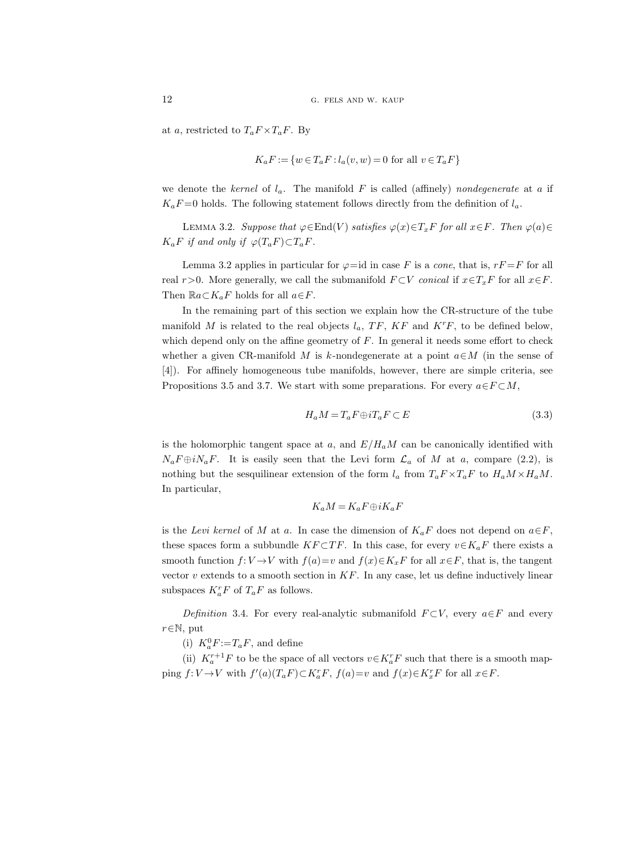at a, restricted to  $T_a F \times T_a F$ . By

$$
K_a F := \{ w \in T_a F : l_a(v, w) = 0 \text{ for all } v \in T_a F \}
$$

we denote the kernel of  $l_a$ . The manifold F is called (affinely) nondegenerate at a if  $K_aF=0$  holds. The following statement follows directly from the definition of  $l_a$ .

LEMMA 3.2. Suppose that  $\varphi \in \text{End}(V)$  satisfies  $\varphi(x) \in T_xF$  for all  $x \in F$ . Then  $\varphi(a) \in$  $K_aF$  if and only if  $\varphi(T_aF)\subset T_aF$ .

Lemma 3.2 applies in particular for  $\varphi = id$  in case F is a *cone*, that is,  $rF = F$  for all real r>0. More generally, we call the submanifold  $F \subset V$  conical if  $x \in T_xF$  for all  $x \in F$ . Then  $\mathbb{R}a\subset K_aF$  holds for all  $a\in F$ .

In the remaining part of this section we explain how the CR-structure of the tube manifold M is related to the real objects  $l_a$ , TF, KF and K<sup>r</sup>F, to be defined below, which depend only on the affine geometry of  $F$ . In general it needs some effort to check whether a given CR-manifold M is k-nondegenerate at a point  $a \in M$  (in the sense of [4]). For affinely homogeneous tube manifolds, however, there are simple criteria, see Propositions 3.5 and 3.7. We start with some preparations. For every  $a \in F \subset M$ ,

$$
H_a M = T_a F \oplus i T_a F \subset E \tag{3.3}
$$

is the holomorphic tangent space at a, and  $E/H_aM$  can be canonically identified with  $N_a F \oplus i N_a F$ . It is easily seen that the Levi form  $\mathcal{L}_a$  of M at a, compare (2.2), is nothing but the sesquilinear extension of the form  $l_a$  from  $T_a F \times T_a F$  to  $H_a M \times H_a M$ . In particular,

$$
K_aM = K_aF \oplus iK_aF
$$

is the Levi kernel of M at a. In case the dimension of  $K_aF$  does not depend on  $a\in F$ , these spaces form a subbundle KF ⊂TF. In this case, for every  $v \in K_aF$  there exists a smooth function  $f: V \to V$  with  $f(a)=v$  and  $f(x) \in K_xF$  for all  $x \in F$ , that is, the tangent vector  $v$  extends to a smooth section in  $KF$ . In any case, let us define inductively linear subspaces  $K_a^r F$  of  $T_a F$  as follows.

Definition 3.4. For every real-analytic submanifold  $F \subset V$ , every  $a \in F$  and every  $r \in \mathbb{N}$ , put

(i)  $K_a^0 F := T_a F$ , and define

(ii)  $K_a^{r+1}F$  to be the space of all vectors  $v \in K_a^rF$  such that there is a smooth mapping  $f: V \to V$  with  $f'(a)(T_a F) \subset K_a^r F$ ,  $f(a)=v$  and  $f(x) \in K_x^r F$  for all  $x \in F$ .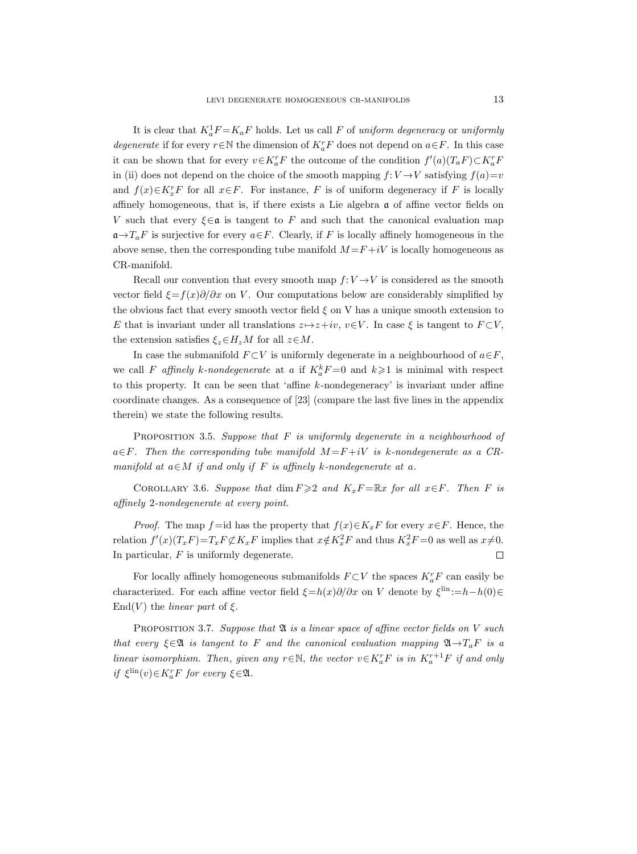It is clear that  $K_a^1 F = K_a F$  holds. Let us call F of uniform degeneracy or uniformly *degenerate* if for every  $r \in \mathbb{N}$  the dimension of  $K_a^r F$  does not depend on  $a \in F$ . In this case it can be shown that for every  $v \in K_a^r F$  the outcome of the condition  $f'(a)(T_a F) \subset K_a^r F$ in (ii) does not depend on the choice of the smooth mapping  $f: V \rightarrow V$  satisfying  $f(a)=v$ and  $f(x) \in K_x^r$  for all  $x \in F$ . For instance, F is of uniform degeneracy if F is locally affinely homogeneous, that is, if there exists a Lie algebra  $\alpha$  of affine vector fields on V such that every  $\xi \in \mathfrak{a}$  is tangent to F and such that the canonical evaluation map  $\mathfrak{a}\rightarrow T_aF$  is surjective for every  $a\in F$ . Clearly, if F is locally affinely homogeneous in the above sense, then the corresponding tube manifold  $M = F + iV$  is locally homogeneous as CR-manifold.

Recall our convention that every smooth map  $f: V \rightarrow V$  is considered as the smooth vector field  $\xi = f(x)\partial/\partial x$  on V. Our computations below are considerably simplified by the obvious fact that every smooth vector field  $\xi$  on V has a unique smooth extension to E that is invariant under all translations  $z \mapsto z+iv, v \in V$ . In case  $\xi$  is tangent to  $F \subset V$ , the extension satisfies  $\xi_z \in H_zM$  for all  $z \in M$ .

In case the submanifold  $F\subset V$  is uniformly degenerate in a neighbourhood of  $a\in F$ , we call F affinely k-nondegenerate at a if  $K_a^k F = 0$  and  $k \geq 1$  is minimal with respect to this property. It can be seen that 'affine k-nondegeneracy' is invariant under affine coordinate changes. As a consequence of [23] (compare the last five lines in the appendix therein) we state the following results.

PROPOSITION 3.5. Suppose that  $F$  is uniformly degenerate in a neighbourhood of  $a \in F$ . Then the corresponding tube manifold  $M = F + iV$  is k-nondegenerate as a CRmanifold at  $a \in M$  if and only if F is affinely k-nondegenerate at a.

COROLLARY 3.6. Suppose that  $\dim F \geqslant 2$  and  $K_x F = \mathbb{R}x$  for all  $x \in F$ . Then F is affinely 2-nondegenerate at every point.

*Proof.* The map f=id has the property that  $f(x) \in K_x F$  for every  $x \in F$ . Hence, the relation  $f'(x)(T_x F) = T_x F \not\subset K_x F$  implies that  $x \notin K_x^2 F$  and thus  $K_x^2 F = 0$  as well as  $x \neq 0$ . In particular,  $F$  is uniformly degenerate.  $\Box$ 

For locally affinely homogeneous submanifolds  $F\subset V$  the spaces  $K_a^rF$  can easily be characterized. For each affine vector field  $\xi=h(x)\partial/\partial x$  on V denote by  $\xi^{\text{lin}}:=h-h(0)\in$ End(V) the *linear part* of  $\xi$ .

PROPOSITION 3.7. Suppose that  $\mathfrak A$  is a linear space of affine vector fields on V such that every  $\xi \in \mathfrak{A}$  is tangent to F and the canonical evaluation mapping  $\mathfrak{A} \rightarrow T_aF$  is a linear isomorphism. Then, given any  $r \in \mathbb{N}$ , the vector  $v \in K_a^r F$  is in  $K_a^{r+1} F$  if and only if  $\xi^{\text{lin}}(v) \in K_a^r F$  for every  $\xi \in \mathfrak{A}$ .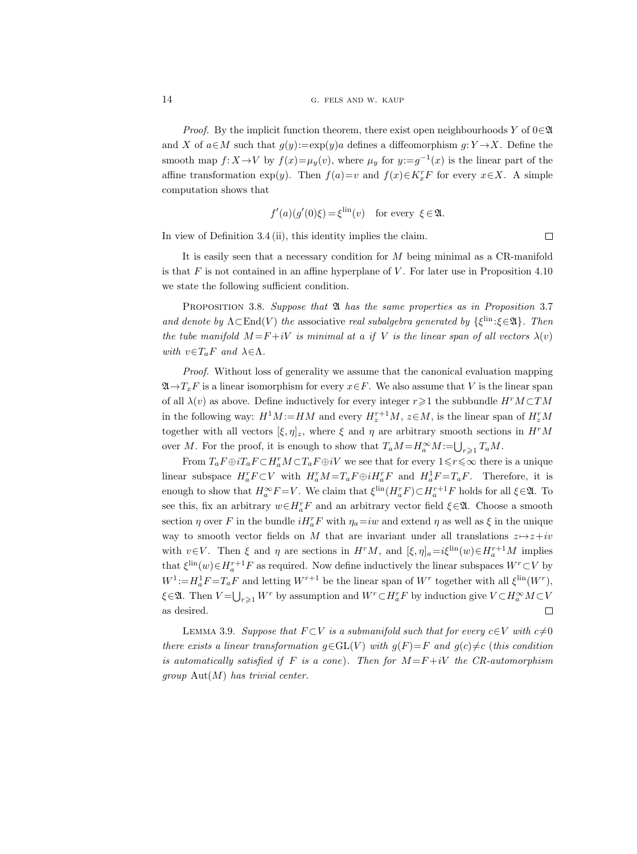*Proof.* By the implicit function theorem, there exist open neighbourhoods Y of  $0 \in \mathfrak{A}$ and X of  $a \in M$  such that  $g(y):=\exp(y)a$  defines a diffeomorphism  $g: Y \to X$ . Define the smooth map  $f: X \to V$  by  $f(x) = \mu_y(v)$ , where  $\mu_y$  for  $y:=g^{-1}(x)$  is the linear part of the affine transformation exp(y). Then  $f(a)=v$  and  $f(x)\in K_x^r$  for every  $x\in X$ . A simple computation shows that

$$
f'(a)(g'(0)\xi) = \xi^{\text{lin}}(v)
$$
 for every  $\xi \in \mathfrak{A}$ .

In view of Definition 3.4 (ii), this identity implies the claim.

It is easily seen that a necessary condition for  $M$  being minimal as a CR-manifold is that  $F$  is not contained in an affine hyperplane of  $V$ . For later use in Proposition 4.10 we state the following sufficient condition.

PROPOSITION 3.8. Suppose that  $\mathfrak A$  has the same properties as in Proposition 3.7 and denote by  $\Lambda \subset \text{End}(V)$  the associative real subalgebra generated by  $\{\xi^{\text{lin}}:\xi \in \mathfrak{A}\}\$ . Then the tube manifold  $M = F + iV$  is minimal at a if V is the linear span of all vectors  $\lambda(v)$ with  $v \in T_aF$  and  $\lambda \in \Lambda$ .

Proof. Without loss of generality we assume that the canonical evaluation mapping  $\mathfrak{A}\rightarrow T_xF$  is a linear isomorphism for every  $x\in F$ . We also assume that V is the linear span of all  $\lambda(v)$  as above. Define inductively for every integer  $r \geq 1$  the subbundle  $H^r M \subset TM$ in the following way:  $H^1M := HM$  and every  $H_z^{r+1}M$ ,  $z \in M$ , is the linear span of  $H_z^rM$ together with all vectors  $[\xi, \eta]_z$ , where  $\xi$  and  $\eta$  are arbitrary smooth sections in  $H^rM$ over M. For the proof, it is enough to show that  $T_aM = H_a^{\infty}M := \bigcup_{r \geq 1} T_aM$ .

From  $T_a F \oplus i T_a F \subset H_a^r M \subset T_a F \oplus i V$  we see that for every  $1 \leq r \leq \infty$  there is a unique linear subspace  $H_a^r F \subset V$  with  $H_a^r M = T_a F \oplus i H_a^r F$  and  $H_a^1 F = T_a F$ . Therefore, it is enough to show that  $H_a^{\infty}F = V$ . We claim that  $\xi^{\text{lin}}(H_a^rF) \subset H_a^{r+1}F$  holds for all  $\xi \in \mathfrak{A}$ . To see this, fix an arbitrary  $w \in H_a^r F$  and an arbitrary vector field  $\xi \in \mathfrak{A}$ . Choose a smooth section  $\eta$  over F in the bundle  $iH_a^rF$  with  $\eta_a=iw$  and extend  $\eta$  as well as  $\xi$  in the unique way to smooth vector fields on M that are invariant under all translations  $z \mapsto z+iv$ with  $v \in V$ . Then  $\xi$  and  $\eta$  are sections in  $H^rM$ , and  $[\xi, \eta]_a = i\xi^{\text{lin}}(w) \in H_a^{r+1}M$  implies that  $\xi^{\text{lin}}(w) \in H_a^{r+1}F$  as required. Now define inductively the linear subspaces  $W^r \subset V$  by  $W^1$ := $H_a^1F = T_aF$  and letting  $W^{r+1}$  be the linear span of  $W^r$  together with all  $\xi^{\text{lin}}(W^r)$ ,  $\xi \in \mathfrak{A}$ . Then  $V = \bigcup_{r \geq 1} W^r$  by assumption and  $W^r \subset H_a^r F$  by induction give  $V \subset H_a^{\infty} M \subset V$ as desired.  $\Box$ 

LEMMA 3.9. Suppose that  $F \subset V$  is a submanifold such that for every  $c \in V$  with  $c \neq 0$ there exists a linear transformation  $g \in GL(V)$  with  $g(F)=F$  and  $g(c) \neq c$  (this condition is automatically satisfied if F is a cone). Then for  $M = F + iV$  the CR-automorphism group  $\text{Aut}(M)$  has trivial center.

 $\Box$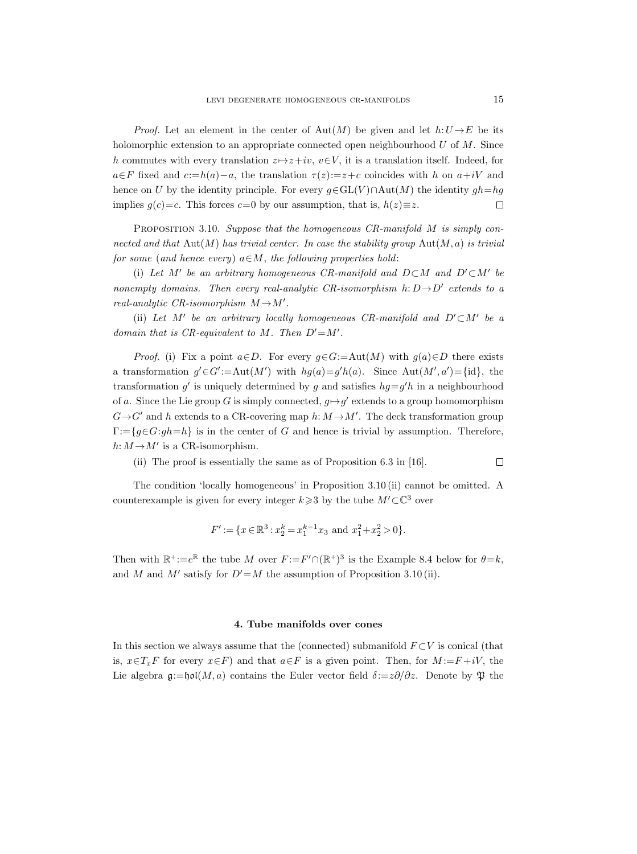*Proof.* Let an element in the center of  $Aut(M)$  be given and let  $h:U\to E$  be its holomorphic extension to an appropriate connected open neighbourhood  $U$  of  $M$ . Since h commutes with every translation  $z \mapsto z+iv$ ,  $v \in V$ , it is a translation itself. Indeed, for  $a \in F$  fixed and  $c:=h(a)-a$ , the translation  $\tau(z)=z+c$  coincides with h on  $a+iV$  and hence on U by the identity principle. For every  $g \in GL(V) \cap Aut(M)$  the identity  $gh=hg$ implies  $g(c)=c$ . This forces  $c=0$  by our assumption, that is,  $h(z)\equiv z$ .  $\Box$ 

PROPOSITION 3.10. Suppose that the homogeneous CR-manifold M is simply connected and that  $\text{Aut}(M)$  has trivial center. In case the stability group  $\text{Aut}(M, a)$  is trivial for some (and hence every)  $a \in M$ , the following properties hold:

(i) Let M' be an arbitrary homogeneous CR-manifold and  $D\subset M$  and  $D'\subset M'$  be nonempty domains. Then every real-analytic CR-isomorphism  $h: D \rightarrow D'$  extends to a real-analytic CR-isomorphism  $M \rightarrow M'$ .

(ii) Let M' be an arbitrary locally homogeneous CR-manifold and  $D' \subset M'$  be a domain that is CR-equivalent to M. Then  $D' = M'$ .

*Proof.* (i) Fix a point  $a \in D$ . For every  $g \in G := Aut(M)$  with  $g(a) \in D$  there exists a transformation  $g' \in G' := \text{Aut}(M')$  with  $hg(a) = g'h(a)$ . Since  $\text{Aut}(M', a') = \{\text{id}\},\$ the transformation g' is uniquely determined by g and satisfies  $hg = g'h$  in a neighbourhood of a. Since the Lie group G is simply connected,  $g \mapsto g'$  extends to a group homomorphism  $G \rightarrow G'$  and h extends to a CR-covering map h:  $M \rightarrow M'$ . The deck transformation group  $\Gamma = \{g \in G : gh = h\}$  is in the center of G and hence is trivial by assumption. Therefore,  $h: M \rightarrow M'$  is a CR-isomorphism.

 $\Box$ (ii) The proof is essentially the same as of Proposition 6.3 in [16].

The condition 'locally homogeneous' in Proposition 3.10 (ii) cannot be omitted. A counterexample is given for every integer  $k \geq 3$  by the tube  $M' \subset \mathbb{C}^3$  over

$$
F' := \{ x \in \mathbb{R}^3 : x_2^k = x_1^{k-1} x_3 \text{ and } x_1^2 + x_2^2 > 0 \}.
$$

Then with  $\mathbb{R}^+:=e^{\mathbb{R}}$  the tube M over  $F:=F' \cap (\mathbb{R}^+)^3$  is the Example 8.4 below for  $\theta=k$ , and M and M' satisfy for  $D'=M$  the assumption of Proposition 3.10 (ii).

#### 4. Tube manifolds over cones

In this section we always assume that the (connected) submanifold  $F\subset V$  is conical (that is,  $x \in T_xF$  for every  $x \in F$ ) and that  $a \in F$  is a given point. Then, for  $M := F + iV$ , the Lie algebra  $\mathfrak{g}:=\mathfrak{hol}(M, a)$  contains the Euler vector field  $\delta:=z\partial/\partial z$ . Denote by  $\mathfrak{P}$  the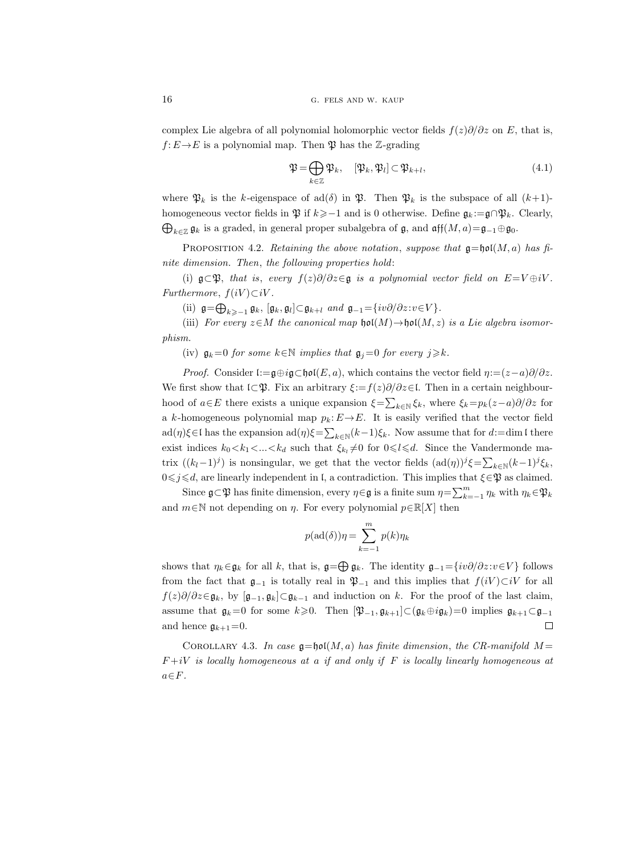complex Lie algebra of all polynomial holomorphic vector fields  $f(z)\partial/\partial z$  on E, that is,  $f: E \to E$  is a polynomial map. Then  $\mathfrak P$  has the Z-grading

$$
\mathfrak{P} = \bigoplus_{k \in \mathbb{Z}} \mathfrak{P}_k, \quad [\mathfrak{P}_k, \mathfrak{P}_l] \subset \mathfrak{P}_{k+l}, \tag{4.1}
$$

where  $\mathfrak{P}_k$  is the k-eigenspace of ad( $\delta$ ) in  $\mathfrak{P}_k$ . Then  $\mathfrak{P}_k$  is the subspace of all  $(k+1)$ homogeneous vector fields in  $\mathfrak{P}$  if  $k \geq -1$  and is 0 otherwise. Define  $\mathfrak{g}_k := \mathfrak{g} \cap \mathfrak{P}_k$ . Clearly,  $\bigoplus_{k\in\mathbb{Z}}\mathfrak{g}_k$  is a graded, in general proper subalgebra of  $\mathfrak{g}$ , and  $\mathfrak{aff}(M,a) = \mathfrak{g}_{-1} \oplus \mathfrak{g}_0$ .

PROPOSITION 4.2. Retaining the above notation, suppose that  $\mathfrak{g}=\mathfrak{hol}(M, a)$  has finite dimension. Then, the following properties hold:

(i)  $\mathfrak{g}\subset \mathfrak{P}$ , that is, every  $f(z)\partial/\partial z\in \mathfrak{g}$  is a polynomial vector field on  $E=V\oplus iV$ . Furthermore,  $f(iV) \subset iV$ .

(ii)  $\mathfrak{g} = \bigoplus_{k \geq -1} \mathfrak{g}_k$ ,  $[\mathfrak{g}_k, \mathfrak{g}_l] \subset \mathfrak{g}_{k+l}$  and  $\mathfrak{g}_{-1} = \{iv\partial/\partial z : v \in V\}$ .

(iii) For every  $z \in M$  the canonical map  $\mathfrak{hol}(M) \to \mathfrak{hol}(M, z)$  is a Lie algebra isomorphism.

(iv)  $\mathfrak{g}_k=0$  for some  $k\in\mathbb{N}$  implies that  $\mathfrak{g}_j=0$  for every  $j\geq k$ .

*Proof.* Consider l:= $\mathfrak{g} \oplus i\mathfrak{g} \subset \mathfrak{hol}(E, a)$ , which contains the vector field  $\eta:=(z-a)\partial/\partial z$ . We first show that  $\mathfrak{l}\subset \mathfrak{P}$ . Fix an arbitrary  $\xi:=f(z)\partial/\partial z\in\mathfrak{l}$ . Then in a certain neighbourhood of  $a \in E$  there exists a unique expansion  $\xi = \sum_{k \in \mathbb{N}} \xi_k$ , where  $\xi_k = p_k(z-a)\partial/\partial z$  for a k-homogeneous polynomial map  $p_k: E \to E$ . It is easily verified that the vector field  $ad(\eta)\xi \in I$  has the expansion  $ad(\eta)\xi = \sum_{k\in\mathbb{N}} (k-1)\xi_k$ . Now assume that for  $d:=$ dim l there exist indices  $k_0 < k_1 < ... < k_d$  such that  $\xi_{k_l} \neq 0$  for  $0 \leq l \leq d$ . Since the Vandermonde matrix  $((k_l-1)^j)$  is nonsingular, we get that the vector fields  $(\text{ad}(\eta))^j \xi = \sum_{k \in \mathbb{N}} (k-1)^j \xi_k$ ,  $0 \leq j \leq d$ , are linearly independent in l, a contradiction. This implies that  $\xi \in \mathfrak{P}$  as claimed.

Since  $\mathfrak{g}\subset \mathfrak{P}$  has finite dimension, every  $\eta\in \mathfrak{g}$  is a finite sum  $\eta=\sum_{k=-1}^m\eta_k$  with  $\eta_k\in \mathfrak{P}_k$ and  $m \in \mathbb{N}$  not depending on  $\eta$ . For every polynomial  $p \in \mathbb{R}[X]$  then

$$
p(\text{ad}(\delta))\eta = \sum_{k=-1}^{m} p(k)\eta_k
$$

shows that  $\eta_k \in \mathfrak{g}_k$  for all k, that is,  $\mathfrak{g} = \bigoplus \mathfrak{g}_k$ . The identity  $\mathfrak{g}_{-1} = \{iv\partial/\partial z : v \in V\}$  follows from the fact that  $\mathfrak{g}_{-1}$  is totally real in  $\mathfrak{P}_{-1}$  and this implies that  $f(iV) \subset iV$  for all  $f(z)\partial/\partial z \in \mathfrak{g}_k$ , by  $[\mathfrak{g}_{-1}, \mathfrak{g}_k] \subset \mathfrak{g}_{k-1}$  and induction on k. For the proof of the last claim, assume that  $\mathfrak{g}_k=0$  for some  $k\geqslant 0$ . Then  $[\mathfrak{P}_{-1}, \mathfrak{g}_{k+1}]\subset (\mathfrak{g}_k\oplus i\mathfrak{g}_k)=0$  implies  $\mathfrak{g}_{k+1}\subset \mathfrak{g}_{-1}$  $\Box$ and hence  $\mathfrak{g}_{k+1}=0$ .

COROLLARY 4.3. In case  $\mathfrak{g} = \mathfrak{hol}(M, a)$  has finite dimension, the CR-manifold  $M =$  $F+iV$  is locally homogeneous at a if and only if F is locally linearly homogeneous at  $a \in F$ .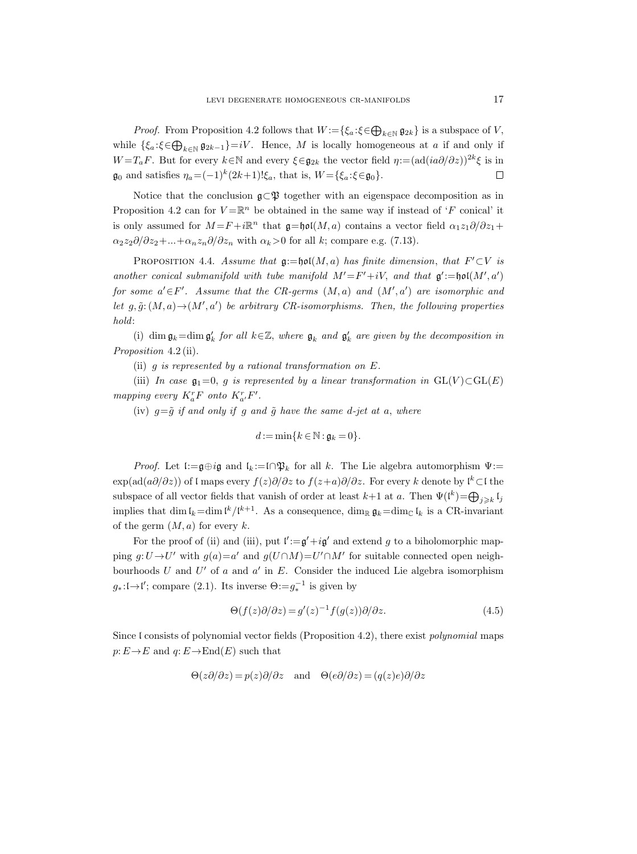*Proof.* From Proposition 4.2 follows that  $W := \{ \xi_a : \xi \in \bigoplus_{k \in \mathbb{N}} \mathfrak{g}_{2k} \}$  is a subspace of V, while  $\{\xi_a:\xi\in\bigoplus_{k\in\mathbb{N}}\mathfrak{g}_{2k-1}\}=iV$ . Hence, M is locally homogeneous at a if and only if W =  $T_aF$ . But for every  $k \in \mathbb{N}$  and every  $\xi \in \mathfrak{g}_{2k}$  the vector field  $\eta := (ad(ia\partial/\partial z))^{2k}\xi$  is in  $\mathfrak{g}_0$  and satisfies  $\eta_a = (-1)^k (2k+1)!\xi_a$ , that is,  $W = {\xi_a : \xi \in \mathfrak{g}_0}.$  $\Box$ 

Notice that the conclusion  $\mathfrak{g}\subset \mathfrak{P}$  together with an eigenspace decomposition as in Proposition 4.2 can for  $V = \mathbb{R}^n$  be obtained in the same way if instead of 'F conical' it is only assumed for  $M = F + i\mathbb{R}^n$  that  $\mathfrak{g} = \mathfrak{hol}(M, a)$  contains a vector field  $\alpha_1 z_1 \partial/\partial z_1 +$  $\alpha_2 z_2 \partial/\partial z_2 + ... + \alpha_n z_n \partial/\partial z_n$  with  $\alpha_k > 0$  for all k; compare e.g. (7.13).

PROPOSITION 4.4. Assume that  $\mathfrak{g}:=\mathfrak{hol}(M,a)$  has finite dimension, that  $F'\subset V$  is another conical submanifold with tube manifold  $M' = F' + iV$ , and that  $\mathfrak{g}' := \mathfrak{hol}(M', a')$ for some  $a' \in F'$ . Assume that the CR-germs  $(M, a)$  and  $(M', a')$  are isomorphic and let  $g, \tilde{g}: (M, a) \to (M', a')$  be arbitrary CR-isomorphisms. Then, the following properties hold:

(i) dim  $\mathfrak{g}_k = \dim \mathfrak{g}'_k$  for all  $k \in \mathbb{Z}$ , where  $\mathfrak{g}_k$  and  $\mathfrak{g}'_k$  are given by the decomposition in Proposition 4.2 (ii).

(ii)  $g$  is represented by a rational transformation on  $E$ .

(iii) In case  $\mathfrak{g}_1=0$ , g is represented by a linear transformation in  $GL(V) \subset GL(E)$ mapping every  $K_a^r$ F onto  $K_a^r$ , F'.

(iv)  $g=\tilde{g}$  if and only if g and  $\tilde{g}$  have the same d-jet at a, where

$$
d:=\min\{k\in\mathbb{N}:\mathfrak{g}_k=0\}.
$$

Proof. Let  $\mathfrak{l}:=\mathfrak{g}\oplus i\mathfrak{g}$  and  $\mathfrak{l}_k:=\mathfrak{l}\cap \mathfrak{P}_k$  for all k. The Lie algebra automorphism  $\Psi:=$  $\exp(ad(a\partial/\partial z))$  of l maps every  $f(z)\partial/\partial z$  to  $f(z+a)\partial/\partial z$ . For every k denote by l<sup>k</sup> ⊂l the subspace of all vector fields that vanish of order at least  $k+1$  at a. Then  $\Psi(\mathfrak{l}^k) = \bigoplus_{j \geq k} \mathfrak{l}_j$ implies that dim  $\mathfrak{l}_k = \dim \mathfrak{l}^k / \mathfrak{l}^{k+1}$ . As a consequence,  $\dim_{\mathbb{R}} \mathfrak{g}_k = \dim_{\mathbb{C}} \mathfrak{l}_k$  is a CR-invariant of the germ  $(M, a)$  for every k.

For the proof of (ii) and (iii), put  $\mathfrak{l}' := \mathfrak{g}' + i\mathfrak{g}'$  and extend g to a biholomorphic mapping  $g: U \to U'$  with  $g(a) = a'$  and  $g(U \cap M) = U' \cap M'$  for suitable connected open neighbourhoods  $U$  and  $U'$  of  $a$  and  $a'$  in  $E$ . Consider the induced Lie algebra isomorphism  $g_*: \mathfrak{l} \to \mathfrak{l}'$ ; compare (2.1). Its inverse  $\Theta := g_*^{-1}$  is given by

$$
\Theta(f(z)\partial/\partial z) = g'(z)^{-1} f(g(z))\partial/\partial z.
$$
\n(4.5)

Since l consists of polynomial vector fields (Proposition 4.2), there exist polynomial maps  $p: E \to E$  and  $q: E \to \text{End}(E)$  such that

$$
\Theta(z\partial/\partial z) = p(z)\partial/\partial z \quad \text{and} \quad \Theta(e\partial/\partial z) = (q(z)e)\partial/\partial z
$$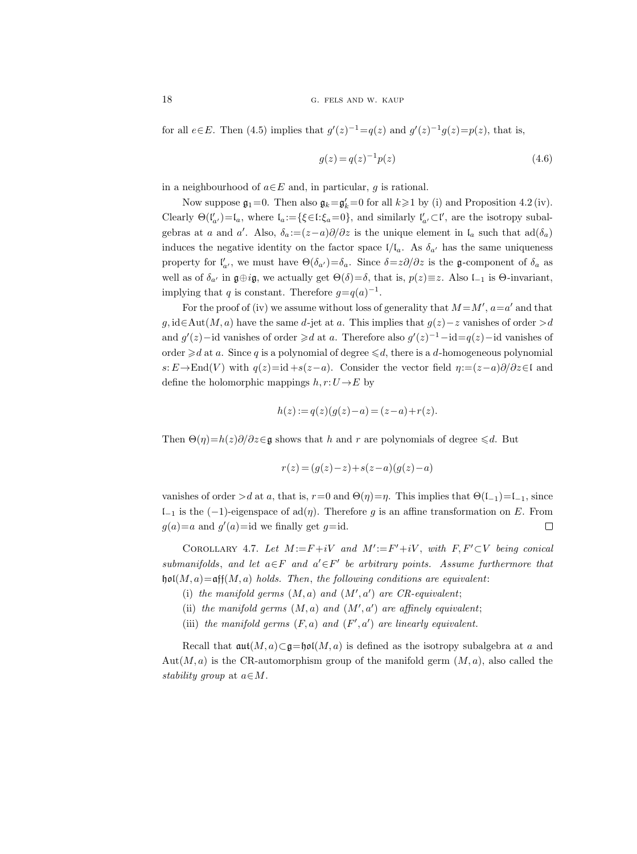for all  $e \in E$ . Then (4.5) implies that  $g'(z)^{-1} = q(z)$  and  $g'(z)^{-1}g(z) = p(z)$ , that is,

$$
g(z) = q(z)^{-1} p(z)
$$
\n(4.6)

in a neighbourhood of  $a \in E$  and, in particular, q is rational.

Now suppose  $\mathfrak{g}_1=0$ . Then also  $\mathfrak{g}_k=\mathfrak{g}_k'=0$  for all  $k\geq 1$  by (i) and Proposition 4.2 (iv). Clearly  $\Theta(\mathfrak{l}'_{a'}) = \mathfrak{l}_a$ , where  $\mathfrak{l}_a := {\{\xi \in \mathfrak{l} : \xi_a = 0\}}$ , and similarly  $\mathfrak{l}'_{a'} \subset \mathfrak{l}'$ , are the isotropy subalgebras at a and a'. Also,  $\delta_a := (z-a)\partial/\partial z$  is the unique element in  $\mathfrak{l}_a$  such that  $ad(\delta_a)$ induces the negative identity on the factor space  $I/I_a$ . As  $\delta_{a'}$  has the same uniqueness property for  $\mathfrak{l}'_a$ , we must have  $\Theta(\delta_{a'})=\delta_a$ . Since  $\delta=z\partial/\partial z$  is the g-component of  $\delta_a$  as well as of  $\delta_{a'}$  in  $\mathfrak{g} \oplus i\mathfrak{g}$ , we actually get  $\Theta(\delta) = \delta$ , that is,  $p(z) \equiv z$ . Also l<sub>−1</sub> is  $\Theta$ -invariant, implying that q is constant. Therefore  $g=q(a)^{-1}$ .

For the proof of (iv) we assume without loss of generality that  $M = M', a = a'$  and that g, id∈Aut $(M, a)$  have the same d-jet at a. This implies that  $g(z) - z$  vanishes of order  $> d$ and  $g'(z)$  – id vanishes of order  $\geq d$  at a. Therefore also  $g'(z)^{-1}$  – id =  $q(z)$  – id vanishes of order  $\geq d$  at a. Since q is a polynomial of degree  $\leq d$ , there is a d-homogeneous polynomial s:  $E \rightarrow \text{End}(V)$  with  $q(z)=id + s(z-a)$ . Consider the vector field  $\eta:=(z-a)\partial/\partial z\in I$  and define the holomorphic mappings  $h, r: U \rightarrow E$  by

$$
h(z) := q(z)(g(z) - a) = (z - a) + r(z).
$$

Then  $\Theta(\eta) = h(z)\partial/\partial z \in \mathfrak{g}$  shows that h and r are polynomials of degree  $\le d$ . But

$$
r(z) = (g(z) - z) + s(z - a)(g(z) - a)
$$

vanishes of order >d at a, that is,  $r=0$  and  $\Theta(\eta)=\eta$ . This implies that  $\Theta(\mathfrak{l}_{-1})=\mathfrak{l}_{-1}$ , since l<sup>−</sup><sup>1</sup> is the (−1)-eigenspace of ad(η). Therefore g is an affine transformation on E. From  $g(a)=a$  and  $g'(a)=id$  we finally get  $g=id$ .  $\Box$ 

COROLLARY 4.7. Let  $M := F + iV$  and  $M' := F' + iV$ , with  $F, F' \subset V$  being conical submanifolds, and let  $a \in F$  and  $a' \in F'$  be arbitrary points. Assume furthermore that  $\mathfrak{hol}(M, a) = \mathfrak{aff}(M, a)$  holds. Then, the following conditions are equivalent:

- (i) the manifold germs  $(M, a)$  and  $(M', a')$  are CR-equivalent;
- (ii) the manifold germs  $(M, a)$  and  $(M', a')$  are affinely equivalent;
- (iii) the manifold germs  $(F, a)$  and  $(F', a')$  are linearly equivalent.

Recall that  $\operatorname{\mathfrak{aut}}(M, a) \subset \mathfrak{g} = \operatorname{\mathfrak{hol}}(M, a)$  is defined as the isotropy subalgebra at a and  $Aut(M, a)$  is the CR-automorphism group of the manifold germ  $(M, a)$ , also called the stability group at  $a \in M$ .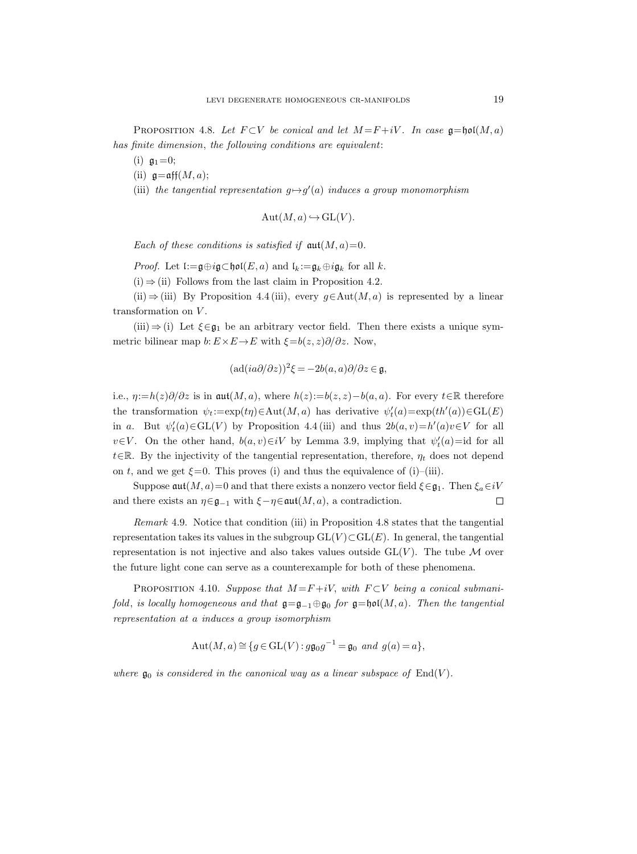PROPOSITION 4.8. Let  $F \subset V$  be conical and let  $M = F + iV$ . In case  $\mathfrak{g} = \mathfrak{hol}(M, a)$ has finite dimension, the following conditions are equivalent:

- (i)  $\mathfrak{g}_1 = 0$ ;
- (ii)  $\mathfrak{g}=\operatorname{aff}(M,a);$
- (iii) the tangential representation  $g \mapsto g'(a)$  induces a group monomorphism

$$
\mathrm{Aut}(M,a) \hookrightarrow \mathrm{GL}(V).
$$

Each of these conditions is satisfied if  $\mathfrak{aut}(M, a) = 0$ .

*Proof.* Let  $\mathfrak{l}:=\mathfrak{g}\oplus i\mathfrak{g}\subset \mathfrak{hol}(E,a)$  and  $\mathfrak{l}_k:=\mathfrak{g}_k\oplus i\mathfrak{g}_k$  for all k.

 $(i) \Rightarrow (ii)$  Follows from the last claim in Proposition 4.2.

(ii)  $\Rightarrow$  (iii) By Proposition 4.4 (iii), every g∈Aut(M, a) is represented by a linear transformation on  $V$ .

 $(iii) \Rightarrow (i)$  Let  $\xi \in \mathfrak{g}_1$  be an arbitrary vector field. Then there exists a unique symmetric bilinear map  $b: E \times E \to E$  with  $\xi = b(z, z)\partial/\partial z$ . Now,

$$
(\mathrm{ad}(ia\partial/\partial z))^2 \xi = -2b(a,a)\partial/\partial z \in \mathfrak{g},
$$

i.e.,  $\eta:=h(z)\partial/\partial z$  is in aut $(M, a)$ , where  $h(z):=b(z, z)-b(a, a)$ . For every  $t\in\mathbb{R}$  therefore the transformation  $\psi_t := \exp(t\eta) \in \text{Aut}(M, a)$  has derivative  $\psi'_t(a) = \exp(th'(a)) \in \text{GL}(E)$ in a. But  $\psi'_t(a) \in GL(V)$  by Proposition 4.4 (iii) and thus  $2b(a, v) = h'(a)v \in V$  for all  $v \in V$ . On the other hand,  $b(a, v) \in iV$  by Lemma 3.9, implying that  $\psi'_t(a) = id$  for all t∈R. By the injectivity of the tangential representation, therefore,  $\eta_t$  does not depend on t, and we get  $\xi = 0$ . This proves (i) and thus the equivalence of (i)–(iii).

Suppose  $\mathfrak{aut}(M, a) = 0$  and that there exists a nonzero vector field  $\xi \in \mathfrak{g}_1$ . Then  $\xi_a \in iV$ and there exists an  $\eta \in \mathfrak{g}_{-1}$  with  $\xi - \eta \in \mathfrak{aut}(M, a)$ , a contradiction.  $\Box$ 

Remark 4.9. Notice that condition (iii) in Proposition 4.8 states that the tangential representation takes its values in the subgroup  $GL(V) \subset GL(E)$ . In general, the tangential representation is not injective and also takes values outside  $GL(V)$ . The tube M over the future light cone can serve as a counterexample for both of these phenomena.

PROPOSITION 4.10. Suppose that  $M = F + iV$ , with  $F \subset V$  being a conical submanifold, is locally homogeneous and that  $\mathfrak{g}=\mathfrak{g}_{-1}\oplus\mathfrak{g}_0$  for  $\mathfrak{g}=\mathfrak{hol}(M,a)$ . Then the tangential representation at a induces a group isomorphism

$$
Aut(M, a) \cong \{ g \in GL(V) : g\mathfrak{g}_0 g^{-1} = \mathfrak{g}_0 \text{ and } g(a) = a \},
$$

where  $\mathfrak{g}_0$  is considered in the canonical way as a linear subspace of  $\text{End}(V)$ .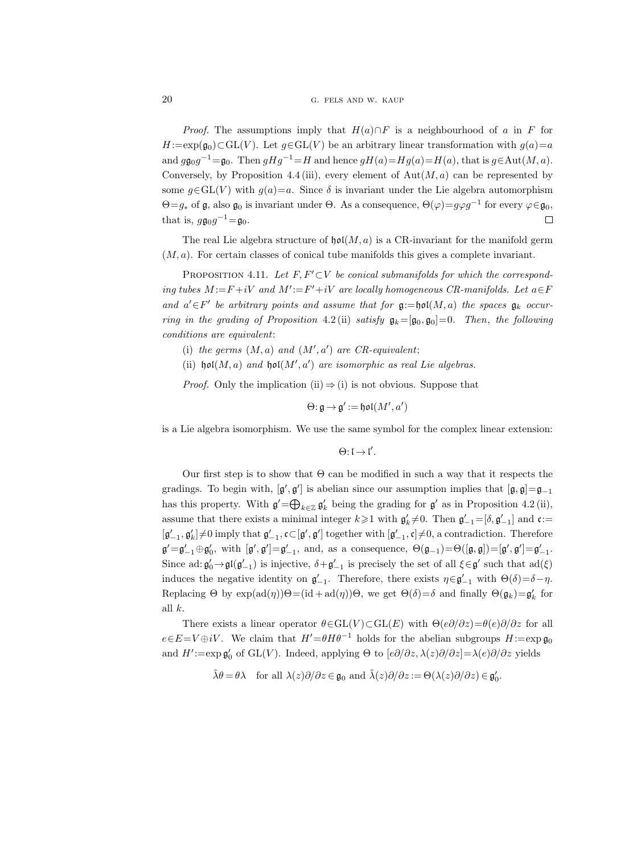## 20 G. FELS AND W. KAUP

*Proof.* The assumptions imply that  $H(a) \cap F$  is a neighbourhood of a in F for  $H:=\exp(\mathfrak{g}_0)\subset GL(V)$ . Let  $g\in GL(V)$  be an arbitrary linear transformation with  $g(a)=a$ and  $g\mathfrak{g}_0g^{-1}=\mathfrak{g}_0$ . Then  $gHg^{-1}=H$  and hence  $gH(a)=Hg(a)=H(a)$ , that is  $g\in \text{Aut}(M, a)$ . Conversely, by Proposition 4.4 (iii), every element of  $Aut(M, a)$  can be represented by some  $g \in GL(V)$  with  $g(a)=a$ . Since  $\delta$  is invariant under the Lie algebra automorphism  $\Theta = g_*$  of  $\mathfrak g$ , also  $\mathfrak g_0$  is invariant under  $\Theta$ . As a consequence,  $\Theta(\varphi) = g\varphi g^{-1}$  for every  $\varphi \in \mathfrak g_0$ , that is,  $g\mathfrak{g}_0g^{-1}=\mathfrak{g}_0$ .  $\Box$ 

The real Lie algebra structure of  $\mathfrak{hol}(M, a)$  is a CR-invariant for the manifold germ  $(M, a)$ . For certain classes of conical tube manifolds this gives a complete invariant.

PROPOSITION 4.11. Let  $F, F' \subset V$  be conical submanifolds for which the corresponding tubes  $M := F + iV$  and  $M' := F' + iV$  are locally homogeneous CR-manifolds. Let  $a \in F$ and  $a' \in F'$  be arbitrary points and assume that for  $\mathfrak{g}:=\mathfrak{hol}(M,a)$  the spaces  $\mathfrak{g}_k$  occurring in the grading of Proposition 4.2 (ii) satisfy  $\mathfrak{g}_k=[\mathfrak{g}_0,\mathfrak{g}_0]=0$ . Then, the following conditions are equivalent:

- (i) the germs  $(M, a)$  and  $(M', a')$  are CR-equivalent;
- (ii)  $\mathfrak{hol}(M, a)$  and  $\mathfrak{hol}(M', a')$  are isomorphic as real Lie algebras.

*Proof.* Only the implication (ii)  $\Rightarrow$  (i) is not obvious. Suppose that

 $\Theta$ : g  $\rightarrow$  g' := hol $(M',a')$ 

is a Lie algebra isomorphism. We use the same symbol for the complex linear extension:

 $\Theta: \mathfrak{l} \to \mathfrak{l}'.$ 

Our first step is to show that Θ can be modified in such a way that it respects the gradings. To begin with,  $[g', g']$  is abelian since our assumption implies that  $[g, g] = g_{-1}$ has this property. With  $\mathfrak{g}' = \bigoplus_{k \in \mathbb{Z}} \mathfrak{g}'_k$  being the grading for  $\mathfrak{g}'$  as in Proposition 4.2 (ii), assume that there exists a minimal integer  $k \geq 1$  with  $\mathfrak{g}'_k \neq 0$ . Then  $\mathfrak{g}'_{-1} = [\delta, \mathfrak{g}'_{-1}]$  and  $\mathfrak{c} :=$  $[g'_{-1}, g'_{k}] \neq 0$  imply that  $g'_{-1}, c \in [g', g']$  together with  $[g'_{-1}, c] \neq 0$ , a contradiction. Therefore  $\mathfrak{g}'=\mathfrak{g}'_{-1}\oplus\mathfrak{g}'_0$ , with  $[\mathfrak{g}',\mathfrak{g}']=\mathfrak{g}'_{-1}$ , and, as a consequence,  $\Theta(\mathfrak{g}_{-1})=\Theta([\mathfrak{g},\mathfrak{g}])=[\mathfrak{g}',\mathfrak{g}']=\mathfrak{g}'_{-1}$ . Since ad:  $\mathfrak{g}'_0 \rightarrow \mathfrak{gl}(\mathfrak{g}'_{-1})$  is injective,  $\delta + \mathfrak{g}'_{-1}$  is precisely the set of all  $\xi \in \mathfrak{g}'$  such that  $ad(\xi)$ induces the negative identity on  $\mathfrak{g}'_{-1}$ . Therefore, there exists  $\eta \in \mathfrak{g}'_{-1}$  with  $\Theta(\delta) = \delta - \eta$ . Replacing  $\Theta$  by  $\exp(\text{ad}(\eta))\Theta = (\text{id} + \text{ad}(\eta))\Theta$ , we get  $\Theta(\delta) = \delta$  and finally  $\Theta(\mathfrak{g}_k) = \mathfrak{g}'_k$  for all k.

There exists a linear operator  $\theta \in GL(V) \subset GL(E)$  with  $\Theta(e\partial/\partial z) = \theta(e)\partial/\partial z$  for all  $e \in E=V \oplus iV$ . We claim that  $H'=\theta H\theta^{-1}$  holds for the abelian subgroups  $H:=\exp \mathfrak{g}_0$ and  $H' := \exp \mathfrak{g}'_0$  of GL(V). Indeed, applying  $\Theta$  to  $[e\partial/\partial z, \lambda(z)\partial/\partial z] = \lambda(e)\partial/\partial z$  yields

$$
\tilde{\lambda}\theta = \theta\lambda \quad \text{for all } \lambda(z)\partial/\partial z \in \mathfrak{g}_0 \text{ and } \tilde{\lambda}(z)\partial/\partial z := \Theta(\lambda(z)\partial/\partial z) \in \mathfrak{g}_0'.
$$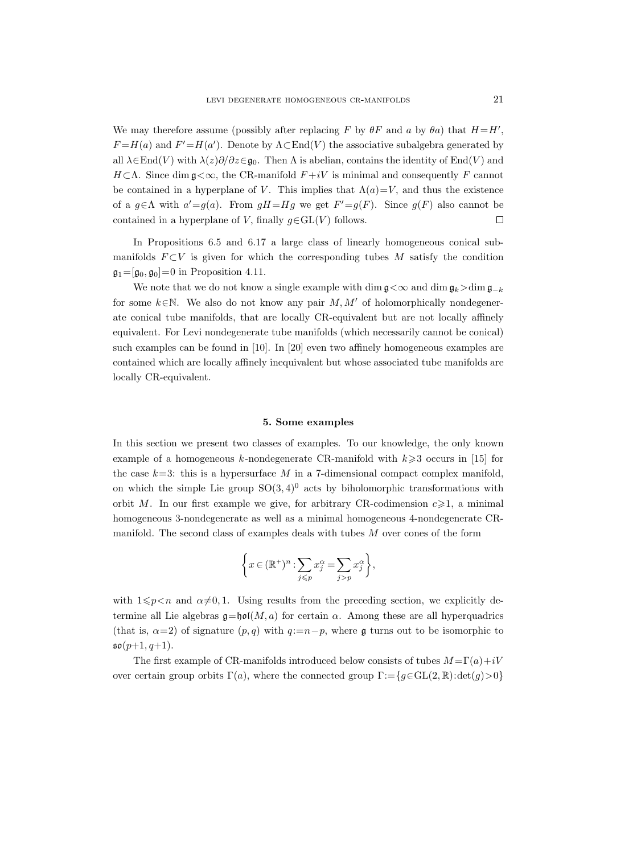We may therefore assume (possibly after replacing F by  $\theta F$  and a by  $\theta a$ ) that  $H=H'$ ,  $F = H(a)$  and  $F' = H(a')$ . Denote by  $\Lambda \subset \text{End}(V)$  the associative subalgebra generated by all  $\lambda \in \text{End}(V)$  with  $\lambda(z)\partial/\partial z \in \mathfrak{g}_0$ . Then  $\Lambda$  is abelian, contains the identity of End(V) and  $H \subset \Lambda$ . Since dim  $g \lt \infty$ , the CR-manifold  $F + iV$  is minimal and consequently F cannot be contained in a hyperplane of V. This implies that  $\Lambda(a)=V$ , and thus the existence of a  $g \in \Lambda$  with  $a' = g(a)$ . From  $gH = Hg$  we get  $F' = g(F)$ . Since  $g(F)$  also cannot be contained in a hyperplane of V, finally  $g \in GL(V)$  follows.  $\Box$ 

In Propositions 6.5 and 6.17 a large class of linearly homogeneous conical submanifolds  $F \subset V$  is given for which the corresponding tubes M satisfy the condition  $\mathfrak{g}_1=[\mathfrak{g}_0, \mathfrak{g}_0]=0$  in Proposition 4.11.

We note that we do not know a single example with dim  $\mathfrak{g} < \infty$  and dim  $\mathfrak{g}_k > \dim \mathfrak{g}_{-k}$ for some  $k \in \mathbb{N}$ . We also do not know any pair  $M, M'$  of holomorphically nondegenerate conical tube manifolds, that are locally CR-equivalent but are not locally affinely equivalent. For Levi nondegenerate tube manifolds (which necessarily cannot be conical) such examples can be found in [10]. In [20] even two affinely homogeneous examples are contained which are locally affinely inequivalent but whose associated tube manifolds are locally CR-equivalent.

## 5. Some examples

In this section we present two classes of examples. To our knowledge, the only known example of a homogeneous k-nondegenerate CR-manifold with  $k \geqslant 3$  occurs in [15] for the case  $k=3$ : this is a hypersurface M in a 7-dimensional compact complex manifold, on which the simple Lie group  $SO(3, 4)^0$  acts by biholomorphic transformations with orbit M. In our first example we give, for arbitrary CR-codimension  $c \geq 1$ , a minimal homogeneous 3-nondegenerate as well as a minimal homogeneous 4-nondegenerate CRmanifold. The second class of examples deals with tubes M over cones of the form

$$
\left\{ x \in (\mathbb{R}^+)^n : \sum_{j \leq p} x_j^{\alpha} = \sum_{j > p} x_j^{\alpha} \right\},\
$$

with  $1 \leqslant p \leq n$  and  $\alpha \neq 0, 1$ . Using results from the preceding section, we explicitly determine all Lie algebras  $\mathfrak{g}=\mathfrak{hol}(M, a)$  for certain  $\alpha$ . Among these are all hyperquadrics (that is,  $\alpha=2$ ) of signature  $(p, q)$  with  $q:=n-p$ , where g turns out to be isomorphic to  $\mathfrak{so}(p+1,q+1)$ .

The first example of CR-manifolds introduced below consists of tubes  $M = \Gamma(a) + iV$ over certain group orbits  $\Gamma(a)$ , where the connected group  $\Gamma := \{g \in GL(2, \mathbb{R}) : \det(g) > 0\}$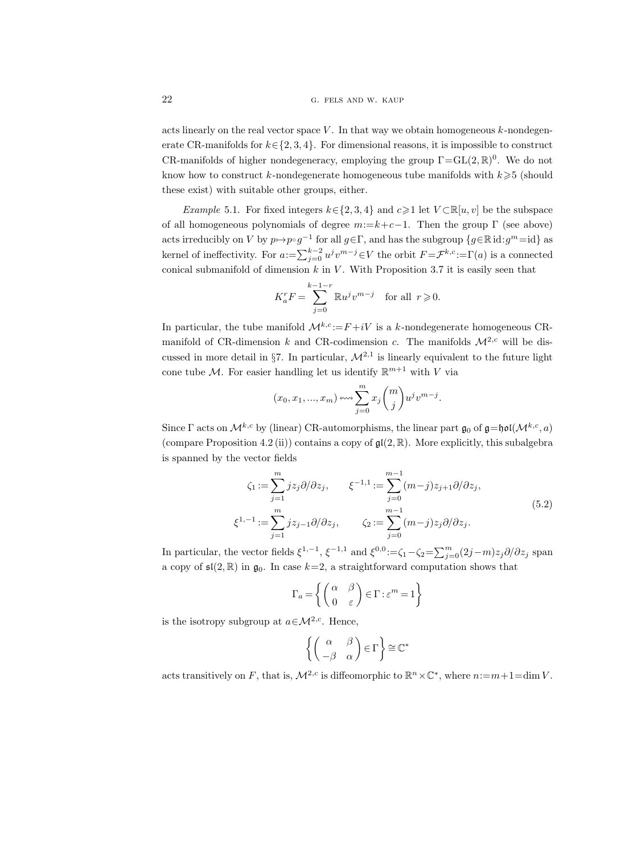acts linearly on the real vector space  $V$ . In that way we obtain homogeneous  $k$ -nondegenerate CR-manifolds for  $k \in \{2, 3, 4\}$ . For dimensional reasons, it is impossible to construct CR-manifolds of higher nondegeneracy, employing the group  $\Gamma = GL(2, \mathbb{R})^0$ . We do not know how to construct k-nondegenerate homogeneous tube manifolds with  $k \geqslant 5$  (should these exist) with suitable other groups, either.

Example 5.1. For fixed integers  $k \in \{2, 3, 4\}$  and  $c \geq 1$  let  $V \subset \mathbb{R}[u, v]$  be the subspace of all homogeneous polynomials of degree  $m:=k+c-1$ . Then the group  $\Gamma$  (see above) acts irreducibly on V by  $p \mapsto p \circ g^{-1}$  for all  $g \in \Gamma$ , and has the subgroup  $\{g \in \mathbb{R} \text{ id}: g^m = \text{id}\}$  as kernel of ineffectivity. For  $a:=\sum_{j=0}^{k-2} u^j v^{m-j} \in V$  the orbit  $F = \mathcal{F}^{k,c} := \Gamma(a)$  is a connected conical submanifold of dimension  $k$  in  $V$ . With Proposition 3.7 it is easily seen that

$$
K_a^r F = \sum_{j=0}^{k-1-r} \mathbb{R} u^j v^{m-j} \quad \text{for all} \ \ r \geqslant 0.
$$

In particular, the tube manifold  $\mathcal{M}^{k,c} := F + iV$  is a k-nondegenerate homogeneous CRmanifold of CR-dimension k and CR-codimension c. The manifolds  $\mathcal{M}^{2,c}$  will be discussed in more detail in §7. In particular,  $\mathcal{M}^{2,1}$  is linearly equivalent to the future light cone tube M. For easier handling let us identify  $\mathbb{R}^{m+1}$  with V via

$$
(x_0, x_1, ..., x_m) \longleftrightarrow \sum_{j=0}^m x_j {m \choose j} u^j v^{m-j}.
$$

Since Γ acts on  $\mathcal{M}^{k,c}$  by (linear) CR-automorphisms, the linear part  $\mathfrak{g}_0$  of  $\mathfrak{g}=\mathfrak{hol}(\mathcal{M}^{k,c},a)$ (compare Proposition 4.2 (ii)) contains a copy of  $\mathfrak{gl}(2,\mathbb{R})$ . More explicitly, this subalgebra is spanned by the vector fields

$$
\zeta_1 := \sum_{j=1}^m j z_j \partial/\partial z_j, \qquad \xi^{-1,1} := \sum_{j=0}^{m-1} (m-j) z_{j+1} \partial/\partial z_j,
$$
  

$$
\xi^{1,-1} := \sum_{j=1}^m j z_{j-1} \partial/\partial z_j, \qquad \zeta_2 := \sum_{j=0}^{m-1} (m-j) z_j \partial/\partial z_j.
$$
  
(5.2)

In particular, the vector fields  $\xi^{1,-1}$ ,  $\xi^{-1,1}$  and  $\xi^{0,0} := \zeta_1 - \zeta_2 = \sum_{j=0}^m (2j-m)z_j \partial/\partial z_j$  span a copy of  $\mathfrak{sl}(2,\mathbb{R})$  in  $\mathfrak{g}_0$ . In case  $k=2$ , a straightforward computation shows that

$$
\Gamma_a = \left\{ \begin{pmatrix} \alpha & \beta \\ 0 & \varepsilon \end{pmatrix} \in \Gamma : \varepsilon^m = 1 \right\}
$$

is the isotropy subgroup at  $a \in \mathcal{M}^{2,c}$ . Hence,

$$
\left\{ \begin{pmatrix} \alpha & \beta \\ -\beta & \alpha \end{pmatrix} \in \Gamma \right\} \cong \mathbb{C}^*
$$

acts transitively on F, that is,  $\mathcal{M}^{2,c}$  is diffeomorphic to  $\mathbb{R}^n \times \mathbb{C}^*$ , where  $n:=m+1=\dim V$ .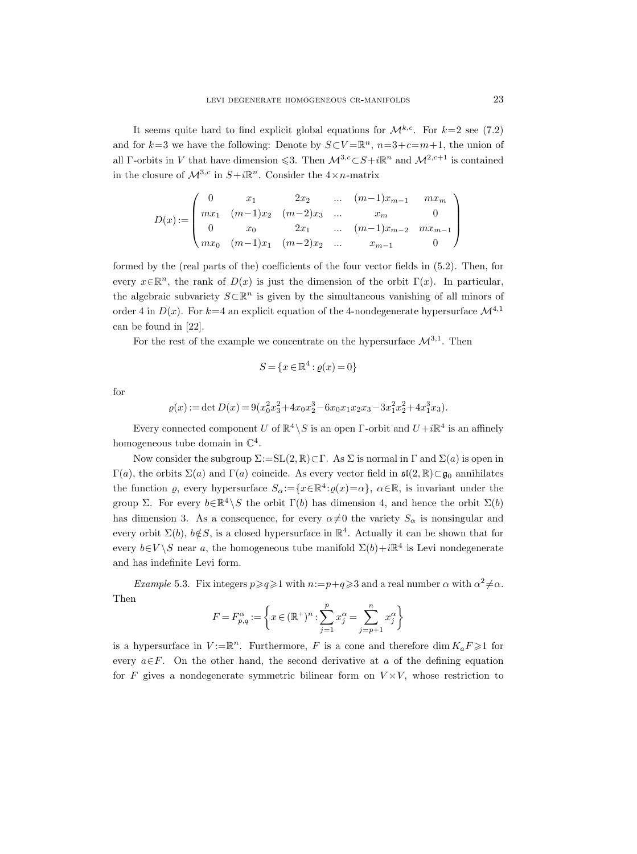It seems quite hard to find explicit global equations for  $\mathcal{M}^{k,c}$ . For  $k=2$  see (7.2) and for  $k=3$  we have the following: Denote by  $S\subset V = \mathbb{R}^n$ ,  $n=3+c=m+1$ , the union of all Γ-orbits in V that have dimension  $\leq 3$ . Then  $\mathcal{M}^{3,c} \subset S + i\mathbb{R}^n$  and  $\mathcal{M}^{2,c+1}$  is contained in the closure of  $\mathcal{M}^{3,c}$  in  $S+i\mathbb{R}^n$ . Consider the  $4\times n$ -matrix

$$
D(x) := \begin{pmatrix} 0 & x_1 & 2x_2 & \dots & (m-1)x_{m-1} & mx_m \\ mx_1 & (m-1)x_2 & (m-2)x_3 & \dots & x_m & 0 \\ 0 & x_0 & 2x_1 & \dots & (m-1)x_{m-2} & mx_{m-1} \\ mx_0 & (m-1)x_1 & (m-2)x_2 & \dots & x_{m-1} & 0 \end{pmatrix}
$$

formed by the (real parts of the) coefficients of the four vector fields in (5.2). Then, for every  $x \in \mathbb{R}^n$ , the rank of  $D(x)$  is just the dimension of the orbit  $\Gamma(x)$ . In particular, the algebraic subvariety  $S\subset\mathbb{R}^n$  is given by the simultaneous vanishing of all minors of order 4 in  $D(x)$ . For  $k=4$  an explicit equation of the 4-nondegenerate hypersurface  $\mathcal{M}^{4,1}$ can be found in [22].

For the rest of the example we concentrate on the hypersurface  $\mathcal{M}^{3,1}$ . Then

$$
S = \{x \in \mathbb{R}^4 : \varrho(x) = 0\}
$$

for

$$
\varrho(x) := \det D(x) = 9(x_0^2 x_3^2 + 4x_0 x_2^3 - 6x_0 x_1 x_2 x_3 - 3x_1^2 x_2^2 + 4x_1^3 x_3).
$$

Every connected component U of  $\mathbb{R}^4 \setminus S$  is an open  $\Gamma$ -orbit and  $U + i\mathbb{R}^4$  is an affinely homogeneous tube domain in  $\mathbb{C}^4$ .

Now consider the subgroup  $\Sigma:=SL(2,\mathbb{R})\subset\Gamma$ . As  $\Sigma$  is normal in  $\Gamma$  and  $\Sigma(a)$  is open in  $Γ(a)$ , the orbits  $Σ(a)$  and  $Γ(a)$  coincide. As every vector field in  $\mathfrak{sl}(2,\mathbb{R}) \subset \mathfrak{g}_0$  annihilates the function  $\varrho$ , every hypersurface  $S_{\alpha} := \{x \in \mathbb{R}^4 : \varrho(x) = \alpha\}$ ,  $\alpha \in \mathbb{R}$ , is invariant under the group Σ. For every  $b \in \mathbb{R}^4 \setminus S$  the orbit  $\Gamma(b)$  has dimension 4, and hence the orbit  $\Sigma(b)$ has dimension 3. As a consequence, for every  $\alpha \neq 0$  the variety  $S_{\alpha}$  is nonsingular and every orbit  $\Sigma(b)$ ,  $b \notin S$ , is a closed hypersurface in  $\mathbb{R}^4$ . Actually it can be shown that for every  $b \in V \backslash S$  near a, the homogeneous tube manifold  $\Sigma(b) + i\mathbb{R}^4$  is Levi nondegenerate and has indefinite Levi form.

Example 5.3. Fix integers  $p \geqslant q \geqslant 1$  with  $n:=p+q \geqslant 3$  and a real number  $\alpha$  with  $\alpha^2 \neq \alpha$ . Then

$$
F=F_{p,q}^{\alpha}:=\left\{x\in(\mathbb{R}^{+})^{n}:\sum_{j=1}^{p}x_{j}^{\alpha}=\sum_{j=p+1}^{n}x_{j}^{\alpha}\right\}
$$

is a hypersurface in  $V := \mathbb{R}^n$ . Furthermore, F is a cone and therefore  $\dim K_a F \geq 1$  for every  $a \in F$ . On the other hand, the second derivative at a of the defining equation for F gives a nondegenerate symmetric bilinear form on  $V \times V$ , whose restriction to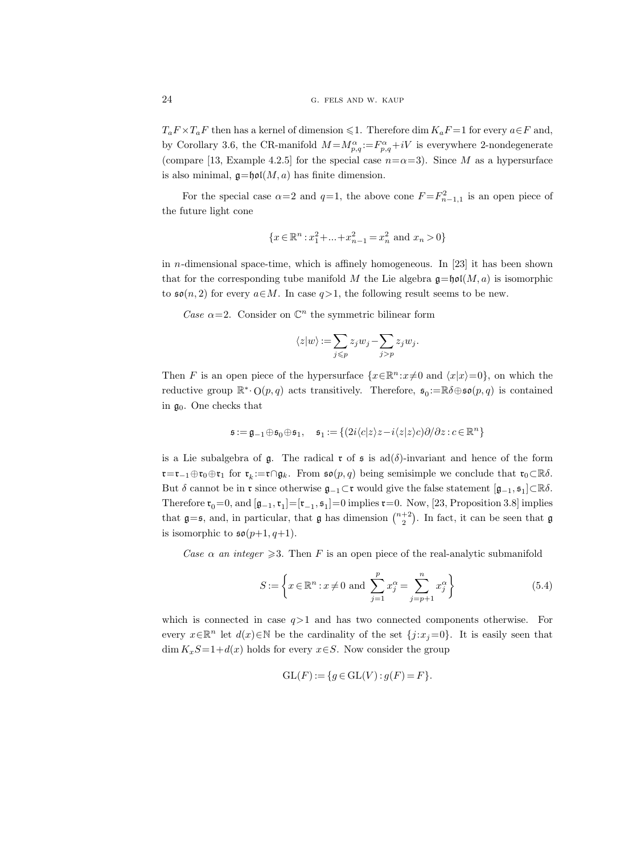$T_a F \times T_a F$  then has a kernel of dimension  $\leq 1$ . Therefore dim  $K_a F = 1$  for every  $a \in F$  and, by Corollary 3.6, the CR-manifold  $M = M_{p,q}^{\alpha} := F_{p,q}^{\alpha} + iV$  is everywhere 2-nondegenerate (compare [13, Example 4.2.5] for the special case  $n=\alpha=3$ ). Since M as a hypersurface is also minimal,  $\mathfrak{g}=\mathfrak{hol}(M, a)$  has finite dimension.

For the special case  $\alpha=2$  and  $q=1$ , the above cone  $F=F_{n-1,1}^2$  is an open piece of the future light cone

$$
\{x \in \mathbb{R}^n : x_1^2 + \dots + x_{n-1}^2 = x_n^2 \text{ and } x_n > 0\}
$$

in  $n$ -dimensional space-time, which is affinely homogeneous. In [23] it has been shown that for the corresponding tube manifold M the Lie algebra  $\mathfrak{g} = \mathfrak{hol}(M, a)$  is isomorphic to  $\mathfrak{so}(n,2)$  for every  $a\in M$ . In case  $q>1$ , the following result seems to be new.

Case  $\alpha = 2$ . Consider on  $\mathbb{C}^n$  the symmetric bilinear form

$$
\langle z|w\rangle\mathop{{:}{=}} \sum_{j\leqslant p} z_jw_j-\sum_{j>p} z_jw_j.
$$

Then F is an open piece of the hypersurface  $\{x \in \mathbb{R}^n : x \neq 0 \text{ and } \langle x|x\rangle = 0\}$ , on which the reductive group  $\mathbb{R}^*\cdot O(p,q)$  acts transitively. Therefore,  $\mathfrak{s}_0:=\mathbb{R}\delta\oplus\mathfrak{so}(p,q)$  is contained in  $\mathfrak{g}_0$ . One checks that

$$
\mathfrak{s}:=\mathfrak{g}_{-1}\oplus \mathfrak{s}_0\oplus \mathfrak{s}_1, \quad \mathfrak{s}_1:=\{(2i\langle c|z\rangle z-i\langle z|z\rangle c)\partial/\partial z:c\in\mathbb{R}^n\}
$$

is a Lie subalgebra of g. The radical r of s is  $ad(\delta)$ -invariant and hence of the form  $\mathfrak{r}=\mathfrak{r}_{-1}\oplus\mathfrak{r}_0\oplus\mathfrak{r}_1$  for  $\mathfrak{r}_k:=\mathfrak{r}\cap\mathfrak{g}_k$ . From  $\mathfrak{so}(p,q)$  being semisimple we conclude that  $\mathfrak{r}_0\subset\mathbb{R}\delta$ . But  $\delta$  cannot be in  $\mathfrak r$  since otherwise  $\mathfrak g_{-1} \subset \mathfrak r$  would give the false statement  $[\mathfrak g_{-1}, \mathfrak s_1] \subset \mathbb R\delta$ . Therefore  $\mathfrak{r}_0 = 0$ , and  $[\mathfrak{g}_{-1}, \mathfrak{r}_1] = [\mathfrak{r}_{-1}, \mathfrak{s}_1] = 0$  implies  $\mathfrak{r} = 0$ . Now, [23, Proposition 3.8] implies that  $\mathfrak{g}=\mathfrak{s}$ , and, in particular, that  $\mathfrak{g}$  has dimension  $\binom{n+2}{2}$ . In fact, it can be seen that  $\mathfrak{g}$ is isomorphic to  $\mathfrak{so}(p+1,q+1)$ .

Case  $\alpha$  an integer  $\geqslant$ 3. Then F is an open piece of the real-analytic submanifold

$$
S := \left\{ x \in \mathbb{R}^n : x \neq 0 \text{ and } \sum_{j=1}^p x_j^{\alpha} = \sum_{j=p+1}^n x_j^{\alpha} \right\}
$$
 (5.4)

which is connected in case  $q>1$  and has two connected components otherwise. For every  $x \in \mathbb{R}^n$  let  $d(x) \in \mathbb{N}$  be the cardinality of the set  $\{j : x_j = 0\}$ . It is easily seen that  $\dim K_xS=1+d(x)$  holds for every  $x\in S$ . Now consider the group

$$
GL(F) := \{ g \in GL(V) : g(F) = F \}.
$$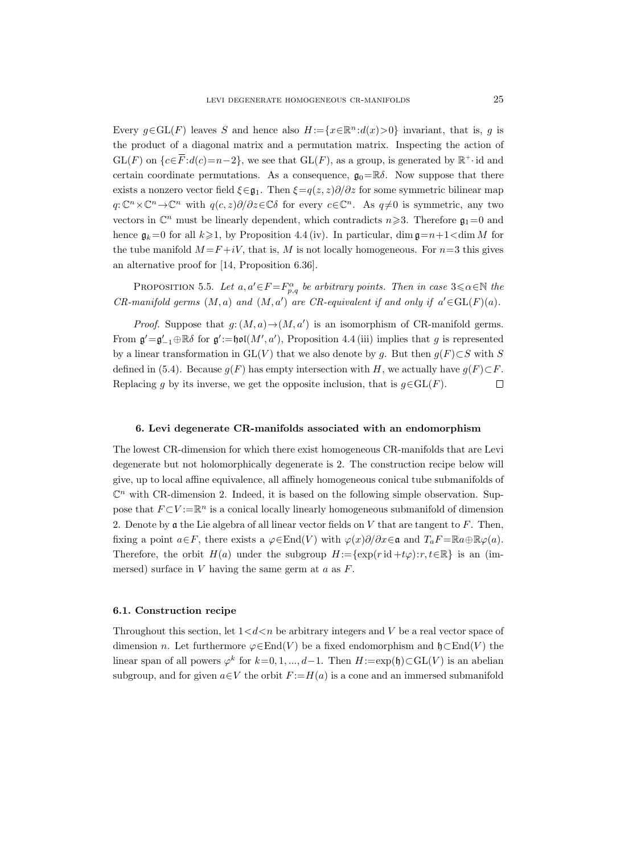Every  $g \in GL(F)$  leaves S and hence also  $H := \{x \in \mathbb{R}^n : d(x) > 0\}$  invariant, that is, g is the product of a diagonal matrix and a permutation matrix. Inspecting the action of  $GL(F)$  on  $\{c \in \overline{F} : d(c)=n-2\}$ , we see that  $GL(F)$ , as a group, is generated by  $\mathbb{R}^+$  id and certain coordinate permutations. As a consequence,  $\mathfrak{g}_0 = \mathbb{R}\delta$ . Now suppose that there exists a nonzero vector field  $\xi \in \mathfrak{g}_1$ . Then  $\xi = q(z, z)\partial/\partial z$  for some symmetric bilinear map  $q: \mathbb{C}^n \times \mathbb{C}^n \to \mathbb{C}^n$  with  $q(c, z)\partial/\partial z \in \mathbb{C}\delta$  for every  $c \in \mathbb{C}^n$ . As  $q \neq 0$  is symmetric, any two vectors in  $\mathbb{C}^n$  must be linearly dependent, which contradicts  $n \geq 3$ . Therefore  $\mathfrak{g}_1=0$  and hence  $\mathfrak{g}_k=0$  for all  $k\geqslant1$ , by Proposition 4.4 (iv). In particular, dim  $\mathfrak{g}=n+1<\dim M$  for the tube manifold  $M = F + iV$ , that is, M is not locally homogeneous. For  $n=3$  this gives an alternative proof for [14, Proposition 6.36].

PROPOSITION 5.5. Let  $a, a' \in F = F^{\alpha}_{p,q}$  be arbitrary points. Then in case  $3 \le \alpha \in \mathbb{N}$  the  $CR\text{-}manifold \, \, germs \, \left(M, a\right) \, \,and \, \left(M, a'\right) \, \,are \, \,CR\text{-}equivalent \, \,if \, \,and \, \,only \, \,if \, \,a' \in GL(F)(a).$ 

*Proof.* Suppose that  $g: (M, a) \to (M, a')$  is an isomorphism of CR-manifold germs. From  $\mathfrak{g}' = \mathfrak{g}'_{-1} \oplus \mathbb{R} \delta$  for  $\mathfrak{g}' := \mathfrak{hol}(M', a')$ , Proposition 4.4 (iii) implies that g is represented by a linear transformation in  $GL(V)$  that we also denote by g. But then  $g(F) \subset S$  with S defined in (5.4). Because  $g(F)$  has empty intersection with H, we actually have  $g(F) \subset F$ . Replacing g by its inverse, we get the opposite inclusion, that is  $g \in GL(F)$ .  $\Box$ 

#### 6. Levi degenerate CR-manifolds associated with an endomorphism

The lowest CR-dimension for which there exist homogeneous CR-manifolds that are Levi degenerate but not holomorphically degenerate is 2. The construction recipe below will give, up to local affine equivalence, all affinely homogeneous conical tube submanifolds of  $\mathbb{C}^n$  with CR-dimension 2. Indeed, it is based on the following simple observation. Suppose that  $F\subset V:=\mathbb{R}^n$  is a conical locally linearly homogeneous submanifold of dimension 2. Denote by  $\mathfrak a$  the Lie algebra of all linear vector fields on V that are tangent to F. Then, fixing a point  $a \in F$ , there exists a  $\varphi \in \text{End}(V)$  with  $\varphi(x)\partial/\partial x \in \mathfrak{a}$  and  $T_aF = \mathbb{R}a \oplus \mathbb{R} \varphi(a)$ . Therefore, the orbit  $H(a)$  under the subgroup  $H:=\{\exp(r \operatorname{id} + t\varphi): r, t \in \mathbb{R}\}\$ is an (immersed) surface in  $V$  having the same germ at  $a$  as  $F$ .

## 6.1. Construction recipe

Throughout this section, let  $1 < d < n$  be arbitrary integers and V be a real vector space of dimension *n*. Let furthermore  $\varphi \in \text{End}(V)$  be a fixed endomorphism and  $\mathfrak{h} \subset \text{End}(V)$  the linear span of all powers  $\varphi^k$  for  $k=0,1,...,d-1$ . Then  $H:=\exp(\mathfrak{h})\subset GL(V)$  is an abelian subgroup, and for given  $a \in V$  the orbit  $F := H(a)$  is a cone and an immersed submanifold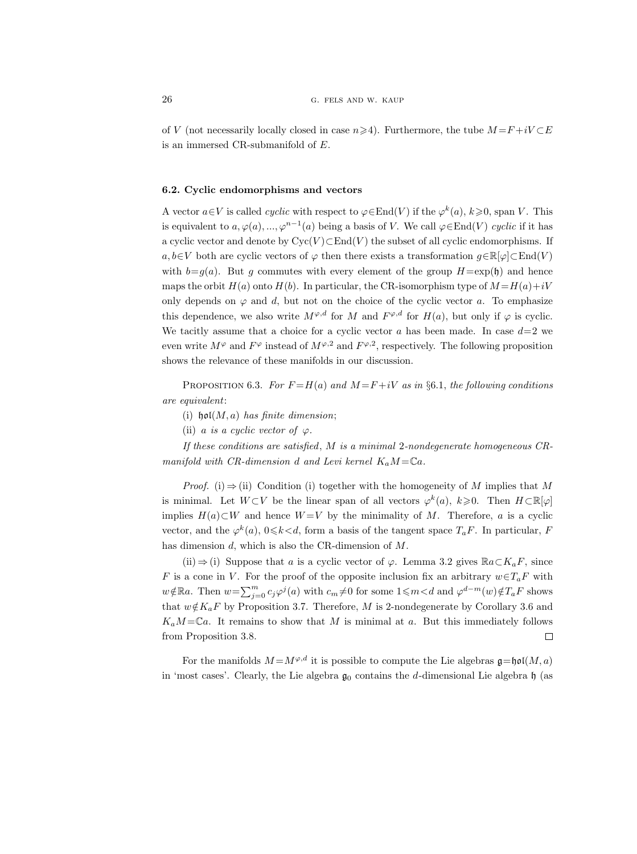of V (not necessarily locally closed in case  $n\geq 4$ ). Furthermore, the tube  $M = F + iV \subset E$ is an immersed CR-submanifold of E.

#### 6.2. Cyclic endomorphisms and vectors

A vector  $a \in V$  is called *cyclic* with respect to  $\varphi \in \text{End}(V)$  if the  $\varphi^k(a), k \geq 0$ , span V. This is equivalent to  $a, \varphi(a), ..., \varphi^{n-1}(a)$  being a basis of V. We call  $\varphi \in \text{End}(V)$  cyclic if it has a cyclic vector and denote by  $Cyc(V) \subset End(V)$  the subset of all cyclic endomorphisms. If a,  $b \in V$  both are cyclic vectors of  $\varphi$  then there exists a transformation  $g \in \mathbb{R}[\varphi] \subset \text{End}(V)$ with  $b=q(a)$ . But g commutes with every element of the group  $H=\exp(\mathfrak{h})$  and hence maps the orbit  $H(a)$  onto  $H(b)$ . In particular, the CR-isomorphism type of  $M = H(a) + iV$ only depends on  $\varphi$  and d, but not on the choice of the cyclic vector a. To emphasize this dependence, we also write  $M^{\varphi,d}$  for M and  $F^{\varphi,d}$  for  $H(a)$ , but only if  $\varphi$  is cyclic. We tacitly assume that a choice for a cyclic vector  $a$  has been made. In case  $d=2$  we even write  $M^{\varphi}$  and  $F^{\varphi}$  instead of  $M^{\varphi,2}$  and  $F^{\varphi,2}$ , respectively. The following proposition shows the relevance of these manifolds in our discussion.

PROPOSITION 6.3. For  $F = H(a)$  and  $M = F + iV$  as in §6.1, the following conditions are equivalent:

- (i)  $\mathfrak{hol}(M, a)$  has finite dimension;
- (ii) a is a cyclic vector of  $\varphi$ .

If these conditions are satisfied,  $M$  is a minimal 2-nondegenerate homogeneous  $CR$ manifold with CR-dimension d and Levi kernel  $K_aM = \mathbb{C}a$ .

*Proof.* (i)  $\Rightarrow$  (ii) Condition (i) together with the homogeneity of M implies that M is minimal. Let  $W\subset V$  be the linear span of all vectors  $\varphi^k(a), k\geq 0$ . Then  $H\subset \mathbb{R}[\varphi]$ implies  $H(a) ⊂ W$  and hence  $W = V$  by the minimality of M. Therefore, a is a cyclic vector, and the  $\varphi^k(a)$ ,  $0 \le k \le d$ , form a basis of the tangent space  $T_a F$ . In particular, F has dimension d, which is also the CR-dimension of M.

(ii)  $\Rightarrow$  (i) Suppose that a is a cyclic vector of  $\varphi$ . Lemma 3.2 gives  $\mathbb{R}a\subset K_aF$ , since F is a cone in V. For the proof of the opposite inclusion fix an arbitrary  $w \in T_aF$  with  $w \notin \mathbb{R}$ a. Then  $w = \sum_{j=0}^{m} c_j \varphi^j(a)$  with  $c_m \neq 0$  for some  $1 \leq m < d$  and  $\varphi^{d-m}(w) \notin T_aF$  shows that  $w \notin K_aF$  by Proposition 3.7. Therefore, M is 2-nondegenerate by Corollary 3.6 and  $K_aM=\mathbb{C}a$ . It remains to show that M is minimal at a. But this immediately follows from Proposition 3.8.  $\Box$ 

For the manifolds  $M = M^{\varphi,d}$  it is possible to compute the Lie algebras  $\mathfrak{q} = \mathfrak{hol}(M, a)$ in 'most cases'. Clearly, the Lie algebra  $\mathfrak{g}_0$  contains the d-dimensional Lie algebra  $\mathfrak{h}$  (as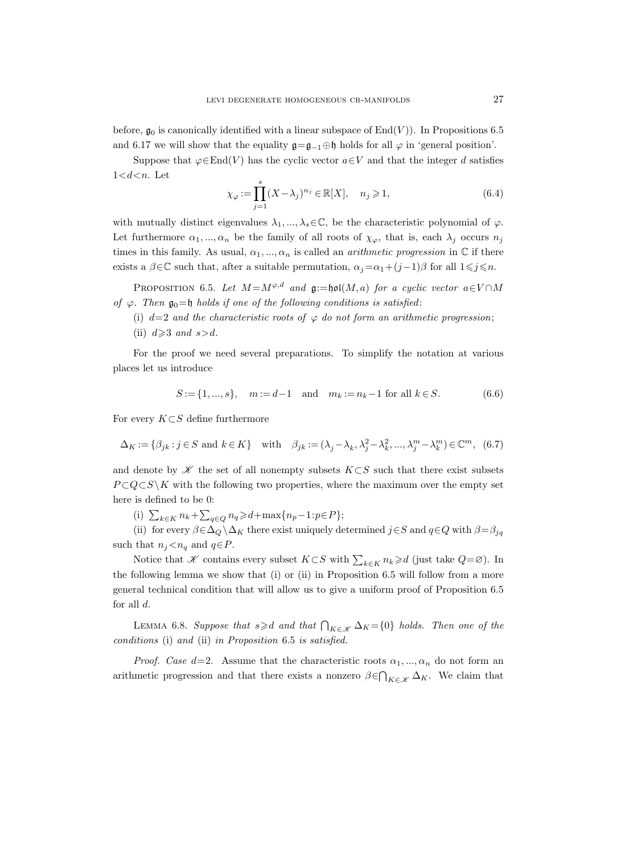before,  $\mathfrak{g}_0$  is canonically identified with a linear subspace of End(V)). In Propositions 6.5 and 6.17 we will show that the equality  $\mathfrak{g}=\mathfrak{g}_{-1}\oplus\mathfrak{h}$  holds for all  $\varphi$  in 'general position'.

Suppose that  $\varphi \in \text{End}(V)$  has the cyclic vector  $a \in V$  and that the integer d satisfies  $1 < d < n$ . Let

$$
\chi_{\varphi} := \prod_{j=1}^{s} (X - \lambda_j)^{n_j} \in \mathbb{R}[X], \quad n_j \geqslant 1,
$$
\n(6.4)

with mutually distinct eigenvalues  $\lambda_1, ..., \lambda_s \in \mathbb{C}$ , be the characteristic polynomial of  $\varphi$ . Let furthermore  $\alpha_1, ..., \alpha_n$  be the family of all roots of  $\chi_{\varphi}$ , that is, each  $\lambda_j$  occurs  $n_j$ times in this family. As usual,  $\alpha_1, ..., \alpha_n$  is called an *arithmetic progression* in  $\mathbb C$  if there exists a  $\beta \in \mathbb{C}$  such that, after a suitable permutation,  $\alpha_i = \alpha_1 + (j-1)\beta$  for all  $1 \leq j \leq n$ .

PROPOSITION 6.5. Let  $M = M^{\varphi,d}$  and  $\mathfrak{g} := \mathfrak{hol}(M, a)$  for a cyclic vector  $a \in V \cap M$ of  $\varphi$ . Then  $\mathfrak{g}_0 = \mathfrak{h}$  holds if one of the following conditions is satisfied:

- (i)  $d=2$  and the characteristic roots of  $\varphi$  do not form an arithmetic progression;
- (ii)  $d \geqslant 3$  and  $s > d$ .

For the proof we need several preparations. To simplify the notation at various places let us introduce

$$
S := \{1, ..., s\}, \quad m := d - 1 \quad \text{and} \quad m_k := n_k - 1 \text{ for all } k \in S. \tag{6.6}
$$

For every  $K\subset S$  define furthermore

$$
\Delta_K := \{ \beta_{jk} : j \in S \text{ and } k \in K \} \quad \text{with} \quad \beta_{jk} := (\lambda_j - \lambda_k, \lambda_j^2 - \lambda_k^2, \dots, \lambda_j^m - \lambda_k^m) \in \mathbb{C}^m, \tag{6.7}
$$

and denote by  $K$  the set of all nonempty subsets  $K\subset S$  such that there exist subsets  $P \subset Q \subset S \backslash K$  with the following two properties, where the maximum over the empty set here is defined to be 0:

(i)  $\sum_{k \in K} n_k + \sum_{q \in Q} n_q \ge d + \max\{n_p - 1 : p \in P\};$ 

(ii) for every  $\beta \in \Delta_Q \backslash \Delta_K$  there exist uniquely determined  $j \in S$  and  $q \in Q$  with  $\beta = \beta_{jq}$ such that  $n_j < n_q$  and  $q \in P$ .

Notice that  $\mathscr K$  contains every subset  $K\subset S$  with  $\sum_{k\in K} n_k\geqslant d$  (just take  $Q=\varnothing$ ). In the following lemma we show that (i) or (ii) in Proposition 6.5 will follow from a more general technical condition that will allow us to give a uniform proof of Proposition 6.5 for all  $d$ .

LEMMA 6.8. Suppose that  $s \geq d$  and that  $\bigcap_{K \in \mathcal{K}} \Delta_K = \{0\}$  holds. Then one of the conditions (i) and (ii) in Proposition 6.5 is satisfied.

*Proof. Case d*=2. Assume that the characteristic roots  $\alpha_1, ..., \alpha_n$  do not form an arithmetic progression and that there exists a nonzero  $\beta \in \bigcap_{K \in \mathcal{K}} \Delta_K$ . We claim that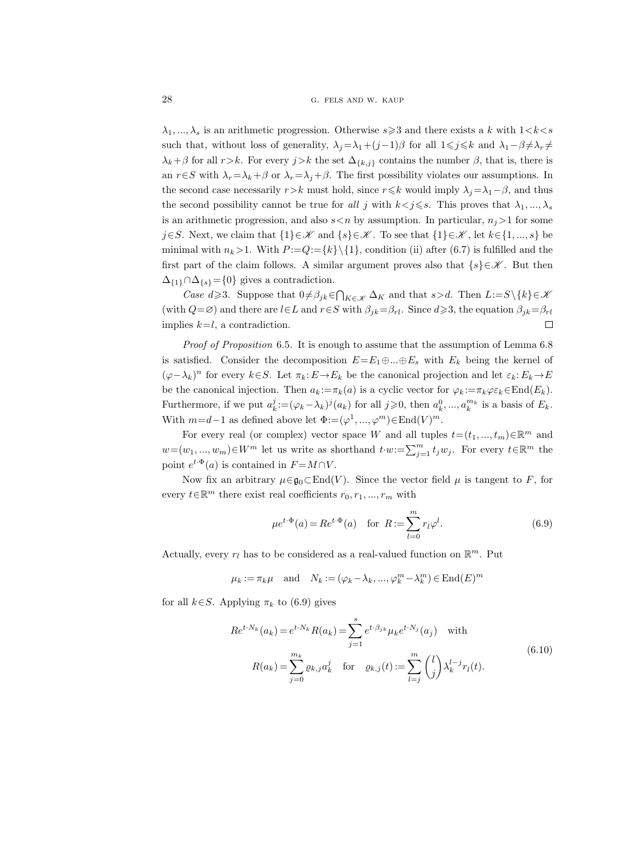$\lambda_1, ..., \lambda_s$  is an arithmetic progression. Otherwise  $s \geq 3$  and there exists a k with  $1 < k < s$ such that, without loss of generality,  $\lambda_j = \lambda_1 + (j-1)\beta$  for all  $1 \leq j \leq k$  and  $\lambda_1 - \beta \neq \lambda_r \neq$  $\lambda_k+\beta$  for all  $r>k$ . For every  $j>k$  the set  $\Delta_{\{k,j\}}$  contains the number  $\beta$ , that is, there is an  $r \in S$  with  $\lambda_r = \lambda_k + \beta$  or  $\lambda_r = \lambda_j + \beta$ . The first possibility violates our assumptions. In the second case necessarily  $r>k$  must hold, since  $r\leq k$  would imply  $\lambda_i=\lambda_1-\beta$ , and thus the second possibility cannot be true for all j with  $k < j \leq s$ . This proves that  $\lambda_1, ..., \lambda_s$ is an arithmetic progression, and also  $s < n$  by assumption. In particular,  $n_j > 1$  for some j∈S. Next, we claim that  $\{1\} \in \mathcal{K}$  and  $\{s\} \in \mathcal{K}$ . To see that  $\{1\} \in \mathcal{K}$ , let  $k \in \{1, ..., s\}$  be minimal with  $n_k>1$ . With  $P:=Q:=\{k\}\{1\}$ , condition (ii) after (6.7) is fulfilled and the first part of the claim follows. A similar argument proves also that  $\{s\} \in \mathscr{K}$ . But then  $\Delta_{\{1\}} \cap \Delta_{\{s\}} = \{0\}$  gives a contradiction.

*Case d* $\geq$ 3. Suppose that  $0 \neq \beta_{jk} \in \bigcap_{K \in \mathcal{K}} \Delta_K$  and that  $s > d$ . Then  $L := S \setminus \{k\} \in \mathcal{K}$ (with  $Q=\emptyset$ ) and there are  $l\in L$  and  $r\in S$  with  $\beta_{jk}=\beta_{rl}$ . Since  $d\geqslant 3$ , the equation  $\beta_{jk}=\beta_{rl}$ implies  $k=l$ , a contradiction.  $\Box$ 

Proof of Proposition 6.5. It is enough to assume that the assumption of Lemma 6.8 is satisfied. Consider the decomposition  $E=E_1\oplus...\oplus E_s$  with  $E_k$  being the kernel of  $(\varphi - \lambda_k)^n$  for every  $k \in S$ . Let  $\pi_k : E \to E_k$  be the canonical projection and let  $\varepsilon_k : E_k \to E$ be the canonical injection. Then  $a_k := \pi_k(a)$  is a cyclic vector for  $\varphi_k := \pi_k \varphi \varepsilon_k \in \text{End}(E_k)$ . Furthermore, if we put  $a_k^j := (\varphi_k - \lambda_k)^j (a_k)$  for all  $j \geqslant 0$ , then  $a_k^0, \ldots, a_k^{m_k}$  is a basis of  $E_k$ . With  $m=d-1$  as defined above let  $\Phi := (\varphi^1, ..., \varphi^m) \in \text{End}(V)^m$ .

For every real (or complex) vector space W and all tuples  $t = (t_1, ..., t_m) \in \mathbb{R}^m$  and  $w=(w_1, ..., w_m) \in W^m$  let us write as shorthand  $t \cdot w := \sum_{j=1}^m t_j w_j$ . For every  $t \in \mathbb{R}^m$  the point  $e^{t \cdot \Phi}(a)$  is contained in  $F = M \cap V$ .

Now fix an arbitrary  $\mu \in \mathfrak{g}_0 \subset \text{End}(V)$ . Since the vector field  $\mu$  is tangent to F, for every  $t \in \mathbb{R}^m$  there exist real coefficients  $r_0, r_1, ..., r_m$  with

$$
\mu e^{t \cdot \Phi}(a) = Re^{t \cdot \Phi}(a)
$$
 for  $R := \sum_{l=0}^{m} r_l \varphi^l$ . (6.9)

Actually, every  $r_l$  has to be considered as a real-valued function on  $\mathbb{R}^m$ . Put

$$
\mu_k := \pi_k \mu
$$
 and  $N_k := (\varphi_k - \lambda_k, ..., \varphi_k^m - \lambda_k^m) \in \text{End}(E)^m$ 

for all  $k \in S$ . Applying  $\pi_k$  to (6.9) gives

$$
Re^{t \cdot N_k}(a_k) = e^{t \cdot N_k} R(a_k) = \sum_{j=1}^{s} e^{t \cdot \beta_{jk}} \mu_k e^{t \cdot N_j}(a_j) \quad \text{with}
$$

$$
R(a_k) = \sum_{j=0}^{m_k} \varrho_{k,j} a_k^j \quad \text{for} \quad \varrho_{k,j}(t) := \sum_{l=j}^{m} \binom{l}{j} \lambda_k^{l-j} r_l(t).
$$
(6.10)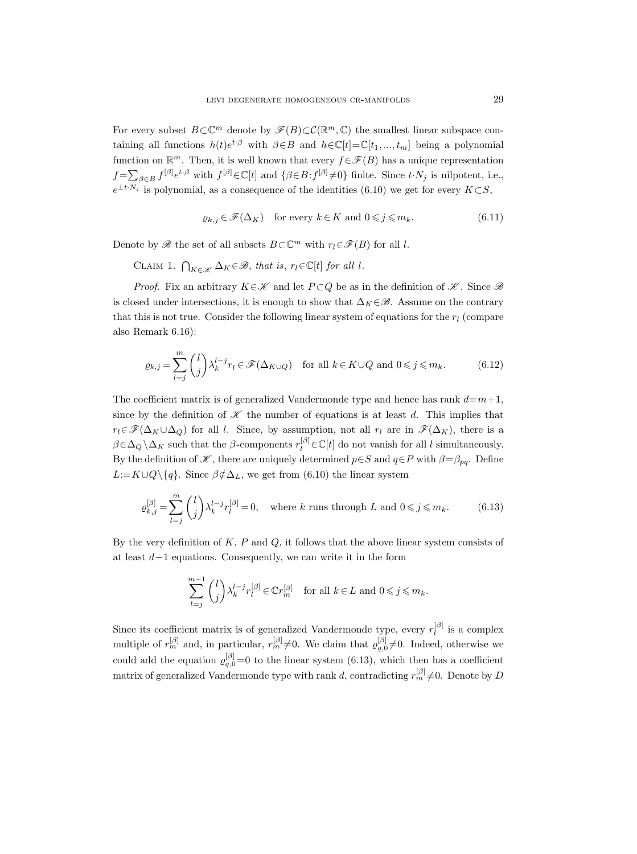For every subset  $B \subset \mathbb{C}^m$  denote by  $\mathscr{F}(B) \subset \mathcal{C}(\mathbb{R}^m,\mathbb{C})$  the smallest linear subspace containing all functions  $h(t)e^{t\cdot\beta}$  with  $\beta \in B$  and  $h \in \mathbb{C}[t] = \mathbb{C}[t_1, ..., t_m]$  being a polynomial function on  $\mathbb{R}^m$ . Then, it is well known that every  $f \in \mathscr{F}(B)$  has a unique representation  $f = \sum_{\beta \in B} f^{[\beta]} e^{t \cdot \beta}$  with  $f^{[\beta]} \in \mathbb{C}[t]$  and  $\{\beta \in B : f^{[\beta]} \neq 0\}$  finite. Since  $t \cdot N_j$  is nilpotent, i.e.,  $e^{\pm t \cdot N_j}$  is polynomial, as a consequence of the identities (6.10) we get for every  $K \subset S$ ,

$$
\varrho_{k,j} \in \mathcal{F}(\Delta_K) \quad \text{for every } k \in K \text{ and } 0 \leqslant j \leqslant m_k. \tag{6.11}
$$

Denote by  $\mathscr B$  the set of all subsets  $B\subset\mathbb C^m$  with  $r_l\in\mathscr F(B)$  for all l.

CLAIM 1.  $\bigcap_{K \in \mathcal{K}} \Delta_K \in \mathcal{B}$ , that is,  $r_l \in \mathbb{C}[t]$  for all l.

*Proof.* Fix an arbitrary  $K \in \mathcal{K}$  and let  $P \subset Q$  be as in the definition of  $\mathcal{K}$ . Since  $\mathcal{B}$ is closed under intersections, it is enough to show that  $\Delta_K \in \mathcal{B}$ . Assume on the contrary that this is not true. Consider the following linear system of equations for the  $r_l$  (compare also Remark 6.16):

$$
\varrho_{k,j} = \sum_{l=j}^{m} \binom{l}{j} \lambda_k^{l-j} r_l \in \mathcal{F}(\Delta_{K \cup Q}) \quad \text{for all } k \in K \cup Q \text{ and } 0 \leqslant j \leqslant m_k. \tag{6.12}
$$

The coefficient matrix is of generalized Vandermonde type and hence has rank  $d=m+1$ , since by the definition of  $\mathscr K$  the number of equations is at least d. This implies that  $r_l \in \mathscr{F}(\Delta_K \cup \Delta_O)$  for all l. Since, by assumption, not all  $r_l$  are in  $\mathscr{F}(\Delta_K)$ , there is a  $\beta \in \Delta_Q \setminus \Delta_K$  such that the  $\beta$ -components  $r_l^{[\beta]} \in \mathbb{C}[t]$  do not vanish for all l simultaneously. By the definition of  $\mathscr K$ , there are uniquely determined  $p \in S$  and  $q \in P$  with  $\beta = \beta_{pq}$ . Define  $L:=K\cup Q\setminus\{q\}.$  Since  $\beta \notin \Delta_L$ , we get from (6.10) the linear system

$$
\varrho_{k,j}^{[\beta]} = \sum_{l=j}^{m} \binom{l}{j} \lambda_k^{l-j} r_l^{[\beta]} = 0, \quad \text{where } k \text{ runs through } L \text{ and } 0 \le j \le m_k. \tag{6.13}
$$

By the very definition of  $K$ ,  $P$  and  $Q$ , it follows that the above linear system consists of at least d−1 equations. Consequently, we can write it in the form

$$
\sum_{l=j}^{m-1} \binom{l}{j} \lambda_k^{l-j} r_l^{[\beta]} \in \mathbb{C} r_m^{[\beta]} \quad \text{for all } k \in L \text{ and } 0 \leqslant j \leqslant m_k.
$$

Since its coefficient matrix is of generalized Vandermonde type, every  $r_l^{[\beta]}$  $\iota_l^{[\rho]}$  is a complex multiple of  $r_m^{[\beta]}$  and, in particular,  $r_m^{[\beta]} \neq 0$ . We claim that  $\varrho_{q,0}^{[\beta]} \neq 0$ . Indeed, otherwise we could add the equation  $\varrho_{q,0}^{[\beta]}=0$  to the linear system (6.13), which then has a coefficient matrix of generalized Vandermonde type with rank d, contradicting  $r_m^{[\beta]} \neq 0$ . Denote by D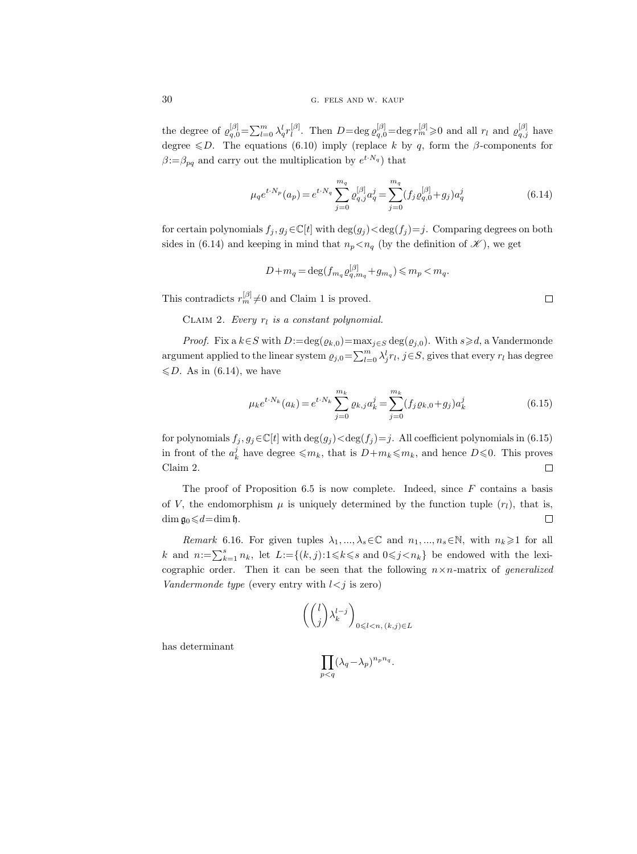the degree of  $\varrho_{q,0}^{|\beta|} = \sum_{l=0}^{m} \lambda_q^l r_l^{|\beta|}$  $\int_l^{[\beta]}$ . Then  $D = \text{deg } \varrho_{q,0}^{[\beta]} = \text{deg } r_m^{[\beta]} \geqslant 0$  and all  $r_l$  and  $\varrho_{q,j}^{[\beta]}$  have degree  $\leq D$ . The equations (6.10) imply (replace k by q, form the β-components for  $\beta = \beta_{pq}$  and carry out the multiplication by  $e^{t \cdot N_q}$  that

$$
\mu_q e^{t \cdot N_p}(a_p) = e^{t \cdot N_q} \sum_{j=0}^{m_q} \varrho_{q,j}^{[\beta]} a_q^j = \sum_{j=0}^{m_q} (f_j \varrho_{q,0}^{[\beta]} + g_j) a_q^j \tag{6.14}
$$

for certain polynomials  $f_j, g_j \in \mathbb{C}[t]$  with  $\deg(g_j) < \deg(f_j) = j$ . Comparing degrees on both sides in (6.14) and keeping in mind that  $n_p < n_q$  (by the definition of  $\mathscr{K}$ ), we get

$$
D + m_q = \deg(f_{m_q} \varrho_{q, m_q}^{[\beta]} + g_{m_q}) \leqslant m_p < m_q.
$$

This contradicts  $r_m^{[\beta]} \neq 0$  and Claim 1 is proved.

CLAIM 2. Every  $r_l$  is a constant polynomial.

*Proof.* Fix a  $k \in S$  with  $D:=\deg(\varrho_{k,0})=\max_{j\in S}\deg(\varrho_{j,0})$ . With  $s\geq d$ , a Vandermonde argument applied to the linear system  $\varrho_{j,0} = \sum_{l=0}^{m} \lambda_j^l r_l$ ,  $j \in S$ , gives that every  $r_l$  has degree  $\leq D$ . As in (6.14), we have

$$
\mu_k e^{t \cdot N_k}(a_k) = e^{t \cdot N_k} \sum_{j=0}^{m_k} \varrho_{k,j} a_k^j = \sum_{j=0}^{m_k} (f_j \varrho_{k,0} + g_j) a_k^j
$$
\n(6.15)

for polynomials  $f_j, g_j \in \mathbb{C}[t]$  with  $\deg(g_j) < \deg(f_j) = j$ . All coefficient polynomials in (6.15) in front of the  $a_k^j$  have degree  $\leqslant m_k$ , that is  $D+m_k\leqslant m_k$ , and hence  $D\leqslant 0$ . This proves Claim 2.  $\Box$ 

The proof of Proposition 6.5 is now complete. Indeed, since  $F$  contains a basis of V, the endomorphism  $\mu$  is uniquely determined by the function tuple  $(r_l)$ , that is, dim  $\mathfrak{g}_0 \leq d = \dim \mathfrak{h}$ .  $\Box$ 

Remark 6.16. For given tuples  $\lambda_1, ..., \lambda_s \in \mathbb{C}$  and  $n_1, ..., n_s \in \mathbb{N}$ , with  $n_k \geq 1$  for all k and  $n:=\sum_{k=1}^s n_k$ , let  $L:=\{(k,j):1\leq k\leq s$  and  $0\leq j\leq n_k\}$  be endowed with the lexicographic order. Then it can be seen that the following  $n \times n$ -matrix of *generalized* Vandermonde type (every entry with  $l < j$  is zero)

$$
\left( \binom{l}{j} \lambda_k^{l-j} \right)_{0 \leq l < n, (k,j) \in L}
$$

has determinant

$$
\prod_{p
$$

$$
\Box
$$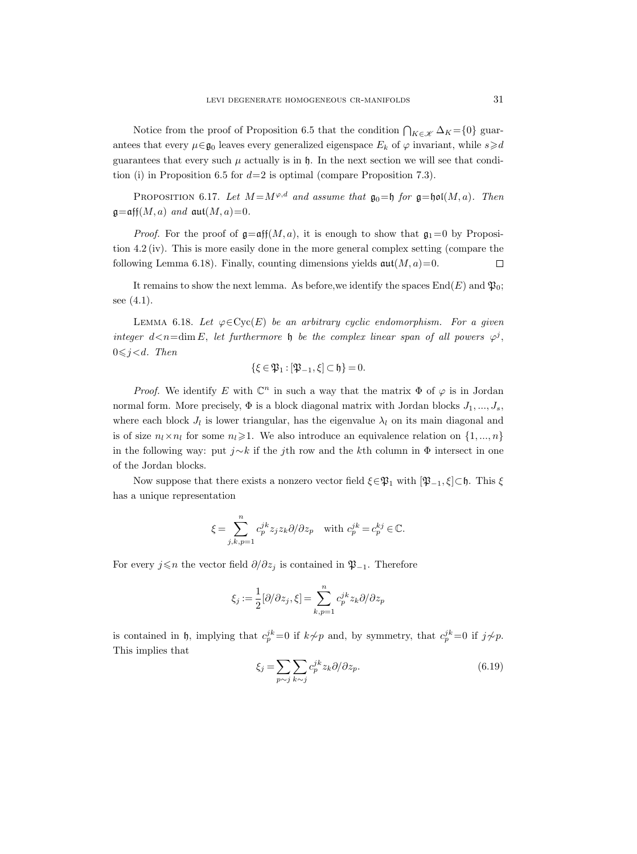Notice from the proof of Proposition 6.5 that the condition  $\bigcap_{K \in \mathcal{K}} \Delta_K = \{0\}$  guarantees that every  $\mu \in \mathfrak{g}_0$  leaves every generalized eigenspace  $E_k$  of  $\varphi$  invariant, while  $s \geq d$ guarantees that every such  $\mu$  actually is in  $\mathfrak{h}$ . In the next section we will see that condition (i) in Proposition 6.5 for  $d=2$  is optimal (compare Proposition 7.3).

PROPOSITION 6.17. Let  $M = M^{\varphi,d}$  and assume that  $\mathfrak{g}_0 = \mathfrak{h}$  for  $\mathfrak{g} = \mathfrak{hol}(M, a)$ . Then  $\mathfrak{g}=\mathfrak{aff}(M,a)$  and  $\mathfrak{aut}(M,a)=0$ .

*Proof.* For the proof of  $\mathfrak{g}=\mathfrak{aff}(M, a)$ , it is enough to show that  $\mathfrak{g}_1=0$  by Proposition 4.2 (iv). This is more easily done in the more general complex setting (compare the following Lemma 6.18). Finally, counting dimensions yields  $\operatorname{aut}(M, a) = 0$ .  $\Box$ 

It remains to show the next lemma. As before, we identify the spaces  $\text{End}(E)$  and  $\mathfrak{P}_0$ ; see (4.1).

LEMMA 6.18. Let  $\varphi \in \text{Cyc}(E)$  be an arbitrary cyclic endomorphism. For a given integer  $d < n = \dim E$ , let furthermore h be the complex linear span of all powers  $\varphi^j$ ,  $0 \leq j \leq d$ . Then

$$
\{\xi\in\mathfrak{P}_1:[\mathfrak{P}_{-1},\xi]\subset\mathfrak{h}\}=0.
$$

*Proof.* We identify E with  $\mathbb{C}^n$  in such a way that the matrix  $\Phi$  of  $\varphi$  is in Jordan normal form. More precisely,  $\Phi$  is a block diagonal matrix with Jordan blocks  $J_1, ..., J_s$ , where each block  $J_l$  is lower triangular, has the eigenvalue  $\lambda_l$  on its main diagonal and is of size  $n_l \times n_l$  for some  $n_l \geq 1$ . We also introduce an equivalence relation on  $\{1, ..., n\}$ in the following way: put j∼k if the jth row and the kth column in  $\Phi$  intersect in one of the Jordan blocks.

Now suppose that there exists a nonzero vector field  $\xi \in \mathfrak{P}_1$  with  $[\mathfrak{P}_{-1}, \xi] \subset \mathfrak{h}$ . This  $\xi$ has a unique representation

$$
\xi = \sum_{j,k,p=1}^n c_p^{jk} z_j z_k \partial/\partial z_p \quad \text{with } c_p^{jk} = c_p^{kj} \in \mathbb{C}.
$$

For every  $j \le n$  the vector field  $\partial/\partial z_j$  is contained in  $\mathfrak{P}_{-1}$ . Therefore

$$
\xi_j := \frac{1}{2} [\partial/\partial z_j, \xi] = \sum_{k,p=1}^n c_p^{jk} z_k \partial/\partial z_p
$$

is contained in h, implying that  $c_p^{jk}=0$  if  $k \not\sim p$  and, by symmetry, that  $c_p^{jk}=0$  if  $j \not\sim p$ . This implies that

$$
\xi_j = \sum_{p \sim j} \sum_{k \sim j} c_p^{jk} z_k \partial / \partial z_p. \tag{6.19}
$$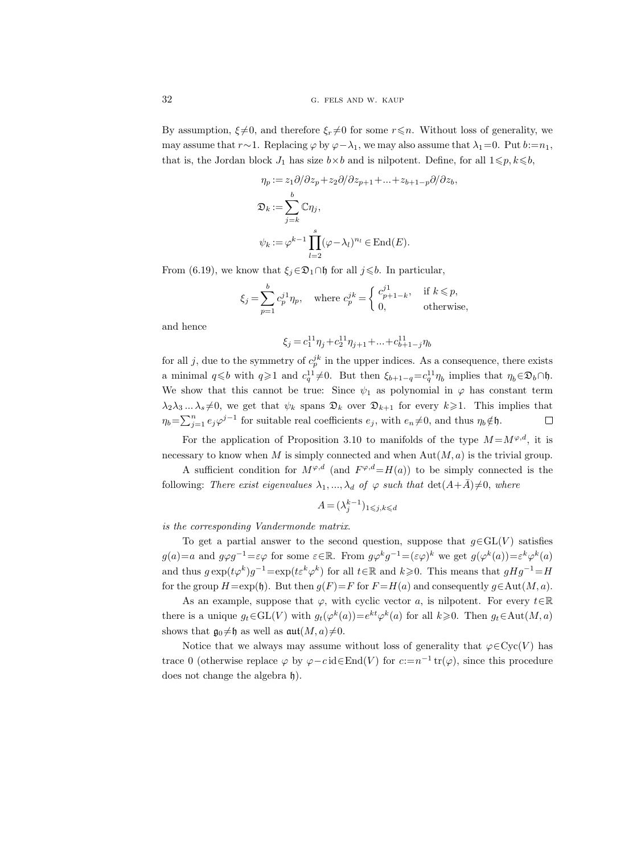By assumption,  $\xi \neq 0$ , and therefore  $\xi_r \neq 0$  for some  $r \leq n$ . Without loss of generality, we may assume that  $r \sim 1$ . Replacing  $\varphi$  by  $\varphi - \lambda_1$ , we may also assume that  $\lambda_1 = 0$ . Put  $b := n_1$ , that is, the Jordan block  $J_1$  has size  $b \times b$  and is nilpotent. Define, for all  $1 \leq p, k \leq b$ ,

$$
\eta_p := z_1 \partial/\partial z_p + z_2 \partial/\partial z_{p+1} + \dots + z_{b+1-p} \partial/\partial z_b,
$$
  

$$
\mathfrak{D}_k := \sum_{j=k}^b \mathbb{C} \eta_j,
$$
  

$$
\psi_k := \varphi^{k-1} \prod_{l=2}^s (\varphi - \lambda_l)^{n_l} \in \text{End}(E).
$$

From (6.19), we know that  $\xi_j \in \mathfrak{D}_1 \cap \mathfrak{h}$  for all  $j \leq b$ . In particular,

$$
\xi_j = \sum_{p=1}^b c_p^{j1} \eta_p, \quad \text{where } c_p^{jk} = \begin{cases} c_{p+1-k}^{j1}, & \text{if } k \leq p, \\ 0, & \text{otherwise,} \end{cases}
$$

and hence

$$
\xi_j = c_1^{11} \eta_j + c_2^{11} \eta_{j+1} + \ldots + c_{b+1-j}^{11} \eta_b
$$

for all j, due to the symmetry of  $c_p^{jk}$  in the upper indices. As a consequence, there exists a minimal  $q \leq b$  with  $q \geq 1$  and  $c_q^{11} \neq 0$ . But then  $\xi_{b+1-q} = c_q^{11} \eta_b$  implies that  $\eta_b \in \mathfrak{D}_b \cap \mathfrak{h}$ . We show that this cannot be true: Since  $\psi_1$  as polynomial in  $\varphi$  has constant term  $\lambda_2\lambda_3...\lambda_s\neq 0$ , we get that  $\psi_k$  spans  $\mathfrak{D}_k$  over  $\mathfrak{D}_{k+1}$  for every  $k\geqslant 1$ . This implies that  $\eta_b = \sum_{j=1}^n e_j \varphi^{j-1}$  for suitable real coefficients  $e_j$ , with  $e_n \neq 0$ , and thus  $\eta_b \notin \mathfrak{h}$ .  $\Box$ 

For the application of Proposition 3.10 to manifolds of the type  $M = M^{\varphi,d}$ , it is necessary to know when M is simply connected and when  $\text{Aut}(M, a)$  is the trivial group.

A sufficient condition for  $M^{\varphi,d}$  (and  $F^{\varphi,d} = H(a)$ ) to be simply connected is the following: There exist eigenvalues  $\lambda_1, ..., \lambda_d$  of  $\varphi$  such that  $\det(A+\overline{A})\neq 0$ , where

$$
A = (\lambda_j^{k-1})_{1 \leq j,k \leq d}
$$

is the corresponding Vandermonde matrix.

To get a partial answer to the second question, suppose that  $g \in GL(V)$  satisfies  $g(a)=a$  and  $g\varphi g^{-1}=\varepsilon\varphi$  for some  $\varepsilon \in \mathbb{R}$ . From  $g\varphi^k g^{-1} = (\varepsilon\varphi)^k$  we get  $g(\varphi^k(a)) = \varepsilon^k \varphi^k(a)$ and thus  $g \exp(t\varphi^k)g^{-1} = \exp(t\varepsilon^k\varphi^k)$  for all  $t \in \mathbb{R}$  and  $k \geqslant 0$ . This means that  $gHg^{-1} = H$ for the group  $H=\exp(\mathfrak{h})$ . But then  $g(F)=F$  for  $F = H(a)$  and consequently  $g \in \text{Aut}(M, a)$ .

As an example, suppose that  $\varphi$ , with cyclic vector a, is nilpotent. For every  $t \in \mathbb{R}$ there is a unique  $g_t \in GL(V)$  with  $g_t(\varphi^k(a)) = e^{kt} \varphi^k(a)$  for all  $k \geq 0$ . Then  $g_t \in Aut(M, a)$ shows that  $\mathfrak{g}_0\neq \mathfrak{h}$  as well as  $\mathfrak{aut}(M, a)\neq 0$ .

Notice that we always may assume without loss of generality that  $\varphi \in \mathrm{Cyc}(V)$  has trace 0 (otherwise replace  $\varphi$  by  $\varphi - c \operatorname{id} \in \text{End}(V)$  for  $c := n^{-1} \operatorname{tr}(\varphi)$ , since this procedure does not change the algebra  $\mathfrak{h}$ ).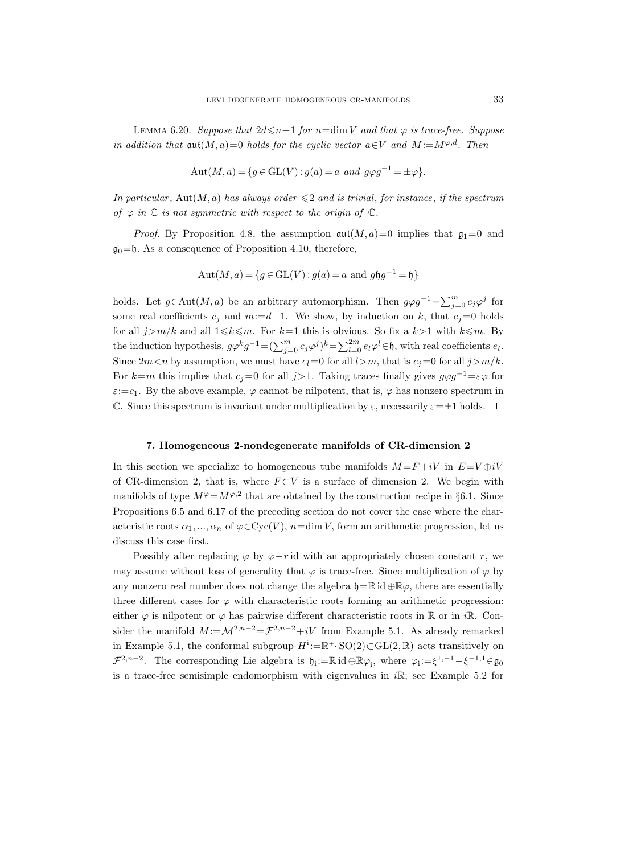LEMMA 6.20. Suppose that  $2d \leq n+1$  for  $n=\dim V$  and that  $\varphi$  is trace-free. Suppose in addition that  $\operatorname{aut}(M, a) = 0$  holds for the cyclic vector  $a \in V$  and  $M := M^{\varphi, d}$ . Then

$$
Aut(M, a) = \{ g \in GL(V) : g(a) = a \text{ and } g\varphi g^{-1} = \pm \varphi \}.
$$

In particular, Aut $(M, a)$  has always order  $\leq 2$  and is trivial, for instance, if the spectrum of  $\varphi$  in  $\mathbb C$  is not symmetric with respect to the origin of  $\mathbb C$ .

*Proof.* By Proposition 4.8, the assumption  $\mathfrak{aut}(M, a) = 0$  implies that  $\mathfrak{g}_1 = 0$  and  $\mathfrak{g}_0 = \mathfrak{h}$ . As a consequence of Proposition 4.10, therefore,

$$
Aut(M, a) = \{ g \in GL(V) : g(a) = a \text{ and } g \mathfrak{h}g^{-1} = \mathfrak{h} \}
$$

holds. Let  $g \in \text{Aut}(M, a)$  be an arbitrary automorphism. Then  $g \varphi g^{-1} = \sum_{j=0}^m c_j \varphi^j$  for some real coefficients  $c_i$  and  $m:=d-1$ . We show, by induction on k, that  $c_i=0$  holds for all  $j>m/k$  and all  $1\leq k\leq m$ . For  $k=1$  this is obvious. So fix a  $k>1$  with  $k\leq m$ . By the induction hypothesis,  $g\varphi^k g^{-1} = (\sum_{j=0}^m c_j\varphi^j)^k = \sum_{l=0}^{2m} e_l\varphi^l \in \mathfrak{h}$ , with real coefficients  $e_l$ . Since  $2m < n$  by assumption, we must have  $e_l=0$  for all  $l>m$ , that is  $c_j=0$  for all  $j>m/k$ . For k=m this implies that  $c_j=0$  for all  $j>1$ . Taking traces finally gives  $g\varphi g^{-1}=\varepsilon\varphi$  for  $\varepsilon:=c_1$ . By the above example,  $\varphi$  cannot be nilpotent, that is,  $\varphi$  has nonzero spectrum in C. Since this spectrum is invariant under multiplication by  $\varepsilon$ , necessarily  $\varepsilon = \pm 1$  holds.  $\square$ 

#### 7. Homogeneous 2-nondegenerate manifolds of CR-dimension 2

In this section we specialize to homogeneous tube manifolds  $M = F + iV$  in  $E = V \oplus iV$ of CR-dimension 2, that is, where  $F \subset V$  is a surface of dimension 2. We begin with manifolds of type  $M^{\varphi} = M^{\varphi,2}$  that are obtained by the construction recipe in §6.1. Since Propositions 6.5 and 6.17 of the preceding section do not cover the case where the characteristic roots  $\alpha_1, ..., \alpha_n$  of  $\varphi \in \mathrm{Cyc}(V)$ ,  $n = \dim V$ , form an arithmetic progression, let us discuss this case first.

Possibly after replacing  $\varphi$  by  $\varphi-r$  id with an appropriately chosen constant r, we may assume without loss of generality that  $\varphi$  is trace-free. Since multiplication of  $\varphi$  by any nonzero real number does not change the algebra  $\mathfrak{h}=\mathbb{R}$  id  $\oplus\mathbb{R}\varphi$ , there are essentially three different cases for  $\varphi$  with characteristic roots forming an arithmetic progression: either  $\varphi$  is nilpotent or  $\varphi$  has pairwise different characteristic roots in R or in iR. Consider the manifold  $M := \mathcal{M}^{2,n-2} = \mathcal{F}^{2,n-2} + iV$  from Example 5.1. As already remarked in Example 5.1, the conformal subgroup  $H^i := \mathbb{R}^+ \cdot SO(2) \subset GL(2, \mathbb{R})$  acts transitively on  $\mathcal{F}^{2,n-2}$ . The corresponding Lie algebra is  $\mathfrak{h}_i := \mathbb{R} \text{ id } \oplus \mathbb{R} \varphi_i$ , where  $\varphi_i := \xi^{1,-1} - \xi^{-1,1} \in \mathfrak{g}_0$ is a trace-free semisimple endomorphism with eigenvalues in  $i\mathbb{R}$ ; see Example 5.2 for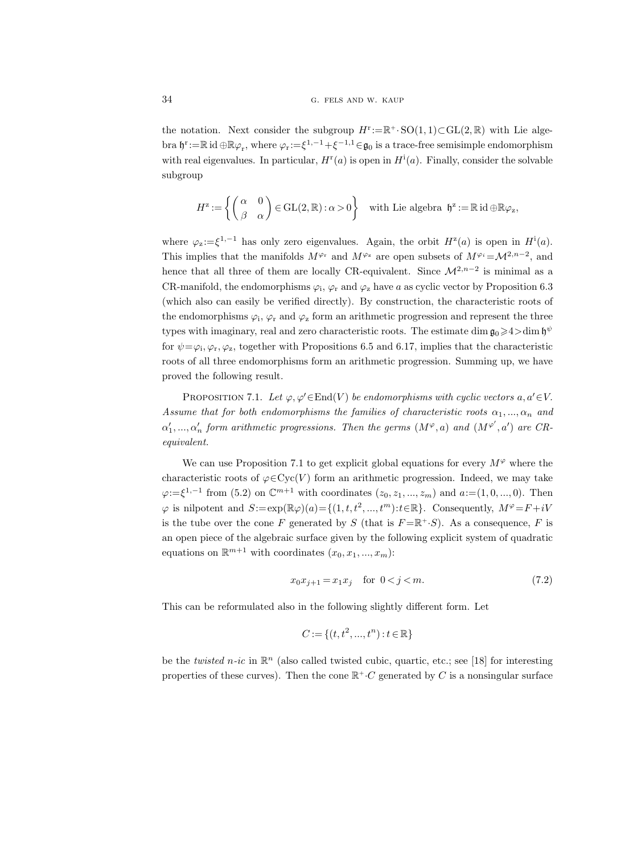the notation. Next consider the subgroup  $H^r := \mathbb{R}^+ \cdot SO(1,1) \subset GL(2,\mathbb{R})$  with Lie algebra  $\mathfrak{h}^r := \mathbb{R}$  id  $\oplus \mathbb{R} \varphi_r$ , where  $\varphi_r := \xi^{1,-1} + \xi^{-1,1} \in \mathfrak{g}_0$  is a trace-free semisimple endomorphism with real eigenvalues. In particular,  $H^{\text{r}}(a)$  is open in  $H^{\text{i}}(a)$ . Finally, consider the solvable subgroup

$$
H^{\mathbf{z}} := \left\{ \begin{pmatrix} \alpha & 0 \\ \beta & \alpha \end{pmatrix} \in \text{GL}(2,\mathbb{R}) : \alpha > 0 \right\} \quad \text{with Lie algebra } \mathfrak{h}^{\mathbf{z}} := \mathbb{R} \text{ id } \oplus \mathbb{R} \varphi_{\mathbf{z}},
$$

where  $\varphi_z := \xi^{1,-1}$  has only zero eigenvalues. Again, the orbit  $H^z(a)$  is open in  $H^i(a)$ . This implies that the manifolds  $M^{\varphi_r}$  and  $M^{\varphi_z}$  are open subsets of  $M^{\varphi_i} = M^{2,n-2}$ , and hence that all three of them are locally CR-equivalent. Since  $\mathcal{M}^{2,n-2}$  is minimal as a CR-manifold, the endomorphisms  $\varphi_i$ ,  $\varphi_r$  and  $\varphi_z$  have a as cyclic vector by Proposition 6.3 (which also can easily be verified directly). By construction, the characteristic roots of the endomorphisms  $\varphi_i$ ,  $\varphi_r$  and  $\varphi_z$  form an arithmetic progression and represent the three types with imaginary, real and zero characteristic roots. The estimate  $\dim \mathfrak{g}_0 \geq 4$   $>$   $\dim \mathfrak{h}^{\psi}$ for  $\psi = \varphi_i, \varphi_r, \varphi_z$ , together with Propositions 6.5 and 6.17, implies that the characteristic roots of all three endomorphisms form an arithmetic progression. Summing up, we have proved the following result.

PROPOSITION 7.1. Let  $\varphi, \varphi' \in End(V)$  be endomorphisms with cyclic vectors  $a, a' \in V$ . Assume that for both endomorphisms the families of characteristic roots  $\alpha_1, ..., \alpha_n$  and  $\alpha'_1, ..., \alpha'_n$  form arithmetic progressions. Then the germs  $(M^\varphi,a)$  and  $(M^{\varphi'},a')$  are CRequivalent.

We can use Proposition 7.1 to get explicit global equations for every  $M^{\varphi}$  where the characteristic roots of  $\varphi \in \mathrm{Cyc}(V)$  form an arithmetic progression. Indeed, we may take  $\varphi:=\xi^{1,-1}$  from (5.2) on  $\mathbb{C}^{m+1}$  with coordinates  $(z_0, z_1, ..., z_m)$  and  $a:=(1,0,...,0)$ . Then  $\varphi$  is nilpotent and  $S := \exp(\mathbb{R}\varphi)(a) = \{(1, t, t^2, ..., t^m): t \in \mathbb{R}\}\.$  Consequently,  $M^{\varphi} = F + iV$ is the tube over the cone F generated by S (that is  $F = \mathbb{R}^+, S$ ). As a consequence, F is an open piece of the algebraic surface given by the following explicit system of quadratic equations on  $\mathbb{R}^{m+1}$  with coordinates  $(x_0, x_1, ..., x_m)$ :

$$
x_0 x_{j+1} = x_1 x_j \quad \text{for } 0 < j < m. \tag{7.2}
$$

This can be reformulated also in the following slightly different form. Let

$$
C := \{ (t, t^2, ..., t^n) : t \in \mathbb{R} \}
$$

be the *twisted*  $n$ -ic in  $\mathbb{R}^n$  (also called twisted cubic, quartic, etc.; see [18] for interesting properties of these curves). Then the cone  $\mathbb{R}^+ \cdot C$  generated by C is a nonsingular surface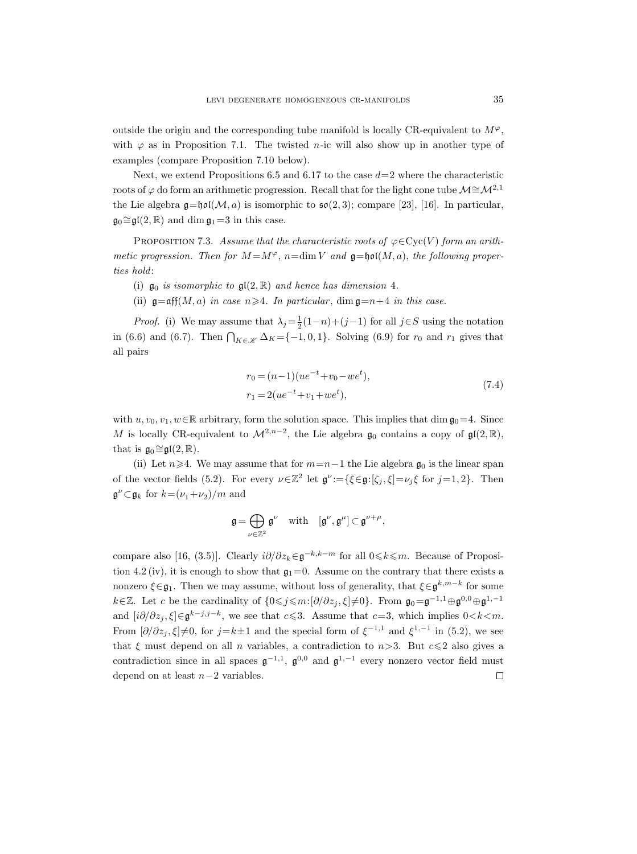outside the origin and the corresponding tube manifold is locally CR-equivalent to  $M^{\varphi}$ , with  $\varphi$  as in Proposition 7.1. The twisted *n*-ic will also show up in another type of examples (compare Proposition 7.10 below).

Next, we extend Propositions 6.5 and 6.17 to the case  $d=2$  where the characteristic roots of  $\varphi$  do form an arithmetic progression. Recall that for the light cone tube  $\mathcal{M} \cong \mathcal{M}^{2,1}$ the Lie algebra  $\mathfrak{g} = \mathfrak{hol}(\mathcal{M}, a)$  is isomorphic to  $\mathfrak{so}(2, 3)$ ; compare [23], [16]. In particular,  $\mathfrak{g}_0 \cong \mathfrak{gl}(2,\mathbb{R})$  and dim  $\mathfrak{g}_1 = 3$  in this case.

PROPOSITION 7.3. Assume that the characteristic roots of  $\varphi \in \text{Cyc}(V)$  form an arithmetic progression. Then for  $M = M^{\varphi}$ ,  $n = \dim V$  and  $\mathfrak{g} = \mathfrak{hol}(M, a)$ , the following properties hold:

- (i)  $\mathfrak{g}_0$  is isomorphic to  $\mathfrak{gl}(2,\mathbb{R})$  and hence has dimension 4.
- (ii)  $\mathfrak{g}=\mathfrak{aff}(M,a)$  in case  $n\geqslant 4$ . In particular,  $\dim \mathfrak{g}=n+4$  in this case.

*Proof.* (i) We may assume that  $\lambda_j = \frac{1}{2}(1-n)+(j-1)$  for all  $j \in S$  using the notation in (6.6) and (6.7). Then  $\bigcap_{K \in \mathcal{K}} \Delta_K = \{-1, 0, 1\}$ . Solving (6.9) for  $r_0$  and  $r_1$  gives that all pairs

$$
r_0 = (n-1)(ue^{-t} + v_0 - we^t),
$$
  
\n
$$
r_1 = 2(ue^{-t} + v_1 + we^t),
$$
\n(7.4)

with  $u, v_0, v_1, w \in \mathbb{R}$  arbitrary, form the solution space. This implies that dim  $\mathfrak{g}_0 = 4$ . Since M is locally CR-equivalent to  $\mathcal{M}^{2,n-2}$ , the Lie algebra  $\mathfrak{g}_0$  contains a copy of  $\mathfrak{gl}(2,\mathbb{R})$ , that is  $\mathfrak{g}_0 \cong \mathfrak{gl}(2,\mathbb{R})$ .

(ii) Let  $n\geqslant 4$ . We may assume that for  $m=n-1$  the Lie algebra  $\mathfrak{g}_0$  is the linear span of the vector fields (5.2). For every  $\nu \in \mathbb{Z}^2$  let  $\mathfrak{g}^{\nu} := {\{\xi \in \mathfrak{g} : [\zeta_j, \xi] = \nu_j \xi \text{ for } j = 1, 2\}}$ . Then  $\mathfrak{g}^{\nu} \subset \mathfrak{g}_k$  for  $k = (\nu_1 + \nu_2)/m$  and

$$
\mathfrak{g}=\bigoplus_{\nu\in\mathbb{Z}^2}\mathfrak{g}^\nu\quad\text{with}\quad [\mathfrak{g}^\nu,\mathfrak{g}^\mu]\subset\mathfrak{g}^{\nu+\mu},
$$

compare also [16, (3.5)]. Clearly  $i\partial/\partial z_k \in \mathfrak{g}^{-k,k-m}$  for all  $0 \leq k \leq m$ . Because of Proposition 4.2 (iv), it is enough to show that  $\mathfrak{g}_1=0$ . Assume on the contrary that there exists a nonzero  $\xi \in \mathfrak{g}_1$ . Then we may assume, without loss of generality, that  $\xi \in \mathfrak{g}^{k,m-k}$  for some  $k\in\mathbb{Z}$ . Let c be the cardinality of  $\{0\leqslant j\leqslant m: [\partial/\partial z_j,\xi]\neq 0\}$ . From  $\mathfrak{g}_0=\mathfrak{g}^{-1,1}\oplus\mathfrak{g}^{0,0}\oplus\mathfrak{g}^{1,-1}$ and  $[i\partial/\partial z_j, \xi] \in \mathfrak{g}^{k-j,j-k}$ , we see that  $c \leq 3$ . Assume that  $c=3$ , which implies  $0 < k < m$ . From  $[\partial/\partial z_j, \xi] \neq 0$ , for  $j = k \pm 1$  and the special form of  $\xi^{-1,1}$  and  $\xi^{1,-1}$  in (5.2), we see that  $\xi$  must depend on all n variables, a contradiction to  $n>3$ . But  $c\leq 2$  also gives a contradiction since in all spaces  $\mathfrak{g}^{-1,1}$ ,  $\mathfrak{g}^{0,0}$  and  $\mathfrak{g}^{1,-1}$  every nonzero vector field must depend on at least  $n-2$  variables.  $\Box$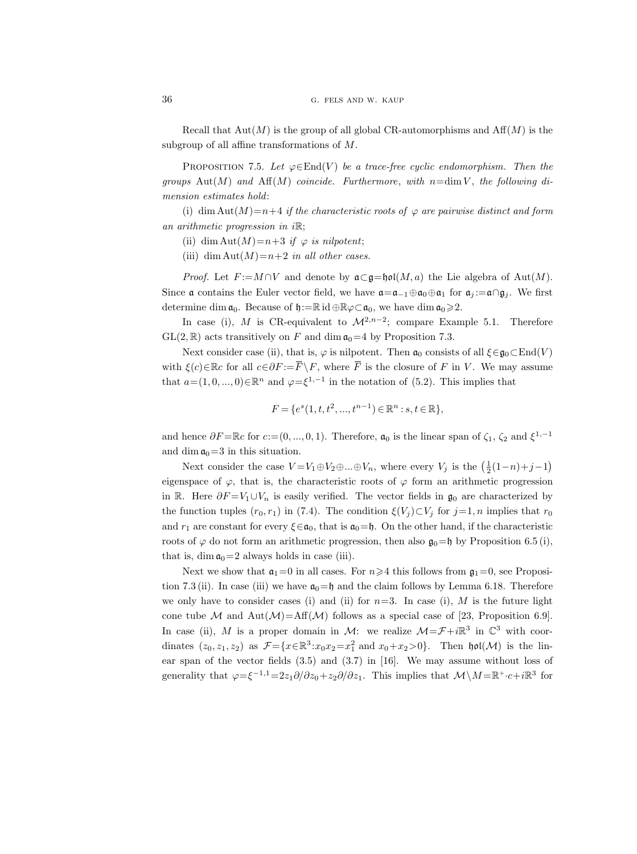Recall that  $Aut(M)$  is the group of all global CR-automorphisms and  $Aff(M)$  is the subgroup of all affine transformations of M.

PROPOSITION 7.5. Let  $\varphi \in \text{End}(V)$  be a trace-free cyclic endomorphism. Then the groups Aut $(M)$  and Aff $(M)$  coincide. Furthermore, with n=dim V, the following dimension estimates hold:

(i) dim Aut $(M)=n+4$  if the characteristic roots of  $\varphi$  are pairwise distinct and form an arithmetic progression in  $i\mathbb{R}$ ;

- (ii) dim Aut $(M)=n+3$  if  $\varphi$  is nilpotent;
- (iii) dim Aut $(M)=n+2$  in all other cases.

*Proof.* Let  $F := M \cap V$  and denote by  $\mathfrak{a} \subset \mathfrak{g} = \mathfrak{hol}(M, a)$  the Lie algebra of Aut $(M)$ . Since a contains the Euler vector field, we have  $\mathfrak{a} = \mathfrak{a}_{-1} \oplus \mathfrak{a}_0 \oplus \mathfrak{a}_1$  for  $\mathfrak{a}_i := \mathfrak{a} \cap \mathfrak{g}_i$ . We first determine dim  $\mathfrak{a}_0$ . Because of  $\mathfrak{h}:=\mathbb{R}$  id  $\oplus \mathbb{R} \varphi \subset \mathfrak{a}_0$ , we have dim  $\mathfrak{a}_0 \geq 2$ .

In case (i), M is CR-equivalent to  $\mathcal{M}^{2,n-2}$ ; compare Example 5.1. Therefore  $GL(2,\mathbb{R})$  acts transitively on F and dim  $\mathfrak{a}_0=4$  by Proposition 7.3.

Next consider case (ii), that is,  $\varphi$  is nilpotent. Then  $\mathfrak{a}_0$  consists of all  $\xi \in \mathfrak{g}_0 \subset \text{End}(V)$ with  $\xi(c) \in \mathbb{R}c$  for all  $c \in \partial F := \overline{F} \setminus F$ , where  $\overline{F}$  is the closure of F in V. We may assume that  $a = (1, 0, ..., 0) \in \mathbb{R}^n$  and  $\varphi = \xi^{1,-1}$  in the notation of  $(5.2)$ . This implies that

$$
F = \{e^s(1, t, t^2, ..., t^{n-1}) \in \mathbb{R}^n : s, t \in \mathbb{R}\},\
$$

and hence  $\partial F = \mathbb{R}c$  for  $c := (0, ..., 0, 1)$ . Therefore,  $\mathfrak{a}_0$  is the linear span of  $\zeta_1$ ,  $\zeta_2$  and  $\xi^{1,-1}$ and dim  $a_0=3$  in this situation.

Next consider the case  $V = V_1 \oplus V_2 \oplus ... \oplus V_n$ , where every  $V_j$  is the  $\left(\frac{1}{2}(1-n)+j-1\right)$ eigenspace of  $\varphi$ , that is, the characteristic roots of  $\varphi$  form an arithmetic progression in R. Here  $\partial F = V_1 \cup V_n$  is easily verified. The vector fields in  $\mathfrak{g}_0$  are characterized by the function tuples  $(r_0, r_1)$  in (7.4). The condition  $\xi(V_i) \subset V_i$  for  $j=1, n$  implies that  $r_0$ and  $r_1$  are constant for every  $\xi \in \mathfrak{a}_0$ , that is  $\mathfrak{a}_0 = \mathfrak{h}$ . On the other hand, if the characteristic roots of  $\varphi$  do not form an arithmetic progression, then also  $\mathfrak{g}_0=\mathfrak{h}$  by Proposition 6.5 (i), that is,  $\dim \mathfrak{a}_0 = 2$  always holds in case (iii).

Next we show that  $a_1=0$  in all cases. For  $n\geq 4$  this follows from  $a_1=0$ , see Proposition 7.3 (ii). In case (iii) we have  $a_0 = \mathfrak{h}$  and the claim follows by Lemma 6.18. Therefore we only have to consider cases (i) and (ii) for  $n=3$ . In case (i), M is the future light cone tube M and Aut $(\mathcal{M})$ =Aff $(\mathcal{M})$  follows as a special case of [23, Proposition 6.9]. In case (ii), M is a proper domain in M: we realize  $\mathcal{M} = \mathcal{F} + i\mathbb{R}^3$  in  $\mathbb{C}^3$  with coordinates  $(z_0, z_1, z_2)$  as  $\mathcal{F} = \{x \in \mathbb{R}^3 : x_0 x_2 = x_1^2 \text{ and } x_0 + x_2 > 0\}$ . Then  $\mathfrak{hol}(\mathcal{M})$  is the linear span of the vector fields (3.5) and (3.7) in [16]. We may assume without loss of generality that  $\varphi = \xi^{-1,1} = 2z_1\partial/\partial z_0 + z_2\partial/\partial z_1$ . This implies that  $\mathcal{M}\setminus M = \mathbb{R}^+ \cdot c + i\mathbb{R}^3$  for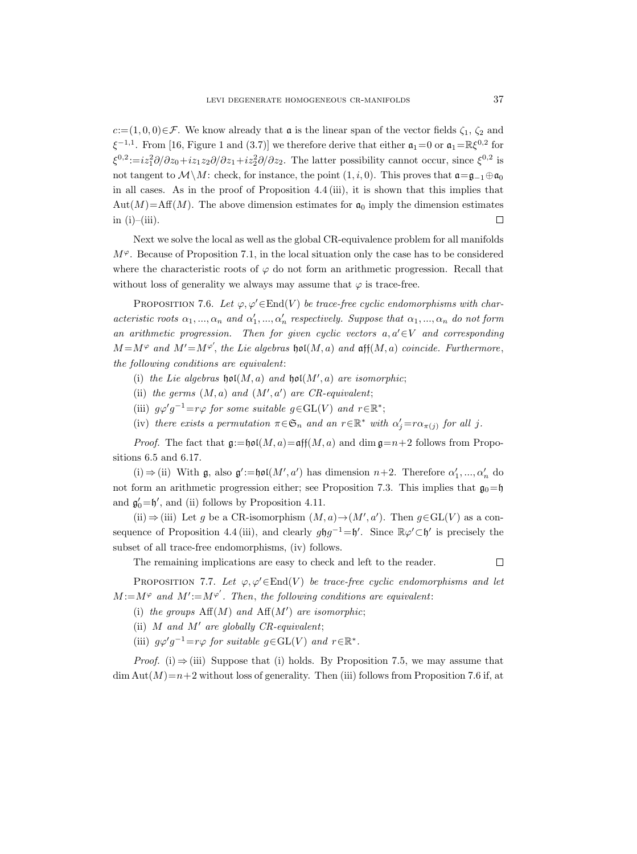$c:=(1, 0, 0)\in\mathcal{F}$ . We know already that **a** is the linear span of the vector fields  $\zeta_1$ ,  $\zeta_2$  and  $\xi^{-1,1}$ . From [16, Figure 1 and (3.7)] we therefore derive that either  $\mathfrak{a}_1=0$  or  $\mathfrak{a}_1=\mathbb{R}\xi^{0,2}$  for  $\xi^{0,2}:=iz_1^2\partial/\partial z_0+iz_1z_2\partial/\partial z_1+iz_2^2\partial/\partial z_2$ . The latter possibility cannot occur, since  $\xi^{0,2}$  is not tangent to  $\mathcal{M}\setminus M$ : check, for instance, the point  $(1, i, 0)$ . This proves that  $\mathfrak{a}=\mathfrak{g}_{-1}\oplus\mathfrak{a}_0$ in all cases. As in the proof of Proposition 4.4 (iii), it is shown that this implies that  $Aut(M)=Aff(M)$ . The above dimension estimates for  $\mathfrak{a}_0$  imply the dimension estimates in  $(i)$ – $(iii)$ .  $\Box$ 

Next we solve the local as well as the global CR-equivalence problem for all manifolds  $M^{\varphi}$ . Because of Proposition 7.1, in the local situation only the case has to be considered where the characteristic roots of  $\varphi$  do not form an arithmetic progression. Recall that without loss of generality we always may assume that  $\varphi$  is trace-free.

PROPOSITION 7.6. Let  $\varphi, \varphi' \in End(V)$  be trace-free cyclic endomorphisms with characteristic roots  $\alpha_1, ..., \alpha_n$  and  $\alpha'_1, ..., \alpha'_n$  respectively. Suppose that  $\alpha_1, ..., \alpha_n$  do not form an arithmetic progression. Then for given cyclic vectors  $a, a' \in V$  and corresponding  $M = M^{\varphi}$  and  $M' = M^{\varphi'}$ , the Lie algebras hol $(M, a)$  and aff $(M, a)$  coincide. Furthermore, the following conditions are equivalent:

- (i) the Lie algebras  $\mathfrak{hol}(M, a)$  and  $\mathfrak{hol}(M', a)$  are isomorphic;
- (ii) the germs  $(M, a)$  and  $(M', a')$  are CR-equivalent;
- (iii)  $g\varphi'g^{-1}=r\varphi$  for some suitable  $g\in GL(V)$  and  $r\in \mathbb{R}^*$ ;
- (iv) there exists a permutation  $\pi \in \mathfrak{S}_n$  and an  $r \in \mathbb{R}^*$  with  $\alpha'_j = r \alpha_{\pi(j)}$  for all j.

*Proof.* The fact that  $\mathfrak{g}:=\mathfrak{hol}(M, a)=\mathfrak{aff}(M, a)$  and dim  $\mathfrak{g}=n+2$  follows from Propositions 6.5 and 6.17.

(i) ⇒ (ii) With  $\mathfrak{g}$ , also  $\mathfrak{g}' := \mathfrak{hol}(M', a')$  has dimension  $n+2$ . Therefore  $\alpha'_1, ..., \alpha'_n$  do not form an arithmetic progression either; see Proposition 7.3. This implies that  $\mathfrak{g}_0 = \mathfrak{h}$ and  $\mathfrak{g}'_0 = \mathfrak{h}'$ , and (ii) follows by Proposition 4.11.

(ii)  $\Rightarrow$  (iii) Let g be a CR-isomorphism  $(M, a) \rightarrow (M', a')$ . Then  $g \in GL(V)$  as a consequence of Proposition 4.4(iii), and clearly  $g \mathfrak{h} g^{-1} = \mathfrak{h}'$ . Since  $\mathbb{R} \varphi' \subset \mathfrak{h}'$  is precisely the subset of all trace-free endomorphisms, (iv) follows.

The remaining implications are easy to check and left to the reader.

 $\Box$ 

PROPOSITION 7.7. Let  $\varphi, \varphi' \in End(V)$  be trace-free cyclic endomorphisms and let  $M := M^{\varphi}$  and  $M' := M^{\varphi'}$ . Then, the following conditions are equivalent:

(i) the groups  $\mathrm{Aff}(M)$  and  $\mathrm{Aff}(M')$  are isomorphic;

(ii)  $M$  and  $M'$  are globally CR-equivalent;

(iii)  $g\varphi'g^{-1}=r\varphi$  for suitable  $g\in GL(V)$  and  $r\in \mathbb{R}^*$ .

*Proof.* (i)  $\Rightarrow$  (iii) Suppose that (i) holds. By Proposition 7.5, we may assume that  $\dim \text{Aut}(M)=n+2$  without loss of generality. Then (iii) follows from Proposition 7.6 if, at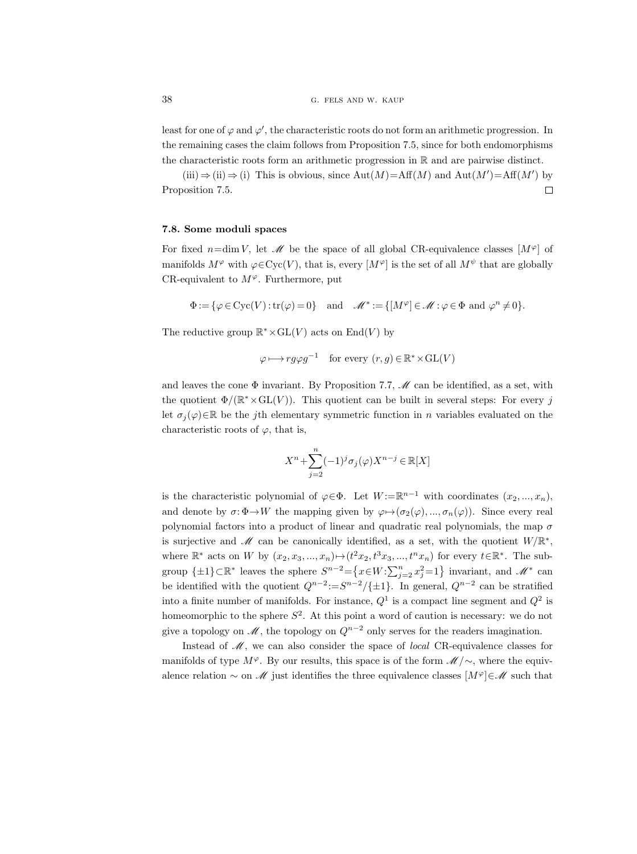least for one of  $\varphi$  and  $\varphi'$ , the characteristic roots do not form an arithmetic progression. In the remaining cases the claim follows from Proposition 7.5, since for both endomorphisms the characteristic roots form an arithmetic progression in R and are pairwise distinct.

 $(iii) \Rightarrow (ii) \Rightarrow (i)$  This is obvious, since Aut $(M) = Aff(M)$  and Aut $(M') = Aff(M')$  by Proposition 7.5.  $\Box$ 

### 7.8. Some moduli spaces

For fixed  $n=\dim V$ , let  $\mathcal M$  be the space of all global CR-equivalence classes  $[M^{\varphi}]$  of manifolds  $M^{\varphi}$  with  $\varphi \in Cyc(V)$ , that is, every  $[M^{\varphi}]$  is the set of all  $M^{\psi}$  that are globally CR-equivalent to  $M^{\varphi}$ . Furthermore, put

$$
\Phi := \{ \varphi \in \text{Cyc}(V) : \text{tr}(\varphi) = 0 \} \quad \text{and} \quad \mathscr{M}^* := \{ [M^\varphi] \in \mathscr{M} : \varphi \in \Phi \text{ and } \varphi^n \neq 0 \}.
$$

The reductive group  $\mathbb{R}^* \times GL(V)$  acts on  $End(V)$  by

$$
\varphi \longmapsto rg\varphi g^{-1}
$$
 for every  $(r, g) \in \mathbb{R}^* \times GL(V)$ 

and leaves the cone  $\Phi$  invariant. By Proposition 7.7,  $\mathcal{M}$  can be identified, as a set, with the quotient  $\Phi/(\mathbb{R}^* \times GL(V))$ . This quotient can be built in several steps: For every j let  $\sigma_i(\varphi) \in \mathbb{R}$  be the jth elementary symmetric function in n variables evaluated on the characteristic roots of  $\varphi$ , that is,

$$
X^n+\sum_{j=2}^n(-1)^j\sigma_j(\varphi)X^{n-j}\in\mathbb{R}[X]
$$

is the characteristic polynomial of  $\varphi \in \Phi$ . Let  $W := \mathbb{R}^{n-1}$  with coordinates  $(x_2, ..., x_n)$ , and denote by  $\sigma: \Phi \to W$  the mapping given by  $\varphi \mapsto (\sigma_2(\varphi), ..., \sigma_n(\varphi))$ . Since every real polynomial factors into a product of linear and quadratic real polynomials, the map  $\sigma$ is surjective and  $\mathscr M$  can be canonically identified, as a set, with the quotient  $W/\mathbb{R}^*$ , where  $\mathbb{R}^*$  acts on W by  $(x_2, x_3, ..., x_n) \mapsto (t^2x_2, t^3x_3, ..., t^nx_n)$  for every  $t \in \mathbb{R}^*$ . The subgroup  $\{\pm 1\} \subset \mathbb{R}^*$  leaves the sphere  $S^{n-2} = \{x \in W : \sum_{j=2}^n x_j^2 = 1\}$  invariant, and  $\mathscr{M}^*$  can be identified with the quotient  $Q^{n-2} := S^{n-2}/\{\pm 1\}$ . In general,  $Q^{n-2}$  can be stratified into a finite number of manifolds. For instance,  $Q^1$  is a compact line segment and  $Q^2$  is homeomorphic to the sphere  $S^2$ . At this point a word of caution is necessary: we do not give a topology on  $\mathcal{M}$ , the topology on  $Q^{n-2}$  only serves for the readers imagination.

Instead of  $M$ , we can also consider the space of *local* CR-equivalence classes for manifolds of type  $M^{\varphi}$ . By our results, this space is of the form  $\mathcal{M}/\sim$ , where the equivalence relation  $\sim$  on M just identifies the three equivalence classes  $[M^{\varphi}]\in\mathscr{M}$  such that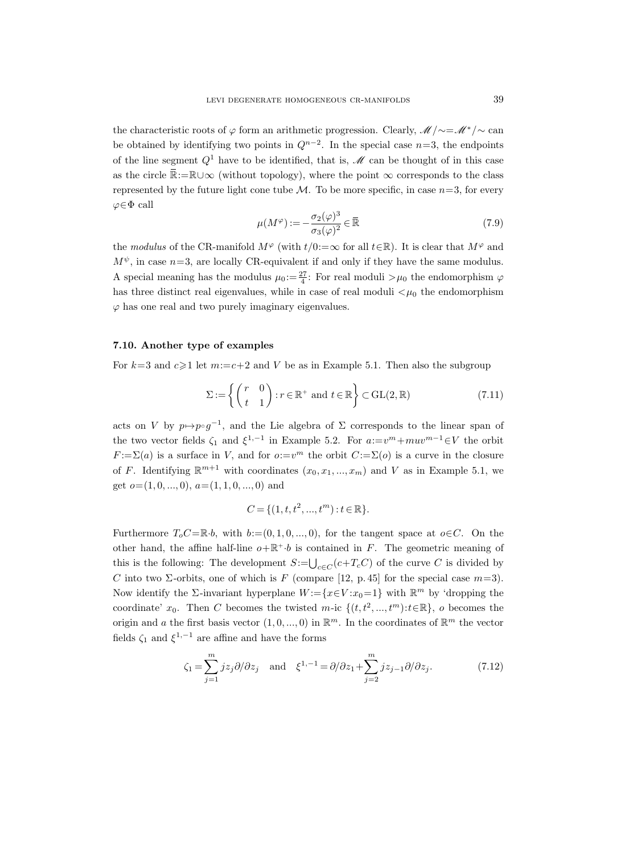the characteristic roots of  $\varphi$  form an arithmetic progression. Clearly,  $\mathcal{M}/\sim=\mathcal{M}^*/\sim$  can be obtained by identifying two points in  $Q^{n-2}$ . In the special case  $n=3$ , the endpoints of the line segment  $Q^1$  have to be identified, that is,  $\mathcal M$  can be thought of in this case as the circle  $\mathbb{R}:=\mathbb{R}\cup\infty$  (without topology), where the point  $\infty$  corresponds to the class represented by the future light cone tube  $\mathcal M$ . To be more specific, in case  $n=3$ , for every  $\varphi \in \Phi$  call

$$
\mu(M^{\varphi}) := -\frac{\sigma_2(\varphi)^3}{\sigma_3(\varphi)^2} \in \overline{\mathbb{R}} \tag{7.9}
$$

the modulus of the CR-manifold  $M^{\varphi}$  (with  $t/0:=\infty$  for all  $t\in\mathbb{R}$ ). It is clear that  $M^{\varphi}$  and  $M^{\psi}$ , in case  $n=3$ , are locally CR-equivalent if and only if they have the same modulus. A special meaning has the modulus  $\mu_0 := \frac{27}{4}$ : For real moduli  $>\mu_0$  the endomorphism  $\varphi$ has three distinct real eigenvalues, while in case of real moduli  $\lt \mu_0$  the endomorphism  $\varphi$  has one real and two purely imaginary eigenvalues.

### 7.10. Another type of examples

For  $k=3$  and  $c\geq 1$  let  $m:=c+2$  and V be as in Example 5.1. Then also the subgroup

$$
\Sigma := \left\{ \begin{pmatrix} r & 0 \\ t & 1 \end{pmatrix} : r \in \mathbb{R}^+ \text{ and } t \in \mathbb{R} \right\} \subset \text{GL}(2, \mathbb{R}) \tag{7.11}
$$

acts on V by  $p \mapsto p \circ g^{-1}$ , and the Lie algebra of  $\Sigma$  corresponds to the linear span of the two vector fields  $\zeta_1$  and  $\xi^{1,-1}$  in Example 5.2. For  $a:=v^m+mu v^{m-1}\in V$  the orbit  $F := \Sigma(a)$  is a surface in V, and for  $o:=v^m$  the orbit  $C:=\Sigma(o)$  is a curve in the closure of F. Identifying  $\mathbb{R}^{m+1}$  with coordinates  $(x_0, x_1, ..., x_m)$  and V as in Example 5.1, we get  $o=(1, 0, ..., 0), a=(1, 1, 0, ..., 0)$  and

$$
C = \{(1, t, t^2, ..., t^m) : t \in \mathbb{R}\}.
$$

Furthermore  $T_oC=\mathbb{R}\cdot b$ , with  $b:=(0,1,0,\ldots,0)$ , for the tangent space at  $o\in C$ . On the other hand, the affine half-line  $o+\mathbb{R}^+ \cdot b$  is contained in F. The geometric meaning of this is the following: The development  $S = \bigcup_{c \in C} (c + T_c C)$  of the curve C is divided by C into two  $\Sigma$ -orbits, one of which is F (compare [12, p. 45] for the special case  $m=3$ ). Now identify the  $\Sigma$ -invariant hyperplane  $W := \{x \in V : x_0 = 1\}$  with  $\mathbb{R}^m$  by 'dropping the coordinate'  $x_0$ . Then C becomes the twisted m-ic  $\{(t, t^2, ..., t^m): t \in \mathbb{R}\},\ o$  becomes the origin and a the first basis vector  $(1,0,...,0)$  in  $\mathbb{R}^m$ . In the coordinates of  $\mathbb{R}^m$  the vector fields  $\zeta_1$  and  $\xi^{1,-1}$  are affine and have the forms

$$
\zeta_1 = \sum_{j=1}^m jz_j \partial/\partial z_j \quad \text{and} \quad \xi^{1,-1} = \partial/\partial z_1 + \sum_{j=2}^m jz_{j-1} \partial/\partial z_j.
$$
 (7.12)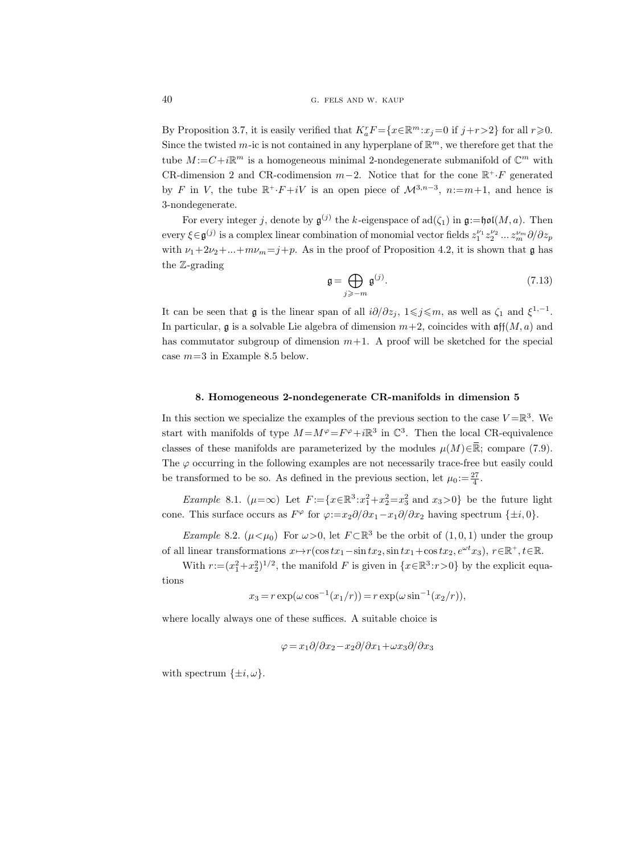By Proposition 3.7, it is easily verified that  $K_a^r F = \{x \in \mathbb{R}^m : x_j = 0 \text{ if } j + r > 2\}$  for all  $r \geq 0$ . Since the twisted m-ic is not contained in any hyperplane of  $\mathbb{R}^m$ , we therefore get that the tube  $M := C + i\mathbb{R}^m$  is a homogeneous minimal 2-nondegenerate submanifold of  $\mathbb{C}^m$  with CR-dimension 2 and CR-codimension  $m-2$ . Notice that for the cone  $\mathbb{R}^+ \cdot F$  generated by F in V, the tube  $\mathbb{R}^+ \cdot F + iV$  is an open piece of  $\mathcal{M}^{3,n-3}$ ,  $n := m+1$ , and hence is 3-nondegenerate.

For every integer j, denote by  $\mathfrak{g}^{(j)}$  the k-eigenspace of  $\text{ad}(\zeta_1)$  in  $\mathfrak{g}:=\text{hol}(M,a)$ . Then every  $\xi \in \mathfrak{g}^{(j)}$  is a complex linear combination of monomial vector fields  $z_1^{\nu_1} z_2^{\nu_2} \dots z_m^{\nu_m} \partial/\partial z_p$ with  $\nu_1+2\nu_2+\ldots+m\nu_m=j+p$ . As in the proof of Proposition 4.2, it is shown that g has the Z-grading

$$
\mathfrak{g} = \bigoplus_{j \geq -m} \mathfrak{g}^{(j)}.\tag{7.13}
$$

It can be seen that  $\mathfrak g$  is the linear span of all  $i\partial/\partial z_j$ ,  $1\leqslant j\leqslant m$ , as well as  $\zeta_1$  and  $\xi^{1,-1}$ . In particular, g is a solvable Lie algebra of dimension  $m+2$ , coincides with  $\operatorname{aff}(M, a)$  and has commutator subgroup of dimension  $m+1$ . A proof will be sketched for the special case  $m=3$  in Example 8.5 below.

#### 8. Homogeneous 2-nondegenerate CR-manifolds in dimension 5

In this section we specialize the examples of the previous section to the case  $V = \mathbb{R}^3$ . We start with manifolds of type  $M = M^{\varphi} = F^{\varphi} + i\mathbb{R}^3$  in  $\mathbb{C}^3$ . Then the local CR-equivalence classes of these manifolds are parameterized by the modules  $\mu(M)\in\mathbb{R}$ ; compare (7.9). The  $\varphi$  occurring in the following examples are not necessarily trace-free but easily could be transformed to be so. As defined in the previous section, let  $\mu_0 := \frac{27}{4}$ .

Example 8.1.  $(\mu = \infty)$  Let  $F := \{x \in \mathbb{R}^3 : x_1^2 + x_2^2 = x_3^2 \text{ and } x_3 > 0\}$  be the future light cone. This surface occurs as  $F^{\varphi}$  for  $\varphi:=x_2\partial/\partial x_1-x_1\partial/\partial x_2$  having spectrum  $\{\pm i, 0\}$ .

*Example* 8.2.  $(\mu < \mu_0)$  For  $\omega > 0$ , let  $F \subset \mathbb{R}^3$  be the orbit of  $(1, 0, 1)$  under the group of all linear transformations  $x \mapsto r(\cos tx_1 - \sin tx_2, \sin tx_1 + \cos tx_2, e^{\omega t}x_3), r \in \mathbb{R}^+, t \in \mathbb{R}$ .

With  $r = (x_1^2 + x_2^2)^{1/2}$ , the manifold F is given in  $\{x \in \mathbb{R}^3 : r > 0\}$  by the explicit equa-

tions

$$
x_3 = r \exp(\omega \cos^{-1}(x_1/r)) = r \exp(\omega \sin^{-1}(x_2/r)),
$$

where locally always one of these suffices. A suitable choice is

$$
\varphi = x_1 \partial/\partial x_2 - x_2 \partial/\partial x_1 + \omega x_3 \partial/\partial x_3
$$

with spectrum  $\{\pm i, \omega\}.$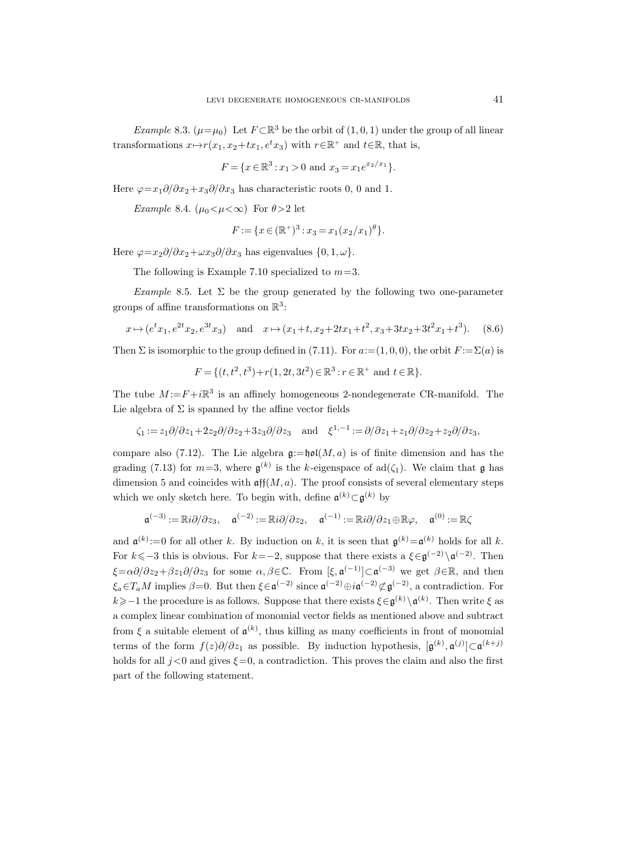Example 8.3.  $(\mu = \mu_0)$  Let  $F \subset \mathbb{R}^3$  be the orbit of  $(1, 0, 1)$  under the group of all linear transformations  $x \mapsto r(x_1, x_2+tx_1, e^t x_3)$  with  $r \in \mathbb{R}^+$  and  $t \in \mathbb{R}$ , that is,

$$
F = \{x \in \mathbb{R}^3 : x_1 > 0 \text{ and } x_3 = x_1 e^{x_2/x_1}\}.
$$

Here  $\varphi = x_1 \partial/\partial x_2 + x_3 \partial/\partial x_3$  has characteristic roots 0, 0 and 1.

Example 8.4.  $(\mu_0 < \mu < \infty)$  For  $\theta > 2$  let

$$
F := \{ x \in (\mathbb{R}^+)^3 : x_3 = x_1 (x_2/x_1)^{\theta} \}.
$$

Here  $\varphi = x_2 \partial/\partial x_2 + \omega x_3 \partial/\partial x_3$  has eigenvalues  $\{0, 1, \omega\}.$ 

The following is Example 7.10 specialized to  $m=3$ .

Example 8.5. Let  $\Sigma$  be the group generated by the following two one-parameter groups of affine transformations on  $\mathbb{R}^3$ :

$$
x \mapsto (e^t x_1, e^{2t} x_2, e^{3t} x_3)
$$
 and  $x \mapsto (x_1 + t, x_2 + 2tx_1 + t^2, x_3 + 3tx_2 + 3t^2 x_1 + t^3).$  (8.6)

Then  $\Sigma$  is isomorphic to the group defined in (7.11). For  $a:=(1,0,0)$ , the orbit  $F:={\Sigma(a)}$  is

$$
F = \{ (t, t^2, t^3) + r(1, 2t, 3t^2) \in \mathbb{R}^3 : r \in \mathbb{R}^+ \text{ and } t \in \mathbb{R} \}.
$$

The tube  $M := F + i\mathbb{R}^3$  is an affinely homogeneous 2-nondegenerate CR-manifold. The Lie algebra of  $\Sigma$  is spanned by the affine vector fields

$$
\zeta_1 := z_1 \partial/\partial z_1 + 2z_2 \partial/\partial z_2 + 3z_3 \partial/\partial z_3 \quad \text{and} \quad \xi^{1,-1} := \partial/\partial z_1 + z_1 \partial/\partial z_2 + z_2 \partial/\partial z_3,
$$

compare also (7.12). The Lie algebra  $\mathfrak{g}:=\mathfrak{hol}(M,a)$  is of finite dimension and has the grading (7.13) for  $m=3$ , where  $\mathfrak{g}^{(k)}$  is the k-eigenspace of ad( $\zeta_1$ ). We claim that  $\mathfrak{g}$  has dimension 5 and coincides with  $\operatorname{aff}(M, a)$ . The proof consists of several elementary steps which we only sketch here. To begin with, define  $\mathfrak{a}^{(k)} \subset \mathfrak{g}^{(k)}$  by

$$
\mathfrak{a}^{(-3)} := \mathbb{R}i\partial/\partial z_3, \quad \mathfrak{a}^{(-2)} := \mathbb{R}i\partial/\partial z_2, \quad \mathfrak{a}^{(-1)} := \mathbb{R}i\partial/\partial z_1 \oplus \mathbb{R}\varphi, \quad \mathfrak{a}^{(0)} := \mathbb{R}\zeta
$$

and  $\mathfrak{a}^{(k)} := 0$  for all other k. By induction on k, it is seen that  $\mathfrak{g}^{(k)} = \mathfrak{a}^{(k)}$  holds for all k. For  $k\leq -3$  this is obvious. For  $k=-2$ , suppose that there exists a  $\xi \in \mathfrak{g}^{(-2)}\setminus \mathfrak{a}^{(-2)}$ . Then  $\xi = \alpha \partial/\partial z_2 + \beta z_1 \partial/\partial z_3$  for some  $\alpha, \beta \in \mathbb{C}$ . From  $[\xi, \mathfrak{a}^{(-1)}] \subset \mathfrak{a}^{(-3)}$  we get  $\beta \in \mathbb{R}$ , and then  $\xi_a \in T_a M$  implies  $\beta = 0$ . But then  $\xi \in \mathfrak{a}^{(-2)}$  since  $\mathfrak{a}^{(-2)} \oplus i \mathfrak{a}^{(-2)} \nsubseteq \mathfrak{g}^{(-2)}$ , a contradiction. For  $k \geqslant -1$  the procedure is as follows. Suppose that there exists  $\xi \in \mathfrak{g}^{(k)} \setminus \mathfrak{a}^{(k)}$ . Then write  $\xi$  as a complex linear combination of monomial vector fields as mentioned above and subtract from  $\xi$  a suitable element of  $\mathfrak{a}^{(k)}$ , thus killing as many coefficients in front of monomial terms of the form  $f(z)\partial/\partial z_1$  as possible. By induction hypothesis,  $[\mathfrak{g}^{(k)}, \mathfrak{a}^{(j)}] \subset \mathfrak{a}^{(k+j)}$ holds for all  $j < 0$  and gives  $\xi = 0$ , a contradiction. This proves the claim and also the first part of the following statement.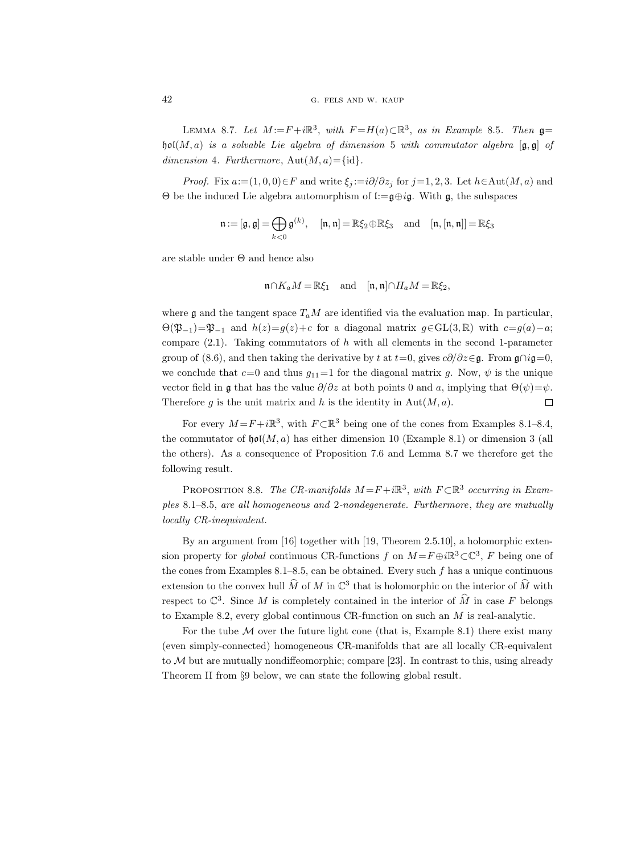LEMMA 8.7. Let  $M := F + i\mathbb{R}^3$ , with  $F = H(a) \subset \mathbb{R}^3$ , as in Example 8.5. Then  $\mathfrak{g} =$ hol(M, a) is a solvable Lie algebra of dimension 5 with commutator algebra  $[g, g]$  of dimension 4. Furthermore,  $Aut(M, a) = {id}.$ 

*Proof.* Fix  $a:=(1,0,0)\in F$  and write  $\xi_i:=i\partial/\partial z_i$  for  $j=1,2,3$ . Let  $h\in \text{Aut}(M,a)$  and Θ be the induced Lie algebra automorphism of l:=g⊕ig. With g, the subspaces

$$
\mathfrak{n} := [\mathfrak{g}, \mathfrak{g}] = \bigoplus_{k < 0} \mathfrak{g}^{(k)}, \quad [\mathfrak{n}, \mathfrak{n}] = \mathbb{R}\xi_2 \oplus \mathbb{R}\xi_3 \quad \text{and} \quad [\mathfrak{n}, [\mathfrak{n}, \mathfrak{n}]] = \mathbb{R}\xi_3
$$

are stable under Θ and hence also

$$
\mathfrak{n}\cap K_aM=\mathbb{R}\xi_1\quad\text{and}\quad [\mathfrak{n},\mathfrak{n}]\cap H_aM=\mathbb{R}\xi_2,
$$

where g and the tangent space  $T_aM$  are identified via the evaluation map. In particular,  $\Theta(\mathfrak{P}_{-1})=\mathfrak{P}_{-1}$  and  $h(z)=g(z)+c$  for a diagonal matrix  $g\in GL(3,\mathbb{R})$  with  $c=g(a)-a;$ compare  $(2.1)$ . Taking commutators of h with all elements in the second 1-parameter group of (8.6), and then taking the derivative by t at t=0, gives  $c\partial/\partial z \in \mathfrak{g}$ . From  $\mathfrak{g} \cap i\mathfrak{g}=0$ , we conclude that  $c=0$  and thus  $g_{11}=1$  for the diagonal matrix g. Now,  $\psi$  is the unique vector field in g that has the value  $\partial/\partial z$  at both points 0 and a, implying that  $\Theta(\psi) = \psi$ . Therefore g is the unit matrix and h is the identity in  $Aut(M, a)$ .  $\Box$ 

For every  $M = F + i\mathbb{R}^3$ , with  $F \subset \mathbb{R}^3$  being one of the cones from Examples 8.1–8.4, the commutator of  $\mathfrak{hol}(M, a)$  has either dimension 10 (Example 8.1) or dimension 3 (all the others). As a consequence of Proposition 7.6 and Lemma 8.7 we therefore get the following result.

PROPOSITION 8.8. The CR-manifolds  $M = F + i\mathbb{R}^3$ , with  $F \subset \mathbb{R}^3$  occurring in Examples 8.1–8.5, are all homogeneous and 2-nondegenerate. Furthermore, they are mutually locally CR-inequivalent.

By an argument from [16] together with [19, Theorem 2.5.10], a holomorphic extension property for *global* continuous CR-functions f on  $M = F \oplus i \mathbb{R}^3 \subset \mathbb{C}^3$ , F being one of the cones from Examples  $8.1-8.5$ , can be obtained. Every such f has a unique continuous extension to the convex hull  $\widehat{M}$  of M in  $\mathbb{C}^3$  that is holomorphic on the interior of  $\widehat{M}$  with respect to  $\mathbb{C}^3$ . Since M is completely contained in the interior of  $\widehat{M}$  in case F belongs to Example 8.2, every global continuous CR-function on such an M is real-analytic.

For the tube  $M$  over the future light cone (that is, Example 8.1) there exist many (even simply-connected) homogeneous CR-manifolds that are all locally CR-equivalent to  $M$  but are mutually nondiffeomorphic; compare [23]. In contrast to this, using already Theorem II from §9 below, we can state the following global result.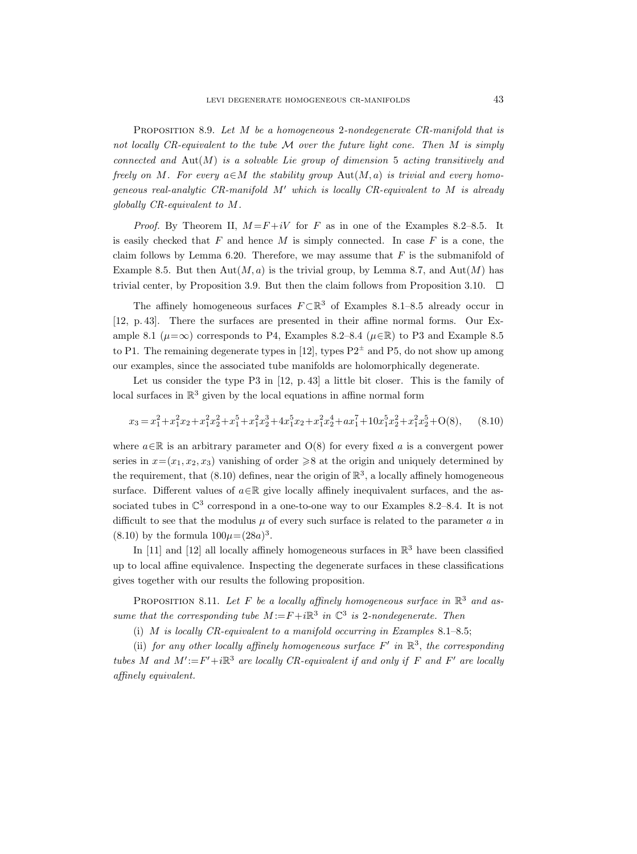PROPOSITION 8.9. Let M be a homogeneous 2-nondegenerate CR-manifold that is not locally  $CR$ -equivalent to the tube  $M$  over the future light cone. Then  $M$  is simply connected and  $\text{Aut}(M)$  is a solvable Lie group of dimension 5 acting transitively and freely on M. For every  $a \in M$  the stability group  $Aut(M, a)$  is trivial and every homogeneous real-analytic CR-manifold  $M'$  which is locally CR-equivalent to M is already globally CR-equivalent to M.

*Proof.* By Theorem II,  $M = F + iV$  for F as in one of the Examples 8.2–8.5. It is easily checked that  $F$  and hence  $M$  is simply connected. In case  $F$  is a cone, the claim follows by Lemma 6.20. Therefore, we may assume that  $F$  is the submanifold of Example 8.5. But then  $\text{Aut}(M, a)$  is the trivial group, by Lemma 8.7, and  $\text{Aut}(M)$  has trivial center, by Proposition 3.9. But then the claim follows from Proposition 3.10.  $\Box$ 

The affinely homogeneous surfaces  $F \subset \mathbb{R}^3$  of Examples 8.1–8.5 already occur in [12, p. 43]. There the surfaces are presented in their affine normal forms. Our Example 8.1 ( $\mu = \infty$ ) corresponds to P4, Examples 8.2–8.4 ( $\mu \in \mathbb{R}$ ) to P3 and Example 8.5 to P1. The remaining degenerate types in [12], types  $P2^{\pm}$  and P5, do not show up among our examples, since the associated tube manifolds are holomorphically degenerate.

Let us consider the type P3 in [12, p. 43] a little bit closer. This is the family of local surfaces in  $\mathbb{R}^3$  given by the local equations in affine normal form

$$
x_3 = x_1^2 + x_1^2 x_2 + x_1^2 x_2^2 + x_1^5 + x_1^2 x_2^3 + 4x_1^5 x_2 + x_1^2 x_2^4 + a x_1^7 + 10x_1^5 x_2^2 + x_1^2 x_2^5 + O(8), \qquad (8.10)
$$

where  $a \in \mathbb{R}$  is an arbitrary parameter and  $O(8)$  for every fixed a is a convergent power series in  $x=(x_1, x_2, x_3)$  vanishing of order  $\geq 8$  at the origin and uniquely determined by the requirement, that  $(8.10)$  defines, near the origin of  $\mathbb{R}^3$ , a locally affinely homogeneous surface. Different values of  $a \in \mathbb{R}$  give locally affinely inequivalent surfaces, and the associated tubes in  $\mathbb{C}^3$  correspond in a one-to-one way to our Examples 8.2–8.4. It is not difficult to see that the modulus  $\mu$  of every such surface is related to the parameter  $\alpha$  in  $(8.10)$  by the formula  $100\mu = (28a)^3$ .

In [11] and [12] all locally affinely homogeneous surfaces in  $\mathbb{R}^3$  have been classified up to local affine equivalence. Inspecting the degenerate surfaces in these classifications gives together with our results the following proposition.

PROPOSITION 8.11. Let F be a locally affinely homogeneous surface in  $\mathbb{R}^3$  and assume that the corresponding tube  $M := F + i\mathbb{R}^3$  in  $\mathbb{C}^3$  is 2-nondegenerate. Then

(i) M is locally CR-equivalent to a manifold occurring in Examples  $8.1-8.5$ ;

(ii) for any other locally affinely homogeneous surface  $F'$  in  $\mathbb{R}^3$ , the corresponding tubes M and  $M' := F' + i\mathbb{R}^3$  are locally CR-equivalent if and only if F and F' are locally affinely equivalent.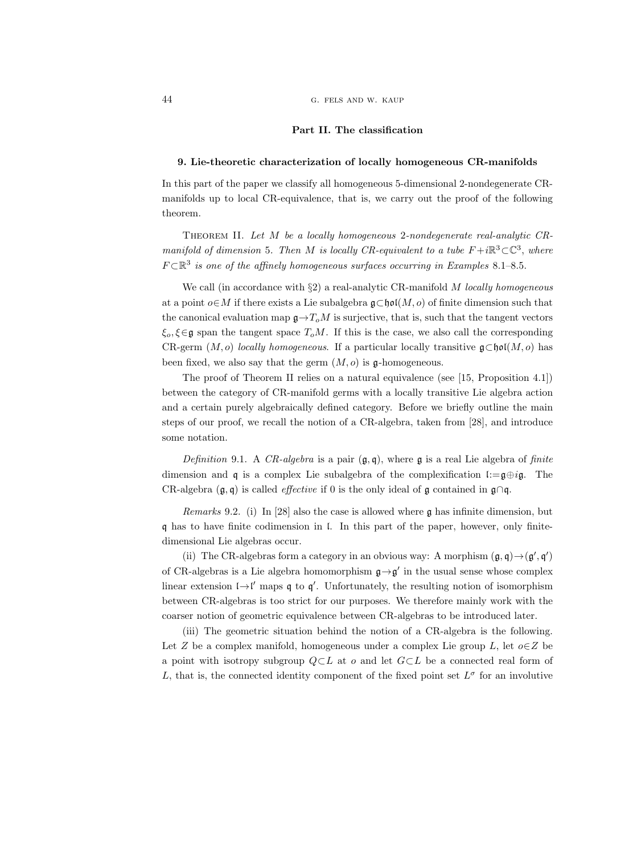### Part II. The classification

### 9. Lie-theoretic characterization of locally homogeneous CR-manifolds

In this part of the paper we classify all homogeneous 5-dimensional 2-nondegenerate CRmanifolds up to local CR-equivalence, that is, we carry out the proof of the following theorem.

Theorem II. Let M be a locally homogeneous 2-nondegenerate real-analytic CRmanifold of dimension 5. Then M is locally CR-equivalent to a tube  $F+i\mathbb{R}^3\subset\mathbb{C}^3$ , where  $F \subset \mathbb{R}^3$  is one of the affinely homogeneous surfaces occurring in Examples 8.1–8.5.

We call (in accordance with  $\S$ 2) a real-analytic CR-manifold M locally homogeneous at a point  $o \in M$  if there exists a Lie subalgebra  $\mathfrak{g} \subset \mathfrak{hol}(M, o)$  of finite dimension such that the canonical evaluation map  $g \rightarrow T_oM$  is surjective, that is, such that the tangent vectors  $\xi_o, \xi \in \mathfrak{g}$  span the tangent space  $T_oM$ . If this is the case, we also call the corresponding CR-germ  $(M, o)$  locally homogeneous. If a particular locally transitive  $\mathfrak{g} \subset \mathfrak{hol}(M, o)$  has been fixed, we also say that the germ  $(M, o)$  is  $\mathfrak{g}$ -homogeneous.

The proof of Theorem II relies on a natural equivalence (see [15, Proposition 4.1]) between the category of CR-manifold germs with a locally transitive Lie algebra action and a certain purely algebraically defined category. Before we briefly outline the main steps of our proof, we recall the notion of a CR-algebra, taken from [28], and introduce some notation.

Definition 9.1. A CR-algebra is a pair  $(\mathfrak{g}, \mathfrak{q})$ , where  $\mathfrak{g}$  is a real Lie algebra of finite dimension and q is a complex Lie subalgebra of the complexification l:= $g \oplus i g$ . The CR-algebra  $(\mathfrak{g}, \mathfrak{q})$  is called *effective* if 0 is the only ideal of  $\mathfrak{g}$  contained in  $\mathfrak{g} \cap \mathfrak{q}$ .

Remarks 9.2. (i) In [28] also the case is allowed where g has infinite dimension, but q has to have finite codimension in l. In this part of the paper, however, only finitedimensional Lie algebras occur.

(ii) The CR-algebras form a category in an obvious way: A morphism  $(\mathfrak{g}, \mathfrak{q}) \rightarrow (\mathfrak{g}', \mathfrak{q}')$ of CR-algebras is a Lie algebra homomorphism  $\mathfrak{g} \rightarrow \mathfrak{g}'$  in the usual sense whose complex linear extension  $\mathfrak{l} \rightarrow \mathfrak{l}'$  maps  $\mathfrak{q}$  to  $\mathfrak{q}'$ . Unfortunately, the resulting notion of isomorphism between CR-algebras is too strict for our purposes. We therefore mainly work with the coarser notion of geometric equivalence between CR-algebras to be introduced later.

(iii) The geometric situation behind the notion of a CR-algebra is the following. Let Z be a complex manifold, homogeneous under a complex Lie group L, let  $o \in \mathbb{Z}$  be a point with isotropy subgroup  $Q \subset L$  at o and let  $G \subset L$  be a connected real form of L, that is, the connected identity component of the fixed point set  $L^{\sigma}$  for an involutive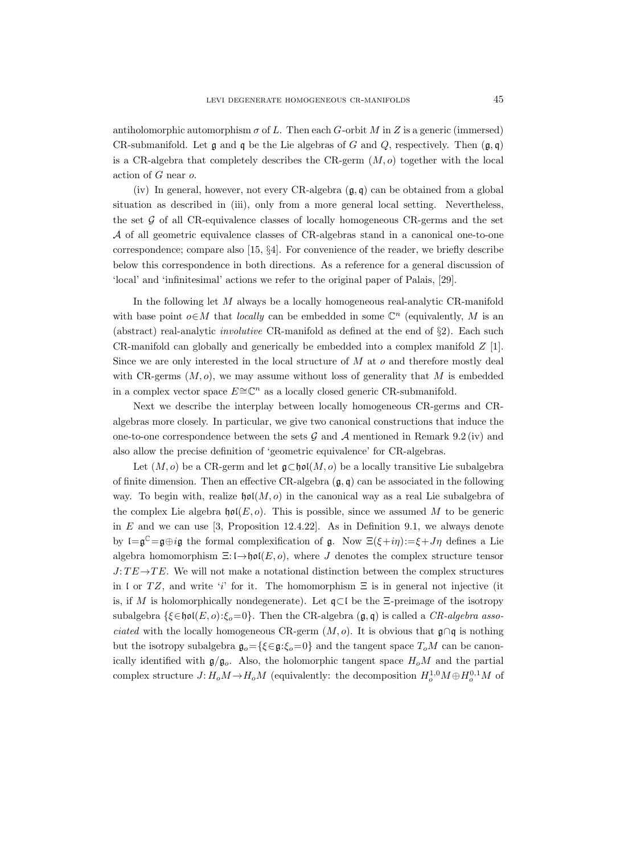antiholomorphic automorphism  $\sigma$  of L. Then each G-orbit M in Z is a generic (immersed) CR-submanifold. Let  $\mathfrak g$  and  $\mathfrak q$  be the Lie algebras of G and Q, respectively. Then  $(\mathfrak g, \mathfrak q)$ is a CR-algebra that completely describes the CR-germ  $(M, o)$  together with the local action of G near o.

(iv) In general, however, not every CR-algebra  $(\mathfrak{g}, \mathfrak{g})$  can be obtained from a global situation as described in (iii), only from a more general local setting. Nevertheless, the set  $G$  of all CR-equivalence classes of locally homogeneous CR-germs and the set A of all geometric equivalence classes of CR-algebras stand in a canonical one-to-one correspondence; compare also [15, §4]. For convenience of the reader, we briefly describe below this correspondence in both directions. As a reference for a general discussion of 'local' and 'infinitesimal' actions we refer to the original paper of Palais, [29].

In the following let M always be a locally homogeneous real-analytic CR-manifold with base point  $o \in M$  that *locally* can be embedded in some  $\mathbb{C}^n$  (equivalently, M is an (abstract) real-analytic involutive CR-manifold as defined at the end of §2). Each such CR-manifold can globally and generically be embedded into a complex manifold  $Z$  [1]. Since we are only interested in the local structure of  $M$  at  $o$  and therefore mostly deal with CR-germs  $(M, o)$ , we may assume without loss of generality that M is embedded in a complex vector space  $E \cong \mathbb{C}^n$  as a locally closed generic CR-submanifold.

Next we describe the interplay between locally homogeneous CR-germs and CRalgebras more closely. In particular, we give two canonical constructions that induce the one-to-one correspondence between the sets  $\mathcal G$  and  $\mathcal A$  mentioned in Remark 9.2 (iv) and also allow the precise definition of 'geometric equivalence' for CR-algebras.

Let  $(M, o)$  be a CR-germ and let  $\mathfrak{g} \subset \mathfrak{hol}(M, o)$  be a locally transitive Lie subalgebra of finite dimension. Then an effective CR-algebra  $(g, q)$  can be associated in the following way. To begin with, realize  $\mathfrak{hol}(M, o)$  in the canonical way as a real Lie subalgebra of the complex Lie algebra  $\mathfrak{hol}(E, o)$ . This is possible, since we assumed M to be generic in  $E$  and we can use [3, Proposition 12.4.22]. As in Definition 9.1, we always denote by  $\mathfrak{l} = \mathfrak{g}^{\mathbb{C}} = \mathfrak{g} \oplus i\mathfrak{g}$  the formal complexification of  $\mathfrak{g}$ . Now  $\Xi(\xi + i\eta) := \xi + J\eta$  defines a Lie algebra homomorphism  $\Xi: \mathfrak{l} \rightarrow \mathfrak{hol}(E, o)$ , where J denotes the complex structure tensor  $J: TE \rightarrow TE$ . We will not make a notational distinction between the complex structures in l or TZ, and write 'i' for it. The homomorphism  $\Xi$  is in general not injective (it is, if M is holomorphically nondegenerate). Let  $\mathfrak{q} \subset \mathfrak{l}$  be the  $\Xi$ -preimage of the isotropy subalgebra  $\{\xi \in \mathfrak{hol}(E, o): \xi_o = 0\}$ . Then the CR-algebra  $(\mathfrak{g}, \mathfrak{q})$  is called a CR-algebra associated with the locally homogeneous CR-germ  $(M, o)$ . It is obvious that  $\mathfrak{g} \cap \mathfrak{q}$  is nothing but the isotropy subalgebra  $\mathfrak{g}_o = {\{\xi \in \mathfrak{g} : \xi_o = 0\}}$  and the tangent space  $T_oM$  can be canonically identified with  $g/g<sub>o</sub>$ . Also, the holomorphic tangent space  $H<sub>o</sub>M$  and the partial complex structure  $J: H_o M \to H_o M$  (equivalently: the decomposition  $H_o^{1,0} M \oplus H_o^{0,1} M$  of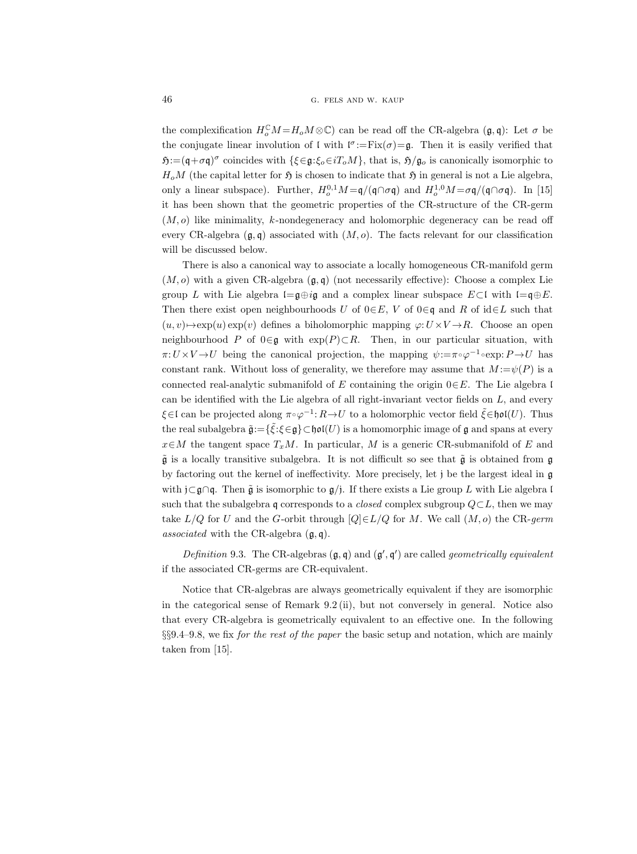the complexification  $H_o^{\mathbb{C}}M = H_oM \otimes \mathbb{C}$  can be read off the CR-algebra  $(\mathfrak{g}, \mathfrak{q})$ : Let  $\sigma$  be the conjugate linear involution of  $\mathfrak{l}$  with  $\mathfrak{l}^{\sigma}:=\text{Fix}(\sigma)=\mathfrak{g}$ . Then it is easily verified that  $\mathfrak{H}:=\left(\mathfrak{q}+\sigma\mathfrak{q}\right)^{\sigma}$  coincides with  $\{\xi\in\mathfrak{g}:\xi_o\in iT_oM\}$ , that is,  $\mathfrak{H}/\mathfrak{g}_o$  is canonically isomorphic to  $H_0M$  (the capital letter for  $\mathfrak H$  is chosen to indicate that  $\mathfrak H$  in general is not a Lie algebra, only a linear subspace). Further,  $H_o^{0,1}M = \frac{q}{q \cap \sigma q}$  and  $H_o^{1,0}M = \frac{\sigma q}{q \cap \sigma q}$ . In [15] it has been shown that the geometric properties of the CR-structure of the CR-germ  $(M, o)$  like minimality, k-nondegeneracy and holomorphic degeneracy can be read off every CR-algebra  $(g, q)$  associated with  $(M, o)$ . The facts relevant for our classification will be discussed below.

There is also a canonical way to associate a locally homogeneous CR-manifold germ  $(M, o)$  with a given CR-algebra  $(\mathfrak{g}, \mathfrak{q})$  (not necessarily effective): Choose a complex Lie group L with Lie algebra l=g⊕ig and a complex linear subspace  $E\subset\mathfrak{l}$  with l=q⊕E. Then there exist open neighbourhoods U of  $0 \in E$ , V of  $0 \in \mathfrak{q}$  and R of id $\in L$  such that  $(u, v) \rightarrow \exp(u) \exp(v)$  defines a biholomorphic mapping  $\varphi: U \times V \rightarrow R$ . Choose an open neighbourhood P of  $0 \in \mathfrak{g}$  with  $exp(P) \subset R$ . Then, in our particular situation, with  $\pi: U \times V \to U$  being the canonical projection, the mapping  $\psi := \pi \circ \varphi^{-1} \circ \exp: P \to U$  has constant rank. Without loss of generality, we therefore may assume that  $M := \psi(P)$  is a connected real-analytic submanifold of E containing the origin  $0 \in E$ . The Lie algebra l can be identified with the Lie algebra of all right-invariant vector fields on L, and every  $\xi \in \mathfrak{l}$  can be projected along  $\pi \circ \varphi^{-1} \colon R \to U$  to a holomorphic vector field  $\tilde{\xi} \in \mathfrak{hol}(U)$ . Thus the real subalgebra  $\tilde{\mathfrak{g}}\!:=\!\{\tilde{\xi}\!:\!\xi\!\in\!\mathfrak{g}\}\!\subset\!\mathfrak{hol}(U)$  is a homomorphic image of  $\mathfrak g$  and spans at every  $x\in M$  the tangent space  $T_xM$ . In particular, M is a generic CR-submanifold of E and  $\tilde{\mathfrak{g}}$  is a locally transitive subalgebra. It is not difficult so see that  $\tilde{\mathfrak{g}}$  is obtained from g by factoring out the kernel of ineffectivity. More precisely, let j be the largest ideal in g with j⊂g∩q. Then  $\tilde{g}$  is isomorphic to  $g$ /j. If there exists a Lie group L with Lie algebra l such that the subalgebra q corresponds to a *closed* complex subgroup  $Q \subset L$ , then we may take  $L/Q$  for U and the G-orbit through  $[Q] \in L/Q$  for M. We call  $(M, o)$  the CR-germ associated with the CR-algebra  $(\mathfrak{g}, \mathfrak{q})$ .

Definition 9.3. The CR-algebras  $(\mathfrak{g}, \mathfrak{q})$  and  $(\mathfrak{g}', \mathfrak{q}')$  are called *geometrically equivalent* if the associated CR-germs are CR-equivalent.

Notice that CR-algebras are always geometrically equivalent if they are isomorphic in the categorical sense of Remark 9.2 (ii), but not conversely in general. Notice also that every CR-algebra is geometrically equivalent to an effective one. In the following  $\S\S9.4-9.8$ , we fix for the rest of the paper the basic setup and notation, which are mainly taken from [15].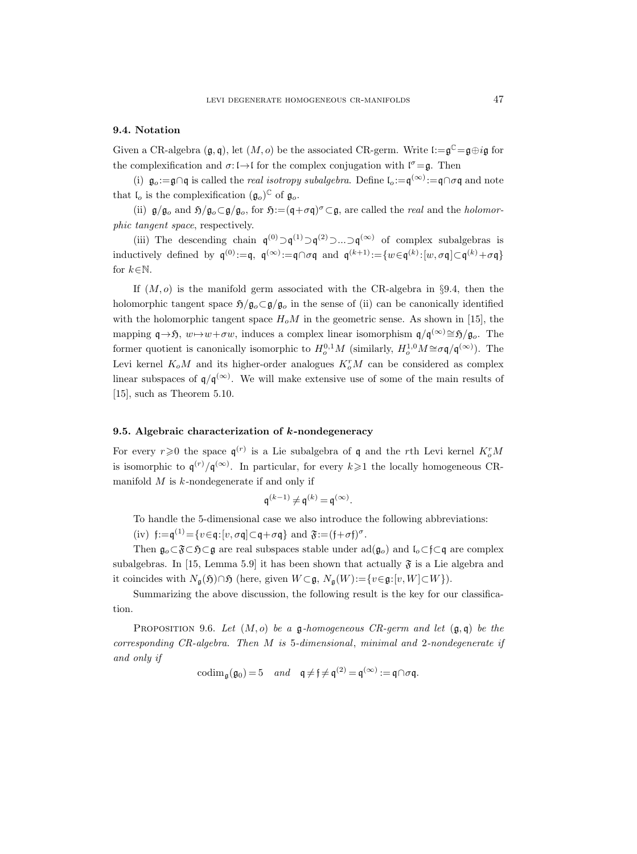# 9.4. Notation

Given a CR-algebra  $(\mathfrak{g}, \mathfrak{q})$ , let  $(M, o)$  be the associated CR-germ. Write  $\mathfrak{l} := \mathfrak{g}^{\mathbb{C}} = \mathfrak{g} \oplus i\mathfrak{g}$  for the complexification and  $\sigma: \mathfrak{l} \to \mathfrak{l}$  for the complex conjugation with  $\mathfrak{l}^{\sigma} = \mathfrak{g}$ . Then

(i)  $\mathfrak{g}_o:=\mathfrak{g}\cap\mathfrak{q}$  is called the *real isotropy subalgebra*. Define  $\mathfrak{l}_o:=\mathfrak{q}(\infty):=\mathfrak{q}\cap\sigma\mathfrak{q}$  and note that  $\mathfrak{l}_o$  is the complexification  $(\mathfrak{g}_o)^{\mathbb{C}}$  of  $\mathfrak{g}_o$ .

(ii)  $\mathfrak{g}/\mathfrak{g}_o$  and  $\mathfrak{H}/\mathfrak{g}_o \subset \mathfrak{g}/\mathfrak{g}_o$ , for  $\mathfrak{H}:=(\mathfrak{q}+\sigma\mathfrak{q})^\sigma\subset \mathfrak{g}$ , are called the *real* and the *holomor*phic tangent space, respectively.

(iii) The descending chain  $\mathfrak{q}^{(0)} \supset \mathfrak{q}^{(1)} \supset \mathfrak{q}^{(2)} \supset \dots \supset \mathfrak{q}^{(\infty)}$  of complex subalgebras is inductively defined by  $\mathfrak{q}^{(0)}:=\mathfrak{q}$ ,  $\mathfrak{q}^{(\infty)}:=\mathfrak{q}\cap \sigma\mathfrak{q}$  and  $\mathfrak{q}^{(k+1)}:=\{w\in\mathfrak{q}^{(k)}:[w,\sigma\mathfrak{q}]\subset\mathfrak{q}^{(k)}+\sigma\mathfrak{q}\}$ for  $k \in \mathbb{N}$ .

If  $(M, o)$  is the manifold germ associated with the CR-algebra in §9.4, then the holomorphic tangent space  $\mathfrak{H}/\mathfrak{g}_o \subset \mathfrak{g}/\mathfrak{g}_o$  in the sense of (ii) can be canonically identified with the holomorphic tangent space  $H_0M$  in the geometric sense. As shown in [15], the mapping  $\mathfrak{q} \to \mathfrak{H}$ ,  $w \to w+\sigma w$ , induces a complex linear isomorphism  $\mathfrak{q}/\mathfrak{q}^{(\infty)} \cong \mathfrak{H}/\mathfrak{g}_o$ . The former quotient is canonically isomorphic to  $H_0^{0,1}M$  (similarly,  $H_0^{1,0}M \cong \sigma \mathfrak{q}/\mathfrak{q}^{(\infty)}$ ). The Levi kernel  $K_oM$  and its higher-order analogues  $K_o^rM$  can be considered as complex linear subspaces of  $\mathfrak{q}/\mathfrak{q}^{(\infty)}$ . We will make extensive use of some of the main results of [15], such as Theorem 5.10.

#### 9.5. Algebraic characterization of  $k$ -nondegeneracy

For every  $r \geq 0$  the space  $\mathfrak{q}^{(r)}$  is a Lie subalgebra of  $\mathfrak{q}$  and the rth Levi kernel  $K_o^rM$ is isomorphic to  $\mathfrak{q}^{(r)}/\mathfrak{q}^{(\infty)}$ . In particular, for every  $k\geqslant 1$  the locally homogeneous CRmanifold  $M$  is  $k$ -nondegenerate if and only if

$$
\mathfrak{q}^{(k-1)}\!\neq\!\mathfrak{q}^{(k)}\!=\!\mathfrak{q}^{(\infty)}.
$$

To handle the 5-dimensional case we also introduce the following abbreviations:

(iv)  $f := q^{(1)} = \{v \in q : [v, \sigma q] \subset q + \sigma q\}$  and  $\mathfrak{F} := (f + \sigma f)^{\sigma}$ .

Then  $\mathfrak{g}_o \subset \mathfrak{F} \subset \mathfrak{H} \subset \mathfrak{g}$  are real subspaces stable under ad( $\mathfrak{g}_o$ ) and  $\mathfrak{l}_o \subset \mathfrak{f} \subset \mathfrak{g}$  are complex subalgebras. In [15, Lemma 5.9] it has been shown that actually  $\mathfrak F$  is a Lie algebra and it coincides with  $N_{\mathfrak{q}}(\mathfrak{H})\cap\mathfrak{H}$  (here, given  $W\subset\mathfrak{g}, N_{\mathfrak{q}}(W):=\{v\in\mathfrak{g}: [v, W]\subset W\}$ ).

Summarizing the above discussion, the following result is the key for our classification.

PROPOSITION 9.6. Let  $(M, o)$  be a g-homogeneous CR-germ and let  $(\mathfrak{g}, \mathfrak{q})$  be the corresponding CR-algebra. Then M is 5-dimensional, minimal and 2-nondegenerate if and only if

$$
\mathrm{codim}_{\mathfrak{g}}(\mathfrak{g}_0) = 5 \quad and \quad \mathfrak{q} \neq \mathfrak{f} \neq \mathfrak{q}^{(2)} = \mathfrak{q}^{(\infty)} := \mathfrak{q} \cap \sigma \mathfrak{q}.
$$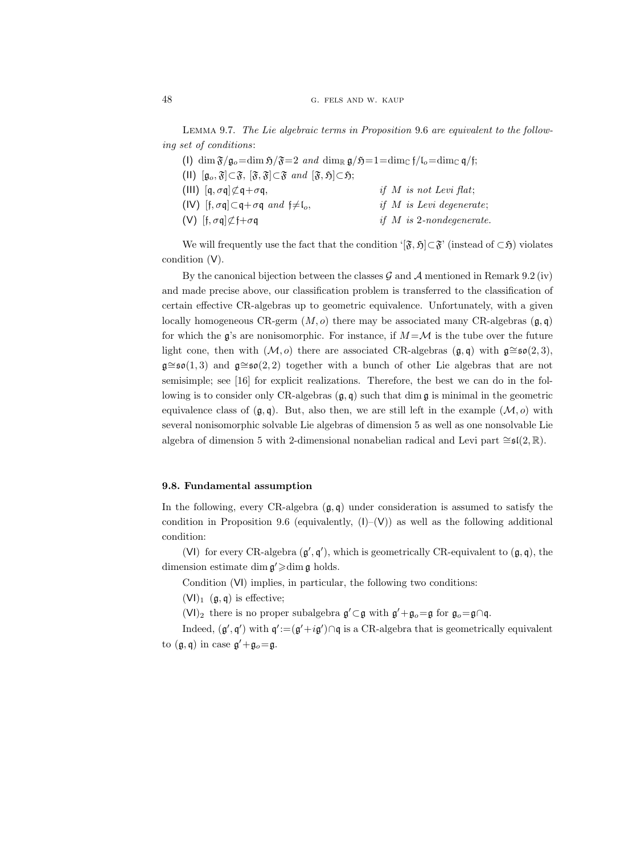Lemma 9.7. The Lie algebraic terms in Proposition 9.6 are equivalent to the following set of conditions:

| (1) $\dim \mathfrak{F}/\mathfrak{g}_o = \dim \mathfrak{H}/\mathfrak{F} = 2$ and $\dim_{\mathbb{R}} \mathfrak{g}/\mathfrak{H} = 1 = \dim_{\mathbb{C}} \mathfrak{f}/\mathfrak{l}_o = \dim_{\mathbb{C}} \mathfrak{q}/\mathfrak{f};$ |                                           |
|----------------------------------------------------------------------------------------------------------------------------------------------------------------------------------------------------------------------------------|-------------------------------------------|
| (II) $[\mathfrak{g}_o, \mathfrak{F}] \subset \mathfrak{F}, [\mathfrak{F}, \mathfrak{F}] \subset \mathfrak{F}$ and $[\mathfrak{F}, \mathfrak{H}] \subset \mathfrak{H};$                                                           |                                           |
| (III) $[q, \sigma q] \not\subset q + \sigma q$ ,                                                                                                                                                                                 | if $M$ is not Levi flat:                  |
| (IV) [f, $\sigma q$ ] $\subset q + \sigma q$ and $f \neq I_o$ ,                                                                                                                                                                  | <i>if</i> $M$ <i>is Levi degenerate</i> ; |
| (V) $[f, \sigma q] \not\subset f + \sigma q$                                                                                                                                                                                     | if $M$ is 2-nondegenerate.                |

We will frequently use the fact that the condition ' $[\mathfrak{F}, \mathfrak{H}] \subset \mathfrak{F}'$  (instead of  $\subset \mathfrak{H}$ ) violates condition (V).

By the canonical bijection between the classes  $\mathcal G$  and  $\mathcal A$  mentioned in Remark 9.2 (iv) and made precise above, our classification problem is transferred to the classification of certain effective CR-algebras up to geometric equivalence. Unfortunately, with a given locally homogeneous CR-germ  $(M, o)$  there may be associated many CR-algebras  $(g, g)$ for which the g's are nonisomorphic. For instance, if  $M = \mathcal{M}$  is the tube over the future light cone, then with  $(\mathcal{M}, o)$  there are associated CR-algebras  $(\mathfrak{g}, \mathfrak{q})$  with  $\mathfrak{g} \cong \mathfrak{so}(2, 3)$ , g∼=so(1, 3) and g∼=so(2, 2) together with a bunch of other Lie algebras that are not semisimple; see [16] for explicit realizations. Therefore, the best we can do in the following is to consider only CR-algebras  $(\mathfrak{g}, \mathfrak{q})$  such that dim  $\mathfrak{g}$  is minimal in the geometric equivalence class of  $(\mathfrak{g}, \mathfrak{q})$ . But, also then, we are still left in the example  $(\mathcal{M}, o)$  with several nonisomorphic solvable Lie algebras of dimension 5 as well as one nonsolvable Lie algebra of dimension 5 with 2-dimensional nonabelian radical and Levi part  $\cong$ sl(2, R).

# 9.8. Fundamental assumption

In the following, every CR-algebra  $(\mathfrak{g}, \mathfrak{q})$  under consideration is assumed to satisfy the condition in Proposition 9.6 (equivalently,  $(I)$ – $(V)$ ) as well as the following additional condition:

(VI) for every CR-algebra  $(g', q')$ , which is geometrically CR-equivalent to  $(g, q)$ , the dimension estimate dim  $\mathfrak{g}' \geqslant \dim \mathfrak{g}$  holds.

Condition (VI) implies, in particular, the following two conditions:

 $(VI)_1$   $(g, q)$  is effective;

 $(VI)_2$  there is no proper subalgebra  $\mathfrak{g}' \subset \mathfrak{g}$  with  $\mathfrak{g}' + \mathfrak{g}_o = \mathfrak{g}$  for  $\mathfrak{g}_o = \mathfrak{g} \cap \mathfrak{q}$ .

Indeed,  $(g', g')$  with  $g' := (g' + ig') \cap q$  is a CR-algebra that is geometrically equivalent to  $(\mathfrak{g}, \mathfrak{q})$  in case  $\mathfrak{g}' + \mathfrak{g}_o = \mathfrak{g}$ .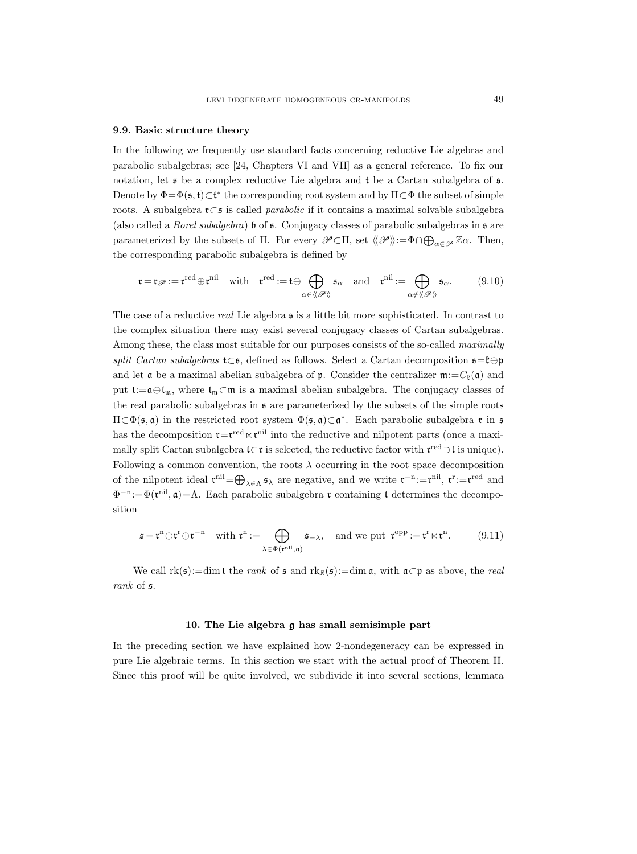#### 9.9. Basic structure theory

In the following we frequently use standard facts concerning reductive Lie algebras and parabolic subalgebras; see [24, Chapters VI and VII] as a general reference. To fix our notation, let  $\mathfrak s$  be a complex reductive Lie algebra and t be a Cartan subalgebra of  $\mathfrak s$ . Denote by  $\Phi = \Phi(\mathfrak{s}, \mathfrak{t}) \subset \mathfrak{t}^*$  the corresponding root system and by  $\Pi \subset \Phi$  the subset of simple roots. A subalgebra r⊂s is called parabolic if it contains a maximal solvable subalgebra (also called a *Borel subalgebra*) **b** of **s**. Conjugacy classes of parabolic subalgebras in **s** are parameterized by the subsets of  $\Pi$ . For every  $\mathscr{P}\subset\Pi$ , set  $\langle\!\langle \mathscr{P} \rangle\!\rangle:=\Phi\cap\bigoplus_{\alpha\in\mathscr{P}}\mathbb{Z}\alpha$ . Then, the corresponding parabolic subalgebra is defined by

$$
\mathfrak{r} = \mathfrak{r}_{\mathscr{P}} := \mathfrak{r}^{\text{red}} \oplus \mathfrak{r}^{\text{nil}} \quad \text{with} \quad \mathfrak{r}^{\text{red}} := \mathfrak{t} \oplus \bigoplus_{\alpha \in \langle \! \langle \mathscr{P} \rangle \! \rangle} \mathfrak{s}_{\alpha} \quad \text{and} \quad \mathfrak{r}^{\text{nil}} := \bigoplus_{\alpha \notin \langle \! \langle \mathscr{P} \rangle \! \rangle} \mathfrak{s}_{\alpha}. \tag{9.10}
$$

The case of a reductive real Lie algebra  $\mathfrak s$  is a little bit more sophisticated. In contrast to the complex situation there may exist several conjugacy classes of Cartan subalgebras. Among these, the class most suitable for our purposes consists of the so-called *maximally* split Cartan subalgebras t⊂s, defined as follows. Select a Cartan decomposition  $\mathfrak{s}=\mathfrak{k} \oplus \mathfrak{p}$ and let  $\mathfrak a$  be a maximal abelian subalgebra of  $\mathfrak p$ . Consider the centralizer  $\mathfrak m:=C_{\mathfrak k}(\mathfrak a)$  and put t:= $\mathfrak{a} \oplus \mathfrak{t}_{\mathfrak{m}}$ , where  $\mathfrak{t}_{\mathfrak{m}} \subset \mathfrak{m}$  is a maximal abelian subalgebra. The conjugacy classes of the real parabolic subalgebras in s are parameterized by the subsets of the simple roots  $\Pi \subset \Phi(\mathfrak{s}, \mathfrak{a})$  in the restricted root system  $\Phi(\mathfrak{s}, \mathfrak{a}) \subset \mathfrak{a}^*$ . Each parabolic subalgebra **r** in  $\mathfrak{s}$ has the decomposition  $\mathfrak{r} = \mathfrak{r}^{\text{red}} \ltimes \mathfrak{r}^{\text{nil}}$  into the reductive and nilpotent parts (once a maximally split Cartan subalgebra  $\mathfrak{t} \subset \mathfrak{r}$  is selected, the reductive factor with  $\mathfrak{r}^{\text{red}} \supset \mathfrak{t}$  is unique). Following a common convention, the roots  $\lambda$  occurring in the root space decomposition of the nilpotent ideal  $\mathbf{r}^{\text{nil}} = \bigoplus_{\lambda \in \Lambda} \mathfrak{s}_{\lambda}$  are negative, and we write  $\mathbf{r}^{-n} := \mathbf{r}^{\text{nil}}$ ,  $\mathbf{r}^{\text{r}} := \mathbf{r}^{\text{red}}$  and  $\Phi^{-n} := \Phi(\mathfrak{r}^{\text{nil}}, \mathfrak{a}) = \Lambda$ . Each parabolic subalgebra  $\mathfrak{r}$  containing t determines the decomposition

$$
\mathfrak{s} = \mathfrak{r}^n \oplus \mathfrak{r}^r \oplus \mathfrak{r}^{-n} \quad \text{with } \mathfrak{r}^n := \bigoplus_{\lambda \in \Phi(\mathfrak{r}^{\text{nil}}, \mathfrak{a})} \mathfrak{s}_{-\lambda}, \quad \text{and we put } \mathfrak{r}^{\text{opp}} := \mathfrak{r}^r \ltimes \mathfrak{r}^n. \tag{9.11}
$$

We call  $rk(\mathfrak{s}):=dim \mathfrak{t}$  the *rank* of  $\mathfrak{s}$  and  $rk_{\mathbb{R}}(\mathfrak{s}):=dim \mathfrak{a}$ , with  $\mathfrak{a}\subset \mathfrak{p}$  as above, the *real* rank of s.

### 10. The Lie algebra g has small semisimple part

In the preceding section we have explained how 2-nondegeneracy can be expressed in pure Lie algebraic terms. In this section we start with the actual proof of Theorem II. Since this proof will be quite involved, we subdivide it into several sections, lemmata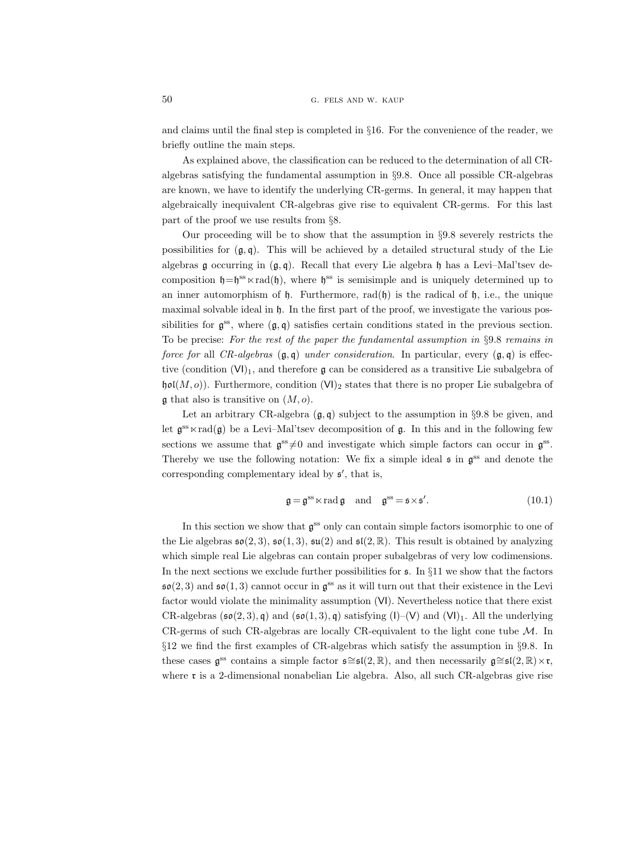and claims until the final step is completed in §16. For the convenience of the reader, we briefly outline the main steps.

As explained above, the classification can be reduced to the determination of all CRalgebras satisfying the fundamental assumption in §9.8. Once all possible CR-algebras are known, we have to identify the underlying CR-germs. In general, it may happen that algebraically inequivalent CR-algebras give rise to equivalent CR-germs. For this last part of the proof we use results from §8.

Our proceeding will be to show that the assumption in §9.8 severely restricts the possibilities for  $(g, q)$ . This will be achieved by a detailed structural study of the Lie algebras  $\mathfrak g$  occurring in  $(\mathfrak g, \mathfrak q)$ . Recall that every Lie algebra  $\mathfrak h$  has a Levi–Mal'tsev decomposition  $\mathfrak{h} = \mathfrak{h}^{\text{ss}} \ltimes \text{rad}(\mathfrak{h})$ , where  $\mathfrak{h}^{\text{ss}}$  is semisimple and is uniquely determined up to an inner automorphism of  $\mathfrak{h}$ . Furthermore, rad $(\mathfrak{h})$  is the radical of  $\mathfrak{h}$ , i.e., the unique maximal solvable ideal in h. In the first part of the proof, we investigate the various possibilities for  $\mathfrak{g}^{\text{ss}}$ , where  $(\mathfrak{g}, \mathfrak{q})$  satisfies certain conditions stated in the previous section. To be precise: For the rest of the paper the fundamental assumption in §9.8 remains in force for all CR-algebras  $(\mathfrak{g}, \mathfrak{q})$  under consideration. In particular, every  $(\mathfrak{g}, \mathfrak{q})$  is effective (condition  $(VI)_1$ , and therefore g can be considered as a transitive Lie subalgebra of  $\mathfrak{hol}(M, o)$ ). Furthermore, condition  $(VI)_2$  states that there is no proper Lie subalgebra of  $\mathfrak g$  that also is transitive on  $(M, o)$ .

Let an arbitrary CR-algebra  $(g, q)$  subject to the assumption in §9.8 be given, and let  $\mathfrak{g}^{\text{ss}} \ltimes \text{rad}(\mathfrak{g})$  be a Levi–Mal'tsev decomposition of  $\mathfrak{g}$ . In this and in the following few sections we assume that  $\mathfrak{g}^{\text{ss}} \neq 0$  and investigate which simple factors can occur in  $\mathfrak{g}^{\text{ss}}$ . Thereby we use the following notation: We fix a simple ideal  $\mathfrak s$  in  $\mathfrak g^{\rm ss}$  and denote the corresponding complementary ideal by  $\mathfrak{s}'$ , that is,

$$
\mathfrak{g} = \mathfrak{g}^{\text{ss}} \ltimes \text{rad } \mathfrak{g} \quad \text{and} \quad \mathfrak{g}^{\text{ss}} = \mathfrak{s} \times \mathfrak{s}'. \tag{10.1}
$$

In this section we show that  $\mathfrak{g}^{\text{ss}}$  only can contain simple factors isomorphic to one of the Lie algebras  $\mathfrak{so}(2,3)$ ,  $\mathfrak{so}(1,3)$ ,  $\mathfrak{su}(2)$  and  $\mathfrak{sl}(2,\mathbb{R})$ . This result is obtained by analyzing which simple real Lie algebras can contain proper subalgebras of very low codimensions. In the next sections we exclude further possibilities for  $\epsilon$ . In §11 we show that the factors  $\mathfrak{so}(2,3)$  and  $\mathfrak{so}(1,3)$  cannot occur in  $\mathfrak{g}^{\text{ss}}$  as it will turn out that their existence in the Levi factor would violate the minimality assumption (VI). Nevertheless notice that there exist CR-algebras  $(\mathfrak{so}(2,3), \mathfrak{q})$  and  $(\mathfrak{so}(1,3), \mathfrak{q})$  satisfying  $(I)$ –(V) and  $(VI)_1$ . All the underlying CR-germs of such CR-algebras are locally CR-equivalent to the light cone tube  $\mathcal{M}$ . In §12 we find the first examples of CR-algebras which satisfy the assumption in §9.8. In these cases  $\mathfrak{g}^{\text{ss}}$  contains a simple factor  $\mathfrak{s} \cong \mathfrak{sl}(2,\mathbb{R})$ , and then necessarily  $\mathfrak{g} \cong \mathfrak{sl}(2,\mathbb{R}) \times \mathfrak{r}$ , where **r** is a 2-dimensional nonabelian Lie algebra. Also, all such CR-algebras give rise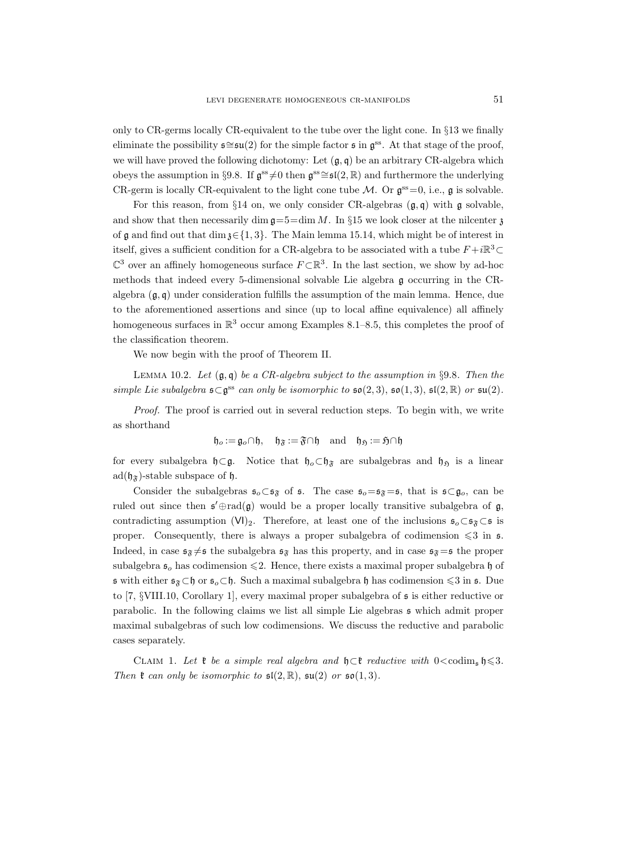only to CR-germs locally CR-equivalent to the tube over the light cone. In §13 we finally eliminate the possibility  $\mathfrak{s} \cong \mathfrak{su}(2)$  for the simple factor  $\mathfrak{s}$  in  $\mathfrak{g}^{\text{ss}}$ . At that stage of the proof, we will have proved the following dichotomy: Let  $(\mathfrak{g}, \mathfrak{q})$  be an arbitrary CR-algebra which obeys the assumption in §9.8. If  $\mathfrak{g}^{ss} \neq 0$  then  $\mathfrak{g}^{ss} \cong \mathfrak{sl}(2,\mathbb{R})$  and furthermore the underlying CR-germ is locally CR-equivalent to the light cone tube  $\mathcal{M}$ . Or  $\mathfrak{g}^{\text{ss}}=0$ , i.e.,  $\mathfrak{g}$  is solvable.

For this reason, from  $\S 14$  on, we only consider CR-algebras  $(g, q)$  with g solvable, and show that then necessarily dim  $\mathfrak{g} = 5 = \dim M$ . In §15 we look closer at the nilcenter z of g and find out that dim  $\mathfrak{z} \in \{1, 3\}$ . The Main lemma 15.14, which might be of interest in itself, gives a sufficient condition for a CR-algebra to be associated with a tube  $F + i\mathbb{R}^3$ ⊂  $\mathbb{C}^3$  over an affinely homogeneous surface  $F \subset \mathbb{R}^3$ . In the last section, we show by ad-hoc methods that indeed every 5-dimensional solvable Lie algebra g occurring in the CRalgebra  $(\mathfrak{g}, \mathfrak{q})$  under consideration fulfills the assumption of the main lemma. Hence, due to the aforementioned assertions and since (up to local affine equivalence) all affinely homogeneous surfaces in  $\mathbb{R}^3$  occur among Examples 8.1–8.5, this completes the proof of the classification theorem.

We now begin with the proof of Theorem II.

LEMMA 10.2. Let  $(\mathfrak{g}, \mathfrak{q})$  be a CR-algebra subject to the assumption in §9.8. Then the simple Lie subalgebra  $\mathfrak{s} \subset \mathfrak{g}^{\text{ss}}$  can only be isomorphic to  $\mathfrak{so}(2,3)$ ,  $\mathfrak{so}(1,3)$ ,  $\mathfrak{sl}(2,\mathbb{R})$  or  $\mathfrak{su}(2)$ .

Proof. The proof is carried out in several reduction steps. To begin with, we write as shorthand

$$
\mathfrak{h}_o:=\mathfrak{g}_o\cap\mathfrak{h},\quad \mathfrak{h}_{\mathfrak{F}}:=\mathfrak{F}\cap\mathfrak{h}\quad\text{and}\quad \mathfrak{h}_{\mathfrak{H}}:=\mathfrak{H}\cap\mathfrak{h}
$$

for every subalgebra  $\mathfrak{h} \subset \mathfrak{g}$ . Notice that  $\mathfrak{h}_\rho \subset \mathfrak{h}_\mathfrak{F}$  are subalgebras and  $\mathfrak{h}_\rho$  is a linear  $ad(\mathfrak{h}_{\mathfrak{F}})$ -stable subspace of  $\mathfrak{h}$ .

Consider the subalgebras  $\mathfrak{s}_o \subset \mathfrak{s}_{\mathfrak{F}}$  of  $\mathfrak{s}$ . The case  $\mathfrak{s}_o=\mathfrak{s}_{\mathfrak{F}}=\mathfrak{s}$ , that is  $\mathfrak{s} \subset \mathfrak{g}_o$ , can be ruled out since then  $\mathfrak{s}' \oplus \text{rad}(\mathfrak{g})$  would be a proper locally transitive subalgebra of  $\mathfrak{g}$ , contradicting assumption (VI)<sub>2</sub>. Therefore, at least one of the inclusions  $\mathfrak{s}_o \subset \mathfrak{s}_{\mathfrak{F}} \subset \mathfrak{s}$  is proper. Consequently, there is always a proper subalgebra of codimension  $\leq 3$  in s. Indeed, in case  $\mathfrak{s}_{\mathfrak{F}} \neq \mathfrak{s}$  the subalgebra  $\mathfrak{s}_{\mathfrak{F}}$  has this property, and in case  $\mathfrak{s}_{\mathfrak{F}} = \mathfrak{s}$  the proper subalgebra  $\mathfrak{s}_o$  has codimension  $\leq 2$ . Hence, there exists a maximal proper subalgebra h of  $\mathfrak s$  with either  $\mathfrak s_{\mathfrak F}\subset \mathfrak h$  or  $\mathfrak s_o\subset \mathfrak h$ . Such a maximal subalgebra  $\mathfrak h$  has codimension  $\leqslant 3$  in  $\mathfrak s$ . Due to  $[7, \S$ VIII.10, Corollary 1, every maximal proper subalgebra of  $\frak{s}$  is either reductive or parabolic. In the following claims we list all simple Lie algebras s which admit proper maximal subalgebras of such low codimensions. We discuss the reductive and parabolic cases separately.

CLAIM 1. Let  $\mathfrak k$  be a simple real algebra and  $\mathfrak h \subset \mathfrak k$  reductive with  $0 < \text{codim}_{\mathfrak s} \mathfrak h \leqslant 3$ . Then  $\mathfrak k$  can only be isomorphic to  $\mathfrak{sl}(2,\mathbb R)$ ,  $\mathfrak{su}(2)$  or  $\mathfrak{so}(1,3)$ .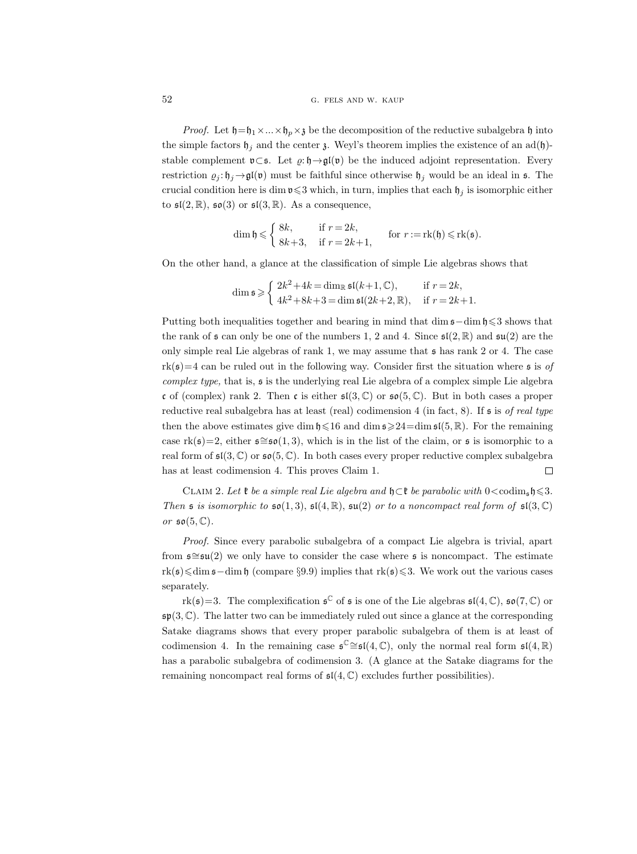# 52 G. FELS AND W. KAUP

*Proof.* Let  $\mathfrak{h}=\mathfrak{h}_1\times\ldots\times\mathfrak{h}_n\times\mathfrak{z}$  be the decomposition of the reductive subalgebra  $\mathfrak{h}$  into the simple factors  $\mathfrak{h}_i$  and the center  $\mathfrak{z}$ . Weyl's theorem implies the existence of an ad(h)stable complement  $\mathfrak{v}\subset \mathfrak{s}$ . Let  $\varrho:\mathfrak{h}\to\mathfrak{gl}(\mathfrak{v})$  be the induced adjoint representation. Every restriction  $g_i: \mathfrak{h}_j \to \mathfrak{gl}(\mathfrak{v})$  must be faithful since otherwise  $\mathfrak{h}_j$  would be an ideal in s. The crucial condition here is dim  $\mathfrak{v}\leqslant 3$  which, in turn, implies that each  $\mathfrak{h}_j$  is isomorphic either to  $\mathfrak{sl}(2,\mathbb{R})$ ,  $\mathfrak{so}(3)$  or  $\mathfrak{sl}(3,\mathbb{R})$ . As a consequence,

$$
\dim \mathfrak{h} \leqslant \begin{cases} 8k, & \text{if } r = 2k, \\ 8k+3, & \text{if } r = 2k+1, \end{cases} \quad \text{for } r := \text{rk}(\mathfrak{h}) \leqslant \text{rk}(\mathfrak{s}).
$$

On the other hand, a glance at the classification of simple Lie algebras shows that

$$
\dim \mathfrak{s} \geqslant \begin{cases} 2k^2 + 4k = \dim_{\mathbb{R}} \mathfrak{s}\mathfrak{l}(k+1, \mathbb{C}), & \text{if } r = 2k, \\ 4k^2 + 8k + 3 = \dim \mathfrak{s}\mathfrak{l}(2k+2, \mathbb{R}), & \text{if } r = 2k+1. \end{cases}
$$

Putting both inequalities together and bearing in mind that dim  $\epsilon$ –dim h  $\leq$ 3 shows that the rank of  $\mathfrak s$  can only be one of the numbers 1, 2 and 4. Since  $\mathfrak s\mathfrak l(2,\mathbb R)$  and  $\mathfrak s\mathfrak u(2)$  are the only simple real Lie algebras of rank 1, we may assume that s has rank 2 or 4. The case  $rk(s)=4$  can be ruled out in the following way. Consider first the situation where s is of complex type, that is,  $\mathfrak s$  is the underlying real Lie algebra of a complex simple Lie algebra c of (complex) rank 2. Then c is either  $\mathfrak{sl}(3,\mathbb{C})$  or  $\mathfrak{so}(5,\mathbb{C})$ . But in both cases a proper reductive real subalgebra has at least (real) codimension 4 (in fact, 8). If  $\epsilon$  is of real type then the above estimates give dim  $\mathfrak{h} \leq 16$  and dim  $\mathfrak{s} \geq 24 = \dim \mathfrak{sl}(5, \mathbb{R})$ . For the remaining case rk( $\mathfrak{s}=2$ , either  $\mathfrak{s} \cong \mathfrak{so}(1,3)$ , which is in the list of the claim, or  $\mathfrak{s}$  is isomorphic to a real form of  $\mathfrak{sl}(3,\mathbb{C})$  or  $\mathfrak{so}(5,\mathbb{C})$ . In both cases every proper reductive complex subalgebra has at least codimension 4. This proves Claim 1.  $\Box$ 

CLAIM 2. Let  $\mathfrak k$  be a simple real Lie algebra and  $\mathfrak h \subset \mathfrak k$  be parabolic with  $0 < \text{codim}_{\mathfrak s} \mathfrak h \leqslant 3$ . Then s is isomorphic to  $\mathfrak{so}(1,3)$ ,  $\mathfrak{sl}(4,\mathbb{R})$ ,  $\mathfrak{su}(2)$  or to a noncompact real form of  $\mathfrak{sl}(3,\mathbb{C})$ or  $\mathfrak{so}(5,\mathbb{C})$ .

Proof. Since every parabolic subalgebra of a compact Lie algebra is trivial, apart from  $\mathfrak{s} \cong \mathfrak{su}(2)$  we only have to consider the case where  $\mathfrak{s}$  is noncompact. The estimate rk(s)6dim s−dim h (compare §9.9) implies that rk(s)63. We work out the various cases separately.

rk( $\mathfrak{s}$ )=3. The complexification  $\mathfrak{s}^{\mathbb{C}}$  of  $\mathfrak{s}$  is one of the Lie algebras  $\mathfrak{sl}(4,\mathbb{C})$ ,  $\mathfrak{so}(7,\mathbb{C})$  or  $\mathfrak{sp}(3,\mathbb{C})$ . The latter two can be immediately ruled out since a glance at the corresponding Satake diagrams shows that every proper parabolic subalgebra of them is at least of codimension 4. In the remaining case  $\mathfrak{s}^{\mathbb{C}} \cong \mathfrak{sl}(4,\mathbb{C})$ , only the normal real form  $\mathfrak{sl}(4,\mathbb{R})$ has a parabolic subalgebra of codimension 3. (A glance at the Satake diagrams for the remaining noncompact real forms of  $\mathfrak{sl}(4,\mathbb{C})$  excludes further possibilities).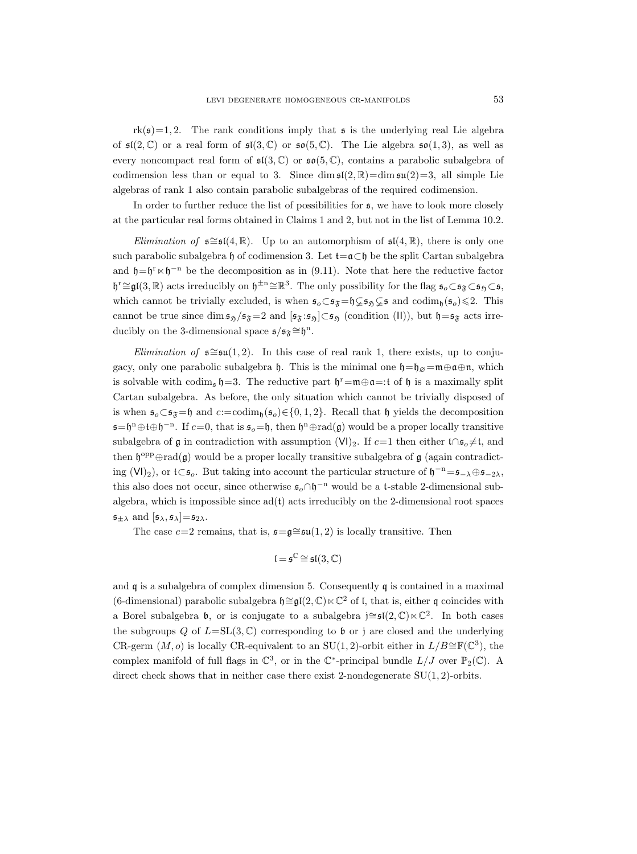$rk(\mathfrak{s})=1,2$ . The rank conditions imply that  $\mathfrak{s}$  is the underlying real Lie algebra of  $\mathfrak{sl}(2,\mathbb{C})$  or a real form of  $\mathfrak{sl}(3,\mathbb{C})$  or  $\mathfrak{so}(5,\mathbb{C})$ . The Lie algebra  $\mathfrak{so}(1,3)$ , as well as every noncompact real form of  $\mathfrak{sl}(3,\mathbb{C})$  or  $\mathfrak{so}(5,\mathbb{C})$ , contains a parabolic subalgebra of codimension less than or equal to 3. Since dim  $\mathfrak{sl}(2,\mathbb{R})=\dim \mathfrak{su}(2)=3$ , all simple Lie algebras of rank 1 also contain parabolic subalgebras of the required codimension.

In order to further reduce the list of possibilities for s, we have to look more closely at the particular real forms obtained in Claims 1 and 2, but not in the list of Lemma 10.2.

*Elimination of*  $\mathfrak{s} \cong \mathfrak{sl}(4,\mathbb{R})$ . Up to an automorphism of  $\mathfrak{sl}(4,\mathbb{R})$ , there is only one such parabolic subalgebra h of codimension 3. Let  $t = \alpha \subset h$  be the split Cartan subalgebra and  $\mathfrak{h} = \mathfrak{h}^r \ltimes \mathfrak{h}^{-n}$  be the decomposition as in (9.11). Note that here the reductive factor  $\mathfrak{h}^r \cong \mathfrak{gl}(3,\mathbb{R})$  acts irreducibly on  $\mathfrak{h}^{\pm n} \cong \mathbb{R}^3$ . The only possibility for the flag  $\mathfrak{s}_o \subset \mathfrak{s}_{\mathfrak{F}} \subset \mathfrak{s}_{\mathfrak{H}} \subset \mathfrak{s}_{\mathfrak{H}}$ which cannot be trivially excluded, is when  $\mathfrak{s}_o \subset \mathfrak{s}_{\mathfrak{F}}=\mathfrak{h} \subsetneq \mathfrak{s}_{\mathfrak{H}} \subsetneq \mathfrak{s}$  and  $\text{codim}_{\mathfrak{h}}(\mathfrak{s}_o) \leq 2$ . This cannot be true since dim  $\mathfrak{s}_{\mathfrak{H}}/\mathfrak{s}_{\mathfrak{F}}=2$  and  $[\mathfrak{s}_{\mathfrak{F}}:\mathfrak{s}_{\mathfrak{H}}]\subset \mathfrak{s}_{\mathfrak{H}}$  (condition (II)), but  $\mathfrak{h}=\mathfrak{s}_{\mathfrak{F}}$  acts irreducibly on the 3-dimensional space  $\mathfrak{s}/\mathfrak{s}_{\mathfrak{F}} \cong \mathfrak{h}^n$ .

*Elimination of*  $\mathfrak{s} \cong \mathfrak{su}(1, 2)$ . In this case of real rank 1, there exists, up to conjugacy, only one parabolic subalgebra h. This is the minimal one  $h=+\infty = m+\infty$ , which is solvable with codim<sub>s</sub>  $\mathfrak{h}$ =3. The reductive part  $\mathfrak{h}^r = \mathfrak{m} \oplus \mathfrak{a} =:t$  of  $\mathfrak{h}$  is a maximally split Cartan subalgebra. As before, the only situation which cannot be trivially disposed of is when  $\mathfrak{s}_o \subset \mathfrak{s}_{\mathfrak{F}} = \mathfrak{h}$  and  $c:=\mathrm{codim}_{\mathfrak{h}}(\mathfrak{s}_o) \in \{0, 1, 2\}$ . Recall that  $\mathfrak{h}$  yields the decomposition  $\mathfrak{s} = \mathfrak{h}^n \oplus \mathfrak{t} \oplus \mathfrak{h}^{-n}$ . If  $c = 0$ , that is  $\mathfrak{s}_o = \mathfrak{h}$ , then  $\mathfrak{h}^n \oplus \text{rad}(\mathfrak{g})$  would be a proper locally transitive subalgebra of  $\frak{g}$  in contradiction with assumption (VI)<sub>2</sub>. If  $c=1$  then either t∩ $\frak{s}_o\neq \frak{t}$ , and then  $\mathfrak{h}^{\text{opp}}\oplus \text{rad}(\mathfrak{g})$  would be a proper locally transitive subalgebra of  $\mathfrak{g}$  (again contradicting (VI)<sub>2</sub>), or  $t\subset s_o$ . But taking into account the particular structure of  $\mathfrak{h}^{-n} = s_{-\lambda} \oplus s_{-2\lambda}$ , this also does not occur, since otherwise  $\mathfrak{s}_o \cap \mathfrak{h}^{-n}$  would be a t-stable 2-dimensional subalgebra, which is impossible since  $ad(t)$  acts irreducibly on the 2-dimensional root spaces  $\mathfrak{s}_{\pm\lambda}$  and  $[\mathfrak{s}_{\lambda}, \mathfrak{s}_{\lambda}]=\mathfrak{s}_{2\lambda}$ .

The case  $c=2$  remains, that is,  $\mathfrak{s}=\mathfrak{g}\cong\mathfrak{su}(1,2)$  is locally transitive. Then

$$
\mathfrak{l}=\mathfrak{s}^{\mathbb{C}}\cong\mathfrak{sl}(3,\mathbb{C})
$$

and  $\mathfrak q$  is a subalgebra of complex dimension 5. Consequently  $\mathfrak q$  is contained in a maximal (6-dimensional) parabolic subalgebra  $h \cong \mathfrak{gl}(2, \mathbb{C}) \ltimes \mathbb{C}^2$  of l, that is, either q coincides with a Borel subalgebra b, or is conjugate to a subalgebra j≅ $\mathfrak{sl}(2,\mathbb{C})\ltimes\mathbb{C}^2$ . In both cases the subgroups Q of  $L=\text{SL}(3,\mathbb{C})$  corresponding to b or j are closed and the underlying CR-germ  $(M, o)$  is locally CR-equivalent to an SU(1,2)-orbit either in  $L/B \cong \mathbb{F}(\mathbb{C}^3)$ , the complex manifold of full flags in  $\mathbb{C}^3$ , or in the  $\mathbb{C}^*$ -principal bundle  $L/J$  over  $\mathbb{P}_2(\mathbb{C})$ . A direct check shows that in neither case there exist 2-nondegenerate  $SU(1, 2)$ -orbits.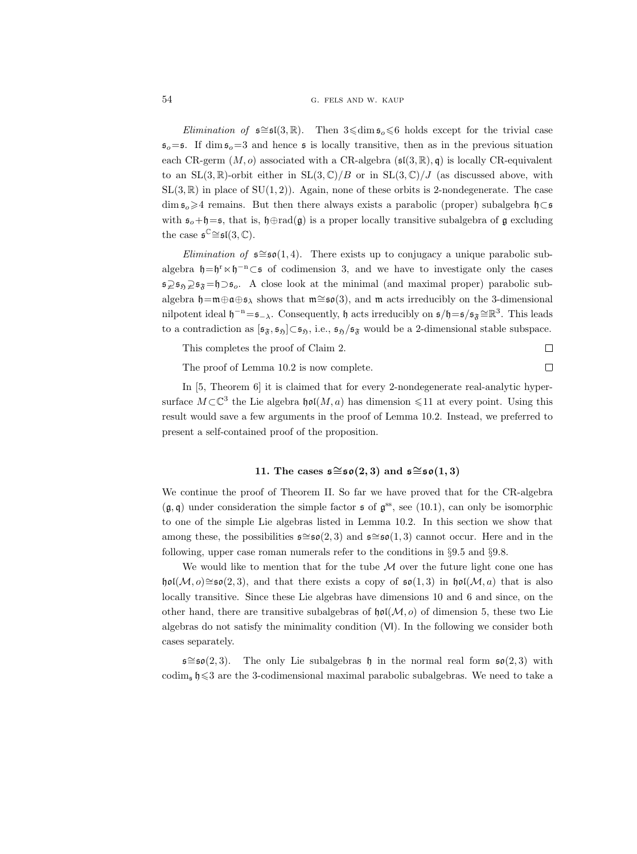Elimination of  $\mathfrak{s} \cong \mathfrak{sl}(3,\mathbb{R})$ . Then  $3 \leq \dim \mathfrak{s}_0 \leq 6$  holds except for the trivial case  $\mathfrak{s}_o=$ **s.** If dim  $\mathfrak{s}_o=3$  and hence  $\mathfrak{s}$  is locally transitive, then as in the previous situation each CR-germ  $(M, o)$  associated with a CR-algebra  $(\mathfrak{sl}(3, \mathbb{R}), \mathfrak{q})$  is locally CR-equivalent to an  $SL(3,\mathbb{R})$ -orbit either in  $SL(3,\mathbb{C})/B$  or in  $SL(3,\mathbb{C})/J$  (as discussed above, with  $SL(3,\mathbb{R})$  in place of  $SU(1,2)$ ). Again, none of these orbits is 2-nondegenerate. The case dim  $\mathfrak{s}_o\geq 4$  remains. But then there always exists a parabolic (proper) subalgebra  $\mathfrak{h}\subset \mathfrak{s}$ with  $s_o + \mathfrak{h} = s$ , that is,  $\mathfrak{h} \oplus \text{rad}(\mathfrak{g})$  is a proper locally transitive subalgebra of  $\mathfrak{g}$  excluding the case  $\mathfrak{s}^{\mathbb{C}} \cong \mathfrak{sl}(3, \mathbb{C})$ .

Elimination of  $\mathfrak{s} \cong \mathfrak{so}(1, 4)$ . There exists up to conjugacy a unique parabolic subalgebra  $\mathfrak{h} = \mathfrak{h}^r \ltimes \mathfrak{h}^{-n} \subset \mathfrak{s}$  of codimension 3, and we have to investigate only the cases  $\mathfrak{s}\supseteq$   $\mathfrak{s}_\mathfrak{H}=\mathfrak{s}_\mathfrak{H}=\mathfrak{h}\supseteq$  A close look at the minimal (and maximal proper) parabolic subalgebra  $\mathfrak{h}=\mathfrak{m}\oplus\mathfrak{a}\oplus\mathfrak{s}_{\lambda}$  shows that  $\mathfrak{m}\cong\mathfrak{so}(3)$ , and  $\mathfrak{m}$  acts irreducibly on the 3-dimensional nilpotent ideal  $\mathfrak{h}^{-n} = \mathfrak{s}_{-\lambda}$ . Consequently,  $\mathfrak{h}$  acts irreducibly on  $\mathfrak{s}/\mathfrak{h} = \mathfrak{s}/\mathfrak{s}_{\mathfrak{F}} \cong \mathbb{R}^3$ . This leads to a contradiction as  $[\mathfrak{s}_{\mathfrak{F}}, \mathfrak{s}_{\mathfrak{H}}] \subset \mathfrak{s}_{\mathfrak{H}},$  i.e.,  $\mathfrak{s}_{\mathfrak{H}}/\mathfrak{s}_{\mathfrak{F}}$  would be a 2-dimensional stable subspace.

This completes the proof of Claim 2.

 $\Box$ 

The proof of Lemma 10.2 is now complete.

 $\Box$ 

In [5, Theorem 6] it is claimed that for every 2-nondegenerate real-analytic hypersurface  $M\subset\mathbb{C}^3$  the Lie algebra  $\mathfrak{hol}(M, a)$  has dimension  $\leq 11$  at every point. Using this result would save a few arguments in the proof of Lemma 10.2. Instead, we preferred to present a self-contained proof of the proposition.

# 11. The cases  $\mathfrak{s} \cong \mathfrak{so}(2,3)$  and  $\mathfrak{s} \cong \mathfrak{so}(1,3)$

We continue the proof of Theorem II. So far we have proved that for the CR-algebra  $(\mathfrak{g}, \mathfrak{q})$  under consideration the simple factor  $\mathfrak{s}$  of  $\mathfrak{g}^{\text{ss}}$ , see (10.1), can only be isomorphic to one of the simple Lie algebras listed in Lemma 10.2. In this section we show that among these, the possibilities  $\mathfrak{s} \cong \mathfrak{so}(2,3)$  and  $\mathfrak{s} \cong \mathfrak{so}(1,3)$  cannot occur. Here and in the following, upper case roman numerals refer to the conditions in  $\S 9.5$  and  $\S 9.8$ .

We would like to mention that for the tube  $M$  over the future light cone one has hol( $M$ ,  $o) \cong$  so(2,3), and that there exists a copy of so(1,3) in hol( $M$ , a) that is also locally transitive. Since these Lie algebras have dimensions 10 and 6 and since, on the other hand, there are transitive subalgebras of  $\mathfrak{hol}(\mathcal{M}, o)$  of dimension 5, these two Lie algebras do not satisfy the minimality condition (VI). In the following we consider both cases separately.

 $\mathfrak{s} \cong \mathfrak{so}(2,3)$ . The only Lie subalgebras h in the normal real form  $\mathfrak{so}(2,3)$  with codim<sub>s</sub>  $\mathfrak{h}\leqslant3$  are the 3-codimensional maximal parabolic subalgebras. We need to take a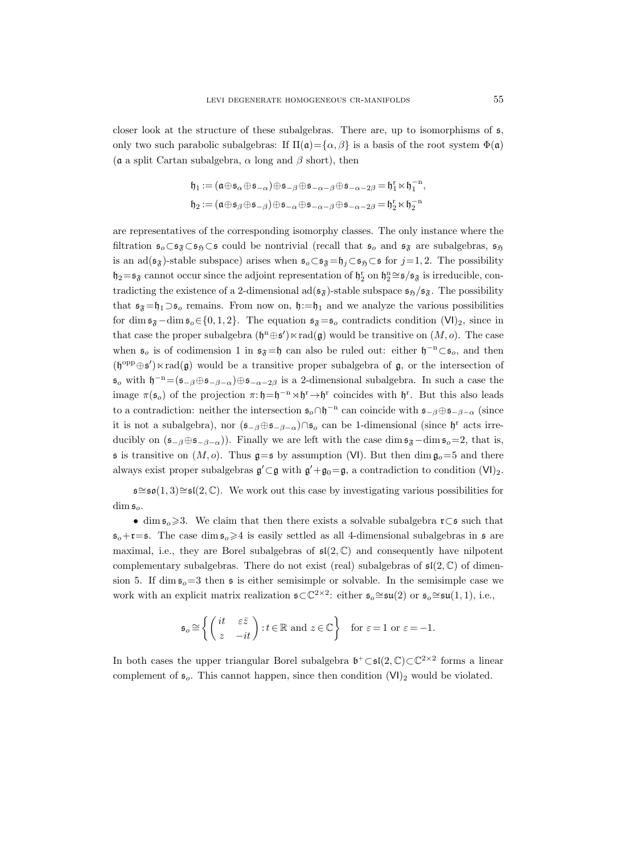closer look at the structure of these subalgebras. There are, up to isomorphisms of s, only two such parabolic subalgebras: If  $\Pi(\mathfrak{a}) = {\alpha, \beta}$  is a basis of the root system  $\Phi(\mathfrak{a})$ ( $\alpha$  a split Cartan subalgebra,  $\alpha$  long and  $\beta$  short), then

$$
\begin{aligned} \mathfrak{h}_1 := (\mathfrak{a} \oplus \mathfrak{s}_\alpha \oplus \mathfrak{s}_{-\alpha}) \oplus \mathfrak{s}_{-\beta} \oplus \mathfrak{s}_{-\alpha-\beta} \oplus \mathfrak{s}_{-\alpha-2\beta} = \mathfrak{h}_1^{\rm r} \ltimes \mathfrak{h}_1^{-{\rm n}}, \\ \mathfrak{h}_2 := (\mathfrak{a} \oplus \mathfrak{s}_\beta \oplus \mathfrak{s}_{-\beta}) \oplus \mathfrak{s}_{-\alpha} \oplus \mathfrak{s}_{-\alpha-\beta} \oplus \mathfrak{s}_{-\alpha-2\beta} = \mathfrak{h}_2^{\rm r} \ltimes \mathfrak{h}_2^{-{\rm n}} \end{aligned}
$$

are representatives of the corresponding isomorphy classes. The only instance where the filtration  $\mathfrak{s}_0 \subset \mathfrak{s}_{\mathfrak{H}} \subset \mathfrak{s}$  could be nontrivial (recall that  $\mathfrak{s}_0$  and  $\mathfrak{s}_{\mathfrak{F}}$  are subalgebras,  $\mathfrak{s}_{\mathfrak{H}}$ is an ad( $\mathfrak{s}_{\mathfrak{F}}$ )-stable subspace) arises when  $\mathfrak{s}_{o} \subset \mathfrak{s}_{\mathfrak{F}}=\mathfrak{h}_{j} \subset \mathfrak{s}_{\mathfrak{H}} \subset \mathfrak{s}$  for  $j=1, 2$ . The possibility  $\not z_2 = \mathfrak{s}_{\mathfrak{F}}$  cannot occur since the adjoint representation of  $\mathfrak{h}_2^{\rm r}$  on  $\mathfrak{h}_2^{\rm n} \cong \mathfrak{s}/\mathfrak{s}_{\mathfrak{F}}$  is irreducible, contradicting the existence of a 2-dimensional  $ad(\mathfrak{s}_{\mathfrak{F}})$ -stable subspace  $\mathfrak{s}_{\mathfrak{H}}/\mathfrak{s}_{\mathfrak{F}}$ . The possibility that  $\mathfrak{s}_{\mathfrak{F}}=\mathfrak{h}_1\supset\mathfrak{s}_o$  remains. From now on,  $\mathfrak{h}:=\mathfrak{h}_1$  and we analyze the various possibilities for dim  $\mathfrak{s}_{\mathfrak{F}}-\dim \mathfrak{s}_{o} \in \{0, 1, 2\}$ . The equation  $\mathfrak{s}_{\mathfrak{F}}=\mathfrak{s}_{o}$  contradicts condition  $(VI)_2$ , since in that case the proper subalgebra  $(\mathfrak{h}^n \oplus \mathfrak{s}') \ltimes \text{rad}(\mathfrak{g})$  would be transitive on  $(M, o)$ . The case when  $\mathfrak{s}_o$  is of codimension 1 in  $\mathfrak{s}_{\mathfrak{F}}=\mathfrak{h}$  can also be ruled out: either  $\mathfrak{h}^{-n}\subset \mathfrak{s}_o$ , and then  $(\mathfrak{h}^{\text{opp}}\oplus\mathfrak{s}')\ltimes \text{rad}(\mathfrak{g})$  would be a transitive proper subalgebra of  $\mathfrak{g}$ , or the intersection of  $\mathfrak{s}_o$  with  $\mathfrak{h}^{-n} = (\mathfrak{s}_{-\beta} \oplus \mathfrak{s}_{-\beta-\alpha}) \oplus \mathfrak{s}_{-\alpha-2\beta}$  is a 2-dimensional subalgebra. In such a case the image  $\pi(\mathfrak{s}_o)$  of the projection  $\pi: \mathfrak{h} = \mathfrak{h}^{-n} \rtimes \mathfrak{h}^r \to \mathfrak{h}^r$  coincides with  $\mathfrak{h}^r$ . But this also leads to a contradiction: neither the intersection  $\mathfrak{s}_o \cap \mathfrak{h}^{-n}$  can coincide with  $\mathfrak{s}_{-\beta} \oplus \mathfrak{s}_{-\beta-\alpha}$  (since it is not a subalgebra), nor  $(\mathfrak{s}_{-\beta} \oplus \mathfrak{s}_{-\beta-\alpha}) \cap \mathfrak{s}_o$  can be 1-dimensional (since  $\mathfrak{h}^r$  acts irreducibly on  $(\mathfrak{s}_{-\beta}\oplus \mathfrak{s}_{-\beta-\alpha})$ . Finally we are left with the case dim  $\mathfrak{s}_{\mathfrak{F}}-\dim \mathfrak{s}_{\mathfrak{o}}=2$ , that is, s is transitive on  $(M, o)$ . Thus  $g = s$  by assumption (VI). But then dim  $g_o = 5$  and there always exist proper subalgebras  $\mathfrak{g}' \subset \mathfrak{g}$  with  $\mathfrak{g}' + \mathfrak{g}_0 = \mathfrak{g}$ , a contradiction to condition  $(VI)_2$ .

 $\mathfrak{s} \cong \mathfrak{so}(1,3) \cong \mathfrak{sl}(2,\mathbb{C})$ . We work out this case by investigating various possibilities for  $\dim \mathfrak{s}_o$ 

• dim  $\mathfrak{s}_o \geq 3$ . We claim that then there exists a solvable subalgebra  $\mathfrak{r} \subset \mathfrak{s}$  such that  $s_o+r=s$ . The case dim  $s_o\geq 4$  is easily settled as all 4-dimensional subalgebras in  $s$  are maximal, i.e., they are Borel subalgebras of  $\mathfrak{sl}(2,\mathbb{C})$  and consequently have nilpotent complementary subalgebras. There do not exist (real) subalgebras of  $\mathfrak{sl}(2,\mathbb{C})$  of dimension 5. If dim  $\mathfrak{s}_0=3$  then  $\mathfrak{s}$  is either semisimple or solvable. In the semisimple case we work with an explicit matrix realization  $\mathfrak{s} \subset \mathbb{C}^{2 \times 2}$ : either  $\mathfrak{s}_o \cong \mathfrak{su}(2)$  or  $\mathfrak{s}_o \cong \mathfrak{su}(1,1)$ , i.e.,

$$
\mathfrak{s}_o \cong \left\{ \begin{pmatrix} it & \varepsilon \bar{z} \\ z & -it \end{pmatrix} : t \in \mathbb{R} \text{ and } z \in \mathbb{C} \right\} \text{ for } \varepsilon = 1 \text{ or } \varepsilon = -1.
$$

In both cases the upper triangular Borel subalgebra  $\mathfrak{b}^+ \subset \mathfrak{sl}(2,\mathbb{C}) \subset \mathbb{C}^{2 \times 2}$  forms a linear complement of  $\mathfrak{s}_o$ . This cannot happen, since then condition  $(VI)_2$  would be violated.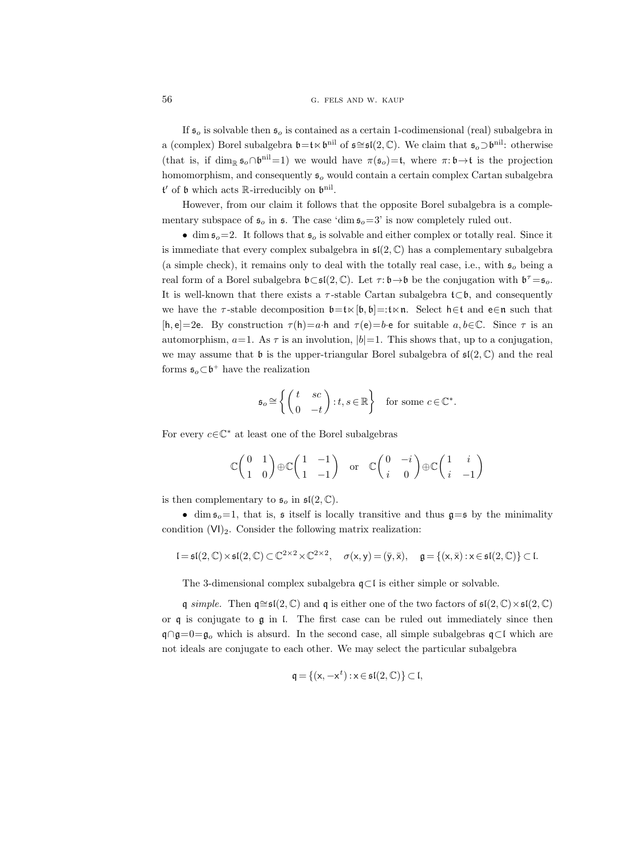If  $\mathfrak{s}_o$  is solvable then  $\mathfrak{s}_o$  is contained as a certain 1-codimensional (real) subalgebra in a (complex) Borel subalgebra  $\mathfrak{b}=\mathfrak{t}\ltimes \mathfrak{b}^{\text{nil}}$  of  $\mathfrak{s} \cong \mathfrak{sl}(2,\mathbb{C})$ . We claim that  $\mathfrak{s}_o\supset \mathfrak{b}^{\text{nil}}$ : otherwise (that is, if  $\dim_{\mathbb{R}} \mathfrak{s}_o \cap \mathfrak{b}^{\text{nil}} = 1$ ) we would have  $\pi(\mathfrak{s}_o) = \mathfrak{t}$ , where  $\pi: \mathfrak{b} \to \mathfrak{t}$  is the projection homomorphism, and consequently  $\mathfrak{s}_o$  would contain a certain complex Cartan subalgebra  $\mathfrak{t}'$  of  $\mathfrak{b}$  which acts  $\mathbb{R}$ -irreducibly on  $\mathfrak{b}^{\text{nil}}$ .

However, from our claim it follows that the opposite Borel subalgebra is a complementary subspace of  $\mathfrak{s}_o$  in  $\mathfrak{s}$ . The case 'dim  $\mathfrak{s}_o=3$ ' is now completely ruled out.

• dim  $\mathfrak{s}_o=2$ . It follows that  $\mathfrak{s}_o$  is solvable and either complex or totally real. Since it is immediate that every complex subalgebra in  $\mathfrak{sl}(2,\mathbb{C})$  has a complementary subalgebra (a simple check), it remains only to deal with the totally real case, i.e., with  $\mathfrak{s}_o$  being a real form of a Borel subalgebra  $\mathfrak{b}\subset \mathfrak{sl}(2,\mathbb{C})$ . Let  $\tau:\mathfrak{b}\to \mathfrak{b}$  be the conjugation with  $\mathfrak{b}^{\tau}=\mathfrak{s}_{o}$ . It is well-known that there exists a  $\tau$ -stable Cartan subalgebra  $\mathfrak{t}\subset \mathfrak{b}$ , and consequently we have the  $\tau$ -stable decomposition  $\mathfrak{b}=\mathfrak{t}\ltimes[\mathfrak{b},\mathfrak{b}]=:\mathfrak{t}\ltimes\mathfrak{n}$ . Select h∈t and e∈n such that [h, e]=2e. By construction  $\tau(h)=a\cdot h$  and  $\tau(e)=b\cdot e$  for suitable  $a, b \in \mathbb{C}$ . Since  $\tau$  is an automorphism,  $a=1$ . As  $\tau$  is an involution,  $|b|=1$ . This shows that, up to a conjugation, we may assume that b is the upper-triangular Borel subalgebra of  $\mathfrak{sl}(2,\mathbb{C})$  and the real forms  $\mathfrak{s}_o \subset \mathfrak{b}^+$  have the realization

$$
\mathfrak{s}_o \cong \left\{ \begin{pmatrix} t & sc \\ 0 & -t \end{pmatrix} : t, s \in \mathbb{R} \right\} \text{ for some } c \in \mathbb{C}^*.
$$

For every  $c \in \mathbb{C}^*$  at least one of the Borel subalgebras

$$
\mathbb{C}\begin{pmatrix} 0 & 1 \\ 1 & 0 \end{pmatrix} \oplus \mathbb{C}\begin{pmatrix} 1 & -1 \\ 1 & -1 \end{pmatrix} \text{ or } \mathbb{C}\begin{pmatrix} 0 & -i \\ i & 0 \end{pmatrix} \oplus \mathbb{C}\begin{pmatrix} 1 & i \\ i & -1 \end{pmatrix}
$$

is then complementary to  $\mathfrak{s}_o$  in  $\mathfrak{sl}(2,\mathbb{C})$ .

• dim  $s_0=1$ , that is, s itself is locally transitive and thus  $g=s$  by the minimality condition  $(VI)_2$ . Consider the following matrix realization:

$$
\mathfrak{l}=\mathfrak{sl}(2,\mathbb{C})\times\mathfrak{sl}(2,\mathbb{C})\subset\mathbb{C}^{2\times 2}\times\mathbb{C}^{2\times 2},\quad\sigma(x,y)=(\bar{y},\bar{x}),\quad\mathfrak{g}=\{(x,\bar{x}):x\in\mathfrak{sl}(2,\mathbb{C})\}\subset\mathfrak{l}.
$$

The 3-dimensional complex subalgebra q⊂l is either simple or solvable.

q simple. Then  $\mathsf{q} \cong \mathsf{sl}(2,\mathbb{C})$  and q is either one of the two factors of  $\mathsf{sl}(2,\mathbb{C})\times \mathsf{sl}(2,\mathbb{C})$ or  $\mathfrak q$  is conjugate to  $\mathfrak g$  in l. The first case can be ruled out immediately since then q∩g=0=g<sub>o</sub> which is absurd. In the second case, all simple subalgebras  $\mathfrak{q} \subset \mathfrak{l}$  which are not ideals are conjugate to each other. We may select the particular subalgebra

$$
\mathfrak{q} = \{ (\mathsf{x}, -\mathsf{x}^t) : \mathsf{x} \in \mathfrak{sl}(2, \mathbb{C}) \} \subset \mathfrak{l},
$$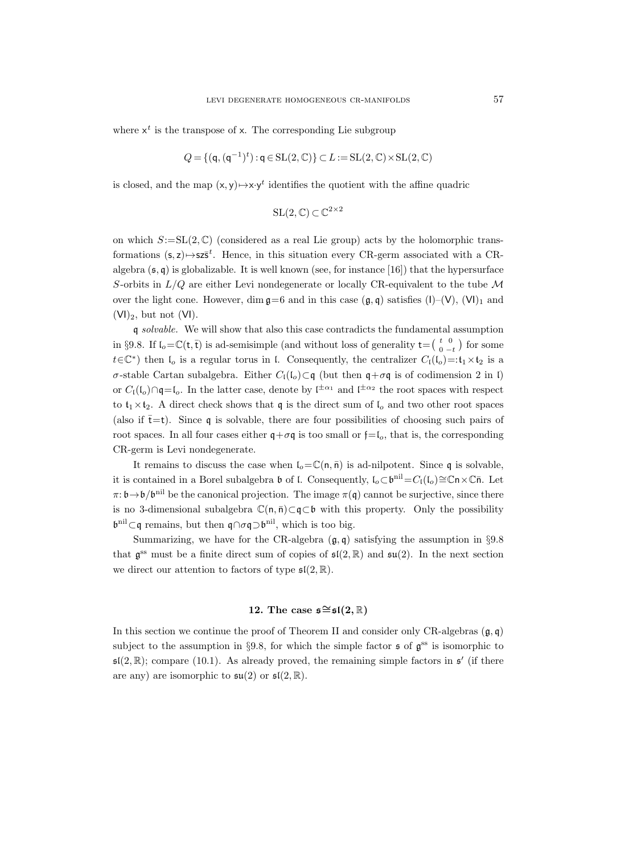where  $x^t$  is the transpose of x. The corresponding Lie subgroup

$$
Q = \{ (\mathbf{q}, (\mathbf{q}^{-1})^t) : \mathbf{q} \in \mathrm{SL}(2, \mathbb{C}) \} \subset L := \mathrm{SL}(2, \mathbb{C}) \times \mathrm{SL}(2, \mathbb{C})
$$

is closed, and the map  $(x, y) \mapsto x \cdot y^t$  identifies the quotient with the affine quadric

$$
SL(2,\mathbb{C})\subset\mathbb{C}^{2\times 2}
$$

on which  $S:=SL(2,\mathbb{C})$  (considered as a real Lie group) acts by the holomorphic transformations  $(s, z) \mapsto s z \overline{s}^t$ . Hence, in this situation every CR-germ associated with a CRalgebra  $(\mathfrak{s}, \mathfrak{q})$  is globalizable. It is well known (see, for instance [16]) that the hypersurface S-orbits in  $L/Q$  are either Levi nondegenerate or locally CR-equivalent to the tube M over the light cone. However, dim  $\mathfrak{g}=6$  and in this case  $(\mathfrak{g}, \mathfrak{q})$  satisfies  $(I)$ – $(V)$ ,  $(V)$ <sub>1</sub> and  $(VI)_2$ , but not  $(VI)$ .

q solvable. We will show that also this case contradicts the fundamental assumption in §9.8. If  $\mathfrak{l}_o = \mathbb{C}(\mathsf{t}, \bar{\mathsf{t}})$  is ad-semisimple (and without loss of generality  $\mathsf{t} = \left(\begin{array}{cc} t & 0 \\ 0 & -t \end{array}\right)$  for some  $t \in \mathbb{C}^*$ ) then  $\mathfrak{l}_o$  is a regular torus in  $\mathfrak{l}$ . Consequently, the centralizer  $C_{\mathfrak{l}}(\mathfrak{l}_o) =: \mathfrak{t}_1 \times \mathfrak{t}_2$  is a  $\sigma$ -stable Cartan subalgebra. Either  $C_1(I_0) ⊂ q$  (but then q+ $\sigma q$  is of codimension 2 in l) or  $C_1(\mathfrak{l}_o) \cap \mathfrak{q} = \mathfrak{l}_o$ . In the latter case, denote by  $\mathfrak{l}^{\pm \alpha_1}$  and  $\mathfrak{l}^{\pm \alpha_2}$  the root spaces with respect to  $t_1 \times t_2$ . A direct check shows that q is the direct sum of  $l_o$  and two other root spaces (also if  $\bar{t}=t$ ). Since q is solvable, there are four possibilities of choosing such pairs of root spaces. In all four cases either  $q+\sigma q$  is too small or  $f=f_o$ , that is, the corresponding CR-germ is Levi nondegenerate.

It remains to discuss the case when  $I_0 = \mathbb{C}(n, \bar{n})$  is ad-nilpotent. Since q is solvable, it is contained in a Borel subalgebra  $\mathfrak b$  of l. Consequently,  $\mathfrak l_o \subset \mathfrak b^{\text{nil}}=C_\mathfrak l(\mathfrak l_o) \cong \mathbb C\mathfrak n \times \mathbb C\bar{\mathfrak n}$ . Let  $\pi: \mathfrak{b} \to \mathfrak{b}/\mathfrak{b}^{\text{nil}}$  be the canonical projection. The image  $\pi(\mathfrak{q})$  cannot be surjective, since there is no 3-dimensional subalgebra  $\mathbb{C}(n, \bar{n})\subset q\subset b$  with this property. Only the possibility  $\mathfrak{b}^{\text{nil}}\subset\mathfrak{q}$  remains, but then  $\mathfrak{q}\cap\sigma\mathfrak{q}\supset\mathfrak{b}^{\text{nil}}$ , which is too big.

Summarizing, we have for the CR-algebra  $(\mathfrak{g}, \mathfrak{g})$  satisfying the assumption in §9.8 that  $\mathfrak{g}^{\text{ss}}$  must be a finite direct sum of copies of  $\mathfrak{sl}(2,\mathbb{R})$  and  $\mathfrak{su}(2)$ . In the next section we direct our attention to factors of type  $\mathfrak{sl}(2,\mathbb{R})$ .

# 12. The case  $\mathfrak{s} \cong \mathfrak{sl}(2,\mathbb{R})$

In this section we continue the proof of Theorem II and consider only CR-algebras  $(\mathfrak{g}, \mathfrak{q})$ subject to the assumption in §9.8, for which the simple factor  $\mathfrak s$  of  $\mathfrak g^{\rm ss}$  is isomorphic to  $\mathfrak{sl}(2,\mathbb{R})$ ; compare (10.1). As already proved, the remaining simple factors in  $\mathfrak{s}'$  (if there are any) are isomorphic to  $\mathfrak{su}(2)$  or  $\mathfrak{sl}(2,\mathbb{R})$ .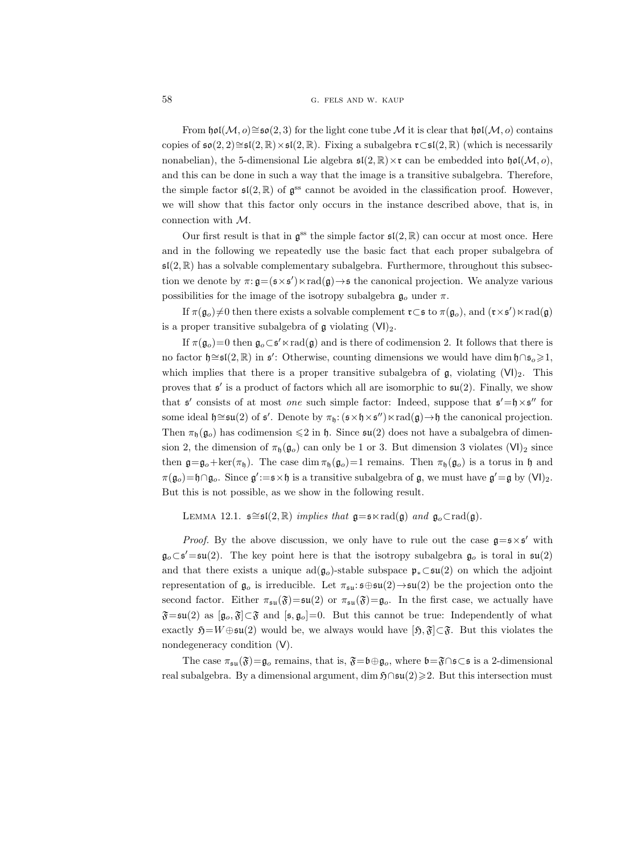From  $\mathfrak{hol}(\mathcal{M}, o) \cong \mathfrak{so}(2, 3)$  for the light cone tube M it is clear that  $\mathfrak{hol}(\mathcal{M}, o)$  contains copies of  $\mathfrak{so}(2,2) \cong \mathfrak{sl}(2,\mathbb{R}) \times \mathfrak{sl}(2,\mathbb{R})$ . Fixing a subalgebra  $\mathfrak{r} \subset \mathfrak{sl}(2,\mathbb{R})$  (which is necessarily nonabelian), the 5-dimensional Lie algebra  $\mathfrak{sl}(2,\mathbb{R})\times\mathfrak{r}$  can be embedded into  $\mathfrak{hol}(\mathcal{M}, o)$ , and this can be done in such a way that the image is a transitive subalgebra. Therefore, the simple factor  $\mathfrak{sl}(2,\mathbb{R})$  of  $\mathfrak{g}^{\text{ss}}$  cannot be avoided in the classification proof. However, we will show that this factor only occurs in the instance described above, that is, in connection with M.

Our first result is that in  $\mathfrak{g}^{\text{ss}}$  the simple factor  $\mathfrak{sl}(2,\mathbb{R})$  can occur at most once. Here and in the following we repeatedly use the basic fact that each proper subalgebra of  $\mathfrak{sl}(2,\mathbb{R})$  has a solvable complementary subalgebra. Furthermore, throughout this subsection we denote by  $\pi: \mathfrak{g} = (\mathfrak{s} \times \mathfrak{s}') \times \text{rad}(\mathfrak{g}) \rightarrow \mathfrak{s}$  the canonical projection. We analyze various possibilities for the image of the isotropy subalgebra  $\mathfrak{g}_o$  under  $\pi$ .

If  $\pi(\mathfrak{g}_o)\neq 0$  then there exists a solvable complement  $\mathfrak{r}\subset\mathfrak{s}$  to  $\pi(\mathfrak{g}_o)$ , and  $(\mathfrak{r}\times\mathfrak{s}')\ltimes \text{rad}(\mathfrak{g})$ is a proper transitive subalgebra of  $\mathfrak g$  violating  $(VI)_2$ .

If  $\pi(\mathfrak{g}_o)=0$  then  $\mathfrak{g}_o\subset \mathfrak{s}'\ltimes \text{rad}(\mathfrak{g})$  and is there of codimension 2. It follows that there is no factor  $\mathfrak{h} \cong \mathfrak{sl}(2,\mathbb{R})$  in  $\mathfrak{s}'$ : Otherwise, counting dimensions we would have dim  $\mathfrak{h} \cap \mathfrak{s}_o \geq 1$ , which implies that there is a proper transitive subalgebra of  $\mathfrak{g}$ , violating  $(V|_2)$ . This proves that  $\mathfrak{s}'$  is a product of factors which all are isomorphic to  $\mathfrak{su}(2)$ . Finally, we show that  $\mathfrak{s}'$  consists of at most *one* such simple factor: Indeed, suppose that  $\mathfrak{s}' = \mathfrak{h} \times \mathfrak{s}''$  for some ideal  $\mathfrak{h} \cong \mathfrak{su}(2)$  of  $\mathfrak{s}'$ . Denote by  $\pi_{\mathfrak{h}}: (\mathfrak{s} \times \mathfrak{h} \times \mathfrak{s}'') \ltimes \text{rad}(\mathfrak{g}) \to \mathfrak{h}$  the canonical projection. Then  $\pi_h(\mathfrak{g}_{\mathfrak{g}})$  has codimension  $\leq 2$  in h. Since  $\mathfrak{su}(2)$  does not have a subalgebra of dimension 2, the dimension of  $\pi_{\mathfrak{h}}(\mathfrak{g}_{o})$  can only be 1 or 3. But dimension 3 violates (VI)<sub>2</sub> since then  $\mathfrak{g} = \mathfrak{g}_o + \ker(\pi_{\mathfrak{h}})$ . The case dim  $\pi_{\mathfrak{h}}(\mathfrak{g}_o) = 1$  remains. Then  $\pi_{\mathfrak{h}}(\mathfrak{g}_o)$  is a torus in  $\mathfrak{h}$  and  $\pi(\mathfrak{g}_o) = \mathfrak{h} \cap \mathfrak{g}_o$ . Since  $\mathfrak{g}' := \mathfrak{s} \times \mathfrak{h}$  is a transitive subalgebra of  $\mathfrak{g}$ , we must have  $\mathfrak{g}' = \mathfrak{g}$  by  $(VI)_2$ . But this is not possible, as we show in the following result.

LEMMA 12.1.  $\mathfrak{s} \cong \mathfrak{sl}(2,\mathbb{R})$  implies that  $\mathfrak{g} = \mathfrak{s} \times \text{rad}(\mathfrak{g})$  and  $\mathfrak{g}_o \subset \text{rad}(\mathfrak{g})$ .

*Proof.* By the above discussion, we only have to rule out the case  $g = s \times s'$  with  $\mathfrak{g}_o \subset \mathfrak{s}' = \mathfrak{su}(2)$ . The key point here is that the isotropy subalgebra  $\mathfrak{g}_o$  is toral in  $\mathfrak{su}(2)$ and that there exists a unique  $ad(g_0)$ -stable subspace  $\mathfrak{p}_* \subset \mathfrak{su}(2)$  on which the adjoint representation of  $\mathfrak{g}_o$  is irreducible. Let  $\pi_{\mathfrak{su}}:\mathfrak{so}\oplus\mathfrak{su}(2)\to\mathfrak{su}(2)$  be the projection onto the second factor. Either  $\pi_{\mathfrak{su}}(\mathfrak{F})=\mathfrak{su}(2)$  or  $\pi_{\mathfrak{su}}(\mathfrak{F})=\mathfrak{g}_o$ . In the first case, we actually have  $\mathfrak{F}=\mathfrak{su}(2)$  as  $[\mathfrak{g}_o,\mathfrak{F}]\subset \mathfrak{F}$  and  $[\mathfrak{s},\mathfrak{g}_o]=0$ . But this cannot be true: Independently of what exactly  $\mathfrak{H}=W\oplus\mathfrak{su}(2)$  would be, we always would have  $[\mathfrak{H},\mathfrak{F}]\subset \mathfrak{F}$ . But this violates the nondegeneracy condition (V).

The case  $\pi_{\mathfrak{su}}(\mathfrak{F})=\mathfrak{g}_o$  remains, that is,  $\mathfrak{F}=\mathfrak{b}\oplus\mathfrak{g}_o$ , where  $\mathfrak{b}=\mathfrak{F}\cap\mathfrak{s}\subset\mathfrak{s}$  is a 2-dimensional real subalgebra. By a dimensional argument, dim  $\mathfrak{H}\cap\mathfrak{su}(2)\geqslant2$ . But this intersection must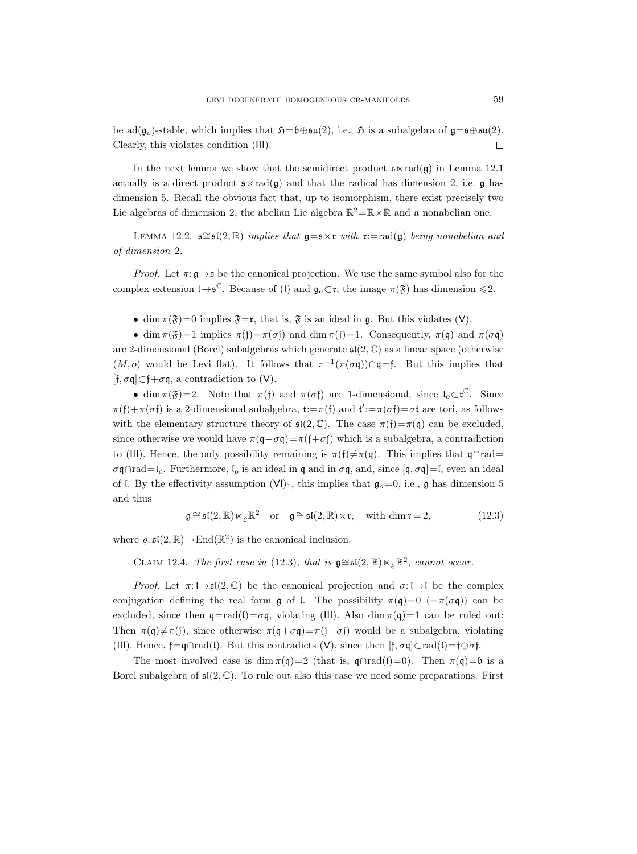be ad( $\mathfrak{g}_o$ )-stable, which implies that  $\mathfrak{H}=\mathfrak{b}\oplus\mathfrak{su}(2)$ , i.e.,  $\mathfrak{H}$  is a subalgebra of  $\mathfrak{g}=\mathfrak{so}(2)$ . Clearly, this violates condition (III).  $\Box$ 

In the next lemma we show that the semidirect product  $\mathfrak{s} \times \text{rad}(\mathfrak{g})$  in Lemma 12.1 actually is a direct product  $\mathfrak{s} \times \text{rad}(\mathfrak{g})$  and that the radical has dimension 2, i.e.  $\mathfrak{g}$  has dimension 5. Recall the obvious fact that, up to isomorphism, there exist precisely two Lie algebras of dimension 2, the abelian Lie algebra  $\mathbb{R}^2 = \mathbb{R} \times \mathbb{R}$  and a nonabelian one.

LEMMA 12.2.  $\mathfrak{g} \cong \mathfrak{sl}(2,\mathbb{R})$  implies that  $\mathfrak{g} = \mathfrak{s} \times \mathfrak{r}$  with  $\mathfrak{r} := \text{rad}(\mathfrak{g})$  being nonabelian and of dimension 2.

*Proof.* Let  $\pi: \mathfrak{g} \rightarrow \mathfrak{s}$  be the canonical projection. We use the same symbol also for the complex extension  $I \rightarrow \mathfrak{s}^{\mathbb{C}}$ . Because of (I) and  $\mathfrak{g}_o \subset \mathfrak{r}$ , the image  $\pi(\mathfrak{F})$  has dimension  $\leq 2$ .

• dim  $\pi(\mathfrak{F})=0$  implies  $\mathfrak{F}=\mathfrak{r}$ , that is,  $\mathfrak{F}$  is an ideal in g. But this violates (V).

• dim  $\pi(\mathfrak{F})=1$  implies  $\pi(\mathfrak{f})=\pi(\sigma\mathfrak{f})$  and dim  $\pi(\mathfrak{f})=1$ . Consequently,  $\pi(\mathfrak{q})$  and  $\pi(\sigma\mathfrak{q})$ are 2-dimensional (Borel) subalgebras which generate  $\mathfrak{sl}(2,\mathbb{C})$  as a linear space (otherwise  $(M, o)$  would be Levi flat). It follows that  $\pi^{-1}(\pi(\sigma \mathfrak{q})) \cap \mathfrak{q} = \mathfrak{f}$ . But this implies that  $[f, \sigma q] \subset f + \sigma q$ , a contradiction to  $(V)$ .

• dim  $\pi(\mathfrak{F})=2$ . Note that  $\pi(f)$  and  $\pi(\sigma f)$  are 1-dimensional, since  $\mathfrak{l}_o\subset\mathfrak{r}^{\mathbb{C}}$ . Since  $\pi(f) + \pi(\sigma f)$  is a 2-dimensional subalgebra,  $t := \pi(f)$  and  $t' := \pi(\sigma f) = \sigma t$  are tori, as follows with the elementary structure theory of  $\mathfrak{sl}(2,\mathbb{C})$ . The case  $\pi(\mathfrak{f})=\pi(\mathfrak{q})$  can be excluded, since otherwise we would have  $\pi(\mathbf{q}+\sigma\mathbf{q})=\pi(\mathbf{f}+\sigma\mathbf{f})$  which is a subalgebra, a contradiction to (III). Hence, the only possibility remaining is  $\pi(f) \neq \pi(\mathfrak{q})$ . This implies that  $\mathfrak{q} \cap \text{rad}$ =  $\sigma\mathfrak{q}\cap\mathrm{rad}=\mathfrak{l}_o$ . Furthermore,  $\mathfrak{l}_o$  is an ideal in  $\mathfrak{q}$  and in  $\sigma\mathfrak{q}$ , and, since  $[\mathfrak{q}, \sigma\mathfrak{q}]=\mathfrak{l}$ , even an ideal of l. By the effectivity assumption  $(VI)_1$ , this implies that  $\mathfrak{g}_o=0$ , i.e.,  $\mathfrak{g}$  has dimension 5 and thus

$$
\mathfrak{g} \cong \mathfrak{sl}(2,\mathbb{R}) \ltimes_{\varrho} \mathbb{R}^2 \quad \text{or} \quad \mathfrak{g} \cong \mathfrak{sl}(2,\mathbb{R}) \times \mathfrak{r}, \quad \text{with dim } \mathfrak{r} = 2,
$$
 (12.3)

where  $\varrho: \mathfrak{sl}(2,\mathbb{R}) \to \text{End}(\mathbb{R}^2)$  is the canonical inclusion.

CLAIM 12.4. The first case in (12.3), that is  $\mathfrak{g} \cong \mathfrak{sl}(2,\mathbb{R}) \ltimes_{\varrho} \mathbb{R}^2$ , cannot occur.

*Proof.* Let  $\pi: \mathfrak{l} \rightarrow \mathfrak{sl}(2, \mathbb{C})$  be the canonical projection and  $\sigma: \mathfrak{l} \rightarrow \mathfrak{l}$  be the complex conjugation defining the real form g of l. The possibility  $\pi(\mathfrak{q})=0$  (= $\pi(\sigma\mathfrak{q})$ ) can be excluded, since then  $\mathfrak{q} = \text{rad}(\mathfrak{l}) = \sigma \mathfrak{q}$ , violating (III). Also dim  $\pi(\mathfrak{q}) = 1$  can be ruled out: Then  $\pi(\mathfrak{q})\neq \pi(\mathfrak{f})$ , since otherwise  $\pi(\mathfrak{q}+\sigma\mathfrak{q})=\pi(\mathfrak{f}+\sigma\mathfrak{f})$  would be a subalgebra, violating (III). Hence,  $f = q \cap rad(I)$ . But this contradicts (V), since then  $[f, \sigma q] \subset rad(I) = f \oplus \sigma f$ .

The most involved case is dim  $\pi(q)=2$  (that is,  $\eta \cap rad(I)=0$ ). Then  $\pi(q)=b$  is a Borel subalgebra of  $\mathfrak{sl}(2,\mathbb{C})$ . To rule out also this case we need some preparations. First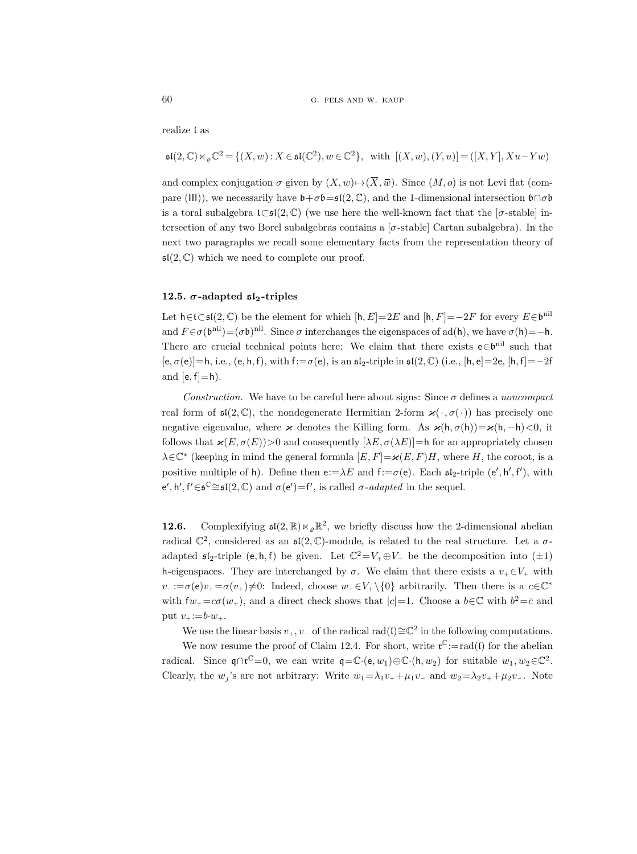realize l as

$$
\mathfrak{sl}(2,\mathbb{C})\ltimes_{\varrho}\mathbb{C}^2=\{(X,w): X\in \mathfrak{sl}(\mathbb{C}^2), w\in \mathbb{C}^2\},\;\;\text{with}\;\; [(X,w),(Y,u)]=([X,Y],Xu-Yw)
$$

and complex conjugation  $\sigma$  given by  $(X, w) \rightarrow (\overline{X}, \overline{w})$ . Since  $(M, o)$  is not Levi flat (compare (III)), we necessarily have  $\mathfrak{b}+\sigma\mathfrak{b}=\mathfrak{sl}(2,\mathbb{C})$ , and the 1-dimensional intersection  $\mathfrak{b}\cap\sigma\mathfrak{b}$ is a toral subalgebra  $t\subset \mathfrak{sl}(2,\mathbb{C})$  (we use here the well-known fact that the [ $\sigma$ -stable] intersection of any two Borel subalgebras contains a  $[\sigma\text{-stable}]$  Cartan subalgebra). In the next two paragraphs we recall some elementary facts from the representation theory of  $\mathfrak{sl}(2,\mathbb{C})$  which we need to complete our proof.

### 12.5.  $\sigma$ -adapted  $\mathfrak{sl}_2$ -triples

Let  $h \in \mathfrak{t} \subset \mathfrak{sl}(2,\mathbb{C})$  be the element for which  $[h,E]=2E$  and  $[h,F]=-2F$  for every  $E \in \mathfrak{b}^{\text{nil}}$ and  $F \in \sigma(\mathfrak{b}^{\text{nil}}) = (\sigma \mathfrak{b})^{\text{nil}}$ . Since  $\sigma$  interchanges the eigenspaces of ad(h), we have  $\sigma(\mathfrak{h}) = -\mathfrak{h}$ . There are crucial technical points here: We claim that there exists  $e \in \mathfrak{b}^{\text{nil}}$  such that  $[e, \sigma(e)] = h$ , i.e.,  $(e, h, f)$ , with  $f: = \sigma(e)$ , is an  $\mathfrak{sl}_2$ -triple in  $\mathfrak{sl}(2, \mathbb{C})$  (i.e.,  $[h, e] = 2e$ ,  $[h, f] = -2f$ and  $[e, f]=h$ ).

Construction. We have to be careful here about signs: Since  $\sigma$  defines a noncompact real form of  $\mathfrak{sl}(2,\mathbb{C})$ , the nondegenerate Hermitian 2-form  $\varkappa(\cdot, \sigma(\cdot))$  has precisely one negative eigenvalue, where  $\varkappa$  denotes the Killing form. As  $\varkappa(h, \sigma(h))=\varkappa(h, -h)<0$ , it follows that  $\varkappa(E, \sigma(E))>0$  and consequently  $[\lambda E, \sigma(\lambda E)]=h$  for an appropriately chosen  $\lambda \in \mathbb{C}^*$  (keeping in mind the general formula  $[E, F] = \varkappa(E, F)H$ , where H, the coroot, is a positive multiple of h). Define then  $e:=\lambda E$  and  $f:=\sigma(e)$ . Each  $\mathfrak{sl}_2$ -triple  $(e', h', f')$ , with e', h', f' $\in$ s<sup>C</sup> $\cong$ sl(2, C) and  $\sigma$ (e')=f', is called  $\sigma$ -adapted in the sequel.

**12.6.** Complexifying  $\mathfrak{sl}(2,\mathbb{R}) \ltimes_{\varrho} \mathbb{R}^2$ , we briefly discuss how the 2-dimensional abelian radical  $\mathbb{C}^2$ , considered as an  $\mathfrak{sl}(2,\mathbb{C})$ -module, is related to the real structure. Let a  $\sigma$ adapted  $\mathfrak{sl}_2$ -triple (e, h, f) be given. Let  $\mathbb{C}^2 = V_+ \oplus V_-$  be the decomposition into  $(\pm 1)$ h-eigenspaces. They are interchanged by  $\sigma$ . We claim that there exists a  $v_+ \in V_+$  with  $v_- := \sigma(e)v_+ = \sigma(v_+) \neq 0$ : Indeed, choose  $w_+ \in V_+ \setminus \{0\}$  arbitrarily. Then there is a  $c \in \mathbb{C}^*$ with  $f_{w_+} = c\sigma(w_+),$  and a direct check shows that  $|c|=1$ . Choose a  $b \in \mathbb{C}$  with  $b^2 = \overline{c}$  and put  $v_+ := b \cdot w_+$ .

We use the linear basis  $v_+, v_-$  of the radical rad(l)≅ $\mathbb{C}^2$  in the following computations.

We now resume the proof of Claim 12.4. For short, write  $\mathfrak{r}^{\mathbb{C}}:=\text{rad}(\mathfrak{l})$  for the abelian radical. Since  $\mathfrak{q} \cap \mathfrak{r}^{\mathbb{C}} = 0$ , we can write  $\mathfrak{q} = \mathbb{C} \cdot (\mathsf{e}, w_1) \oplus \mathbb{C} \cdot (\mathsf{h}, w_2)$  for suitable  $w_1, w_2 \in \mathbb{C}^2$ . Clearly, the  $w_j$ 's are not arbitrary: Write  $w_1 = \lambda_1 v_+ + \mu_1 v_-$  and  $w_2 = \lambda_2 v_+ + \mu_2 v_-$ . Note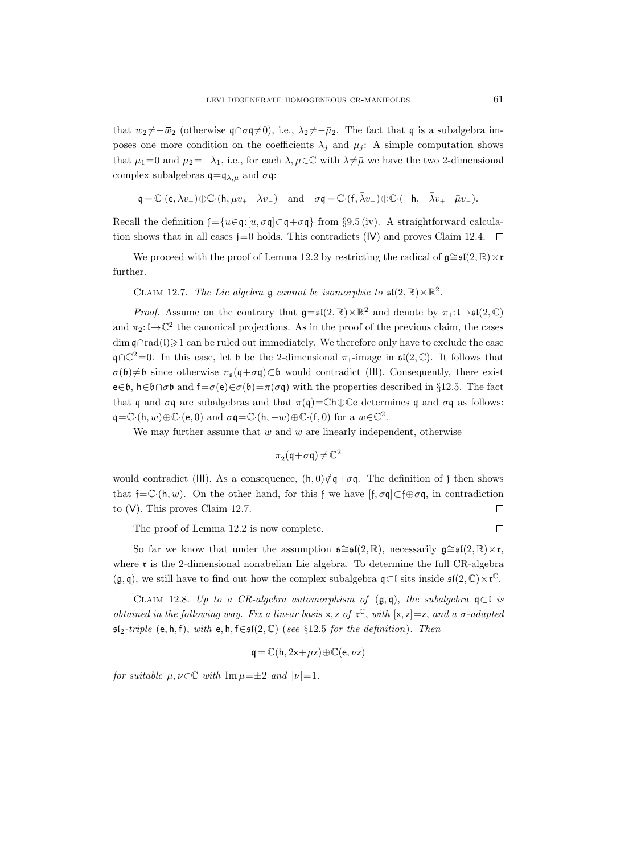that  $w_2 \neq -\overline{w}_2$  (otherwise  $\mathfrak{q} \cap \sigma \mathfrak{q} \neq 0$ ), i.e.,  $\lambda_2 \neq -\overline{\mu}_2$ . The fact that q is a subalgebra imposes one more condition on the coefficients  $\lambda_i$  and  $\mu_i$ : A simple computation shows that  $\mu_1=0$  and  $\mu_2=-\lambda_1$ , i.e., for each  $\lambda, \mu \in \mathbb{C}$  with  $\lambda \neq \bar{\mu}$  we have the two 2-dimensional complex subalgebras  $\mathfrak{q} = \mathfrak{q}_{\lambda,\mu}$  and  $\sigma \mathfrak{q}$ :

$$
\mathfrak{q} = \mathbb{C} \cdot (\mathsf{e}, \lambda v_+) \oplus \mathbb{C} \cdot (\mathsf{h}, \mu v_+ - \lambda v_-) \quad \text{and} \quad \sigma \mathfrak{q} = \mathbb{C} \cdot (\mathsf{f}, \bar{\lambda} v_-) \oplus \mathbb{C} \cdot (-\mathsf{h}, -\bar{\lambda} v_+ + \bar{\mu} v_-).
$$

Recall the definition  $f=\{u\in\mathfrak{q}:[u,\sigma\mathfrak{q}]\subset\mathfrak{q}+\sigma\mathfrak{q}\}\$  from §9.5 (iv). A straightforward calculation shows that in all cases  $f=0$  holds. This contradicts (IV) and proves Claim 12.4.  $\Box$ 

We proceed with the proof of Lemma 12.2 by restricting the radical of  $\mathfrak{g} \cong \mathfrak{sl}(2,\mathbb{R})\times \mathfrak{r}$ further.

CLAIM 12.7. The Lie algebra  $\mathfrak g$  cannot be isomorphic to  $\mathfrak{sl}(2,\mathbb{R})\times\mathbb{R}^2$ .

*Proof.* Assume on the contrary that  $\mathfrak{g} = \mathfrak{sl}(2, \mathbb{R}) \times \mathbb{R}^2$  and denote by  $\pi_1: \mathfrak{l} \to \mathfrak{sl}(2, \mathbb{C})$ and  $\pi_2: \mathfrak{l} \to \mathbb{C}^2$  the canonical projections. As in the proof of the previous claim, the cases  $\dim \mathfrak{q} \cap \text{rad}(1) \geq 1$  can be ruled out immediately. We therefore only have to exclude the case  $\mathfrak{q} \cap \mathbb{C}^2 = 0$ . In this case, let b be the 2-dimensional  $\pi_1$ -image in  $\mathfrak{sl}(2,\mathbb{C})$ . It follows that  $\sigma(\mathfrak{b})\neq\mathfrak{b}$  since otherwise  $\pi_{\mathfrak{s}}(\mathfrak{q}+\sigma\mathfrak{q})\subset\mathfrak{b}$  would contradict (III). Consequently, there exist e∈b, h∈b∩σb and f= $\sigma$ (e)∈ $\sigma$ (b)= $\pi(\sigma q)$  with the properties described in §12.5. The fact that q and  $\sigma q$  are subalgebras and that  $\pi(q) = \mathbb{C} \mathsf{h} \oplus \mathbb{C} \mathsf{e}$  determines q and  $\sigma q$  as follows:  $\mathsf{q} = \mathbb{C} \cdot (\mathsf{h}, w) \oplus \mathbb{C} \cdot (\mathsf{e}, 0)$  and  $\sigma \mathsf{q} = \mathbb{C} \cdot (\mathsf{h}, -\overline{w}) \oplus \mathbb{C} \cdot (\mathsf{f}, 0)$  for a  $w \in \mathbb{C}^2$ .

We may further assume that w and  $\bar{w}$  are linearly independent, otherwise

$$
\pi_2(\mathfrak{q}\!+\!\sigma\mathfrak{q})\!\neq\!\mathbb{C}^2
$$

would contradict (III). As a consequence,  $(h, 0) \notin \mathfrak{q} + \sigma \mathfrak{q}$ . The definition of f then shows that f= $\mathbb{C} \cdot (h, w)$ . On the other hand, for this f we have  $[f, \sigma q] \subset f \oplus \sigma q$ , in contradiction to (V). This proves Claim 12.7.  $\Box$ 

The proof of Lemma 12.2 is now complete.

So far we know that under the assumption  $\mathfrak{s} \cong \mathfrak{sl}(2,\mathbb{R})$ , necessarily  $\mathfrak{g} \cong \mathfrak{sl}(2,\mathbb{R}) \times \mathfrak{r}$ , where  $\mathfrak r$  is the 2-dimensional nonabelian Lie algebra. To determine the full CR-algebra  $(\mathfrak{g}, \mathfrak{q})$ , we still have to find out how the complex subalgebra  $\mathfrak{q} \subset \mathfrak{l}$  sits inside  $\mathfrak{sl}(2, \mathbb{C}) \times \mathfrak{r}^{\mathbb{C}}$ .

CLAIM 12.8. Up to a CR-algebra automorphism of  $(\mathfrak{g}, \mathfrak{q})$ , the subalgebra  $\mathfrak{q} \subset \mathfrak{l}$  is *obtained in the following way. Fix a linear basis*  $x, z$  *of*  $\mathfrak{r}^{\mathbb{C}}$ *, with*  $[x, z] = z$ *, and a*  $\sigma$ *-adapted*  $sI_2-triple$  (e, h, f), with e, h, f∈s $I(2,\mathbb{C})$  (see §12.5 for the definition). Then

$$
\mathbf{q} = \mathbb{C}(\mathbf{h}, 2\mathbf{x} + \mu \mathbf{z}) \oplus \mathbb{C}(\mathbf{e}, \nu \mathbf{z})
$$

for suitable  $\mu, \nu \in \mathbb{C}$  with  $\text{Im } \mu = \pm 2$  and  $|\nu|=1$ .

 $\Box$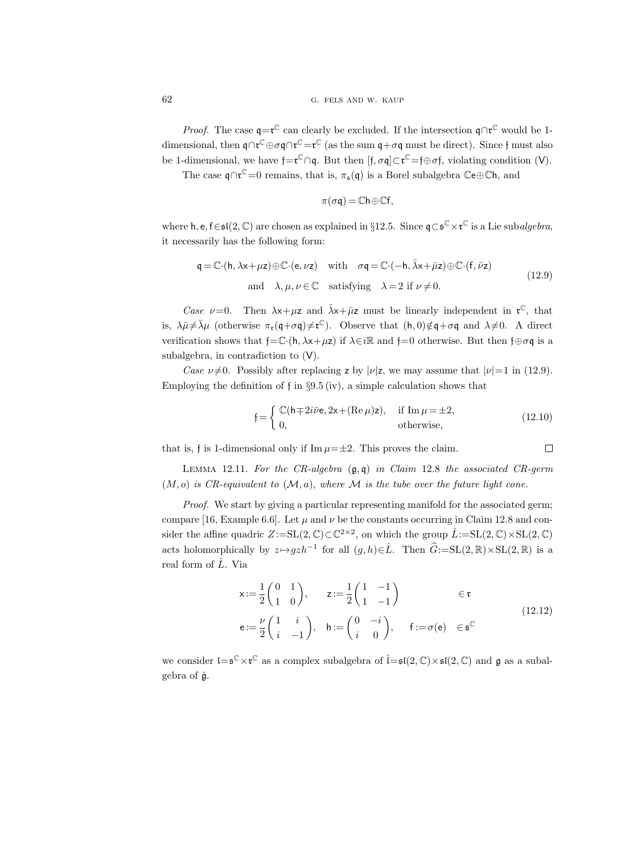*Proof.* The case  $\mathfrak{q} = \mathfrak{r}^{\mathbb{C}}$  can clearly be excluded. If the intersection  $\mathfrak{q} \cap \mathfrak{r}^{\mathbb{C}}$  would be 1dimensional, then  $\mathfrak{q} \cap \mathfrak{r}^\mathbb{C} \oplus \sigma \mathfrak{q} \cap \mathfrak{r}^\mathbb{C} = \mathfrak{r}^\mathbb{C}$  (as the sum  $\mathfrak{q} + \sigma \mathfrak{q}$  must be direct). Since  $\mathfrak{f}$  must also be 1-dimensional, we have  $\mathfrak{f} = \mathfrak{r}^{\mathbb{C}} \cap \mathfrak{q}$ . But then  $[\mathfrak{f}, \sigma \mathfrak{q}] \subset \mathfrak{r}^{\mathbb{C}} = \mathfrak{f} \oplus \sigma \mathfrak{f}$ , violating condition (V).

The case  $\mathfrak{q} \cap \mathfrak{r}^{\mathbb{C}} = 0$  remains, that is,  $\pi_{\mathfrak{s}}(\mathfrak{q})$  is a Borel subalgebra  $\mathbb{C}e \oplus \mathbb{C}h$ , and

$$
\pi(\sigma\mathfrak{q})=\mathbb{C}\mathsf{h}\oplus\mathbb{C}\mathsf{f},
$$

where  $h, e, f \in \mathfrak{sl}(2,\mathbb{C})$  are chosen as explained in §12.5. Since  $\mathfrak{q} \subset \mathfrak{s}^{\mathbb{C}} \times \mathfrak{r}^{\mathbb{C}}$  is a Lie subalgebra, it necessarily has the following form:

$$
\mathsf{q} = \mathbb{C} \cdot (\mathsf{h}, \lambda \mathsf{x} + \mu \mathsf{z}) \oplus \mathbb{C} \cdot (\mathsf{e}, \nu \mathsf{z}) \quad \text{with} \quad \sigma \mathsf{q} = \mathbb{C} \cdot (-\mathsf{h}, \bar{\lambda} \mathsf{x} + \bar{\mu} \mathsf{z}) \oplus \mathbb{C} \cdot (\mathsf{f}, \bar{\nu} \mathsf{z})
$$
\nand  $\lambda, \mu, \nu \in \mathbb{C}$  satisfying  $\lambda = 2$  if  $\nu \neq 0$ . (12.9)

Case  $\nu=0$ . Then  $\lambda x+\mu z$  and  $\bar{\lambda}x+\bar{\mu}z$  must be linearly independent in  $\mathfrak{r}^{\mathbb{C}}$ , that is,  $\lambda \bar{\mu} \neq \bar{\lambda} \mu$  (otherwise  $\pi_{\mathfrak{r}}(\mathfrak{q}+\sigma\mathfrak{q})\neq \mathfrak{r}^{\mathbb{C}}$ ). Observe that  $(h, 0)\notin \mathfrak{q}+\sigma\mathfrak{q}$  and  $\lambda \neq 0$ . A direct verification shows that  $f = \mathbb{C} \cdot (h, \lambda x + \mu z)$  if  $\lambda \in i\mathbb{R}$  and  $f = 0$  otherwise. But then  $f \oplus \sigma q$  is a subalgebra, in contradiction to (V).

Case  $\nu\neq0$ . Possibly after replacing z by  $|\nu|z$ , we may assume that  $|\nu|=1$  in (12.9). Employing the definition of f in  $\S 9.5$  (iv), a simple calculation shows that

$$
\mathfrak{f} = \begin{cases} \mathbb{C}(\mathsf{h} \mp 2i\bar{\nu}\mathsf{e}, 2\mathsf{x} + (\text{Re}\,\mu)\mathsf{z}), & \text{if } \text{Im}\,\mu = \pm 2, \\ 0, & \text{otherwise,} \end{cases}
$$
(12.10)

 $\Box$ that is, f is 1-dimensional only if  $\text{Im }\mu=\pm 2$ . This proves the claim.

LEMMA 12.11. For the CR-algebra  $(\mathfrak{g}, \mathfrak{q})$  in Claim 12.8 the associated CR-germ  $(M, o)$  is CR-equivalent to  $(\mathcal{M}, a)$ , where M is the tube over the future light cone.

Proof. We start by giving a particular representing manifold for the associated germ; compare [16, Example 6.6]. Let  $\mu$  and  $\nu$  be the constants occurring in Claim 12.8 and consider the affine quadric  $Z := SL(2, \mathbb{C}) \subset \mathbb{C}^{2 \times 2}$ , on which the group  $\hat{L} := SL(2, \mathbb{C}) \times SL(2, \mathbb{C})$ acts holomorphically by  $z \mapsto gzh^{-1}$  for all  $(g, h) \in \hat{L}$ . Then  $\hat{G} := SL(2, \mathbb{R}) \times SL(2, \mathbb{R})$  is a real form of  $\hat{L}$ . Via

$$
\mathbf{x} := \frac{1}{2} \begin{pmatrix} 0 & 1 \\ 1 & 0 \end{pmatrix}, \qquad \mathbf{z} := \frac{1}{2} \begin{pmatrix} 1 & -1 \\ 1 & -1 \end{pmatrix} \qquad \in \mathfrak{r}
$$
  

$$
\mathbf{e} := \frac{\nu}{2} \begin{pmatrix} 1 & i \\ i & -1 \end{pmatrix}, \quad \mathbf{h} := \begin{pmatrix} 0 & -i \\ i & 0 \end{pmatrix}, \qquad \mathbf{f} := \sigma(\mathbf{e}) \quad \in \mathfrak{s}^{\mathbb{C}}
$$
 (12.12)

we consider  $\mathfrak{l}=\mathfrak{s}^{\mathbb{C}}\times\mathfrak{r}^{\mathbb{C}}$  as a complex subalgebra of  $\hat{\mathfrak{l}}=\mathfrak{sl}(2,\mathbb{C})\times\mathfrak{sl}(2,\mathbb{C})$  and  $\mathfrak{g}$  as a subalgebra of  $\hat{\mathfrak{g}}$ .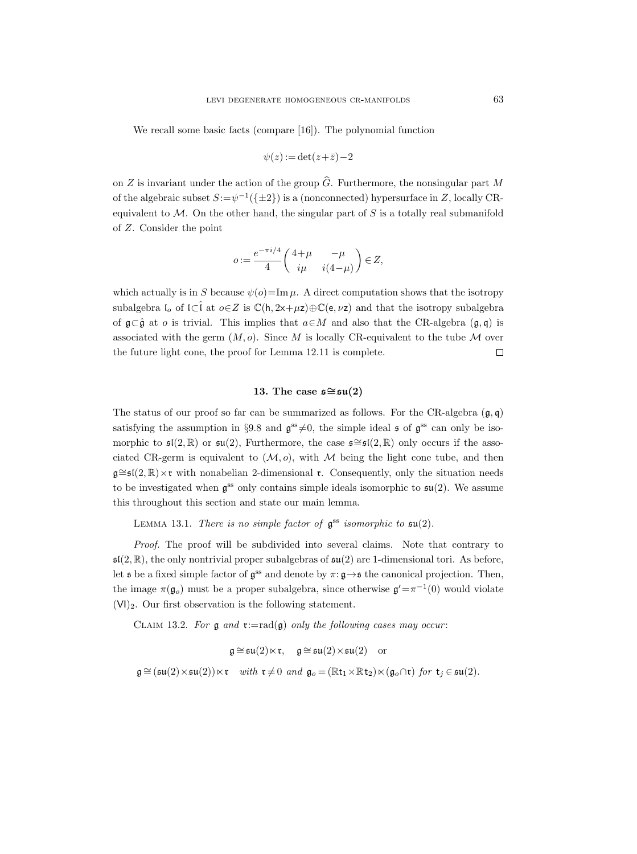We recall some basic facts (compare [16]). The polynomial function

$$
\psi(z) := \det(z + \bar{z}) - 2
$$

on Z is invariant under the action of the group  $\widehat{G}$ . Furthermore, the nonsingular part M of the algebraic subset  $S := \psi^{-1}(\{\pm 2\})$  is a (nonconnected) hypersurface in Z, locally CRequivalent to  $\mathcal M$ . On the other hand, the singular part of S is a totally real submanifold of Z. Consider the point

$$
o:=\frac{e^{-\pi i/4}}{4}\begin{pmatrix} 4+\mu & -\mu \\ i\mu & i(4-\mu) \end{pmatrix} \in Z,
$$

which actually is in S because  $\psi(o)$ =Im  $\mu$ . A direct computation shows that the isotropy subalgebra  $I_0$  of  $I\subset \hat{I}$  at  $o\in Z$  is  $\mathbb{C}(\mathsf{h}, 2x+\mu z)\oplus \mathbb{C}(\mathsf{e}, \nu z)$  and that the isotropy subalgebra of  $\mathfrak{g}\subset\hat{\mathfrak{g}}$  at *o* is trivial. This implies that  $a\in M$  and also that the CR-algebra  $(\mathfrak{g},\mathfrak{q})$  is associated with the germ  $(M, o)$ . Since M is locally CR-equivalent to the tube M over the future light cone, the proof for Lemma 12.11 is complete.  $\Box$ 

### 13. The case  $\mathfrak{s} \cong \mathfrak{su}(2)$

The status of our proof so far can be summarized as follows. For the CR-algebra  $(g, g)$ satisfying the assumption in §9.8 and  $\mathfrak{g}^{\text{ss}}\neq 0$ , the simple ideal  $\mathfrak{s}$  of  $\mathfrak{g}^{\text{ss}}$  can only be isomorphic to  $\mathfrak{sl}(2,\mathbb{R})$  or  $\mathfrak{su}(2)$ , Furthermore, the case  $\mathfrak{s} \cong \mathfrak{sl}(2,\mathbb{R})$  only occurs if the associated CR-germ is equivalent to  $(\mathcal{M}, o)$ , with M being the light cone tube, and then  $\mathfrak{g} \cong \mathfrak{sl}(2,\mathbb{R}) \times \mathfrak{r}$  with nonabelian 2-dimensional  $\mathfrak{r}$ . Consequently, only the situation needs to be investigated when  $\mathfrak{g}^{\text{ss}}$  only contains simple ideals isomorphic to  $\mathfrak{su}(2)$ . We assume this throughout this section and state our main lemma.

LEMMA 13.1. There is no simple factor of  $\mathfrak{g}^{\text{ss}}$  isomorphic to  $\mathfrak{su}(2)$ .

Proof. The proof will be subdivided into several claims. Note that contrary to  $\mathfrak{sl}(2,\mathbb{R})$ , the only nontrivial proper subalgebras of  $\mathfrak{su}(2)$  are 1-dimensional tori. As before, let **s** be a fixed simple factor of  $\mathfrak{g}^{\text{ss}}$  and denote by  $\pi: \mathfrak{g} \rightarrow \mathfrak{s}$  the canonical projection. Then, the image  $\pi(\mathfrak{g}_o)$  must be a proper subalgebra, since otherwise  $\mathfrak{g}' = \pi^{-1}(0)$  would violate  $(VI)_2$ . Our first observation is the following statement.

CLAIM 13.2. For  $\mathfrak g$  and  $\mathfrak r:=rad(\mathfrak g)$  only the following cases may occur:

$$
\mathfrak{g}\cong \mathfrak{su}(2)\ltimes \mathfrak{r},\quad \mathfrak{g}\cong \mathfrak{su}(2)\times \mathfrak{su}(2)\quad \text{or}
$$
  

$$
\mathfrak{g}\cong (\mathfrak{su}(2)\times \mathfrak{su}(2))\ltimes \mathfrak{r}\quad with\ \mathfrak{r}\neq 0\ \ and\ \ \mathfrak{g}_o=(\mathbb{R}\mathfrak{t}_1\times \mathbb{R}\mathfrak{t}_2)\ltimes (\mathfrak{g}_o\cap \mathfrak{r})\ \ for\ \ \mathfrak{t}_j\in \mathfrak{su}(2).
$$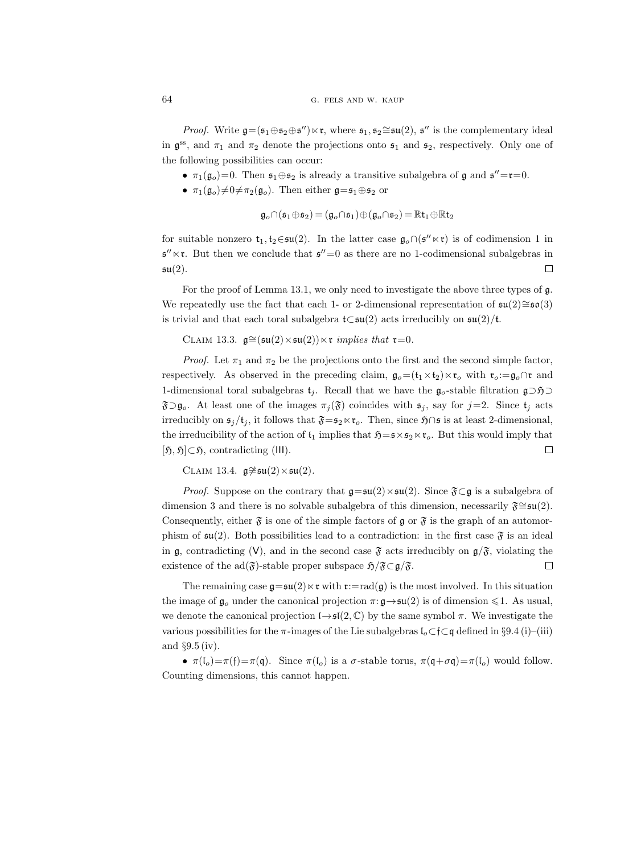*Proof.* Write  $\mathfrak{g} = (\mathfrak{s}_1 \oplus \mathfrak{s}_2 \oplus \mathfrak{s}'') \ltimes \mathfrak{r}$ , where  $\mathfrak{s}_1, \mathfrak{s}_2 \cong \mathfrak{su}(2)$ ,  $\mathfrak{s}''$  is the complementary ideal in  $\mathfrak{g}^{\text{ss}}$ , and  $\pi_1$  and  $\pi_2$  denote the projections onto  $\mathfrak{s}_1$  and  $\mathfrak{s}_2$ , respectively. Only one of the following possibilities can occur:

- $\pi_1(\mathfrak{g}_o)=0$ . Then  $\mathfrak{s}_1\oplus \mathfrak{s}_2$  is already a transitive subalgebra of  $\mathfrak{g}$  and  $\mathfrak{s}''=\mathfrak{r}=0$ .
- $\pi_1(\mathfrak{g}_o)\neq 0 \neq \pi_2(\mathfrak{g}_o)$ . Then either  $\mathfrak{g}=\mathfrak{s}_1\oplus \mathfrak{s}_2$  or

$$
\mathfrak{g}_o \cap (\mathfrak{s}_1 \oplus \mathfrak{s}_2) = (\mathfrak{g}_o \cap \mathfrak{s}_1) \oplus (\mathfrak{g}_o \cap \mathfrak{s}_2) = \mathbb{R} t_1 \oplus \mathbb{R} t_2
$$

for suitable nonzero  $t_1, t_2 \in \mathfrak{su}(2)$ . In the latter case  $\mathfrak{g}_o \cap (\mathfrak{s}'' \ltimes \mathfrak{r})$  is of codimension 1 in  $\mathfrak{s}'' \ltimes \mathfrak{r}$ . But then we conclude that  $\mathfrak{s}''=0$  as there are no 1-codimensional subalgebras in  $\mathfrak{su}(2)$ .  $\Box$ 

For the proof of Lemma 13.1, we only need to investigate the above three types of g. We repeatedly use the fact that each 1- or 2-dimensional representation of  $\mathfrak{su}(2) \cong \mathfrak{so}(3)$ is trivial and that each toral subalgebra  $t ⊂ \mathfrak{su}(2)$  acts irreducibly on  $\mathfrak{su}(2)/t$ .

CLAIM 13.3.  $\mathfrak{g} \cong (\mathfrak{su}(2) \times \mathfrak{su}(2)) \ltimes \mathfrak{r}$  implies that  $\mathfrak{r}=0$ .

*Proof.* Let  $\pi_1$  and  $\pi_2$  be the projections onto the first and the second simple factor, respectively. As observed in the preceding claim,  $\mathfrak{g}_o = (\mathfrak{t}_1 \times \mathfrak{t}_2) \ltimes \mathfrak{r}_o$  with  $\mathfrak{r}_o := \mathfrak{g}_o \cap \mathfrak{r}$  and 1-dimensional toral subalgebras  $t_i$ . Recall that we have the  $\mathfrak{g}_o$ -stable filtration  $\mathfrak{g}\supset\mathfrak{H}\supset$  $\mathfrak{F}\supset\mathfrak{g}_o$ . At least one of the images  $\pi_j(\mathfrak{F})$  coincides with  $\mathfrak{s}_j$ , say for  $j=2$ . Since  $\mathfrak{t}_j$  acts irreducibly on  $\mathfrak{s}_i/\mathfrak{t}_i$ , it follows that  $\mathfrak{F}=\mathfrak{s}_2\ltimes\mathfrak{r}_o$ . Then, since  $\mathfrak{H}\cap\mathfrak{s}$  is at least 2-dimensional, the irreducibility of the action of  $t_1$  implies that  $\mathfrak{H}=\mathfrak{s}\times\mathfrak{s}_2\ltimes\mathfrak{r}_o$ . But this would imply that  $[\mathfrak{H}, \mathfrak{H}] \subset \mathfrak{H}$ , contradicting (III).  $\Box$ 

CLAIM 13.4.  $\mathfrak{g} \neq \mathfrak{su}(2) \times \mathfrak{su}(2)$ .

*Proof.* Suppose on the contrary that  $\mathfrak{g} = \mathfrak{su}(2) \times \mathfrak{su}(2)$ . Since  $\mathfrak{F} \subset \mathfrak{g}$  is a subalgebra of dimension 3 and there is no solvable subalgebra of this dimension, necessarily  $\mathfrak{F} \cong \mathfrak{su}(2)$ . Consequently, either  $\mathfrak{F}$  is one of the simple factors of  $\mathfrak{g}$  or  $\mathfrak{F}$  is the graph of an automorphism of  $\mathfrak{su}(2)$ . Both possibilities lead to a contradiction: in the first case  $\mathfrak{F}$  is an ideal in g, contradicting (V), and in the second case  $\mathfrak{F}$  acts irreducibly on  $\mathfrak{g}/\mathfrak{F}$ , violating the existence of the ad( $\mathfrak{F}$ )-stable proper subspace  $\mathfrak{H}/\mathfrak{F}\subset\mathfrak{g}/\mathfrak{F}.$  $\Box$ 

The remaining case  $\mathfrak{g}=\mathfrak{su}(2)\ltimes\mathfrak{r}$  with  $\mathfrak{r}:=\text{rad}(\mathfrak{g})$  is the most involved. In this situation the image of  $\mathfrak{g}_o$  under the canonical projection  $\pi: \mathfrak{g} \to \mathfrak{su}(2)$  is of dimension  $\leq 1$ . As usual, we denote the canonical projection  $I \rightarrow \mathfrak{sl}(2, \mathbb{C})$  by the same symbol  $\pi$ . We investigate the various possibilities for the  $\pi$ -images of the Lie subalgebras  $\mathfrak{l}_o \subset \mathfrak{f} \subset \mathfrak{q}$  defined in §9.4 (i)–(iii) and §9.5 (iv).

•  $\pi(I_o) = \pi(f) = \pi(q)$ . Since  $\pi(I_o)$  is a  $\sigma$ -stable torus,  $\pi(q + \sigma q) = \pi(I_o)$  would follow. Counting dimensions, this cannot happen.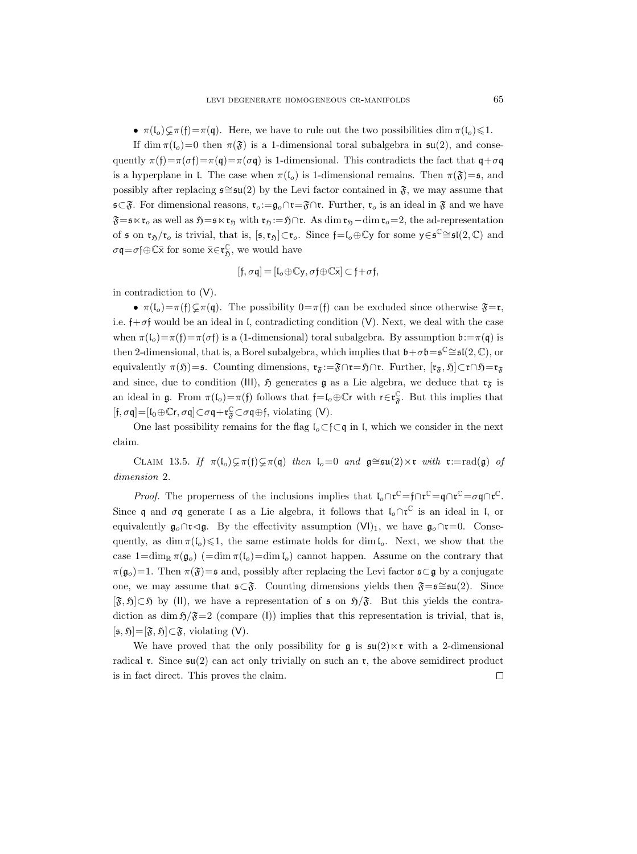•  $\pi(I_o) \subsetneq \pi(f) = \pi(q)$ . Here, we have to rule out the two possibilities dim  $\pi(I_o) \leq 1$ .

If dim  $\pi(I_o)=0$  then  $\pi(\mathfrak{F})$  is a 1-dimensional toral subalgebra in  $\mathfrak{su}(2)$ , and consequently  $\pi(f)=\pi(\sigma f)=\pi(\sigma g)$  is 1-dimensional. This contradicts the fact that  $g+\sigma g$ is a hyperplane in l. The case when  $\pi(I_o)$  is 1-dimensional remains. Then  $\pi(\mathfrak{F})=\mathfrak{s}$ , and possibly after replacing  $\epsilon \cong \epsilon(u(2)$  by the Levi factor contained in  $\mathfrak{F}$ , we may assume that  $\mathfrak{s}\subset \mathfrak{F}$ . For dimensional reasons,  $\mathfrak{r}_o:=\mathfrak{g}_o\cap \mathfrak{r}=\mathfrak{F}\cap \mathfrak{r}$ . Further,  $\mathfrak{r}_o$  is an ideal in  $\mathfrak{F}$  and we have  $\mathfrak{F}=\mathfrak{s}\ltimes\mathfrak{r}_o$  as well as  $\mathfrak{H}=\mathfrak{s}\ltimes\mathfrak{r}_\mathfrak{H}$  with  $\mathfrak{r}_\mathfrak{H}:=\mathfrak{H}\cap\mathfrak{r}$ . As dim  $\mathfrak{r}_\mathfrak{H}-\dim\mathfrak{r}_o=2$ , the ad-representation of  $\mathfrak s$  on  $\mathfrak r_{\mathfrak H}/\mathfrak r_o$  is trivial, that is,  $[\mathfrak s,\mathfrak r_{\mathfrak H}]\subset \mathfrak r_o$ . Since  $\mathfrak f=\mathfrak l_o\oplus\mathbb C\mathfrak y$  for some  $\mathfrak y\in\mathfrak s^\mathbb C\cong\mathfrak{sl}(2,\mathbb C)$  and  $\sigma \mathfrak{q} = \sigma \mathfrak{f} \oplus \mathbb{C} \overline{\mathsf{x}}$  for some  $\overline{\mathsf{x}} \in \mathfrak{r}^{\mathbb{C}}_{\mathfrak{H}}$ , we would have

$$
[\mathfrak{f},\sigma\mathfrak{q}]=[\mathfrak{l}_o\!\oplus\!\mathbb{C}\mathsf{y},\sigma\mathfrak{f}\!\oplus\!\mathbb{C}\bar{\mathsf{x}}]\subset\mathfrak{f}\!+\!\sigma\mathfrak{f},
$$

in contradiction to (V).

•  $\pi(I_o) = \pi(f) \subsetneq \pi(q)$ . The possibility  $0 = \pi(f)$  can be excluded since otherwise  $\mathfrak{F} = \mathfrak{r}$ , i.e.  $\dagger + \sigma \uparrow$  would be an ideal in I, contradicting condition (V). Next, we deal with the case when  $\pi(I_o)=\pi(f)=\pi(\sigma f)$  is a (1-dimensional) toral subalgebra. By assumption  $\mathbf{b}:=\pi(\mathbf{q})$  is then 2-dimensional, that is, a Borel subalgebra, which implies that  $\mathfrak{b} + \sigma \mathfrak{b} = \mathfrak{s}^{\mathbb{C}} \cong \mathfrak{sl}(2, \mathbb{C})$ , or equivalently  $\pi(\mathfrak{H})=s$ . Counting dimensions,  $\mathfrak{r}_{\mathfrak{F}}:=\mathfrak{F}\cap\mathfrak{r}=f\cap\mathfrak{r}$ . Further,  $[\mathfrak{r}_{\mathfrak{F}},\mathfrak{H}]\subset\mathfrak{r}\cap\mathfrak{H}=\mathfrak{r}_{\mathfrak{F}}$ and since, due to condition (III),  $\mathfrak{H}$  generates g as a Lie algebra, we deduce that  $\mathfrak{r}_{\mathfrak{F}}$  is an ideal in  $\mathfrak{g}$ . From  $\pi(\mathfrak{l}_o) = \pi(\mathfrak{f})$  follows that  $\mathfrak{f} = \mathfrak{l}_o \oplus \mathbb{C}r$  with  $\mathfrak{r} \in \mathfrak{r}_{\mathfrak{F}}^{\mathbb{C}}$ . But this implies that  $[\mathfrak{f},\sigma\mathfrak{q}]{=}[ \mathfrak{l}_0 {\oplus} \mathbb{C}r,\sigma\mathfrak{q}]{\subset} \sigma\mathfrak{q} {+} \mathfrak{r}^{\mathbb{C}}_{\mathfrak{F}}{\subset} \sigma\mathfrak{q}{\oplus} \mathfrak{f}, \text{ violating (V)}.$ 

One last possibility remains for the flag  $l_o \subset f \subset q$  in l, which we consider in the next claim.

CLAIM 13.5. If  $\pi(\mathfrak{l}_{o})\subsetneq \pi(\mathfrak{f})\subsetneq \pi(\mathfrak{q})$  then  $\mathfrak{l}_{o}=0$  and  $\mathfrak{g}\cong \mathfrak{su}(2)\times \mathfrak{r}$  with  $\mathfrak{r}:=\text{rad}(\mathfrak{g})$  of dimension 2.

*Proof.* The properness of the inclusions implies that  $\iota_o \cap \mathfrak{r}^{\mathbb{C}} = \mathfrak{f} \cap \mathfrak{r}^{\mathbb{C}} = \sigma \mathfrak{q} \cap \mathfrak{r}^{\mathbb{C}}$ . Since q and  $\sigma q$  generate l as a Lie algebra, it follows that  $\mathfrak{l}_{\sigma}\cap\mathfrak{r}^{\mathbb{C}}$  is an ideal in l, or equivalently  $\mathfrak{g}_o \cap \mathfrak{r} \lhd \mathfrak{g}$ . By the effectivity assumption  $(VI)_1$ , we have  $\mathfrak{g}_o \cap \mathfrak{r} = 0$ . Consequently, as dim  $\pi(I_o) \leq 1$ , the same estimate holds for dim  $I_o$ . Next, we show that the case  $1=\dim_{\mathbb{R}} \pi(\mathfrak{g}_{\mathfrak{0}})$  ( $=\dim \pi(\mathfrak{l}_{\mathfrak{0}})=\dim \mathfrak{l}_{\mathfrak{0}})$  cannot happen. Assume on the contrary that  $\pi(\mathfrak{g}_o)=1$ . Then  $\pi(\mathfrak{F})=s$  and, possibly after replacing the Levi factor  $\mathfrak{s}\subset\mathfrak{g}$  by a conjugate one, we may assume that  $\mathfrak{s} \subset \mathfrak{F}$ . Counting dimensions yields then  $\mathfrak{F}=\mathfrak{s} \cong \mathfrak{su}(2)$ . Since  $[\mathfrak{F}, \mathfrak{H}] \subset \mathfrak{H}$  by (II), we have a representation of  $\mathfrak{s}$  on  $\mathfrak{H}/\mathfrak{F}$ . But this yields the contradiction as dim  $\frac{5}{5}$  (compare (I)) implies that this representation is trivial, that is,  $[\mathfrak{s}, \mathfrak{H}]=[\mathfrak{F}, \mathfrak{H}]\subset \mathfrak{F}$ , violating (V).

We have proved that the only possibility for  $\mathfrak{g}$  is  $\mathfrak{su}(2) \ltimes \mathfrak{r}$  with a 2-dimensional radical r. Since  $\mathfrak{su}(2)$  can act only trivially on such an r, the above semidirect product  $\Box$ is in fact direct. This proves the claim.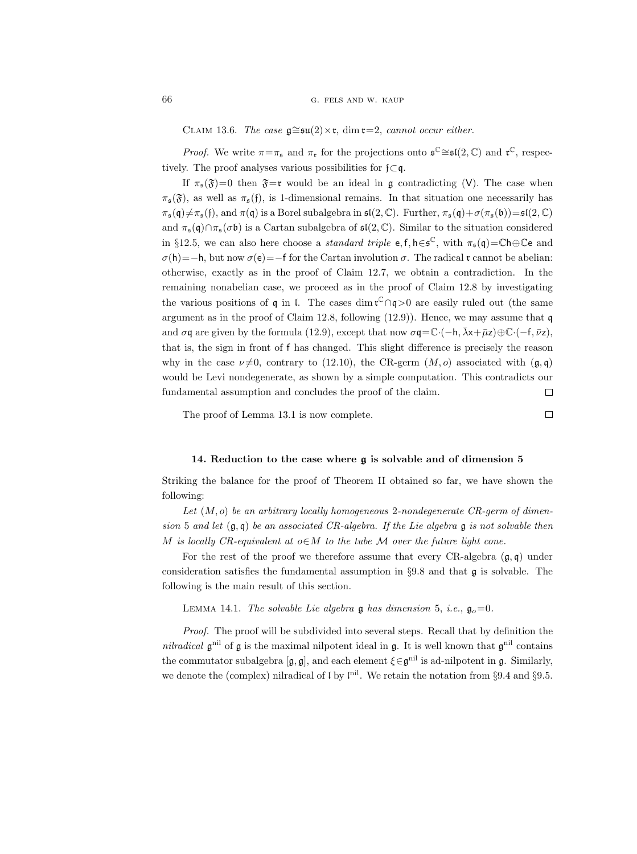CLAIM 13.6. The case  $\mathfrak{g} \cong \mathfrak{su}(2) \times \mathfrak{r}$ , dim  $\mathfrak{r}=2$ , cannot occur either.

*Proof.* We write  $\pi = \pi_{\mathfrak{s}}$  and  $\pi_{\mathfrak{r}}$  for the projections onto  $\mathfrak{s}^{\mathbb{C}} \cong \mathfrak{sl}(2, \mathbb{C})$  and  $\mathfrak{r}^{\mathbb{C}}$ , respectively. The proof analyses various possibilities for  $f\subset q$ .

If  $\pi_{\mathfrak{s}}(\mathfrak{F})=0$  then  $\mathfrak{F}=\mathfrak{r}$  would be an ideal in g contradicting (V). The case when  $\pi_{\mathfrak{s}}(\mathfrak{F})$ , as well as  $\pi_{\mathfrak{s}}(\mathfrak{f})$ , is 1-dimensional remains. In that situation one necessarily has  $\pi_{\mathfrak{s}}(\mathfrak{q})\neq\pi_{\mathfrak{s}}(\mathfrak{f}),$  and  $\pi(\mathfrak{q})$  is a Borel subalgebra in  $\mathfrak{sl}(2,\mathbb{C})$ . Further,  $\pi_{\mathfrak{s}}(\mathfrak{q})+\sigma(\pi_{\mathfrak{s}}(\mathfrak{b}))=\mathfrak{sl}(2,\mathbb{C})$ and  $\pi_{\mathfrak{s}}(\mathfrak{q}) \cap \pi_{\mathfrak{s}}(\sigma \mathfrak{b})$  is a Cartan subalgebra of  $\mathfrak{sl}(2,\mathbb{C})$ . Similar to the situation considered in §12.5, we can also here choose a *standard triple*  $e, f, h \in \mathfrak{s}^{\mathbb{C}},$  with  $\pi_{\mathfrak{s}}(\mathfrak{q}) = \mathbb{C}h \oplus \mathbb{C}e$  and  $\sigma(h)=-h$ , but now  $\sigma(e)=-f$  for the Cartan involution  $\sigma$ . The radical r cannot be abelian: otherwise, exactly as in the proof of Claim 12.7, we obtain a contradiction. In the remaining nonabelian case, we proceed as in the proof of Claim 12.8 by investigating the various positions of q in  $\mathfrak l$ . The cases dim  $\mathfrak r^{\mathbb C}\cap\mathfrak q>0$  are easily ruled out (the same argument as in the proof of Claim 12.8, following  $(12.9)$ ). Hence, we may assume that q and  $\sigma q$  are given by the formula (12.9), except that now  $\sigma q = \mathbb{C} \cdot (-h, \bar{\lambda} x + \bar{\mu} z) \oplus \mathbb{C} \cdot (-f, \bar{\nu} z)$ . that is, the sign in front of f has changed. This slight difference is precisely the reason why in the case  $\nu\neq0$ , contrary to (12.10), the CR-germ  $(M, o)$  associated with  $(g, g)$ would be Levi nondegenerate, as shown by a simple computation. This contradicts our fundamental assumption and concludes the proof of the claim.  $\Box$ 

The proof of Lemma 13.1 is now complete.

 $\Box$ 

#### 14. Reduction to the case where g is solvable and of dimension 5

Striking the balance for the proof of Theorem II obtained so far, we have shown the following:

Let  $(M, o)$  be an arbitrary locally homogeneous 2-nondegenerate CR-germ of dimension 5 and let  $(\mathfrak{g}, \mathfrak{q})$  be an associated CR-algebra. If the Lie algebra  $\mathfrak{g}$  is not solvable then M is locally CR-equivalent at  $o \in M$  to the tube M over the future light cone.

For the rest of the proof we therefore assume that every  $CR$ -algebra  $(g, q)$  under consideration satisfies the fundamental assumption in  $\S 9.8$  and that  $\mathfrak{g}$  is solvable. The following is the main result of this section.

LEMMA 14.1. The solvable Lie algebra  $\mathfrak g$  has dimension 5, i.e.,  $\mathfrak g_0=0$ .

Proof. The proof will be subdivided into several steps. Recall that by definition the nilradical  $\mathfrak{g}^{\text{nil}}$  of  $\mathfrak{g}$  is the maximal nilpotent ideal in  $\mathfrak{g}$ . It is well known that  $\mathfrak{g}^{\text{nil}}$  contains the commutator subalgebra  $[\mathfrak{g}, \mathfrak{g}]$ , and each element  $\xi \in \mathfrak{g}^{\text{nil}}$  is ad-nilpotent in  $\mathfrak{g}$ . Similarly, we denote the (complex) nilradical of  $\mathfrak l$  by  $\mathfrak l^{nil}$ . We retain the notation from §9.4 and §9.5.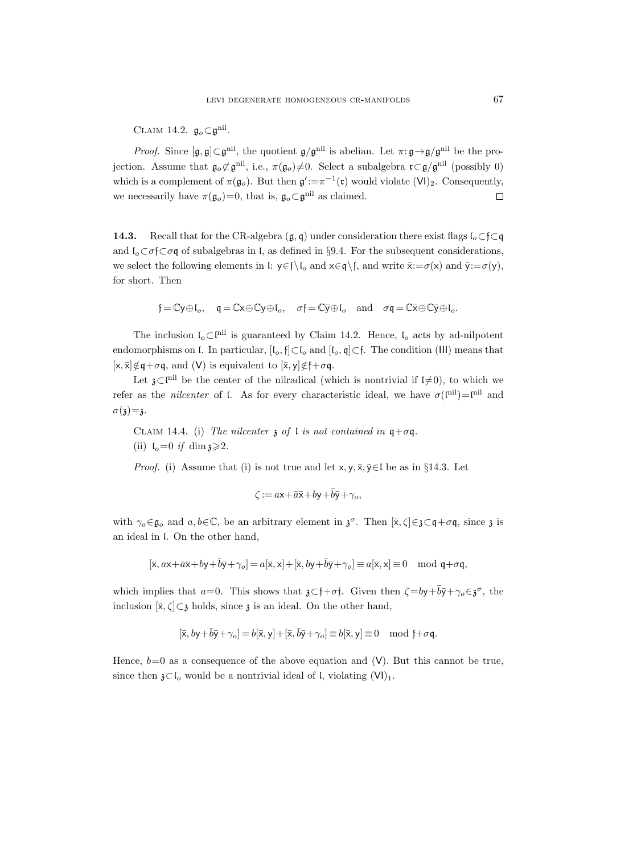CLAIM 14.2.  $\mathfrak{g}_o \subset \mathfrak{g}^{\text{nil}}$ .

*Proof.* Since  $[g, g] \subset g^{\text{nil}}$ , the quotient  $g/g^{\text{nil}}$  is abelian. Let  $\pi: g \to g/g^{\text{nil}}$  be the projection. Assume that  $\mathfrak{g}_o \not\subset \mathfrak{g}^{\text{nil}}$ , i.e.,  $\pi(\mathfrak{g}_o) \neq 0$ . Select a subalgebra  $\mathfrak{r} \subset \mathfrak{g}/\mathfrak{g}^{\text{nil}}$  (possibly 0) which is a complement of  $\pi(\mathfrak{g}_o)$ . But then  $\mathfrak{g}' := \pi^{-1}(\mathfrak{r})$  would violate  $(VI)_2$ . Consequently, we necessarily have  $\pi(\mathfrak{g}_o)=0$ , that is,  $\mathfrak{g}_o\subset\mathfrak{g}^{\text{nil}}$  as claimed.  $\Box$ 

**14.3.** Recall that for the CR-algebra  $(g, q)$  under consideration there exist flags  $\mathfrak{l}_o \subset \mathfrak{f} \subset q$ and  $\mathfrak{l}_o \subset \sigma \mathfrak{f} \subset \sigma \mathfrak{q}$  of subalgebras in  $\mathfrak{l}$ , as defined in §9.4. For the subsequent considerations, we select the following elements in l:  $y \in f\setminus I_o$  and  $x \in q \setminus f$ , and write  $\bar{x} := \sigma(x)$  and  $\bar{y} := \sigma(y)$ , for short. Then

$$
\mathfrak{f}=\mathbb{C} \mathsf{y} \oplus \mathsf{I}_o, \quad \mathfrak{q}=\mathbb{C} \mathsf{x} \oplus \mathbb{C} \mathsf{y} \oplus \mathsf{I}_o, \quad \sigma \mathfrak{f}=\mathbb{C} \bar{\mathsf{y}} \oplus \mathsf{I}_o \quad \text{and} \quad \sigma \mathfrak{q}=\mathbb{C} \bar{\mathsf{x}} \oplus \mathbb{C} \bar{\mathsf{y}} \oplus \mathsf{I}_o.
$$

The inclusion  $\mathfrak{l}_o \subset \mathfrak{l}^{\text{nil}}$  is guaranteed by Claim 14.2. Hence,  $\mathfrak{l}_o$  acts by ad-nilpotent endomorphisms on l. In particular,  $[I_o, \mathfrak{f}] \subset I_o$  and  $[I_o, \mathfrak{q}] \subset \mathfrak{f}$ . The condition (III) means that  $[x, \bar{x}] \notin q + \sigma q$ , and (V) is equivalent to  $[\bar{x}, y] \notin f + \sigma q$ .

Let  $\mathfrak{z}\subset\mathfrak{l}^{nil}$  be the center of the nilradical (which is nontrivial if  $\mathfrak{l}\neq 0$ ), to which we refer as the *nilcenter* of l. As for every characteristic ideal, we have  $\sigma(\mathbf{I}^{\text{nil}})=\mathbf{I}^{\text{nil}}$  and  $\sigma(\mathfrak{z})=\mathfrak{z}.$ 

CLAIM 14.4. (i) The nilcenter  $\chi$  of l is not contained in  $\mathfrak{q}+\sigma\mathfrak{q}$ . (ii)  $I_0=0$  if  $\dim \mathfrak{z} \geq 2$ .

*Proof.* (i) Assume that (i) is not true and let  $x, y, \overline{x}, \overline{y} \in I$  be as in §14.3. Let

$$
\zeta := a\mathsf{x} + \bar{a}\bar{\mathsf{x}} + b\mathsf{y} + \bar{b}\bar{\mathsf{y}} + \gamma_o,
$$

with  $\gamma_o \in \mathfrak{g}_o$  and  $a, b \in \mathbb{C}$ , be an arbitrary element in  $\mathfrak{z}^\sigma$ . Then  $[\bar{x}, \zeta] \in \bar{\mathfrak{z}} \subset \mathfrak{q} + \sigma \mathfrak{q}$ , since  $\mathfrak{z}$  is an ideal in l. On the other hand,

$$
[\bar{\mathbf{x}}, a\mathbf{x} + \bar{a}\bar{\mathbf{x}} + b\mathbf{y} + \bar{b}\bar{\mathbf{y}} + \gamma_o] = a[\bar{\mathbf{x}}, \mathbf{x}] + [\bar{\mathbf{x}}, b\mathbf{y} + \bar{b}\bar{\mathbf{y}} + \gamma_o] \equiv a[\bar{\mathbf{x}}, \mathbf{x}] \equiv 0 \mod \mathfrak{q} + \sigma \mathfrak{q},
$$

which implies that  $a=0$ . This shows that  $\mathfrak{z}\subset \mathfrak{f}+\sigma\mathfrak{f}$ . Given then  $\zeta = b\mathfrak{y}+\overline{b}\overline{\mathfrak{y}}+\gamma_o\in \mathfrak{z}^\sigma$ , the inclusion  $[\bar{x}, \zeta] \subset \bar{z}$  holds, since  $\bar{z}$  is an ideal. On the other hand,

$$
[\bar{x},by+\bar{b}\bar{y}+\gamma_o]=b[\bar{x},y]+[\bar{x},\bar{b}\bar{y}+\gamma_o]\equiv b[\bar{x},y]\equiv 0\mod\mathfrak{f}+\sigma\mathfrak{q}.
$$

Hence,  $b=0$  as a consequence of the above equation and (V). But this cannot be true, since then  $\mathfrak{z}\subset \mathfrak{l}_o$  would be a nontrivial ideal of l, violating  $(VI)_1$ .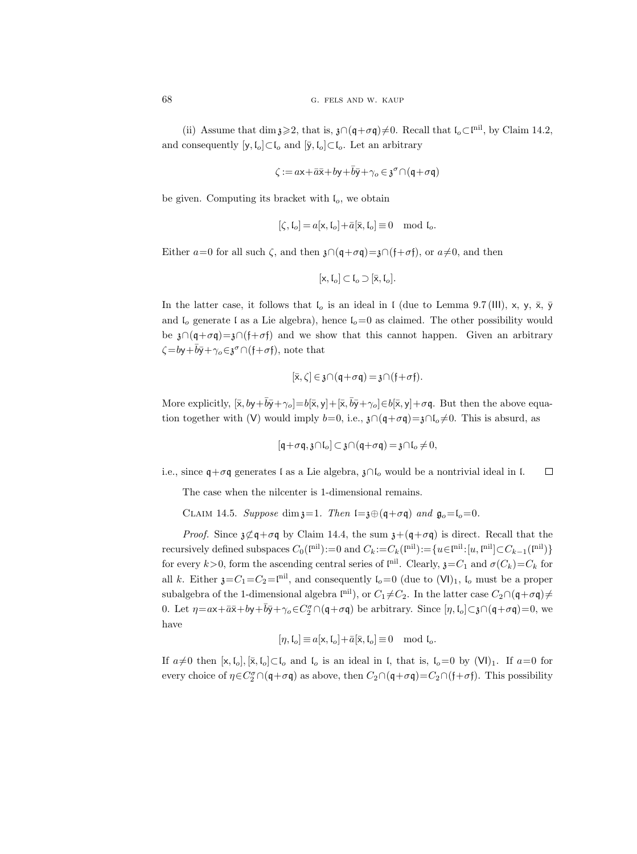(ii) Assume that dim  $\mathfrak{z} \geq 2$ , that is,  $\mathfrak{z} \cap (\mathfrak{q} + \sigma \mathfrak{q}) \neq 0$ . Recall that  $\mathfrak{l}_o \subset \mathfrak{l}^{\text{nil}}$ , by Claim 14.2, and consequently  $[y, I_o] \subset I_o$  and  $[\bar{y}, I_o] \subset I_o$ . Let an arbitrary

$$
\zeta := a\mathsf{x}\!+\!\bar a\bar{\mathsf{x}}\!+\!b\mathsf{y}\!+\!\bar b\bar{\mathsf{y}}\!+\!\gamma_o\!\in\!\mathfrak{z}^\sigma\!\cap\!(\mathfrak{q}\!+\!\sigma\mathfrak{q})
$$

be given. Computing its bracket with  $I<sub>o</sub>$ , we obtain

$$
[\zeta,\mathfrak{l}_o] = a[\mathsf{x},\mathfrak{l}_o] + \bar{a}[\bar{\mathsf{x}},\mathfrak{l}_o] \equiv 0 \mod \mathfrak{l}_o.
$$

Either  $a=0$  for all such  $\zeta$ , and then  $\mathfrak{z} \cap (\mathfrak{q}+\sigma \mathfrak{q})=\mathfrak{z} \cap (\mathfrak{f}+\sigma \mathfrak{f})$ , or  $a\neq 0$ , and then

$$
[x, \mathfrak{l}_o] \subset \mathfrak{l}_o \supset [\bar{x}, \mathfrak{l}_o].
$$

In the latter case, it follows that  $\mathfrak{l}_o$  is an ideal in I (due to Lemma 9.7 (III), x, y,  $\bar{x}$ ,  $\bar{y}$ and  $I_0$  generate l as a Lie algebra), hence  $I_0=0$  as claimed. The other possibility would be  $\mathfrak{z}\cap(\mathfrak{q}+\sigma\mathfrak{q})=\mathfrak{z}\cap(\mathfrak{f}+\sigma\mathfrak{f})$  and we show that this cannot happen. Given an arbitrary  $\zeta = b\mathsf{y} + \overline{b}\overline{\mathsf{y}} + \gamma_o \in \mathfrak{z}^\sigma \cap (\mathfrak{f} + \sigma \mathfrak{f}),$  note that

$$
[\bar{x}, \zeta] \in \mathfrak{z} \cap (\mathfrak{q} + \sigma \mathfrak{q}) = \mathfrak{z} \cap (\mathfrak{f} + \sigma \mathfrak{f}).
$$

More explicitly,  $[\bar{x}, by+\bar{b}\bar{y}+\gamma_o] = b[\bar{x}, y] + [\bar{x}, \bar{b}\bar{y}+\gamma_o] \in b[\bar{x}, y] + \sigma\mathfrak{q}$ . But then the above equation together with (V) would imply  $b=0$ , i.e.,  $\chi \cap (q+\sigma q)=\chi \cap (q+\sigma q)$ . This is absurd, as

$$
[\mathfrak{q}+\sigma\mathfrak{q},\mathfrak{z}\cap\mathfrak{l}_o]\subset\mathfrak{z}\cap(\mathfrak{q}+\sigma\mathfrak{q})=\mathfrak{z}\cap\mathfrak{l}_o\neq 0,
$$

i.e., since  $\mathfrak{q} + \sigma \mathfrak{q}$  generates l as a Lie algebra,  $\mathfrak{z} \cap \mathfrak{l}_o$  would be a nontrivial ideal in l.  $\Box$ 

The case when the nilcenter is 1-dimensional remains.

CLAIM 14.5. Suppose dim  $z=1$ . Then  $l=z\oplus (q+\sigma q)$  and  $\mathfrak{g}_o=l_o=0$ .

*Proof.* Since  $\mathfrak{z}\mathfrak{\subset} \mathfrak{q}+\sigma\mathfrak{q}$  by Claim 14.4, the sum  $\mathfrak{z}+(\mathfrak{q}+\sigma\mathfrak{q})$  is direct. Recall that the recursively defined subspaces  $C_0(\mathbf{I}^{\text{nil}}) := 0$  and  $C_k := C_k(\mathbf{I}^{\text{nil}}) := \{u \in \mathbf{I}^{\text{nil}} : [u, \mathbf{I}^{\text{nil}}] \subset C_{k-1}(\mathbf{I}^{\text{nil}})\}$ for every  $k > 0$ , form the ascending central series of  $\mathfrak{l}^{\text{nil}}$ . Clearly,  $\mathfrak{z} = C_1$  and  $\sigma(C_k) = C_k$  for all k. Either  $\mathfrak{z} = C_1 = C_2 = \mathfrak{z}^{-1}$ , and consequently  $\mathfrak{l}_o = 0$  (due to  $(VI)_1$ ,  $\mathfrak{l}_o$  must be a proper subalgebra of the 1-dimensional algebra  $\text{I}^{\text{nil}}$ ), or  $C_1 \neq C_2$ . In the latter case  $C_2 \cap (q + \sigma q) \neq$ 0. Let  $\eta = \alpha x + \bar{\alpha}\bar{x} + by + \bar{b}\bar{y} + \gamma_o \in C_2^{\sigma} \cap (q + \sigma q)$  be arbitrary. Since  $[\eta, l_o] \subset \mathfrak{z} \cap (q + \sigma q) = 0$ , we have

$$
[\eta, \mathfrak{l}_o] \equiv a[\mathsf{x}, \mathfrak{l}_o] + \bar{a}[\bar{\mathsf{x}}, \mathfrak{l}_o] \equiv 0 \mod \mathfrak{l}_o.
$$

If  $a\neq 0$  then  $[x, I_o], [\bar{x}, I_o] \subset I_o$  and  $I_o$  is an ideal in I, that is,  $I_o=0$  by  $(VI)_1$ . If  $a=0$  for every choice of  $\eta \in C_2^{\sigma} \cap (q + \sigma q)$  as above, then  $C_2 \cap (q + \sigma q) = C_2 \cap (f + \sigma f)$ . This possibility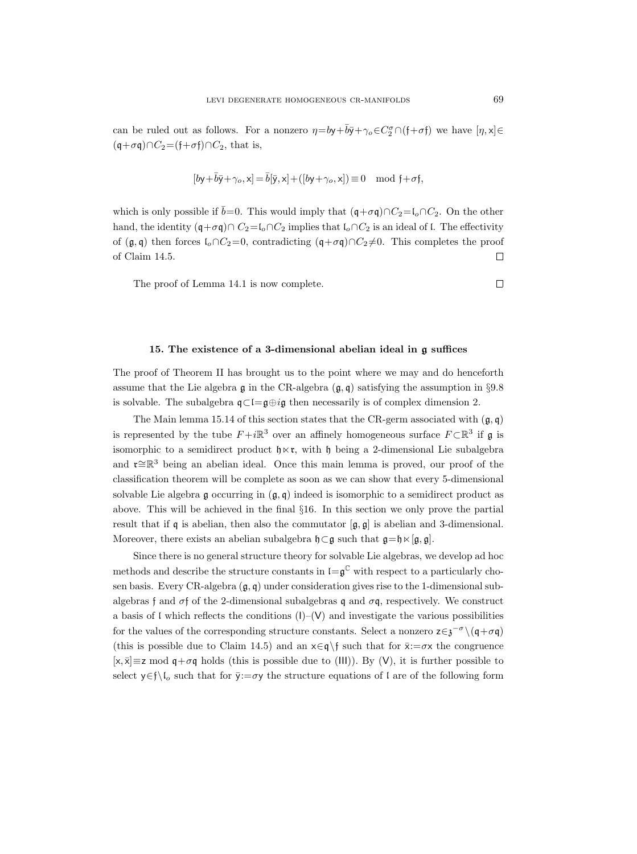can be ruled out as follows. For a nonzero  $\eta = by + \overline{b}\overline{y} + \gamma_o \in C_2^{\sigma} \cap (f + \sigma f)$  we have  $[\eta, x] \in$  $(q+\sigma q)\cap C_2=(f+\sigma f)\cap C_2$ , that is,

$$
[b\mathsf{y}+\bar{b}\bar{\mathsf{y}}+\gamma_o,\mathsf{x}]=\bar{b}[\bar{\mathsf{y}},\mathsf{x}]+([b\mathsf{y}+\gamma_o,\mathsf{x}])\equiv 0\mod\mathfrak{f}+\sigma\mathfrak{f},
$$

which is only possible if  $\bar{b}=0$ . This would imply that  $(q+\sigma q)\cap C_2=I_o\cap C_2$ . On the other hand, the identity  $(q+\sigma q) \cap C_2 = l_0 \cap C_2$  implies that  $l_0 \cap C_2$  is an ideal of l. The effectivity of  $(\mathfrak{g}, \mathfrak{q})$  then forces  $\mathfrak{l}_o \cap C_2 = 0$ , contradicting  $(\mathfrak{q} + \sigma \mathfrak{q}) \cap C_2 \neq 0$ . This completes the proof of Claim 14.5.  $\Box$ 

The proof of Lemma 14.1 is now complete.

#### 15. The existence of a 3-dimensional abelian ideal in g suffices

The proof of Theorem II has brought us to the point where we may and do henceforth assume that the Lie algebra g in the CR-algebra  $(g, q)$  satisfying the assumption in §9.8 is solvable. The subalgebra  $\mathfrak{q} \subset \mathfrak{l} = \mathfrak{g} \oplus i\mathfrak{g}$  then necessarily is of complex dimension 2.

The Main lemma 15.14 of this section states that the CR-germ associated with  $(g, q)$ is represented by the tube  $F+i\mathbb{R}^3$  over an affinely homogeneous surface  $F\subset \mathbb{R}^3$  if  $\mathfrak g$  is isomorphic to a semidirect product  $\mathfrak{h} \times \mathfrak{r}$ , with  $\mathfrak{h}$  being a 2-dimensional Lie subalgebra and **r**≅R<sup>3</sup> being an abelian ideal. Once this main lemma is proved, our proof of the classification theorem will be complete as soon as we can show that every 5-dimensional solvable Lie algebra g occurring in  $(g, q)$  indeed is isomorphic to a semidirect product as above. This will be achieved in the final §16. In this section we only prove the partial result that if q is abelian, then also the commutator  $[g, g]$  is abelian and 3-dimensional. Moreover, there exists an abelian subalgebra  $\mathfrak{h} \subset \mathfrak{g}$  such that  $\mathfrak{g} = \mathfrak{h} \times [\mathfrak{g}, \mathfrak{g}]$ .

Since there is no general structure theory for solvable Lie algebras, we develop ad hoc methods and describe the structure constants in  $\mathfrak{l} = \mathfrak{g}^{\mathbb{C}}$  with respect to a particularly chosen basis. Every CR-algebra  $(g, q)$  under consideration gives rise to the 1-dimensional subalgebras f and  $\sigma$ f of the 2-dimensional subalgebras q and  $\sigma$ q, respectively. We construct a basis of l which reflects the conditions  $(I)$ – $(V)$  and investigate the various possibilities for the values of the corresponding structure constants. Select a nonzero  $z \in \mathfrak{z}^{-\sigma} \setminus (\mathfrak{q} + \sigma \mathfrak{q})$ (this is possible due to Claim 14.5) and an  $x \in \mathfrak{q}$  such that for  $\bar{x}:=\sigma x$  the congruence  $[x, \bar{x}] \equiv z \mod q + \sigma q$  holds (this is possible due to (III)). By (V), it is further possible to select  $y \in f\setminus I_o$  such that for  $\bar{y}:=\sigma y$  the structure equations of l are of the following form

 $\Box$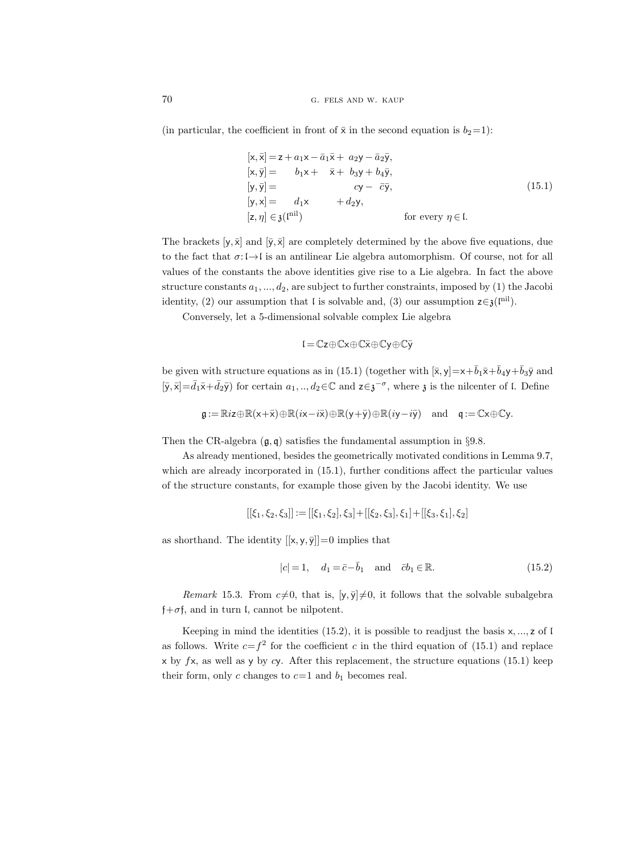(in particular, the coefficient in front of  $\bar{x}$  in the second equation is  $b_2=1$ ):

$$
[\mathbf{x}, \overline{\mathbf{x}}] = \mathbf{z} + a_1 \mathbf{x} - \overline{a}_1 \overline{\mathbf{x}} + a_2 \mathbf{y} - \overline{a}_2 \overline{\mathbf{y}},
$$
  
\n
$$
[\mathbf{x}, \overline{\mathbf{y}}] = b_1 \mathbf{x} + \overline{\mathbf{x}} + b_3 \mathbf{y} + b_4 \overline{\mathbf{y}},
$$
  
\n
$$
[\mathbf{y}, \overline{\mathbf{y}}] = c\mathbf{y} - \overline{c}\overline{\mathbf{y}},
$$
  
\n
$$
[\mathbf{y}, \mathbf{x}] = d_1 \mathbf{x} + d_2 \mathbf{y},
$$
  
\n
$$
[\mathbf{z}, \eta] \in \mathfrak{z}(\mathbf{n} \mathbf{n} \mathbf{n}) \qquad \text{for every } \eta \in \mathbb{I}.
$$
  
\n(15.1)

The brackets  $[y, \bar{x}]$  and  $[\bar{y}, \bar{x}]$  are completely determined by the above five equations, due to the fact that  $\sigma: \mathfrak{l} \to \mathfrak{l}$  is an antilinear Lie algebra automorphism. Of course, not for all values of the constants the above identities give rise to a Lie algebra. In fact the above structure constants  $a_1, ..., d_2$ , are subject to further constraints, imposed by (1) the Jacobi identity, (2) our assumption that l is solvable and, (3) our assumption  $z \in \mathfrak{z}(\mathbb{P}^{\text{nil}})$ .

Conversely, let a 5-dimensional solvable complex Lie algebra

$$
\mathfrak{l}=\mathbb{C}z\!\oplus\!\mathbb{C}x\!\oplus\!\mathbb{C}\bar{x}\!\oplus\!\mathbb{C}y\!\oplus\!\mathbb{C}\bar{y}
$$

be given with structure equations as in (15.1) (together with  $[\bar{x}, y]=x+\bar{b}_1\bar{x}+\bar{b}_4y+\bar{b}_3\bar{y}$  and  $[\bar{y}, \bar{x}] = \bar{d}_1 \bar{x} + \bar{d}_2 \bar{y}$  for certain  $a_1, ..., a_2 \in \mathbb{C}$  and  $z \in \mathfrak{z}^{-\sigma}$ , where  $\mathfrak{z}$  is the nilcenter of l. Define

$$
\mathfrak{g}:=\mathbb{R}iz\oplus\mathbb{R}(x+\bar{x})\oplus\mathbb{R}(ix-i\bar{x})\oplus\mathbb{R}(y+\bar{y})\oplus\mathbb{R}(iy-i\bar{y})\quad\text{and}\quad\mathfrak{q}:=\mathbb{C}x\oplus\mathbb{C}y.
$$

Then the CR-algebra  $(\mathfrak{g}, \mathfrak{g})$  satisfies the fundamental assumption in §9.8.

As already mentioned, besides the geometrically motivated conditions in Lemma 9.7, which are already incorporated in (15.1), further conditions affect the particular values of the structure constants, for example those given by the Jacobi identity. We use

$$
[[\xi_1,\xi_2,\xi_3]]:=[[\xi_1,\xi_2],\xi_3]+[[\xi_2,\xi_3],\xi_1]+[[\xi_3,\xi_1],\xi_2]
$$

as shorthand. The identity  $[[{\sf x},{\sf y},\bar{\sf y}]]\!=\!0$  implies that

$$
|c| = 1, \quad d_1 = \bar{c} - \bar{b}_1 \quad \text{and} \quad \bar{c}b_1 \in \mathbb{R}.\tag{15.2}
$$

Remark 15.3. From  $c\neq 0$ , that is,  $[y, \bar{y}]\neq 0$ , it follows that the solvable subalgebra  $\dagger + \sigma$ f, and in turn l, cannot be nilpotent.

Keeping in mind the identities  $(15.2)$ , it is possible to readjust the basis x, ..., z of l as follows. Write  $c = f^2$  for the coefficient c in the third equation of (15.1) and replace x by  $f$ x, as well as y by cy. After this replacement, the structure equations (15.1) keep their form, only c changes to  $c=1$  and  $b<sub>1</sub>$  becomes real.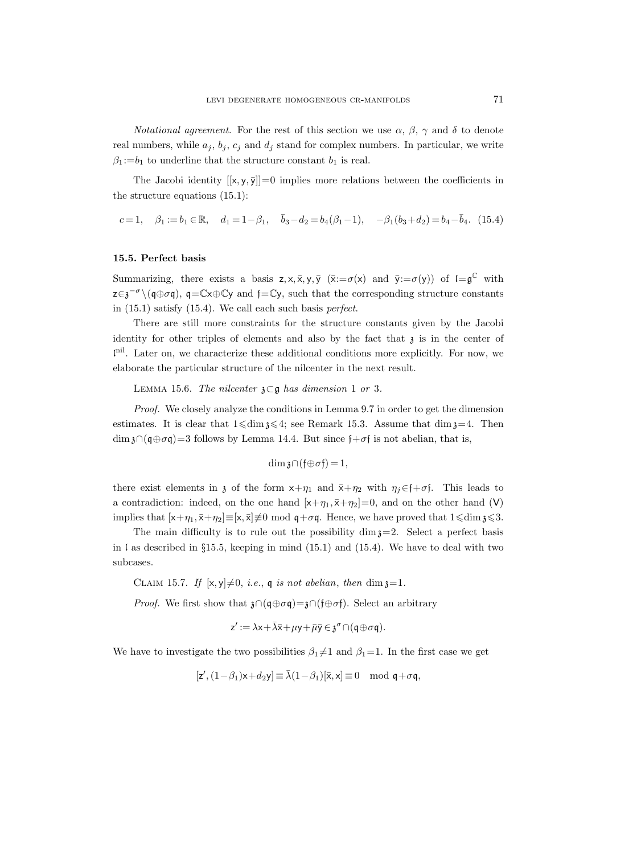*Notational agreement.* For the rest of this section we use  $\alpha$ ,  $\beta$ ,  $\gamma$  and  $\delta$  to denote real numbers, while  $a_j$ ,  $b_j$ ,  $c_j$  and  $d_j$  stand for complex numbers. In particular, we write  $\beta_1 := b_1$  to underline that the structure constant  $b_1$  is real.

The Jacobi identity  $[[x, y, \overline{y}]] = 0$  implies more relations between the coefficients in the structure equations (15.1):

 $c = 1, \quad \beta_1 := b_1 \in \mathbb{R}, \quad d_1 = 1 - \beta_1, \quad \bar{b}_3 - d_2 = b_4(\beta_1 - 1), \quad -\beta_1(b_3 + d_2) = b_4 - \bar{b}_4.$  (15.4)

#### 15.5. Perfect basis

Summarizing, there exists a basis  $z, x, \overline{x}, y, \overline{y}$  ( $\overline{x} := \sigma(x)$  and  $\overline{y} := \sigma(y)$ ) of  $I = \mathfrak{g}^{\mathbb{C}}$  with  $z \in \mathfrak{z}^{-\sigma} \setminus (\mathfrak{q} \oplus \sigma \mathfrak{q})$ ,  $\mathfrak{q} = \mathbb{C} \times \oplus \mathbb{C} \mathfrak{y}$  and  $\mathfrak{f} = \mathbb{C} \mathfrak{y}$ , such that the corresponding structure constants in (15.1) satisfy (15.4). We call each such basis perfect.

There are still more constraints for the structure constants given by the Jacobi identity for other triples of elements and also by the fact that  $\mathfrak z$  is in the center of l nil. Later on, we characterize these additional conditions more explicitly. For now, we elaborate the particular structure of the nilcenter in the next result.

LEMMA 15.6. The nilcenter  $\mathfrak{z} \subset \mathfrak{g}$  has dimension 1 or 3.

Proof. We closely analyze the conditions in Lemma 9.7 in order to get the dimension estimates. It is clear that  $1 \leq \dim \mathfrak{z} \leq 4$ ; see Remark 15.3. Assume that  $\dim \mathfrak{z}=4$ . Then  $\dim \mathfrak{z} \cap (\mathfrak{q} \oplus \sigma \mathfrak{q}) = 3$  follows by Lemma 14.4. But since  $\mathfrak{f} + \sigma \mathfrak{f}$  is not abelian, that is,

$$
\dim \mathfrak{z} \cap (\mathfrak{f} \oplus \sigma \mathfrak{f}) = 1,
$$

there exist elements in z of the form  $x+\eta_1$  and  $\bar{x}+\eta_2$  with  $\eta_j \in \mathfrak{f}+\sigma \mathfrak{f}$ . This leads to a contradiction: indeed, on the one hand  $[x+\eta_1, \bar{x}+\eta_2]=0$ , and on the other hand (V) implies that  $[x+\eta_1, \bar{x}+\eta_2] \equiv [x, \bar{x}] \neq 0 \mod q + \sigma q$ . Hence, we have proved that  $1 \leq \dim \mathfrak{z} \leq 3$ .

The main difficulty is to rule out the possibility  $\dim \mathfrak{z}=2$ . Select a perfect basis in  $\mathfrak l$  as described in §15.5, keeping in mind (15.1) and (15.4). We have to deal with two subcases.

CLAIM 15.7. If  $[x, y] \neq 0$ , *i.e.*, q *is not abelian, then* dim  $x=1$ .

*Proof.* We first show that  $\mathfrak{z} \cap (\mathfrak{q} \oplus \sigma \mathfrak{q}) = \mathfrak{z} \cap (\mathfrak{f} \oplus \sigma \mathfrak{f})$ . Select an arbitrary

$$
z' := \lambda x + \bar{\lambda}\bar{x} + \mu y + \bar{\mu}\bar{y} \in \mathfrak{z}^{\sigma} \cap (\mathfrak{q} \oplus \sigma\mathfrak{q}).
$$

We have to investigate the two possibilities  $\beta_1 \neq 1$  and  $\beta_1 = 1$ . In the first case we get

$$
[\mathsf{z}', (1-\beta_1)\mathsf{x} + d_2\mathsf{y}] \equiv \bar{\lambda}(1-\beta_1)[\bar{\mathsf{x}}, \mathsf{x}] \equiv 0 \mod \mathfrak{q} + \sigma \mathfrak{q},
$$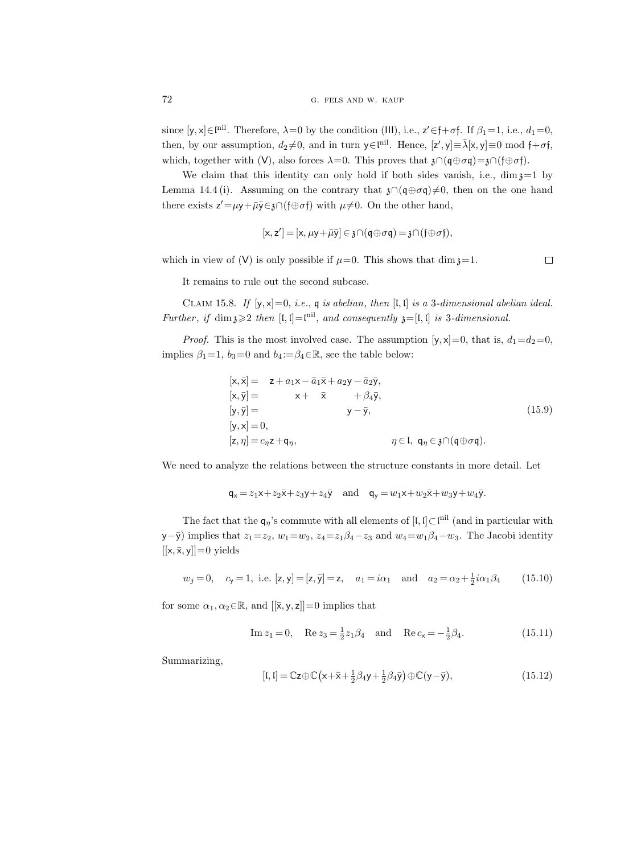since  $[y, x] \in \mathbb{I}^{nil}$ . Therefore,  $\lambda = 0$  by the condition (III), i.e.,  $z' \in \mathfrak{f} + \sigma \mathfrak{f}$ . If  $\beta_1 = 1$ , i.e.,  $d_1 = 0$ , then, by our assumption,  $d_2\neq 0$ , and in turn  $y \in \mathbb{I}^{\text{nil}}$ . Hence,  $[z', y] \equiv \bar{\lambda}[\bar{x}, y] \equiv 0 \text{ mod } \mathfrak{f} + \sigma \mathfrak{f}$ , which, together with (V), also forces  $\lambda=0$ . This proves that  $\mathfrak{z}\cap(\mathfrak{q}\oplus\sigma\mathfrak{q})=\mathfrak{z}\cap(\mathfrak{f}\oplus\sigma\mathfrak{f})$ .

We claim that this identity can only hold if both sides vanish, i.e.,  $\dim \mathfrak{z}=1$  by Lemma 14.4 (i). Assuming on the contrary that  $\mathfrak{z} \cap (\mathfrak{q} \oplus \sigma \mathfrak{q}) \neq 0$ , then on the one hand there exists  $z' = \mu y + \bar{\mu}\bar{y} \in \mathfrak{z} \cap (\mathfrak{f} \oplus \sigma \mathfrak{f})$  with  $\mu \neq 0$ . On the other hand,

$$
[x, z'] = [x, \mu y + \bar{\mu} \bar{y}] \in \mathfrak{z} \cap (q \oplus \sigma q) = \mathfrak{z} \cap (\mathfrak{f} \oplus \sigma \mathfrak{f}),
$$

which in view of (V) is only possible if  $\mu=0$ . This shows that dim  $\chi=1$ .

 $\Box$ 

It remains to rule out the second subcase.

CLAIM 15.8. If  $[y, x]=0$ , i.e., q is abelian, then  $[I, I]$  is a 3-dimensional abelian ideal. Further, if  $\dim \mathfrak{z} \geqslant 2$  then  $[\mathfrak{l}, \mathfrak{l}] = \mathfrak{l}^{\text{nil}}$ , and consequently  $\mathfrak{z} = [\mathfrak{l}, \mathfrak{l}]$  is 3-dimensional.

*Proof.* This is the most involved case. The assumption  $[y, x]=0$ , that is,  $d_1=d_2=0$ , implies  $\beta_1=1$ ,  $b_3=0$  and  $b_4:=\beta_4\in\mathbb{R}$ , see the table below:

$$
[\mathbf{x}, \bar{\mathbf{x}}] = \mathbf{z} + a_1 \mathbf{x} - \bar{a}_1 \bar{\mathbf{x}} + a_2 \mathbf{y} - \bar{a}_2 \bar{\mathbf{y}},
$$
  
\n
$$
[\mathbf{x}, \bar{\mathbf{y}}] = \mathbf{x} + \bar{\mathbf{x}} + \beta_4 \bar{\mathbf{y}},
$$
  
\n
$$
[\mathbf{y}, \bar{\mathbf{y}}] = \mathbf{y} - \bar{\mathbf{y}},
$$
  
\n
$$
[\mathbf{y}, \mathbf{x}] = 0,
$$
  
\n
$$
[\mathbf{z}, \eta] = c_{\eta} \mathbf{z} + \mathbf{q}_{\eta},
$$
  
\n
$$
\eta \in \mathfrak{l}, \ \mathbf{q}_{\eta} \in \mathfrak{z} \cap (\mathbf{q} \oplus \sigma \mathbf{q}).
$$
  
\n(15.9)

We need to analyze the relations between the structure constants in more detail. Let

$$
\mathsf{q}_x = z_1 \mathsf{x} + z_2 \bar{\mathsf{x}} + z_3 \mathsf{y} + z_4 \bar{\mathsf{y}} \quad \text{and} \quad \mathsf{q}_y = w_1 \mathsf{x} + w_2 \bar{\mathsf{x}} + w_3 \mathsf{y} + w_4 \bar{\mathsf{y}}.
$$

The fact that the  $\mathsf{q}_\eta$ 's commute with all elements of [l, l]⊂l<sup>nil</sup> (and in particular with y− $\bar{y}$ ) implies that  $z_1=z_2$ ,  $w_1=w_2$ ,  $z_4=z_1\beta_4-z_3$  and  $w_4=w_1\beta_4-w_3$ . The Jacobi identity  $[[x, \bar{x}, y]] = 0$  yields

$$
w_j = 0
$$
,  $c_y = 1$ , i.e.  $[z, y] = [z, \bar{y}] = z$ ,  $a_1 = i\alpha_1$  and  $a_2 = \alpha_2 + \frac{1}{2}i\alpha_1\beta_4$  (15.10)

for some  $\alpha_1, \alpha_2 \in \mathbb{R}$ , and  $[[\bar{x}, y, z]] = 0$  implies that

Im 
$$
z_1 = 0
$$
, Re  $z_3 = \frac{1}{2}z_1\beta_4$  and Re  $c_x = -\frac{1}{2}\beta_4$ . (15.11)

Summarizing,

$$
[\mathfrak{l},\mathfrak{l}] = \mathbb{C}\mathsf{z} \oplus \mathbb{C}\big(\mathsf{x} + \bar{\mathsf{x}} + \frac{1}{2}\beta_4 \mathsf{y} + \frac{1}{2}\beta_4 \bar{\mathsf{y}}\big) \oplus \mathbb{C}\big(\mathsf{y} - \bar{\mathsf{y}}\big),\tag{15.12}
$$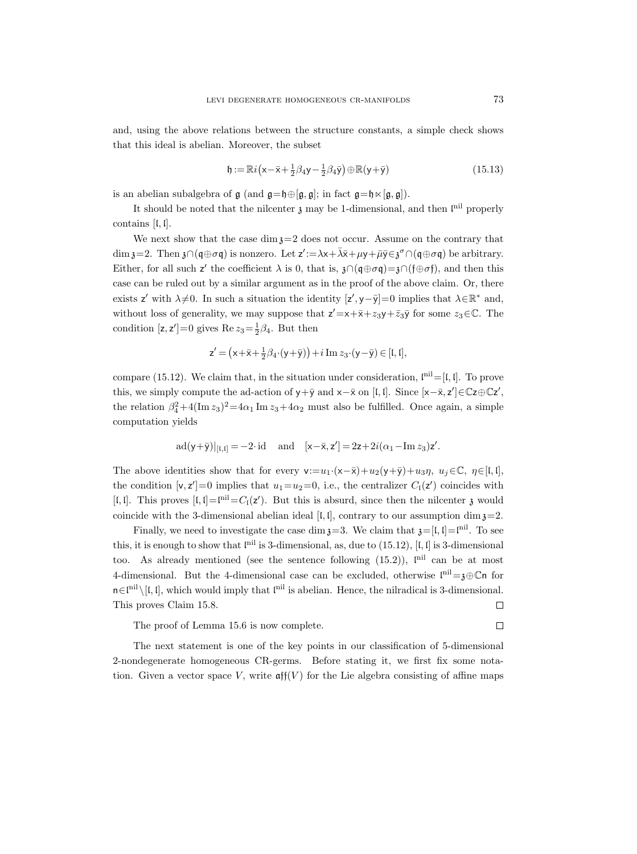and, using the above relations between the structure constants, a simple check shows that this ideal is abelian. Moreover, the subset

$$
\mathfrak{h} := \mathbb{R}i\left(\mathsf{x} - \bar{\mathsf{x}} + \frac{1}{2}\beta_4\mathsf{y} - \frac{1}{2}\beta_4\bar{\mathsf{y}}\right) \oplus \mathbb{R}(\mathsf{y} + \bar{\mathsf{y}})
$$
(15.13)

is an abelian subalgebra of  $\mathfrak g$  (and  $\mathfrak g = \mathfrak h \oplus [\mathfrak g, \mathfrak g]$ ); in fact  $\mathfrak g = \mathfrak h \times [\mathfrak g, \mathfrak g]$ ).

It should be noted that the nilcenter  $\mathfrak z$  may be 1-dimensional, and then  $\mathfrak l^{\rm nil}$  properly contains [l, l].

We next show that the case dim  $x=2$  does not occur. Assume on the contrary that dim  $\mathfrak{z}=2$ . Then  $\mathfrak{z}\cap (\mathfrak{q}\oplus \sigma\mathfrak{q})$  is nonzero. Let  $\mathsf{z}':=\lambda\mathsf{x}+\bar{\lambda}\bar{\mathsf{x}}+\mu\mathsf{y}+\bar{\mu}\bar{\mathsf{y}}\in \mathfrak{z}^{\sigma}\cap (\mathfrak{q}\oplus \sigma\mathfrak{q})$  be arbitrary. Either, for all such z' the coefficient  $\lambda$  is 0, that is,  $\lambda \cap (\mathfrak{q} \oplus \sigma \mathfrak{q}) = \lambda \cap (\mathfrak{f} \oplus \sigma \mathfrak{f})$ , and then this case can be ruled out by a similar argument as in the proof of the above claim. Or, there exists z' with  $\lambda \neq 0$ . In such a situation the identity  $[z', y - \bar{y}] = 0$  implies that  $\lambda \in \mathbb{R}^*$  and, without loss of generality, we may suppose that  $z' = x + \bar{x} + z_3y + \bar{z}_3\bar{y}$  for some  $z_3 \in \mathbb{C}$ . The condition  $[z, z'] = 0$  gives  $\text{Re } z_3 = \frac{1}{2}\beta_4$ . But then

$$
\mathsf{z}' = (\mathsf{x} + \bar{\mathsf{x}} + \frac{1}{2}\beta_4 \cdot (\mathsf{y} + \bar{\mathsf{y}})) + i \operatorname{Im} z_3 \cdot (\mathsf{y} - \bar{\mathsf{y}}) \in [\mathfrak{l}, \mathfrak{l}],
$$

compare (15.12). We claim that, in the situation under consideration,  $\mathbb{I}^{\text{nil}}=[\mathfrak{l},\mathfrak{l}]$ . To prove this, we simply compute the ad-action of  $y + \bar{y}$  and  $x - \bar{x}$  on [l, l]. Since  $[x - \bar{x}, z'] \in \mathbb{C}z \oplus \mathbb{C}z'$ , the relation  $\beta_4^2 + 4(\text{Im } z_3)^2 = 4\alpha_1 \text{Im } z_3 + 4\alpha_2 \text{ must also be fulfilled. Once again, a simple$ computation yields

$$
\mathrm{ad}(\mathsf{y}+\bar{\mathsf{y}})|_{[\mathfrak{l},\mathfrak{l}]}=-2\cdotp\mathrm{id}\quad\text{ and }\quad[\mathsf{x}-\bar{\mathsf{x}},\mathsf{z}']=2\mathsf{z}+2i(\alpha_1-\mathrm{Im}\,z_3)\mathsf{z}'.
$$

The above identities show that for every  $v:=u_1·(x-\bar{x})+u_2(y+\bar{y})+u_3\eta$ ,  $u_i\in\mathbb{C}$ ,  $\eta\in\lbrack\mathfrak{l},\mathfrak{l}\rbrack$ , the condition  $[v, z'] = 0$  implies that  $u_1 = u_2 = 0$ , i.e., the centralizer  $C_1(z')$  coincides with [ $\mathfrak{l}, \mathfrak{l}$ ]. This proves  $\mathfrak{l}, \mathfrak{l} = \mathfrak{l}^{\text{nil}} = C_{\mathfrak{l}}(z')$ . But this is absurd, since then the nilcenter  $\mathfrak{z}$  would coincide with the 3-dimensional abelian ideal [I, I], contrary to our assumption dim  $\mathfrak{z}=2$ .

Finally, we need to investigate the case dim  $\mathfrak{z}=3$ . We claim that  $\mathfrak{z}=[\mathfrak{l},\mathfrak{l}]=\mathfrak{l}^{\text{nil}}$ . To see this, it is enough to show that  $I^{\text{nil}}$  is 3-dimensional, as, due to (15.12), [I, I] is 3-dimensional too. As already mentioned (see the sentence following  $(15.2)$ ),  $\mathfrak{f}^{\text{nil}}$  can be at most 4-dimensional. But the 4-dimensional case can be excluded, otherwise  $\mathfrak{l}^{\text{nil}}=\mathfrak{z}\oplus\mathbb{C}$ n for  $n \in \mathbb{I}^{\text{nil}}\setminus [l, l]$ , which would imply that  $\mathbb{I}^{\text{nil}}$  is abelian. Hence, the nilradical is 3-dimensional. This proves Claim 15.8.  $\Box$ 

The proof of Lemma 15.6 is now complete.

The next statement is one of the key points in our classification of 5-dimensional 2-nondegenerate homogeneous CR-germs. Before stating it, we first fix some notation. Given a vector space V, write  $\operatorname{aff}(V)$  for the Lie algebra consisting of affine maps

 $\Box$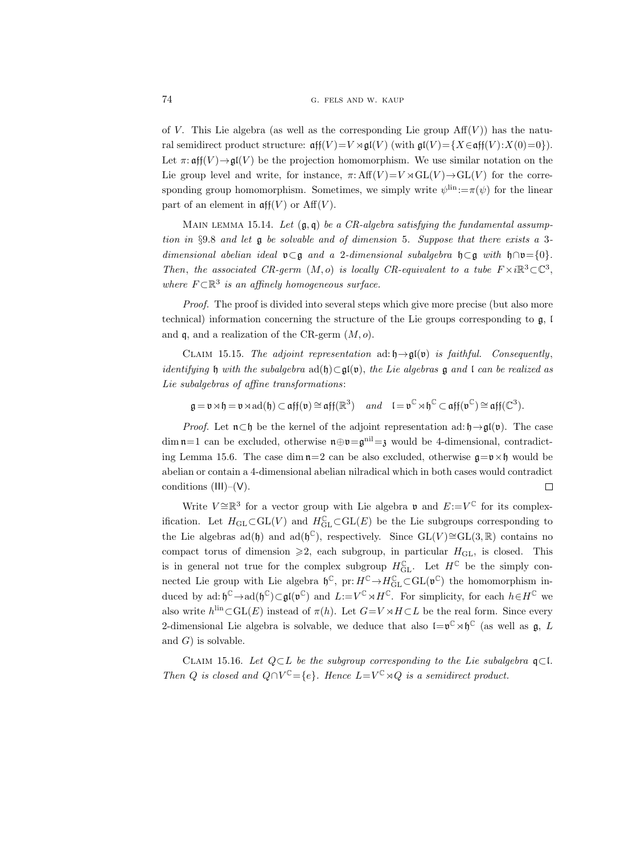of V. This Lie algebra (as well as the corresponding Lie group  $\text{Aff}(V)$ ) has the natural semidirect product structure:  $\operatorname{aff}(V) = V \rtimes \operatorname{gl}(V)$  (with  $\operatorname{gl}(V) = \{X \in \operatorname{aff}(V) : X(0) = 0\}$ ). Let  $\pi: \operatorname{aff}(V) \to \operatorname{\mathfrak{gl}}(V)$  be the projection homomorphism. We use similar notation on the Lie group level and write, for instance,  $\pi: Aff(V)=V \rtimes GL(V) \rightarrow GL(V)$  for the corresponding group homomorphism. Sometimes, we simply write  $\psi^{\text{lin}} := \pi(\psi)$  for the linear part of an element in  $\operatorname{aff}(V)$  or  $\operatorname{Aff}(V)$ .

MAIN LEMMA 15.14. Let  $(\mathfrak{g}, \mathfrak{q})$  be a CR-algebra satisfying the fundamental assumption in §9.8 and let  $\frak g$  be solvable and of dimension 5. Suppose that there exists a 3dimensional abelian ideal **v**⊂g and a 2-dimensional subalgebra  $\mathfrak{h} \subset \mathfrak{g}$  with  $\mathfrak{h} \cap \mathfrak{v} = \{0\}$ . Then, the associated CR-germ  $(M, o)$  is locally CR-equivalent to a tube  $F \times i \mathbb{R}^3 \subset \mathbb{C}^3$ , where  $F \subset \mathbb{R}^3$  is an affinely homogeneous surface.

Proof. The proof is divided into several steps which give more precise (but also more technical) information concerning the structure of the Lie groups corresponding to  $\mathfrak{g}$ , i and  $\mathfrak q$ , and a realization of the CR-germ  $(M, o)$ .

CLAIM 15.15. The adjoint representation ad:  $\mathfrak{h} \rightarrow \mathfrak{gl}(\mathfrak{v})$  is faithful. Consequently, identifying h with the subalgebra  $ad(f) \subset gl(v)$ , the Lie algebras g and l can be realized as Lie subalgebras of affine transformations:

$$
\mathfrak{g} = \mathfrak{v} \rtimes \mathfrak{h} = \mathfrak{v} \rtimes \mathrm{ad}(\mathfrak{h}) \subset \mathfrak{aff}(\mathfrak{v}) \cong \mathfrak{aff}(\mathbb{R}^3) \quad and \quad \mathfrak{l} = \mathfrak{v}^{\mathbb{C}} \rtimes \mathfrak{h}^{\mathbb{C}} \subset \mathfrak{aff}(\mathfrak{v}^{\mathbb{C}}) \cong \mathfrak{aff}(\mathbb{C}^3).
$$

*Proof.* Let  $\mathfrak{n} \subset \mathfrak{h}$  be the kernel of the adjoint representation ad:  $\mathfrak{h} \rightarrow \mathfrak{gl}(\mathfrak{v})$ . The case  $\dim \mathfrak{n}=1$  can be excluded, otherwise  $\mathfrak{n} \oplus \mathfrak{v} = \mathfrak{g}^{\text{nil}}= \mathfrak{z}$  would be 4-dimensional, contradicting Lemma 15.6. The case dim  $n=2$  can be also excluded, otherwise  $g=v\times f$  would be abelian or contain a 4-dimensional abelian nilradical which in both cases would contradict conditions (III)–(V).  $\Box$ 

Write  $V \cong \mathbb{R}^3$  for a vector group with Lie algebra  $\mathfrak{v}$  and  $E := V^{\mathbb{C}}$  for its complexification. Let  $H_{\text{GL}} \subset \text{GL}(V)$  and  $H_{\text{GL}}^{\mathbb{C}} \subset \text{GL}(E)$  be the Lie subgroups corresponding to the Lie algebras ad(b) and ad( $\mathfrak{h}^{\mathbb{C}}$ ), respectively. Since  $GL(V) \cong GL(3, \mathbb{R})$  contains no compact torus of dimension  $\geqslant 2$ , each subgroup, in particular  $H_{\text{GL}}$ , is closed. This is in general not true for the complex subgroup  $H_{\text{GL}}^{\mathbb{C}}$ . Let  $H^{\mathbb{C}}$  be the simply connected Lie group with Lie algebra  $\mathfrak{h}^{\mathbb{C}}$ , pr:  $H^{\mathbb{C}} \to H_{\rm GL}^{\mathbb{C}} \subset GL(\mathfrak{v}^{\mathbb{C}})$  the homomorphism induced by ad:  $\mathfrak{h}^{\mathbb{C}} \to \mathrm{ad}(\mathfrak{h}^{\mathbb{C}}) \subset \mathfrak{gl}(\mathfrak{v}^{\mathbb{C}})$  and  $L:=V^{\mathbb{C}} \rtimes H^{\mathbb{C}}$ . For simplicity, for each  $h \in H^{\mathbb{C}}$  we also write  $h^{\text{lin}}\subset GL(E)$  instead of  $\pi(h)$ . Let  $G=V\rtimes H\subset L$  be the real form. Since every 2-dimensional Lie algebra is solvable, we deduce that also  $\mathfrak{l}=\mathfrak{v}^{\mathbb{C}}\rtimes\mathfrak{h}^{\mathbb{C}}$  (as well as  $\mathfrak{g}, L$ and  $G$ ) is solvable.

CLAIM 15.16. Let  $Q \subset L$  be the subgroup corresponding to the Lie subalgebra  $\mathfrak{q} \subset L$ . Then Q is closed and  $Q \cap V^{\mathbb{C}} = \{e\}$ . Hence  $L = V^{\mathbb{C}} \rtimes Q$  is a semidirect product.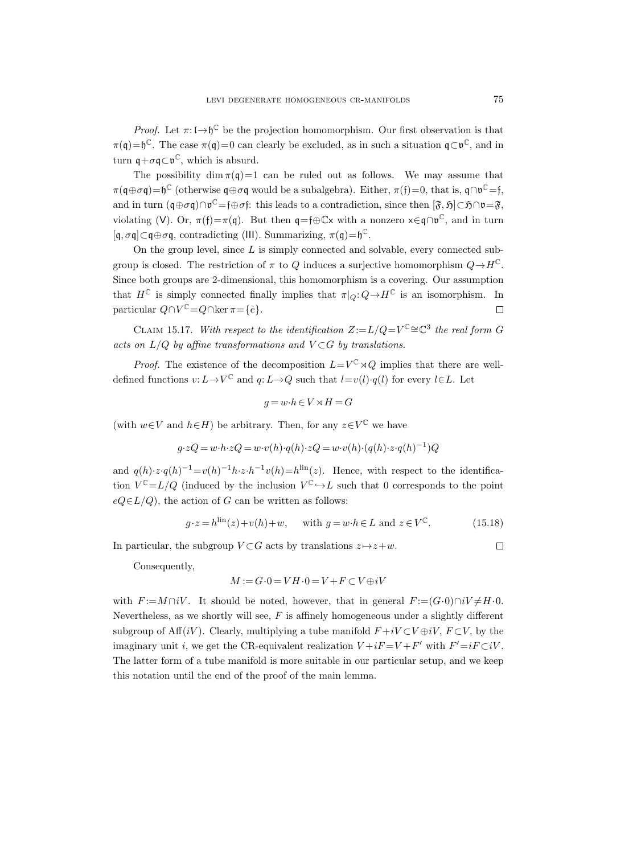*Proof.* Let  $\pi: \mathfrak{l} \to \mathfrak{h}^{\mathbb{C}}$  be the projection homomorphism. Our first observation is that  $\pi(\mathfrak{q}) = \mathfrak{h}^{\mathbb{C}}$ . The case  $\pi(\mathfrak{q}) = 0$  can clearly be excluded, as in such a situation  $\mathfrak{q} \subset \mathfrak{v}^{\mathbb{C}}$ , and in turn  $\mathfrak{q} + \sigma \mathfrak{q} \subset \mathfrak{v}^{\mathbb{C}}$ , which is absurd.

The possibility dim  $\pi(q)=1$  can be ruled out as follows. We may assume that  $\pi(\mathfrak{q}\oplus\sigma\mathfrak{q})=\mathfrak{h}^{\mathbb{C}}$  (otherwise  $\mathfrak{q}\oplus\sigma\mathfrak{q}$  would be a subalgebra). Either,  $\pi(\mathfrak{f})=0$ , that is,  $\mathfrak{q}\cap\mathfrak{v}^{\mathbb{C}}=\mathfrak{f}$ , and in turn  $(\mathfrak{q} \oplus \sigma \mathfrak{q}) \cap \mathfrak{v}^{\mathbb{C}} = \mathfrak{f} \oplus \sigma \mathfrak{f}$ : this leads to a contradiction, since then  $[\mathfrak{F}, \mathfrak{H}] \subset \mathfrak{H} \cap \mathfrak{v} = \mathfrak{F}$ , violating (V). Or,  $\pi(f) = \pi(q)$ . But then  $q = f \oplus \mathbb{C} \times$  with a nonzero  $x \in q \cap p^{\mathbb{C}}$ , and in turn  $[q, \sigma q] \subset q \oplus \sigma q$ , contradicting (III). Summarizing,  $\pi(q) = \mathfrak{h}^{\mathbb{C}}$ .

On the group level, since  $L$  is simply connected and solvable, every connected subgroup is closed. The restriction of  $\pi$  to Q induces a surjective homomorphism  $Q \to H^{\mathbb{C}}$ . Since both groups are 2-dimensional, this homomorphism is a covering. Our assumption that  $H^{\mathbb{C}}$  is simply connected finally implies that  $\pi|_Q: Q \to H^{\mathbb{C}}$  is an isomorphism. In particular  $Q \cap V^{\mathbb{C}} = Q \cap \ker \pi = \{e\}.$  $\Box$ 

CLAIM 15.17. With respect to the identification  $Z:=L/Q=V^{\mathbb{C}}\cong\mathbb{C}^{3}$  the real form G acts on  $L/Q$  by affine transformations and  $V \subset G$  by translations.

*Proof.* The existence of the decomposition  $L=V^{\mathbb{C}}\rtimes Q$  implies that there are welldefined functions  $v: L \to V^{\mathbb{C}}$  and  $q: L \to Q$  such that  $l=v(l)\cdot q(l)$  for every  $l\in L$ . Let

$$
g = w \cdot h \in V \rtimes H = G
$$

(with  $w \in V$  and  $h \in H$ ) be arbitrary. Then, for any  $z \in V^{\mathbb{C}}$  we have

$$
g \cdot zQ = w \cdot h \cdot zQ = w \cdot v(h) \cdot q(h) \cdot zQ = w \cdot v(h) \cdot (q(h) \cdot z \cdot q(h)^{-1})Q
$$

and  $q(h) \cdot z \cdot q(h)^{-1} = v(h)^{-1}h \cdot z \cdot h^{-1}v(h) = h^{\text{lin}}(z)$ . Hence, with respect to the identification  $V^{\mathbb{C}} = L/Q$  (induced by the inclusion  $V^{\mathbb{C}} \hookrightarrow L$  such that 0 corresponds to the point  $eQ\in L/Q$ , the action of G can be written as follows:

$$
g \cdot z = h^{\text{lin}}(z) + v(h) + w, \quad \text{with } g = w \cdot h \in L \text{ and } z \in V^{\mathbb{C}}.
$$
 (15.18)

In particular, the subgroup  $V \subset G$  acts by translations  $z \mapsto z+w$ .

 $\Box$ 

Consequently,

$$
M:=G\cdot 0=VH\cdot 0=V+F\subset V\oplus iV
$$

with  $F := M \cap iV$ . It should be noted, however, that in general  $F := (G \cdot 0) \cap iV \neq H \cdot 0$ . Nevertheless, as we shortly will see,  $F$  is affinely homogeneous under a slightly different subgroup of Aff(iV). Clearly, multiplying a tube manifold  $F+iV\subset V\oplus iV$ ,  $F\subset V$ , by the imaginary unit *i*, we get the CR-equivalent realization  $V + iF = V + F'$  with  $F' = iF \subset iV$ . The latter form of a tube manifold is more suitable in our particular setup, and we keep this notation until the end of the proof of the main lemma.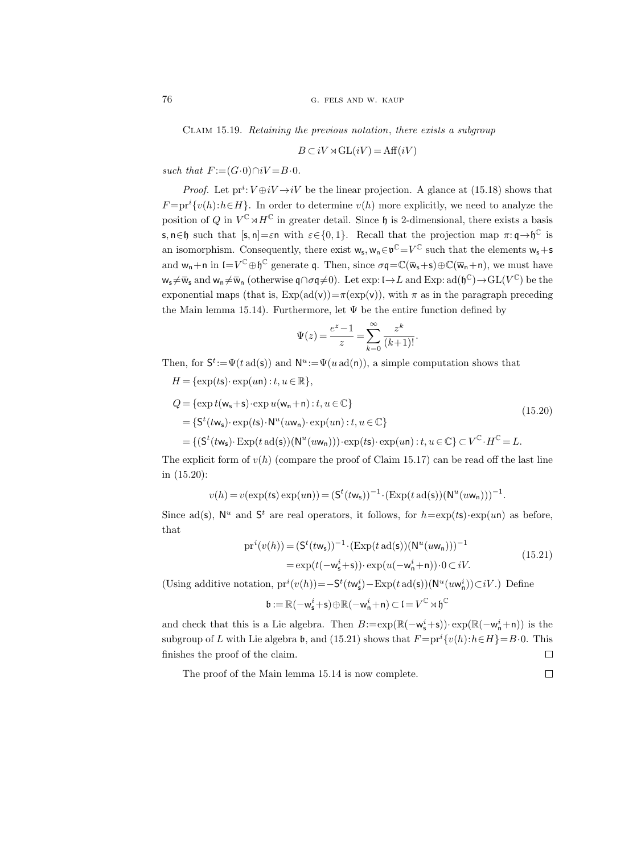Claim 15.19. Retaining the previous notation, there exists a subgroup

$$
B\subset iV \rtimes \operatorname{GL}(iV) = \operatorname{Aff}(iV)
$$

such that  $F := (G \cdot 0) \cap iV = B \cdot 0$ .

*Proof.* Let  $\text{pr}^i: V \oplus iV \rightarrow iV$  be the linear projection. A glance at (15.18) shows that  $F = pr^{i}\lbrace v(h): h \in H \rbrace$ . In order to determine  $v(h)$  more explicitly, we need to analyze the position of Q in  $V^{\mathbb{C}} \rtimes H^{\mathbb{C}}$  in greater detail. Since  $\mathfrak{h}$  is 2-dimensional, there exists a basis s, n∈h such that  $[s, n] = \varepsilon$ n with  $\varepsilon \in \{0, 1\}$ . Recall that the projection map  $\pi: \mathfrak{q} \to \mathfrak{h}^{\mathbb{C}}$  is an isomorphism. Consequently, there exist  $w_s, w_n \in \mathfrak{v}^{\mathbb{C}} = V^{\mathbb{C}}$  such that the elements  $w_s + s$ and  $w_n + n$  in  $I = V^{\mathbb{C}} \oplus \mathfrak{h}^{\mathbb{C}}$  generate q. Then, since  $\sigma \mathfrak{q} = \mathbb{C}(\overline{w}_s + s) \oplus \mathbb{C}(\overline{w}_n + n)$ , we must have  $w_{s} \neq \overline{w}_{s}$  and  $w_{n} \neq \overline{w}_{n}$  (otherwise  $\mathfrak{q} \cap \sigma \mathfrak{q} \neq 0$ ). Let exp: l $\rightarrow L$  and Exp: ad( $\mathfrak{h}^{\mathbb{C}}$ )  $\rightarrow$  GL( $V^{\mathbb{C}}$ ) be the exponential maps (that is,  $Exp(ad(v))=\pi(exp(v))$ , with  $\pi$  as in the paragraph preceding the Main lemma 15.14). Furthermore, let  $\Psi$  be the entire function defined by

$$
\Psi(z) = \frac{e^z - 1}{z} = \sum_{k=0}^{\infty} \frac{z^k}{(k+1)!}.
$$

Then, for  $S^t := \Psi(t \operatorname{ad}(s))$  and  $N^u := \Psi(u \operatorname{ad}(n))$ , a simple computation shows that

$$
H = \{\exp(t\mathbf{s}) \cdot \exp(u\mathbf{n}) : t, u \in \mathbb{R}\},
$$
  
\n
$$
Q = \{\exp t(\mathbf{w_s} + \mathbf{s}) \cdot \exp u(\mathbf{w_n} + \mathbf{n}) : t, u \in \mathbb{C}\}
$$
  
\n
$$
= \{S^t(t\mathbf{w_s}) \cdot \exp(t\mathbf{s}) \cdot N^u(u\mathbf{w_n}) \cdot \exp(u\mathbf{n}) : t, u \in \mathbb{C}\}
$$
  
\n
$$
= \{ (S^t(t\mathbf{w_s}) \cdot \exp(t \text{ ad}(\mathbf{s})) (N^u(u\mathbf{w_n}))) \cdot \exp(t\mathbf{s}) \cdot \exp(u\mathbf{n}) : t, u \in \mathbb{C} \} \subset V^{\mathbb{C}} \cdot H^{\mathbb{C}} = L.
$$
\n(15.20)

The explicit form of  $v(h)$  (compare the proof of Claim 15.17) can be read off the last line in (15.20):

$$
v(h) = v(\exp(t\mathbf{s}) \exp(u\mathbf{n})) = (\mathbf{S}^t(t\mathbf{w}_\mathbf{s}))^{-1} \cdot (\text{Exp}(t \text{ ad}(\mathbf{s}))(\mathbf{N}^u(u\mathbf{w}_\mathbf{n})))^{-1}.
$$

Since ad(s),  $\mathbb{N}^u$  and  $\mathsf{S}^t$  are real operators, it follows, for  $h = \exp(t\mathsf{s}) \cdot \exp(u\mathsf{n})$  as before, that

$$
pr^{i}(v(h)) = (S^{t}(tw_{s}))^{-1} \cdot (Exp(t \operatorname{ad}(s))(N^{u}(uw_{n})))^{-1}
$$
  
= 
$$
\exp(t(-w_{s}^{i} + s)) \cdot \exp(u(-w_{n}^{i} + n)) \cdot 0 \subset iV.
$$
 (15.21)

(Using additive notation,  $pr^{i}(v(h)) = -S^{t}(tw_{s}^{i}) - Exp(t \operatorname{ad}(s))(N^{u}(uw_{n}^{i})) \subset iV$ .) Define

$$
\mathfrak{b}:=\mathbb{R}(-\mathsf{w}^i_\mathsf{s}{+}\mathsf{s})\!\oplus\!\mathbb{R}(-\mathsf{w}^i_\mathsf{n}{+}\mathsf{n})\!\subset\!\mathfrak{l}\!=\!V^\mathbb{C}\!\rtimes\!\mathfrak{h}^\mathbb{C}
$$

and check that this is a Lie algebra. Then  $B:=\exp(\mathbb{R}(-\mathsf{w}_\mathsf{s}^i+\mathsf{s}))\cdot \exp(\mathbb{R}(-\mathsf{w}_\mathsf{n}^i+\mathsf{n}))$  is the subgroup of L with Lie algebra b, and (15.21) shows that  $F = pr^{i} \{v(h): h \in H\} = B \cdot 0$ . This finishes the proof of the claim.  $\Box$ 

The proof of the Main lemma 15.14 is now complete.

 $\Box$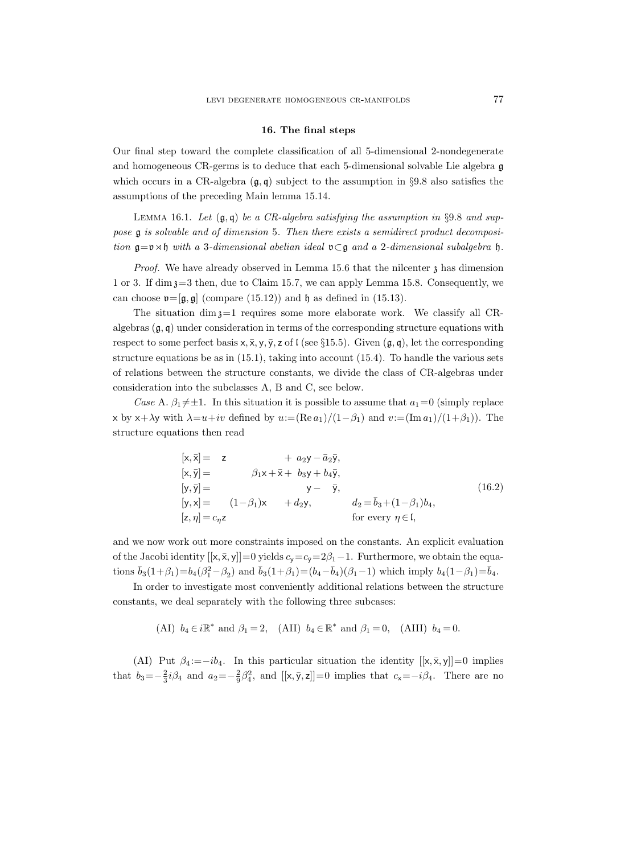## 16. The final steps

Our final step toward the complete classification of all 5-dimensional 2-nondegenerate and homogeneous CR-germs is to deduce that each 5-dimensional solvable Lie algebra g which occurs in a CR-algebra  $(g, q)$  subject to the assumption in §9.8 also satisfies the assumptions of the preceding Main lemma 15.14.

LEMMA 16.1. Let  $(g, q)$  be a CR-algebra satisfying the assumption in §9.8 and suppose g is solvable and of dimension 5. Then there exists a semidirect product decomposition  $g=v\rtimes\mathfrak{h}$  with a 3-dimensional abelian ideal  $v\subset g$  and a 2-dimensional subalgebra  $\mathfrak{h}$ .

*Proof.* We have already observed in Lemma 15.6 that the nilcenter  $\chi$  has dimension 1 or 3. If  $\dim \mathfrak{z}=3$  then, due to Claim 15.7, we can apply Lemma 15.8. Consequently, we can choose  $\mathfrak{v}=[\mathfrak{g},\mathfrak{g}]$  (compare (15.12)) and  $\mathfrak{h}$  as defined in (15.13).

The situation dim  $z=1$  requires some more elaborate work. We classify all CRalgebras  $(q, q)$  under consideration in terms of the corresponding structure equations with respect to some perfect basis  $x, \overline{x}, y, \overline{y}, z$  of l (see §15.5). Given  $(\mathfrak{g}, \mathfrak{q})$ , let the corresponding structure equations be as in  $(15.1)$ , taking into account  $(15.4)$ . To handle the various sets of relations between the structure constants, we divide the class of CR-algebras under consideration into the subclasses A, B and C, see below.

Case A.  $\beta_1 \neq \pm 1$ . In this situation it is possible to assume that  $a_1=0$  (simply replace x by x+ $\lambda$ y with  $\lambda = u + iv$  defined by  $u := (\text{Re } a_1)/(1-\beta_1)$  and  $v := (\text{Im } a_1)/(1+\beta_1)$ . The structure equations then read

$$
[\mathbf{x}, \overline{\mathbf{x}}] = \mathbf{z} + a_2 \mathbf{y} - \overline{a}_2 \overline{\mathbf{y}},
$$
  
\n
$$
[\mathbf{x}, \overline{\mathbf{y}}] = \beta_1 \mathbf{x} + \overline{\mathbf{x}} + b_3 \mathbf{y} + b_4 \overline{\mathbf{y}},
$$
  
\n
$$
[\mathbf{y}, \overline{\mathbf{y}}] = \mathbf{y} - \overline{\mathbf{y}},
$$
  
\n
$$
[\mathbf{y}, \mathbf{x}] = (1 - \beta_1) \mathbf{x} + d_2 \mathbf{y},
$$
  
\n
$$
[\mathbf{z}, \eta] = c_{\eta} \mathbf{z}
$$
  
\nfor every  $\eta \in \mathbf{I},$   
\n
$$
\text{for every } \eta \in \mathbf{I},
$$
  
\n
$$
\text{for } \mathbf{y} \in \mathbf{I}.
$$

and we now work out more constraints imposed on the constants. An explicit evaluation of the Jacobi identity  $[[x, \bar{x}, y]] = 0$  yields  $c_y = c_{\bar{y}} = 2\beta_1 - 1$ . Furthermore, we obtain the equations  $\bar{b}_3(1+\beta_1)=b_4(\beta_1^2-\beta_2)$  and  $\bar{b}_3(1+\beta_1)=(b_4-\bar{b}_4)(\beta_1-1)$  which imply  $b_4(1-\beta_1)=\bar{b}_4$ .

In order to investigate most conveniently additional relations between the structure constants, we deal separately with the following three subcases:

(AI)  $b_4 \in i\mathbb{R}^*$  and  $\beta_1 = 2$ , (AII)  $b_4 \in \mathbb{R}^*$  and  $\beta_1 = 0$ , (AIII)  $b_4 = 0$ .

(AI) Put  $\beta_4 := -ib_4$ . In this particular situation the identity  $[[x, \bar{x}, y]] = 0$  implies that  $b_3 = -\frac{2}{3}i\beta_4$  and  $a_2 = -\frac{2}{9}\beta_4^2$ , and  $[[x, \bar{y}, z]] = 0$  implies that  $c_x = -i\beta_4$ . There are no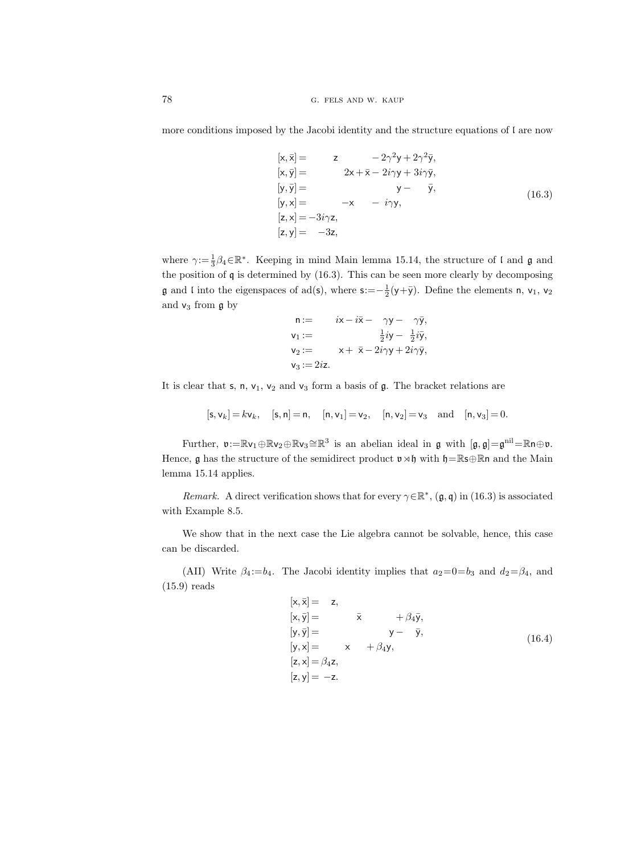more conditions imposed by the Jacobi identity and the structure equations of l are now

$$
[\mathbf{x}, \bar{\mathbf{x}}] = \mathbf{z} \quad -2\gamma^2 \mathbf{y} + 2\gamma^2 \bar{\mathbf{y}},
$$
  
\n
$$
[\mathbf{x}, \bar{\mathbf{y}}] = \quad 2\mathbf{x} + \bar{\mathbf{x}} - 2i\gamma \mathbf{y} + 3i\gamma \bar{\mathbf{y}},
$$
  
\n
$$
[\mathbf{y}, \bar{\mathbf{y}}] = \quad \mathbf{y} - \bar{\mathbf{y}},
$$
  
\n
$$
[\mathbf{y}, \mathbf{x}] = -\mathbf{x} \quad -i\gamma \mathbf{y},
$$
  
\n
$$
[\mathbf{z}, \mathbf{x}] = -3i\gamma \mathbf{z},
$$
  
\n
$$
[\mathbf{z}, \mathbf{y}] = -3\mathbf{z},
$$
  
\n(16.3)

where  $\gamma := \frac{1}{3}\beta_4 \in \mathbb{R}^*$ . Keeping in mind Main lemma 15.14, the structure of l and g and the position of q is determined by (16.3). This can be seen more clearly by decomposing **g** and l into the eigenspaces of ad(s), where  $s := -\frac{1}{2}(y + \bar{y})$ . Define the elements **n**, **v**<sub>1</sub>, **v**<sub>2</sub> and  $v_3$  from  $\mathfrak g$  by

n := 
$$
i\mathbf{x} - i\mathbf{\bar{x}} - \gamma \mathbf{y} - \gamma \mathbf{\bar{y}}
$$
,  
\n
$$
\mathbf{v}_1 := \frac{1}{2}i\mathbf{y} - \frac{1}{2}i\mathbf{\bar{y}}
$$
,  
\n
$$
\mathbf{v}_2 := \mathbf{x} + \mathbf{\bar{x}} - 2i\gamma \mathbf{y} + 2i\gamma \mathbf{\bar{y}}
$$
,  
\n
$$
\mathbf{v}_3 := 2i\mathbf{z}
$$
.

It is clear that  $s, n, v_1, v_2$  and  $v_3$  form a basis of  $\mathfrak{g}$ . The bracket relations are

 $[s, v_k] = k v_k, \quad [s, n] = n, \quad [n, v_1] = v_2, \quad [n, v_2] = v_3 \quad \text{and} \quad [n, v_3] = 0.$ 

Further,  $\mathfrak{v} := \mathbb{R} \mathsf{v}_1 \oplus \mathbb{R} \mathsf{v}_2 \oplus \mathbb{R} \mathsf{v}_3 \cong \mathbb{R}^3$  is an abelian ideal in  $\mathfrak g$  with  $[\mathfrak g, \mathfrak g] = \mathfrak g^{\rm nil} = \mathbb{R} \mathsf{n} \oplus \mathfrak{v}$ . Hence, g has the structure of the semidirect product  $\mathfrak{v} \rtimes \mathfrak{h}$  with  $\mathfrak{h}=\mathbb{R}$ s $\oplus \mathbb{R}$ n and the Main lemma 15.14 applies.

Remark. A direct verification shows that for every  $\gamma \in \mathbb{R}^*$ ,  $(\mathfrak{g}, \mathfrak{q})$  in  $(16.3)$  is associated with Example 8.5.

We show that in the next case the Lie algebra cannot be solvable, hence, this case can be discarded.

(AII) Write  $\beta_4:=b_4$ . The Jacobi identity implies that  $a_2=0=b_3$  and  $d_2=\beta_4$ , and (15.9) reads

$$
[\mathbf{x}, \overline{\mathbf{x}}] = \mathbf{z},
$$
  
\n
$$
[\mathbf{x}, \overline{\mathbf{y}}] = \mathbf{\overline{x}} + \beta_4 \overline{\mathbf{y}},
$$
  
\n
$$
[\mathbf{y}, \overline{\mathbf{y}}] = \mathbf{y} - \overline{\mathbf{y}},
$$
  
\n
$$
[\mathbf{y}, \mathbf{x}] = \mathbf{x} + \beta_4 \mathbf{y},
$$
  
\n
$$
[\mathbf{z}, \mathbf{x}] = \beta_4 \mathbf{z},
$$
  
\n
$$
[\mathbf{z}, \mathbf{y}] = -\mathbf{z}.
$$
  
\n(16.4)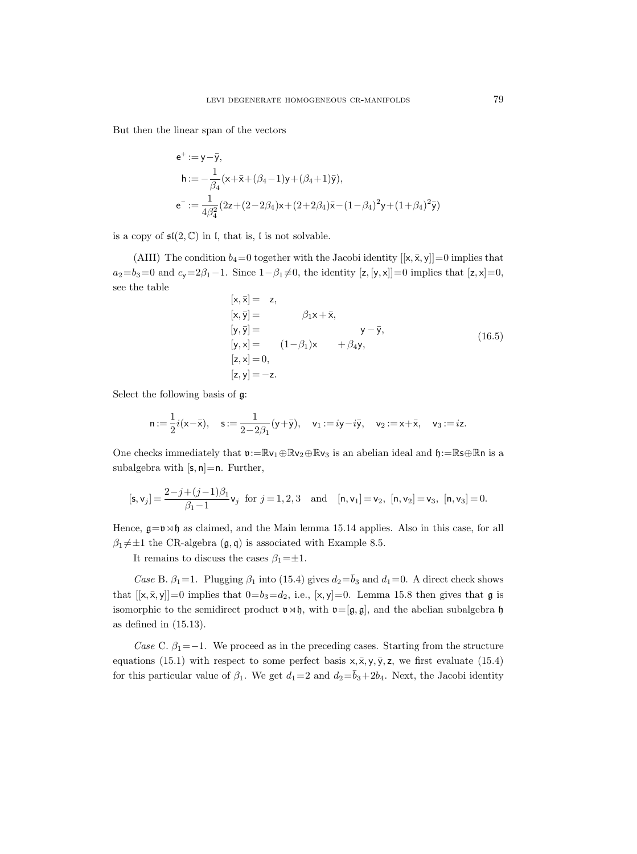But then the linear span of the vectors

$$
e^{+} := y - \bar{y},
$$
  
\n
$$
h := -\frac{1}{\beta_4} (x + \bar{x} + (\beta_4 - 1)y + (\beta_4 + 1)\bar{y}),
$$
  
\n
$$
e^{-} := \frac{1}{4\beta_4^2} (2z + (2 - 2\beta_4)x + (2 + 2\beta_4)\bar{x} - (1 - \beta_4)^2 y + (1 + \beta_4)^2 \bar{y})
$$

is a copy of  $\mathfrak{sl}(2,\mathbb{C})$  in l, that is, l is not solvable.

(AIII) The condition  $b_4=0$  together with the Jacobi identity  $[[x, \bar{x}, y]] = 0$  implies that  $a_2=b_3=0$  and  $c_3=2\beta_1-1$ . Since  $1-\beta_1\neq 0$ , the identity  $[z, [y, x]]=0$  implies that  $[z, x]=0$ , see the table

$$
[x, \bar{x}] = z,\n[x, \bar{y}] = \beta_1 x + \bar{x},\n[y, \bar{y}] = \beta_2 (1 - \beta_1)x + \beta_4 y,\n[z, x] = 0,\n[z, y] = -z.
$$
\n(16.5)

Select the following basis of g:

$$
{\sf n}:=\frac{1}{2}i({\sf x}-\bar{{\sf x}}),\quad {\sf s}:=\frac{1}{2-2\beta_1}({\sf y}+\bar{{\sf y}}),\quad {\sf v}_1:=i{\sf y}-i\bar{{\sf y}},\quad {\sf v}_2:= {\sf x}+\bar{{\sf x}},\quad {\sf v}_3:=i{\sf z}.
$$

One checks immediately that  $v:=\mathbb{R}v_1\oplus\mathbb{R}v_2\oplus\mathbb{R}v_3$  is an abelian ideal and  $\mathfrak{h}:=\mathbb{R}S\oplus\mathbb{R}n$  is a subalgebra with  $[s, n]=n$ . Further,

$$
[\mathbf{s}, \mathbf{v}_j] = \frac{2 - j + (j - 1)\beta_1}{\beta_1 - 1} \mathbf{v}_j \text{ for } j = 1, 2, 3 \text{ and } [\mathbf{n}, \mathbf{v}_1] = \mathbf{v}_2, [\mathbf{n}, \mathbf{v}_2] = \mathbf{v}_3, [\mathbf{n}, \mathbf{v}_3] = 0.
$$

Hence,  $\mathfrak{g} = \mathfrak{v} \rtimes \mathfrak{h}$  as claimed, and the Main lemma 15.14 applies. Also in this case, for all  $\beta_1 \neq \pm 1$  the CR-algebra  $(\mathfrak{g}, \mathfrak{q})$  is associated with Example 8.5.

It remains to discuss the cases  $\beta_1 = \pm 1$ .

Case B.  $\beta_1=1$ . Plugging  $\beta_1$  into (15.4) gives  $d_2=\bar{b}_3$  and  $d_1=0$ . A direct check shows that  $[[x, \bar{x}, y]] = 0$  implies that  $0 = b_3 = d_2$ , i.e.,  $[x, y] = 0$ . Lemma 15.8 then gives that  $\mathfrak{g}$  is isomorphic to the semidirect product  $\mathfrak{v} \rtimes \mathfrak{h}$ , with  $\mathfrak{v}=[\mathfrak{g},\mathfrak{g}]$ , and the abelian subalgebra  $\mathfrak{h}$ as defined in (15.13).

Case C.  $\beta_1$ =−1. We proceed as in the preceding cases. Starting from the structure equations (15.1) with respect to some perfect basis  $x, \overline{x}, y, \overline{y}, z$ , we first evaluate (15.4) for this particular value of  $\beta_1$ . We get  $d_1=2$  and  $d_2=\bar{b}_3+2b_4$ . Next, the Jacobi identity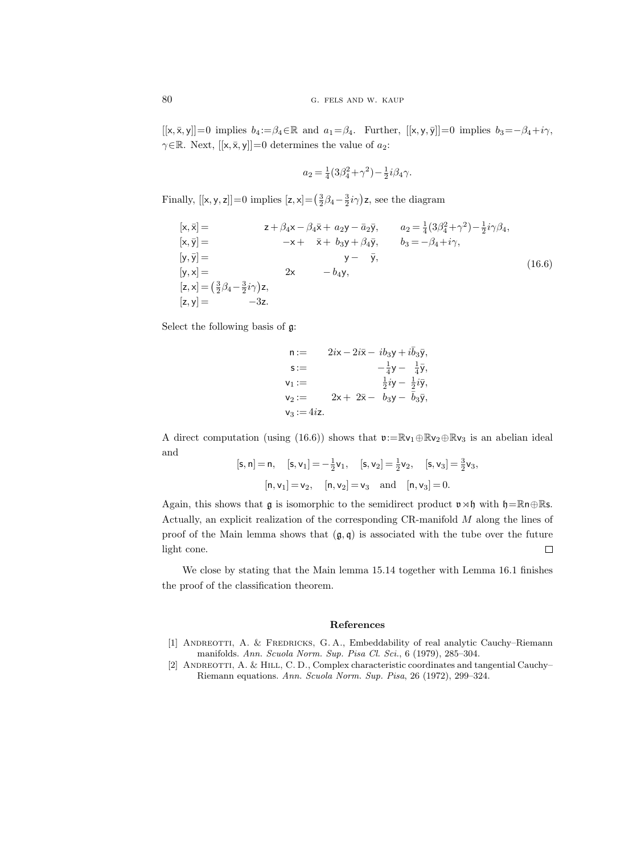$[[x, \bar{x}, y]] = 0$  implies  $b_4 := \beta_4 \in \mathbb{R}$  and  $a_1 = \beta_4$ . Further,  $[[x, y, \bar{y}]] = 0$  implies  $b_3 = -\beta_4 + i\gamma$ ,  $\gamma \in \mathbb{R}$ . Next,  $[[x, \bar{x}, y]] = 0$  determines the value of  $a_2$ :

$$
a_2 = \frac{1}{4}(3\beta_4^2 + \gamma^2) - \frac{1}{2}i\beta_4\gamma.
$$

Finally,  $[[x, y, z]] = 0$  implies  $[z, x] = (\frac{3}{2}\beta_4 - \frac{3}{2}i\gamma)z$ , see the diagram

$$
[\mathbf{x}, \bar{\mathbf{x}}] = \mathbf{z} + \beta_4 \mathbf{x} - \beta_4 \bar{\mathbf{x}} + a_2 \mathbf{y} - \bar{a}_2 \bar{\mathbf{y}}, \qquad a_2 = \frac{1}{4} (3\beta_4^2 + \gamma^2) - \frac{1}{2} i \gamma \beta_4,
$$
  
\n
$$
[\mathbf{x}, \bar{\mathbf{y}}] = -\mathbf{x} + \bar{\mathbf{x}} + b_3 \mathbf{y} + \beta_4 \bar{\mathbf{y}}, \qquad b_3 = -\beta_4 + i \gamma,
$$
  
\n
$$
[\mathbf{y}, \bar{\mathbf{y}}] = \mathbf{y} - \bar{\mathbf{y}},
$$
  
\n
$$
[\mathbf{y}, \mathbf{x}] = \mathbf{y} - \bar{\mathbf{y}},
$$
  
\n
$$
[\mathbf{z}, \mathbf{x}] = (\frac{3}{2}\beta_4 - \frac{3}{2} i \gamma) \mathbf{z},
$$
  
\n
$$
[\mathbf{z}, \mathbf{y}] = -3\mathbf{z}.
$$
  
\n(16.6)

Select the following basis of g:

$$
\begin{array}{ll}\nn := & 2i \times -2i\bar{\times} - i b_3 y + i \bar{b}_3 \bar{y}, \\
s := & -\frac{1}{4} y - \frac{1}{4} \bar{y}, \\
v_1 := & \frac{1}{2} i y - \frac{1}{2} i \bar{y}, \\
v_2 := & 2x + 2\bar{x} - b_3 y - \bar{b}_3 \bar{y}, \\
v_3 := 4i z.\n\end{array}
$$

A direct computation (using (16.6)) shows that  $\mathfrak{v}:=\mathbb{R}\mathsf{v}_1\oplus\mathbb{R}\mathsf{v}_2\oplus\mathbb{R}\mathsf{v}_3$  is an abelian ideal and

$$
[\mathsf{s}, \mathsf{n}] = \mathsf{n}, \quad [\mathsf{s}, \mathsf{v}_1] = -\frac{1}{2}\mathsf{v}_1, \quad [\mathsf{s}, \mathsf{v}_2] = \frac{1}{2}\mathsf{v}_2, \quad [\mathsf{s}, \mathsf{v}_3] = \frac{3}{2}\mathsf{v}_3,
$$

$$
[\mathsf{n}, \mathsf{v}_1] = \mathsf{v}_2, \quad [\mathsf{n}, \mathsf{v}_2] = \mathsf{v}_3 \quad \text{and} \quad [\mathsf{n}, \mathsf{v}_3] = 0.
$$

Again, this shows that  $\mathfrak g$  is isomorphic to the semidirect product  $v \rtimes \mathfrak h$  with  $\mathfrak h=\mathbb R$ n $\oplus\mathbb R$ s. Actually, an explicit realization of the corresponding CR-manifold M along the lines of proof of the Main lemma shows that  $(\mathfrak{g}, \mathfrak{q})$  is associated with the tube over the future light cone.  $\Box$ 

We close by stating that the Main lemma 15.14 together with Lemma 16.1 finishes the proof of the classification theorem.

## References

- [1] Andreotti, A. & Fredricks, G. A., Embeddability of real analytic Cauchy–Riemann manifolds. Ann. Scuola Norm. Sup. Pisa Cl. Sci., 6 (1979), 285–304.
- [2] ANDREOTTI, A. & HILL, C. D., Complex characteristic coordinates and tangential Cauchy– Riemann equations. Ann. Scuola Norm. Sup. Pisa, 26 (1972), 299–324.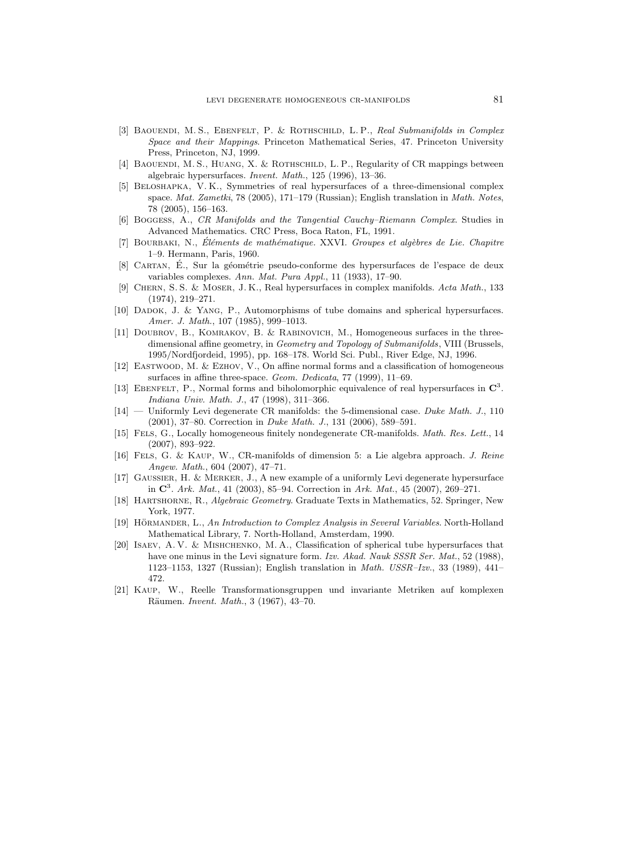- [3] BAOUENDI, M. S., EBENFELT, P. & ROTHSCHILD, L. P., Real Submanifolds in Complex Space and their Mappings. Princeton Mathematical Series, 47. Princeton University Press, Princeton, NJ, 1999.
- [4] BAOUENDI, M. S., HUANG, X. & ROTHSCHILD, L. P., Regularity of CR mappings between algebraic hypersurfaces. Invent. Math., 125 (1996), 13–36.
- [5] Beloshapka, V. K., Symmetries of real hypersurfaces of a three-dimensional complex space. Mat. Zametki, 78 (2005), 171–179 (Russian); English translation in Math. Notes, 78 (2005), 156–163.
- [6] Boggess, A., CR Manifolds and the Tangential Cauchy–Riemann Complex. Studies in Advanced Mathematics. CRC Press, Boca Raton, FL, 1991.
- [7] BOURBAKI, N., Éléments de mathématique. XXVI. Groupes et algèbres de Lie. Chapitre 1–9. Hermann, Paris, 1960.
- [8] CARTAN, É., Sur la géométrie pseudo-conforme des hypersurfaces de l'espace de deux variables complexes. Ann. Mat. Pura Appl., 11 (1933), 17–90.
- [9] Chern, S. S. & Moser, J. K., Real hypersurfaces in complex manifolds. Acta Math., 133 (1974), 219–271.
- [10] Dadok, J. & Yang, P., Automorphisms of tube domains and spherical hypersurfaces. Amer. J. Math., 107 (1985), 999-1013.
- [11] Doubrov, B., Komrakov, B. & Rabinovich, M., Homogeneous surfaces in the threedimensional affine geometry, in Geometry and Topology of Submanifolds, VIII (Brussels, 1995/Nordfjordeid, 1995), pp. 168–178. World Sci. Publ., River Edge, NJ, 1996.
- [12] Eastwood, M. & Ezhov, V., On affine normal forms and a classification of homogeneous surfaces in affine three-space. Geom. Dedicata, 77 (1999), 11–69.
- [13] EBENFELT, P., Normal forms and biholomorphic equivalence of real hypersurfaces in  $\mathbb{C}^3$ . Indiana Univ. Math. J., 47 (1998), 311–366.
- [14] Uniformly Levi degenerate CR manifolds: the 5-dimensional case. Duke Math. J., 110 (2001), 37–80. Correction in Duke Math. J., 131 (2006), 589–591.
- [15] FELS, G., Locally homogeneous finitely nondegenerate CR-manifolds. Math. Res. Lett., 14 (2007), 893–922.
- [16] Fels, G. & Kaup, W., CR-manifolds of dimension 5: a Lie algebra approach. J. Reine Angew. Math., 604 (2007), 47–71.
- [17] Gaussier, H. & Merker, J., A new example of a uniformly Levi degenerate hypersurface in  $\mathbb{C}^3$ . Ark. Mat., 41 (2003), 85–94. Correction in Ark. Mat., 45 (2007), 269–271.
- [18] Hartshorne, R., Algebraic Geometry. Graduate Texts in Mathematics, 52. Springer, New York, 1977.
- [19] HÖRMANDER, L., An Introduction to Complex Analysis in Several Variables. North-Holland Mathematical Library, 7. North-Holland, Amsterdam, 1990.
- [20] Isaev, A. V. & Mishchenko, M. A., Classification of spherical tube hypersurfaces that have one minus in the Levi signature form. Izv. Akad. Nauk SSSR Ser. Mat., 52 (1988), 1123–1153, 1327 (Russian); English translation in Math. USSR–Izv., 33 (1989), 441– 472.
- [21] Kaup, W., Reelle Transformationsgruppen und invariante Metriken auf komplexen Räumen. *Invent. Math.*, 3 (1967), 43-70.